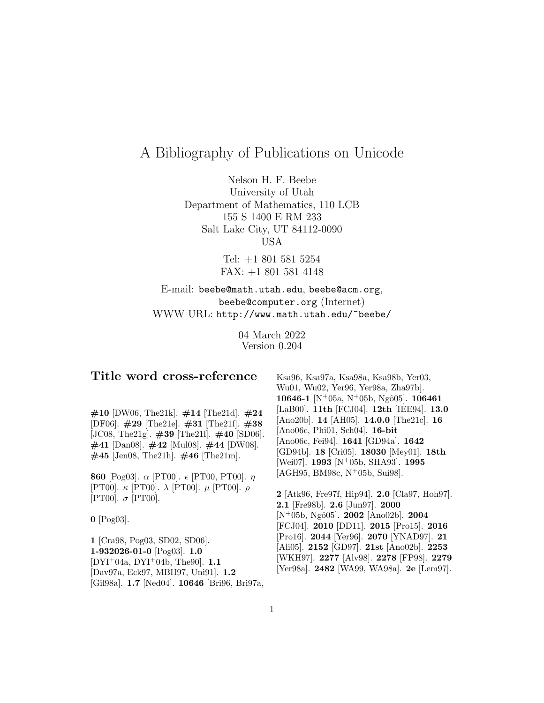# A Bibliography of Publications on Unicode

Nelson H. F. Beebe University of Utah Department of Mathematics, 110 LCB 155 S 1400 E RM 233 Salt Lake City, UT 84112-0090 USA

> Tel: +1 801 581 5254 FAX: +1 801 581 4148

## E-mail: beebe@math.utah.edu, beebe@acm.org, beebe@computer.org (Internet) WWW URL: http://www.math.utah.edu/~beebe/

04 March 2022 Version 0.204

### **Title word cross-reference**

**#10** [DW06, The21k]. **#14** [The21d]. **#24** [DF06]. **#29** [The21e]. **#31** [The21f]. **#38** [JC08, The21g]. **#39** [The21l]. **#40** [SD06]. **#41** [Dan08]. **#42** [Mul08]. **#44** [DW08]. **#45** [Jen08, The21h]. **#46** [The21m].

**\$60** [Pog03].  $\alpha$  [PT00].  $\epsilon$  [PT00, PT00].  $\eta$ [PT00].  $\kappa$  [PT00].  $\lambda$  [PT00].  $\mu$  [PT00].  $\rho$ [PT00].  $\sigma$  [PT00].

**0** [Pog03].

**1** [Cra98, Pog03, SD02, SD06]. **1-932026-01-0** [Pog03]. **1.0** [DYI<sup>+</sup>04a, DYI<sup>+</sup>04b, The90]. **1.1** [Dav97a, Eck97, MBH97, Uni91]. **1.2** [Gil98a]. **1.7** [Ned04]. **10646** [Bri96, Bri97a, Ksa96, Ksa97a, Ksa98a, Ksa98b, Yer03, Wu01, Wu02, Yer96, Yer98a, Zha97b]. **10646-1** [N<sup>+</sup>05a, N<sup>+</sup>05b, Ngˆo05]. **106461** [LaB00]. **11th** [FCJ04]. **12th** [IEE94]. **13.0** [Ano20b]. **14** [AH05]. **14.0.0** [The21c]. **16** [Ano06c, Phi01, Sch04]. **16-bit** [Ano06c, Fei94]. **1641** [GD94a]. **1642** [GD94b]. **18** [Cri05]. **18030** [Mey01]. **18th** [Wei07]. **1993** [N<sup>+</sup>05b, SHA93]. **1995**  $[AGH95, BM98c, N^+05b, Sui98].$ 

**2** [Atk96, Fre97f, Hip94]. **2.0** [Cla97, Hoh97]. **2.1** [Fre98b]. **2.6** [Jun97]. **2000** [N<sup>+</sup>05b, Ngˆo05]. **2002** [Ano02b]. **2004** [FCJ04]. **2010** [DD11]. **2015** [Pro15]. **2016** [Pro16]. **2044** [Yer96]. **2070** [YNAD97]. **21** [Ali05]. **2152** [GD97]. **21st** [Ano02b]. **2253** [WKH97]. **2277** [Alv98]. **2278** [FP98]. **2279** [Yer98a]. **2482** [WA99, WA98a]. **2e** [Lem97].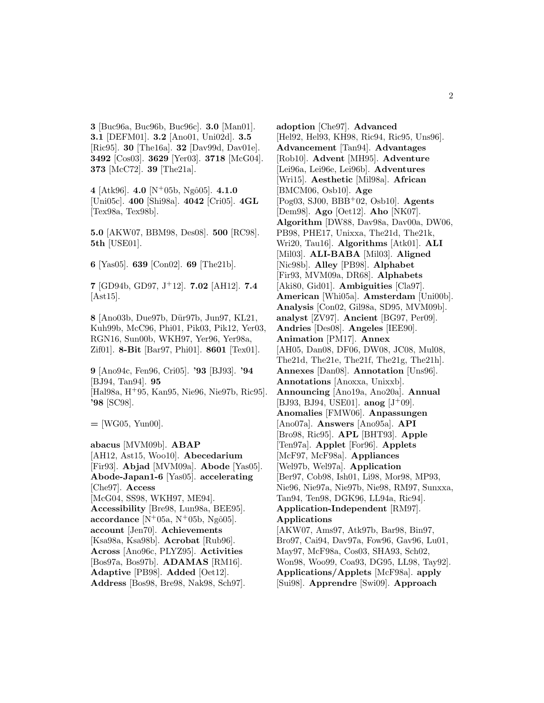**3** [Buc96a, Buc96b, Buc96c]. **3.0** [Man01]. **3.1** [DEFM01]. **3.2** [Ano01, Uni02d]. **3.5** [Ric95]. **30** [The16a]. **32** [Dav99d, Dav01e]. **3492** [Cos03]. **3629** [Yer03]. **3718** [McG04]. **373** [McC72]. **39** [The21a].

**4** [Atk96]. **4.0** [N<sup>+</sup>05b, Ngˆo05]. **4.1.0** [Uni05c]. **400** [Shi98a]. **4042** [Cri05]. **4GL** [Tex98a, Tex98b].

**5.0** [AKW07, BBM98, Des08]. **500** [RC98]. **5th** [USE01].

**6** [Yas05]. **639** [Con02]. **69** [The21b].

**7** [GD94b, GD97, J<sup>+</sup>12]. **7.02** [AH12]. **7.4**  $[Ast15]$ .

**8** [Ano03b, Due97b, D¨ur97b, Jun97, KL21, Kuh99b, McC96, Phi01, Pik03, Pik12, Yer03, RGN16, Sun00b, WKH97, Yer96, Yer98a, Zif01]. **8-Bit** [Bar97, Phi01]. **8601** [Tex01].

**9** [Ano94c, Fen96, Cri05]. **'93** [BJ93]. **'94** [BJ94, Tan94]. **95** [Hal98a, H<sup>+</sup>95, Kan95, Nie96, Nie97b, Ric95]. **'98** [SC98].

**=** [WG05, Yun00].

**abacus** [MVM09b]. **ABAP** [AH12, Ast15, Woo10]. **Abecedarium** [Fir93]. **Abjad** [MVM09a]. **Abode** [Yas05]. **Abode-Japan1-6** [Yas05]. **accelerating** [Che97]. **Access** [McG04, SS98, WKH97, ME94]. **Accessibility** [Bre98, Lun98a, BEE95]. **accordance**  $[N^+05a, N^+05b, Ng\hat{o}05]$ . **account** [Jen70]. **Achievements** [Ksa98a, Ksa98b]. **Acrobat** [Rub96]. **Across** [Ano96c, PLYZ95]. **Activities** [Bos97a, Bos97b]. **ADAMAS** [RM16]. **Adaptive** [PB98]. **Added** [Oet12]. **Address** [Bos98, Bre98, Nak98, Sch97].

**adoption** [Che97]. **Advanced** [Hel92, Hel93, KH98, Ric94, Ric95, Uns96]. **Advancement** [Tan94]. **Advantages** [Rob10]. **Advent** [MH95]. **Adventure** [Lei96a, Lei96e, Lei96b]. **Adventures** [Wri15]. **Aesthetic** [Mil98a]. **African** [BMCM06, Osb10]. **Age** [Pog03, SJ00, BBB<sup>+</sup>02, Osb10]. **Agents** [Dem98]. **Ago** [Oet12]. **Aho** [NK07]. **Algorithm** [DW88, Dav98a, Dav00a, DW06, PB98, PHE17, Unixxa, The21d, The21k, Wri20, Tau16]. **Algorithms** [Atk01]. **ALI** [Mil03]. **ALI-BABA** [Mil03]. **Aligned** [Nic98b]. **Alley** [PB98]. **Alphabet** [Fir93, MVM09a, DR68]. **Alphabets** [Aki80, Gid01]. **Ambiguities** [Cla97]. **American** [Whi05a]. **Amsterdam** [Uni00b]. **Analysis** [Con02, Gil98a, SD95, MVM09b]. **analyst** [ZV97]. **Ancient** [BG97, Per09]. **Andries** [Des08]. **Angeles** [IEE90]. **Animation** [PM17]. **Annex** [AH05, Dan08, DF06, DW08, JC08, Mul08, The21d, The21e, The21f, The21g, The21h]. **Annexes** [Dan08]. **Annotation** [Uns96]. **Annotations** [Anoxxa, Unixxb]. **Announcing** [Ano19a, Ano20a]. **Annual** [BJ93, BJ94, USE01]. **anog** [J<sup>+</sup>09]. **Anomalies** [FMW06]. **Anpassungen** [Ano07a]. **Answers** [Ano95a]. **API** [Bro98, Ric95]. **APL** [BHT93]. **Apple** [Ten97a]. **Applet** [For96]. **Applets** [McF97, McF98a]. **Appliances** [Wel97b, Wel97a]. **Application** [Ber97, Cob98, Ish01, Li98, Mor98, MP93, Nie96, Nie97a, Nie97b, Nie98, RM97, Sunxxa, Tan94, Ten98, DGK96, LL94a, Ric94]. **Application-Independent** [RM97]. **Applications** [AKW07, Ams97, Atk97b, Bar98, Bin97, Bro97, Cai94, Dav97a, Fow96, Gav96, Lu01, May97, McF98a, Cos03, SHA93, Sch02, Won98, Woo99, Coa93, DG95, LL98, Tay92]. **Applications/Applets** [McF98a]. **apply** [Sui98]. **Apprendre** [Swi09]. **Approach**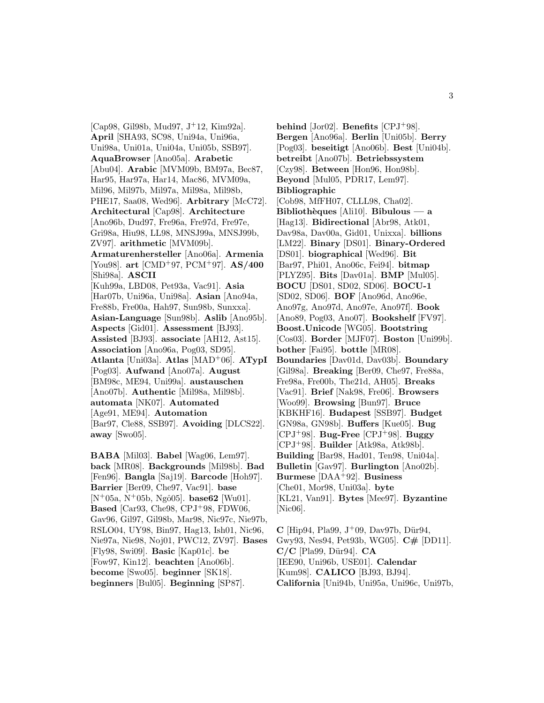[Cap98, Gil98b, Mud97, J<sup>+</sup>12, Kim92a]. **April** [SHA93, SC98, Uni94a, Uni96a, Uni98a, Uni01a, Uni04a, Uni05b, SSB97]. **AquaBrowser** [Ano05a]. **Arabetic** [Abu04]. **Arabic** [MVM09b, BM97a, Bec87, Har95, Har97a, Har14, Mac86, MVM09a, Mil96, Mil97b, Mil97a, Mil98a, Mil98b, PHE17, Saa08, Wed96]. **Arbitrary** [McC72]. **Architectural** [Cap98]. **Architecture** [Ano96b, Dud97, Fre96a, Fre97d, Fre97e, Gri98a, Hiu98, LL98, MNSJ99a, MNSJ99b, ZV97]. **arithmetic** [MVM09b]. **Armaturenhersteller** [Ano06a]. **Armenia** [You98]. **art** [CMD<sup>+</sup>97, PCM<sup>+</sup>97]. **AS/400** [Shi98a]. **ASCII** [Kuh99a, LBD08, Pet93a, Vac91]. **Asia** [Har07b, Uni96a, Uni98a]. **Asian** [Ano94a, Fre88b, Fre00a, Hah97, Sun98b, Sunxxa]. **Asian-Language** [Sun98b]. **Aslib** [Ano95b]. **Aspects** [Gid01]. **Assessment** [BJ93]. **Assisted** [BJ93]. **associate** [AH12, Ast15]. **Association** [Ano96a, Pog03, SD95]. **Atlanta** [Uni03a]. **Atlas** [MAD<sup>+</sup>06]. **ATypI** [Pog03]. **Aufwand** [Ano07a]. **August** [BM98c, ME94, Uni99a]. **austauschen** [Ano07b]. **Authentic** [Mil98a, Mil98b]. **automata** [NK07]. **Automated** [Age91, ME94]. **Automation** [Bar97, Cle88, SSB97]. **Avoiding** [DLCS22]. **away** [Swo05].

**BABA** [Mil03]. **Babel** [Wag06, Lem97]. **back** [MR08]. **Backgrounds** [Mil98b]. **Bad** [Fen96]. **Bangla** [Saj19]. **Barcode** [Hoh97]. **Barrier** [Ber09, Che97, Vac91]. **base** [N<sup>+</sup>05a, N<sup>+</sup>05b, Ngô05]. **base62** [Wu01]. **Based** [Car93, Che98, CPJ<sup>+</sup>98, FDW06, Gav96, Gil97, Gil98b, Mar98, Nic97c, Nie97b, RSLO04, UY98, Bin97, Hag13, Ish01, Nic96, Nie97a, Nie98, Noj01, PWC12, ZV97]. **Bases** [Fly98, Swi09]. **Basic** [Kap01c]. **be** [Fow97, Kin12]. **beachten** [Ano06b]. **become** [Swo05]. **beginner** [SK18]. **beginners** [Bul05]. **Beginning** [SP87].

**behind** [Jor02]. **Benefits** [CPJ<sup>+</sup>98]. **Bergen** [Ano96a]. **Berlin** [Uni05b]. **Berry** [Pog03]. **beseitigt** [Ano06b]. **Best** [Uni04b]. **betreibt** [Ano07b]. **Betriebssystem** [Czy98]. **Between** [Hon96, Hon98b]. **Beyond** [Mul05, PDR17, Lem97]. **Bibliographic** [Cob98, MfFH07, CLLL98, Cha02]. **Biblioth`eques** [Ali10]. **Bibulous — a** [Hag13]. **Bidirectional** [Abr98, Atk01, Dav98a, Dav00a, Gid01, Unixxa]. **billions** [LM22]. **Binary** [DS01]. **Binary-Ordered** [DS01]. **biographical** [Wed96]. **Bit** [Bar97, Phi01, Ano06c, Fei94]. **bitmap** [PLYZ95]. **Bits** [Dav01a]. **BMP** [Mul05]. **BOCU** [DS01, SD02, SD06]. **BOCU-1** [SD02, SD06]. **BOF** [Ano96d, Ano96e, Ano97g, Ano97d, Ano97e, Ano97f]. **Book** [Ano89, Pog03, Ano07]. **Bookshelf** [FV97]. **Boost.Unicode** [WG05]. **Bootstring** [Cos03]. **Border** [MJF07]. **Boston** [Uni99b]. **bother** [Fai95]. **bottle** [MR08]. **Boundaries** [Dav01d, Dav03b]. **Boundary** [Gil98a]. **Breaking** [Ber09, Che97, Fre88a, Fre98a, Fre00b, The21d, AH05]. **Breaks** [Vac91]. **Brief** [Nak98, Fre06]. **Browsers** [Woo99]. **Browsing** [Bun97]. **Bruce** [KBKHF16]. **Budapest** [SSB97]. **Budget** [GN98a, GN98b]. **Buffers** [Kue05]. **Bug** [CPJ<sup>+</sup>98]. **Bug-Free** [CPJ<sup>+</sup>98]. **Buggy** [CPJ<sup>+</sup>98]. **Builder** [Atk98a, Atk98b]. **Building** [Bar98, Had01, Ten98, Uni04a]. **Bulletin** [Gav97]. **Burlington** [Ano02b]. **Burmese** [DAA<sup>+</sup>92]. **Business** [Che01, Mor98, Uni03a]. **byte** [KL21, Van91]. **Bytes** [Mee97]. **Byzantine** [Nic06].

**C** [Hip94, Pla99,  $J^+09$ , Dav97b, Dür94, Gwy93, Nes94, Pet93b, WG05]. **C#** [DD11]. **C/C** [Pla99, D¨ur94]. **CA** [IEE90, Uni96b, USE01]. **Calendar** [Kum98]. **CALICO** [BJ93, BJ94]. **California** [Uni94b, Uni95a, Uni96c, Uni97b,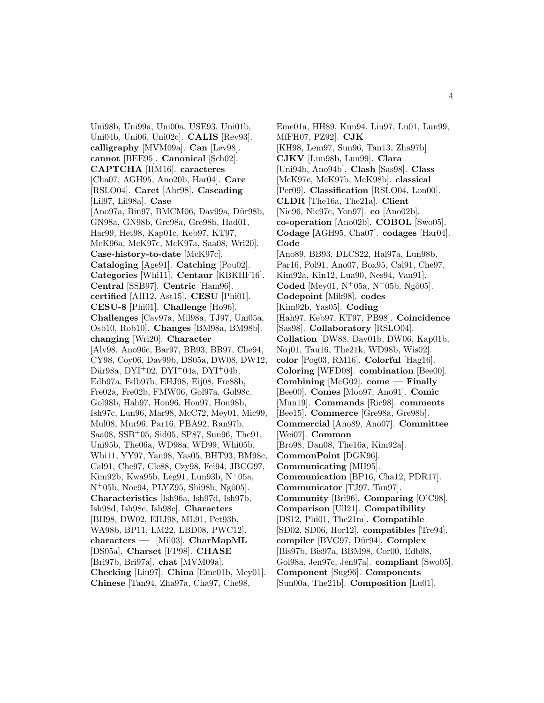Uni98b, Uni99a, Uni00a, USE93, Uni01b, Uni04b, Uni06, Uni02c]. **CALIS** [Rev93]. **calligraphy** [MVM09a]. **Can** [Lev98]. **cannot** [BEE95]. **Canonical** [Sch02]. **CAPTCHA** [RM16]. **caracteres** [Cha07, AGH95, Ano20b, Har04]. **Care** [RSLO04]. **Caret** [Abr98]. **Cascading** [Lil97, Lil98a]. **Case** [Ano97a, Bin97, BMCM06, Dav99a, Dür98b, GN98a, GN98b, Gre98a, Gre98b, Had01, Har99, Het98, Kap01c, Keb97, KT97, McK96a, McK97c, McK97a, Saa08, Wri20]. **Case-history-to-date** [McK97c]. **Cataloging** [Age91]. **Catching** [Pou02]. **Categories** [Whi11]. **Centaur** [KBKHF16]. **Central** [SSB97]. **Centric** [Ham96]. **certified** [AH12, Ast15]. **CESU** [Phi01]. **CESU-8** [Phi01]. **Challenge** [Ho96]. **Challenges** [Cav97a, Mil98a, TJ97, Uni05a, Osb10, Rob10]. **Changes** [BM98a, BM98b]. **changing** [Wri20]. **Character** [Alv98, Ano96c, Bar97, BB93, BB97, Che94, CY98, Coy06, Dav99b, DS05a, DW08, DW12, Dür $98a$ , DYI<sup>+</sup>02, DYI<sup>+</sup>04a, DYI<sup>+</sup>04b, Edb97a, Edb97b, EHJ98, Eij08, Fre88b, Fre02a, Fre02b, FMW06, Gol97a, Gol98c, Gol98b, Hah97, Hon96, Hon97, Hon98b, Ish97c, Lun96, Mar98, McC72, Mey01, Mic99, Mul08, Mur96, Par16, PBA92, Ran97b, Saa08, SSB<sup>+</sup>05, Sid05, SP87, Sun96, The91, Uni95b, The06a, WD98a, WD99, Whi05b, Whi11, YY97, Yan98, Yas05, BHT93, BM98c, Cal91, Che97, Cle88, Czy98, Fei94, JBCG97, Kim92b, Kwa95b, Leg91, Lun93b,  $N^+05a$ ,  $N^{+}05b$ , Noe $94$ , PLYZ $95$ , Shi $98b$ , Ngô $05$ . **Characteristics** [Ish96a, Ish97d, Ish97b, Ish98d, Ish98e, Ish98c]. **Characters** [BH98, DW02, EHJ98, ML91, Pet93b, WA98b, BP11, LM22, LBD08, PWC12]. **characters —** [Mil03]. **CharMapML** [DS05a]. **Charset** [FP98]. **CHASE** [Bri97b, Bri97a]. **chat** [MVM09a]. **Checking** [Liu97]. **China** [Eme01b, Mey01]. **Chinese** [Tan94, Zha97a, Cha97, Che98,

Eme01a, HH89, Kun94, Liu97, Lu01, Lun99, MfFH07, PZ92]. **CJK** [KH98, Lem97, Sun96, Tan13, Zha97b]. **CJKV** [Lun98b, Lun99]. **Clara** [Uni94b, Ano94b]. **Clash** [Sas98]. **Class** [McK97e, McK97b, McK98b]. **classical** [Per09]. **Classification** [RSLO04, Lon00]. **CLDR** [The16a, The21a]. **Client** [Nic96, Nic97c, Yon97]. **co** [Ano02b]. **co-operation** [Ano02b]. **COBOL** [Swo05]. **Codage** [AGH95, Cha07]. **codages** [Har04]. **Code** [Ano89, BB93, DLCS22, Hal97a, Lun98b, Par16, Pol91, Ano07, Box95, Cal91, Che97, Kim92a, Kin12, Lua90, Nes94, Van91]. **Coded** [Mey01,  $N^+05a$ ,  $N^+05b$ , Ngô05]. **Codepoint** [Mik98]. **codes** [Kim92b, Yas05]. **Coding** [Hah97, Keb97, KT97, PB98]. **Coincidence** [Sas98]. **Collaboratory** [RSLO04]. **Collation** [DW88, Dav01b, DW06, Kap01b, Noj01, Tau16, The21k, WD98b, Wis02]. **color** [Pog03, RM16]. **Colorful** [Hag16]. **Coloring** [WFD08]. **combination** [Bee00]. **Combining** [McG02]. **come — Finally** [Bee00]. **Comes** [Moo97, Ano91]. **Comic** [Mun19]. **Commands** [Ric98]. **comments** [Bee15]. **Commerce** [Gre98a, Gre98b]. **Commercial** [Ano89, Ano07]. **Committee** [Wei07]. **Common** [Bro98, Dan08, The16a, Kim92a]. **CommonPoint** [DGK96]. **Communicating** [MH95]. **Communication** [BP16, Cha12, PDR17]. **Communicator** [TJ97, Tan97]. **Community** [Bri96]. **Comparing** [O'C98]. **Comparison** [Ull21]. **Compatibility** [DS12, Phi01, The21m]. **Compatible** [SD02, SD06, Hor12]. **compatibles** [Tre94]. **compiler** [BVG97, D¨ur94]. **Complex** [Bis97b, Bis97a, BBM98, Cor00, Edb98, Gol98a, Jen97c, Jen97a]. **compliant** [Swo05]. **Component** [Sug96]. **Components** [Sun00a, The21b]. **Composition** [Lu01].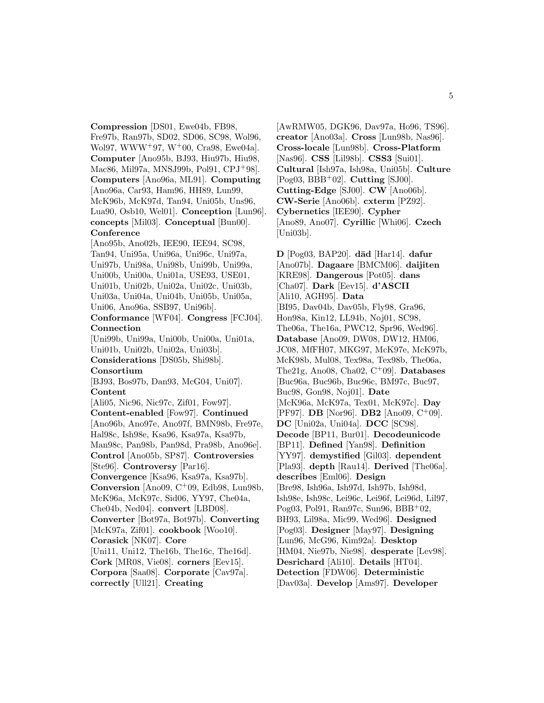**Compression** [DS01, Ewe04b, FB98, Fre97b, Ran97b, SD02, SD06, SC98, Wol96, Wol97, WWW<sup>+</sup>97, W<sup>+</sup>00, Cra98, Ewe04a]. **Computer** [Ano95b, BJ93, Hiu97b, Hiu98, Mac86, Mil97a, MNSJ99b, Pol91, CPJ<sup>+</sup>98]. **Computers** [Ano96a, ML91]. **Computing** [Ano96a, Car93, Ham96, HH89, Lun99, McK96b, McK97d, Tan94, Uni05b, Uns96, Lua90, Osb10, Wel01]. **Conception** [Lun96]. **concepts** [Mil03]. **Conceptual** [Bun00]. **Conference**

[Ano95b, Ano02b, IEE90, IEE94, SC98, Tan94, Uni95a, Uni96a, Uni96c, Uni97a, Uni97b, Uni98a, Uni98b, Uni99b, Uni99a, Uni00b, Uni00a, Uni01a, USE93, USE01, Uni01b, Uni02b, Uni02a, Uni02c, Uni03b, Uni03a, Uni04a, Uni04b, Uni05b, Uni05a, Uni06, Ano96a, SSB97, Uni96b].

**Conformance** [WF04]. **Congress** [FCJ04]. **Connection**

[Uni99b, Uni99a, Uni00b, Uni00a, Uni01a, Uni01b, Uni02b, Uni02a, Uni03b]. **Considerations** [DS05b, Shi98b]. **Consortium** [BJ93, Bos97b, Dan93, McG04, Uni07].

### **Content**

[Ali05, Nic96, Nic97c, Zif01, Fow97]. **Content-enabled** [Fow97]. **Continued** [Ano96b, Ano97e, Ano97f, BMN98b, Fre97e, Hal98c, Ish98e, Ksa96, Ksa97a, Ksa97b, Man98c, Pan98b, Pan98d, Pra98b, Ano96e]. **Control** [Ano05b, SP87]. **Controversies** [Ste96]. **Controversy** [Par16]. **Convergence** [Ksa96, Ksa97a, Ksa97b]. **Conversion** [Ano09, C<sup>+</sup>09, Edb98, Lun98b, McK96a, McK97c, Sid06, YY97, Che04a, Che04b, Ned04]. **convert** [LBD08]. **Converter** [Bot97a, Bot97b]. **Converting** [McK97a, Zif01]. **cookbook** [Woo10]. **Corasick** [NK07]. **Core** [Uni11, Uni12, The16b, The16c, The16d]. **Cork** [MR08, Vie08]. **corners** [Eev15]. **Corpora** [Saa08]. **Corporate** [Cav97a].

**correctly** [Ull21]. **Creating**

[AwRMW05, DGK96, Dav97a, Ho96, TS96]. **creator** [Ano03a]. **Cross** [Lun98b, Nas96]. **Cross-locale** [Lun98b]. **Cross-Platform** [Nas96]. **CSS** [Lil98b]. **CSS3** [Sui01]. **Cultural** [Ish97a, Ish98a, Uni05b]. **Culture** [Pog03, BBB<sup>+</sup>02]. **Cutting** [SJ00]. **Cutting-Edge** [SJ00]. **CW** [Ano06b]. **CW-Serie** [Ano06b]. **cxterm** [PZ92]. **Cybernetics** [IEE90]. **Cypher** [Ano89, Ano07]. **Cyrillic** [Whi06]. **Czech** [Uni03b].

**D** [Pog03, BAP20]. **d¯ad** [Har14]. **dafur** [Ano07b]. **Dagaare** [BMCM06]. **daijiten** [KRE98]. **Dangerous** [Pot05]. **dans** [Cha07]. **Dark** [Eev15]. **d'ASCII** [Ali10, AGH95]. **Data** [BI95, Dav04b, Dav05b, Fly98, Gra96, Hon98a, Kin12, LL94b, Noj01, SC98, The06a, The16a, PWC12, Spr96, Wed96]. **Database** [Ano09, DW08, DW12, HM06, JC08, MfFH07, MKG97, McK97e, McK97b, McK98b, Mul08, Tex98a, Tex98b, The06a, The21g, Ano08, Cha02, C<sup>+</sup>09]. **Databases** [Buc96a, Buc96b, Buc96c, BM97c, Buc97, Buc98, Gon98, Noj01]. **Date** [McK96a, McK97a, Tex01, McK97c]. **Day** [PF97]. **DB** [Nor96]. **DB2** [Ano09, C<sup>+</sup>09]. **DC** [Uni02a, Uni04a]. **DCC** [SC98]. **Decode** [BP11, Bur01]. **Decodeunicode** [BP11]. **Defined** [Yan98]. **Definition** [YY97]. **demystified** [Gil03]. **dependent** [Pla93]. **depth** [Rau14]. **Derived** [The06a]. **describes** [Eml06]. **Design** [Bre98, Ish96a, Ish97d, Ish97b, Ish98d, Ish98e, Ish98c, Lei96c, Lei96f, Lei96d, Lil97, Pog03, Pol91, Ran97c, Sun96, BBB<sup>+</sup>02, BH93, Lil98a, Mic99, Wed96]. **Designed** [Pog03]. **Designer** [May97]. **Designing** [Lun96, McG96, Kim92a]. **Desktop** [HM04, Nie97b, Nie98]. **desperate** [Lev98]. **Desrichard** [Ali10]. **Details** [HT04]. **Detection** [FDW06]. **Deterministic** [Dav03a]. **Develop** [Ams97]. **Developer**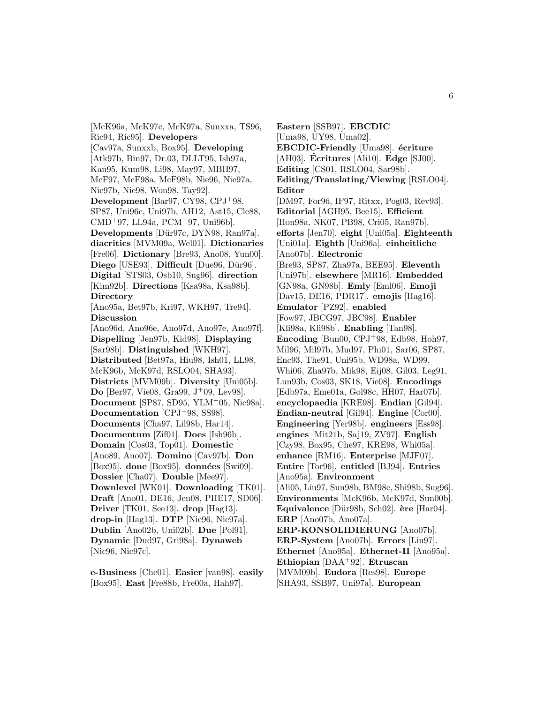[McK96a, McK97c, McK97a, Sunxxa, TS96, Ric94, Ric95]. **Developers** [Cav97a, Sunxxb, Box95]. **Developing** [Atk97b, Bin97, Dr.03, DLLT95, Ish97a, Kan95, Kum98, Li98, May97, MBH97, McF97, McF98a, McF98b, Nie96, Nie97a, Nie97b, Nie98, Won98, Tay92]. **Development** [Bar97, CY98, CPJ<sup>+</sup>98, SP87, Uni96c, Uni97b, AH12, Ast15, Cle88, CMD<sup>+</sup>97, LL94a, PCM<sup>+</sup>97, Uni96b]. Developments [Dür97c, DYN98, Ran97a]. **diacritics** [MVM09a, Wel01]. **Dictionaries** [Fre06]. **Dictionary** [Bre93, Ano08, Yun00]. **Diego** [USE93]. **Difficult** [Due96, Dür96]. **Digital** [STS03, Osb10, Sug96]. **direction** [Kim92b]. **Directions** [Ksa98a, Ksa98b]. **Directory** [Ano95a, Bet97b, Kri97, WKH97, Tre94]. **Discussion** [Ano96d, Ano96e, Ano97d, Ano97e, Ano97f]. **Dispelling** [Jen97b, Kid98]. **Displaying** [Sar98b]. **Distinguished** [WKH97]. **Distributed** [Bet97a, Hiu98, Ish01, LL98, McK96b, McK97d, RSLO04, SHA93]. **Districts** [MVM09b]. **Diversity** [Uni05b]. **Do** [Ber97, Vie08, Gra99, J<sup>+</sup>09, Lev98]. **Document** [SP87, SD95, YLM<sup>+</sup>05, Nic98a]. **Documentation** [CPJ<sup>+</sup>98, SS98]. **Documents** [Cha97, Lil98b, Har14]. **Documentum** [Zif01]. **Does** [Ish96b]. **Domain** [Cos03, Top01]. **Domestic** [Ano89, Ano07]. **Domino** [Cav97b]. **Don** [Box95]. **done** [Box95]. **données** [Swi09]. **Dossier** [Cha07]. **Double** [Mee97]. **Downlevel** [WK01]. **Downloading** [TK01]. **Draft** [Ano01, DE16, Jen08, PHE17, SD06]. **Driver** [TK01, See13]. **drop** [Hag13]. **drop-in** [Hag13]. **DTP** [Nie96, Nie97a]. **Dublin** [Ano02b, Uni02b]. **Due** [Pol91]. **Dynamic** [Dud97, Gri98a]. **Dynaweb** [Nic96, Nic97c].

**e-Business** [Che01]. **Easier** [van98]. **easily** [Box95]. **East** [Fre88b, Fre00a, Hah97].

**Eastern** [SSB97]. **EBCDIC** [Uma98, UY98, Uma02]. **EBCDIC-Friendly** [Uma98]. **écriture** [AH03]. **Ecritures ´** [Ali10]. **Edge** [SJ00]. **Editing** [CS01, RSLO04, Sar98b]. **Editing/Translating/Viewing** [RSLO04]. **Editor** [DM97, For96, IF97, Ritxx, Pog03, Rev93]. **Editorial** [AGH95, Bee15]. **Efficient** [Hon98a, NK07, PB98, Cri05, Ran97b]. **efforts** [Jen70]. **eight** [Uni05a]. **Eighteenth** [Uni01a]. **Eighth** [Uni96a]. **einheitliche** [Ano07b]. **Electronic** [Bre93, SP87, Zha97a, BEE95]. **Eleventh** [Uni97b]. **elsewhere** [MR16]. **Embedded** [GN98a, GN98b]. **Emly** [Eml06]. **Emoji** [Dav15, DE16, PDR17]. **emojis** [Hag16]. **Emulator** [PZ92]. **enabled** [Fow97, JBCG97, JBC98]. **Enabler** [Kli98a, Kli98b]. **Enabling** [Tan98]. **Encoding** [Bun00, CPJ<sup>+</sup>98, Edb98, Hoh97, Mil96, Mil97b, Mud97, Phi01, Sar06, SP87, Enc93, The91, Uni95b, WD98a, WD99, Whi06, Zha97b, Mik98, Eij08, Gil03, Leg91, Lun93b, Cos03, SK18, Vie08]. **Encodings** [Edb97a, Eme01a, Gol98c, HH07, Har07b]. **encyclopaedia** [KRE98]. **Endian** [Gil94]. **Endian-neutral** [Gil94]. **Engine** [Cor00]. **Engineering** [Yer98b]. **engineers** [Ess98]. **engines** [Mit21b, Saj19, ZV97]. **English** [Czy98, Box95, Che97, KRE98, Whi05a]. **enhance** [RM16]. **Enterprise** [MJF07]. **Entire** [Tor96]. **entitled** [BJ94]. **Entries** [Ano95a]. **Environment** [Ali05, Liu97, Sun98b, BM98c, Shi98b, Sug96]. **Environments** [McK96b, McK97d, Sun00b]. **Equivalence** [Dür98b, Sch02]. **ère** [Har04]. **ERP** [Ano07b, Ano07a]. **ERP-KONSOLIDIERUNG** [Ano07b]. **ERP-System** [Ano07b]. **Errors** [Liu97]. **Ethernet** [Ano95a]. **Ethernet-II** [Ano95a]. **Ethiopian** [DAA<sup>+</sup>92]. **Etruscan** [MVM09b]. **Eudora** [Res98]. **Europe** [SHA93, SSB97, Uni97a]. **European**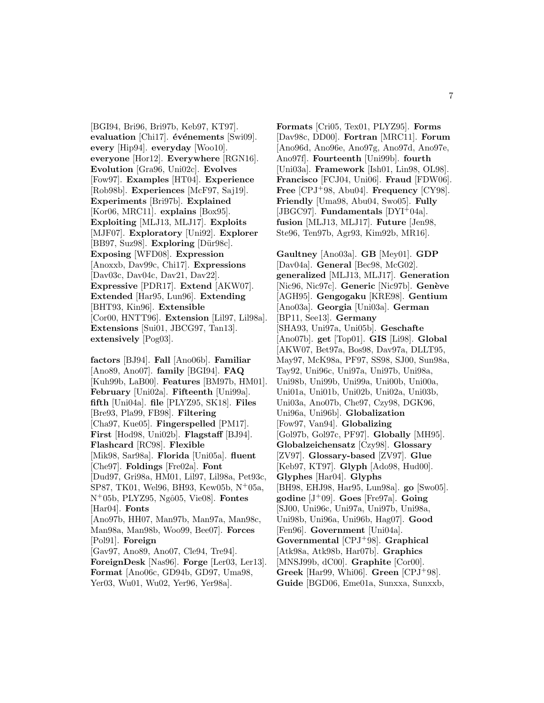[BGI94, Bri96, Bri97b, Keb97, KT97]. evaluation [Chi17]. **événements** [Swi09]. **every** [Hip94]. **everyday** [Woo10]. **everyone** [Hor12]. **Everywhere** [RGN16]. **Evolution** [Gra96, Uni02c]. **Evolves** [Fow97]. **Examples** [HT04]. **Experience** [Rob98b]. **Experiences** [McF97, Saj19]. **Experiments** [Bri97b]. **Explained** [Kor06, MRC11]. **explains** [Box95]. **Exploiting** [MLJ13, MLJ17]. **Exploits** [MJF07]. **Exploratory** [Uni92]. **Explorer** [BB97, Suz98]. **Exploring** [Dür98c]. **Exposing** [WFD08]. **Expression** [Anoxxb, Dav99c, Chi17]. **Expressions** [Dav03c, Dav04c, Dav21, Dav22]. **Expressive** [PDR17]. **Extend** [AKW07]. **Extended** [Har95, Lun96]. **Extending** [BHT93, Kin96]. **Extensible** [Cor00, HNTT96]. **Extension** [Lil97, Lil98a]. **Extensions** [Sui01, JBCG97, Tan13]. **extensively** [Pog03].

**factors** [BJ94]. **Fall** [Ano06b]. **Familiar** [Ano89, Ano07]. **family** [BGI94]. **FAQ** [Kuh99b, LaB00]. **Features** [BM97b, HM01]. **February** [Uni02a]. **Fifteenth** [Uni99a]. **fifth** [Uni04a]. **file** [PLYZ95, SK18]. **Files** [Bre93, Pla99, FB98]. **Filtering** [Cha97, Kue05]. **Fingerspelled** [PM17]. **First** [Hod98, Uni02b]. **Flagstaff** [BJ94]. **Flashcard** [RC98]. **Flexible** [Mik98, Sar98a]. **Florida** [Uni05a]. **fluent** [Che97]. **Foldings** [Fre02a]. **Font** [Dud97, Gri98a, HM01, Lil97, Lil98a, Pet93c, SP87, TK01, Wel96, BH93, Kew05b, N<sup>+</sup>05a, N<sup>+</sup>05b, PLYZ95, Ngˆo05, Vie08]. **Fontes** [Har04]. **Fonts** [Ano97b, HH07, Man97b, Man97a, Man98c, Man98a, Man98b, Woo99, Bee07]. **Forces** [Pol91]. **Foreign** [Gav97, Ano89, Ano07, Cle94, Tre94]. **ForeignDesk** [Nas96]. **Forge** [Ler03, Ler13]. **Format** [Ano06c, GD94b, GD97, Uma98, Yer03, Wu01, Wu02, Yer96, Yer98a].

**Formats** [Cri05, Tex01, PLYZ95]. **Forms** [Dav98c, DD00]. **Fortran** [MRC11]. **Forum** [Ano96d, Ano96e, Ano97g, Ano97d, Ano97e, Ano97f]. **Fourteenth** [Uni99b]. **fourth** [Uni03a]. **Framework** [Ish01, Lin98, OL98]. **Francisco** [FCJ04, Uni06]. **Fraud** [FDW06]. **Free** [CPJ<sup>+</sup>98, Abu04]. **Frequency** [CY98]. **Friendly** [Uma98, Abu04, Swo05]. **Fully** [JBGC97]. **Fundamentals** [DYI<sup>+</sup>04a]. **fusion** [MLJ13, MLJ17]. **Future** [Jen98, Ste96, Ten97b, Agr93, Kim92b, MR16].

**Gaultney** [Ano03a]. **GB** [Mey01]. **GDP** [Dav04a]. **General** [Bec98, McG02]. **generalized** [MLJ13, MLJ17]. **Generation** [Nic96, Nic97c]. **Generic** [Nic97b]. **Genève** [AGH95]. **Gengogaku** [KRE98]. **Gentium** [Ano03a]. **Georgia** [Uni03a]. **German** [BP11, See13]. **Germany** [SHA93, Uni97a, Uni05b]. **Geschafte** [Ano07b]. **get** [Top01]. **GIS** [Li98]. **Global** [AKW07, Bet97a, Bos98, Dav97a, DLLT95, May97, McK98a, PF97, SS98, SJ00, Sun98a, Tay92, Uni96c, Uni97a, Uni97b, Uni98a, Uni98b, Uni99b, Uni99a, Uni00b, Uni00a, Uni01a, Uni01b, Uni02b, Uni02a, Uni03b, Uni03a, Ano07b, Che97, Czy98, DGK96, Uni96a, Uni96b]. **Globalization** [Fow97, Van94]. **Globalizing** [Gol97b, Gol97c, PF97]. **Globally** [MH95]. **Globalzeichensatz** [Czy98]. **Glossary** [ZV97]. **Glossary-based** [ZV97]. **Glue** [Keb97, KT97]. **Glyph** [Ado98, Hud00]. **Glyphes** [Har04]. **Glyphs** [BH98, EHJ98, Har95, Lun98a]. **go** [Swo05]. **godine** [J<sup>+</sup>09]. **Goes** [Fre97a]. **Going** [SJ00, Uni96c, Uni97a, Uni97b, Uni98a, Uni98b, Uni96a, Uni96b, Hag07]. **Good** [Fen96]. **Government** [Uni04a]. **Governmental** [CPJ<sup>+</sup>98]. **Graphical** [Atk98a, Atk98b, Har07b]. **Graphics** [MNSJ99b, dC00]. **Graphite** [Cor00]. **Greek** [Har99, Whi06]. **Green** [CPJ<sup>+</sup>98].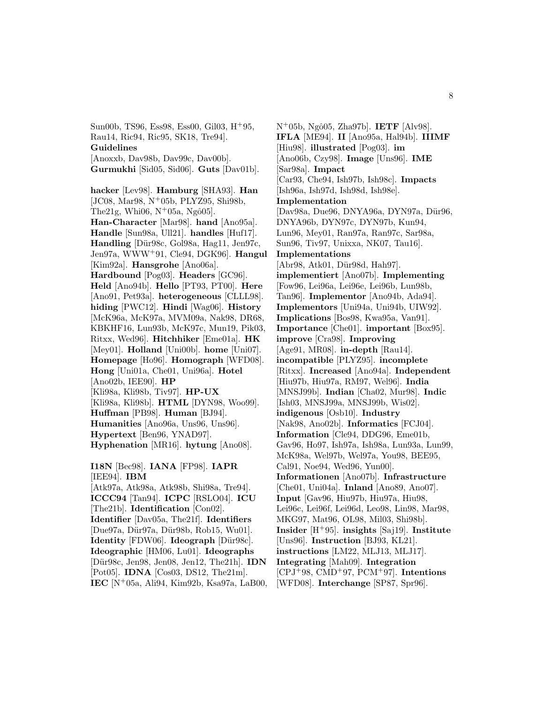Sun00b, TS96, Ess98, Ess00, Gil03, H<sup>+</sup>95, Rau14, Ric94, Ric95, SK18, Tre94]. **Guidelines** [Anoxxb, Dav98b, Dav99c, Dav00b]. **Gurmukhi** [Sid05, Sid06]. **Guts** [Dav01b]. **hacker** [Lev98]. **Hamburg** [SHA93]. **Han** [JC08, Mar98, N<sup>+</sup>05b, PLYZ95, Shi98b, The  $21g$ , Whi $06$ , N<sup>+</sup> $05a$ , Ngô $05$ . **Han-Character** [Mar98]. **hand** [Ano95a]. **Handle** [Sun98a, Ull21]. **handles** [Huf17]. Handling [Dür98c, Gol98a, Hag11, Jen97c, Jen97a, WWW<sup>+</sup>91, Cle94, DGK96]. **Hangul** [Kim92a]. **Hansgrohe** [Ano06a]. **Hardbound** [Pog03]. **Headers** [GC96]. **Held** [Ano94b]. **Hello** [PT93, PT00]. **Here** [Ano91, Pet93a]. **heterogeneous** [CLLL98]. **hiding** [PWC12]. **Hindi** [Wag06]. **History** [McK96a, McK97a, MVM09a, Nak98, DR68, KBKHF16, Lun93b, McK97c, Mun19, Pik03, Ritxx, Wed96]. **Hitchhiker** [Eme01a]. **HK** [Mey01]. **Holland** [Uni00b]. **home** [Uni07]. **Homepage** [Ho96]. **Homograph** [WFD08]. **Hong** [Uni01a, Che01, Uni96a]. **Hotel** [Ano02b, IEE90]. **HP** [Kli98a, Kli98b, Tiv97]. **HP-UX** [Kli98a, Kli98b]. **HTML** [DYN98, Woo99]. **Huffman** [PB98]. **Human** [BJ94]. **Humanities** [Ano96a, Uns96, Uns96]. **Hypertext** [Ben96, YNAD97]. **Hyphenation** [MR16]. **hytung** [Ano08]. **I18N** [Bec98]. **IANA** [FP98]. **IAPR**

[IEE94]. **IBM** [Atk97a, Atk98a, Atk98b, Shi98a, Tre94]. **ICCC94** [Tan94]. **ICPC** [RSLO04]. **ICU** [The21b]. **Identification** [Con02]. **Identifier** [Dav05a, The21f]. **Identifiers** [Due97a, Dür97a, Dür98b, Rob15, Wu01]. **Identity** [FDW06]. **Ideograph** [Dür98c]. **Ideographic** [HM06, Lu01]. **Ideographs** [D¨ur98c, Jen98, Jen08, Jen12, The21h]. **IDN** [Pot05]. **IDNA** [Cos03, DS12, The21m]. **IEC** [N<sup>+</sup>05a, Ali94, Kim92b, Ksa97a, LaB00,

N<sup>+</sup>05b, Ngˆo05, Zha97b]. **IETF** [Alv98]. **IFLA** [ME94]. **II** [Ano95a, Hal94b]. **IIIMF** [Hiu98]. **illustrated** [Pog03]. **im** [Ano06b, Czy98]. **Image** [Uns96]. **IME** [Sar98a]. **Impact** [Car93, Che94, Ish97b, Ish98c]. **Impacts** [Ish96a, Ish97d, Ish98d, Ish98e]. **Implementation** [Dav98a, Due96, DNYA96a, DYN97a, Dür96, DNYA96b, DYN97c, DYN97b, Kun94, Lun96, Mey01, Ran97a, Ran97c, Sar98a, Sun96, Tiv97, Unixxa, NK07, Tau16]. **Implementations** [Abr98, Atk01, Dür98d, Hah97]. **implementiert** [Ano07b]. **Implementing** [Fow96, Lei96a, Lei96e, Lei96b, Lun98b, Tan96]. **Implementor** [Ano94b, Ada94]. **Implementors** [Uni94a, Uni94b, UIW92]. **Implications** [Bos98, Kwa95a, Van91]. **Importance** [Che01]. **important** [Box95]. **improve** [Cra98]. **Improving** [Age91, MR08]. **in-depth** [Rau14]. **incompatible** [PLYZ95]. **incomplete** [Ritxx]. **Increased** [Ano94a]. **Independent** [Hiu97b, Hiu97a, RM97, Wel96]. **India** [MNSJ99b]. **Indian** [Cha02, Mur98]. **Indic** [Ish03, MNSJ99a, MNSJ99b, Wis02]. **indigenous** [Osb10]. **Industry** [Nak98, Ano02b]. **Informatics** [FCJ04]. **Information** [Cle94, DDG96, Eme01b, Gav96, Ho97, Ish97a, Ish98a, Lun93a, Lun99, McK98a, Wel97b, Wel97a, You98, BEE95, Cal91, Noe94, Wed96, Yun00]. **Informationen** [Ano07b]. **Infrastructure** [Che01, Uni04a]. **Inland** [Ano89, Ano07]. **Input** [Gav96, Hiu97b, Hiu97a, Hiu98, Lei96c, Lei96f, Lei96d, Leo98, Lin98, Mar98, MKG97, Mat96, OL98, Mil03, Shi98b]. **Insider** [H<sup>+</sup>95]. **insights** [Saj19]. **Institute** [Uns96]. **Instruction** [BJ93, KL21]. **instructions** [LM22, MLJ13, MLJ17]. **Integrating** [Mah09]. **Integration** [CPJ<sup>+</sup>98, CMD<sup>+</sup>97, PCM<sup>+</sup>97]. **Intentions** [WFD08]. **Interchange** [SP87, Spr96].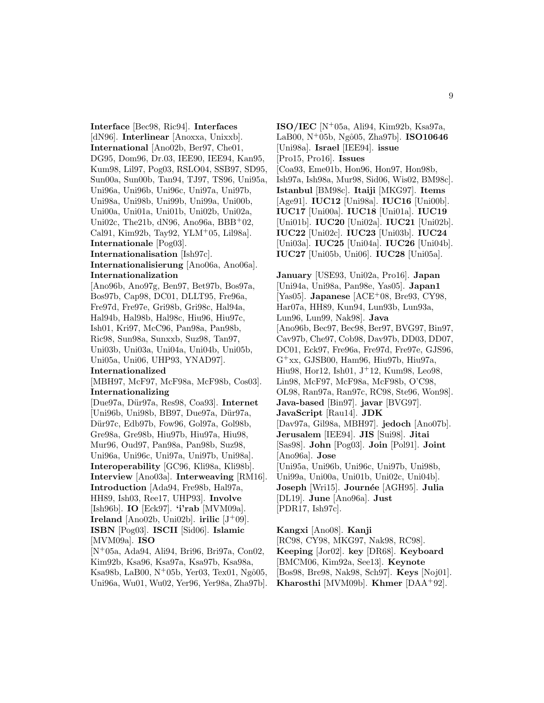**Interface** [Bec98, Ric94]. **Interfaces** [dN96]. **Interlinear** [Anoxxa, Unixxb]. **International** [Ano02b, Ber97, Che01, DG95, Dom96, Dr.03, IEE90, IEE94, Kan95, Kum98, Lil97, Pog03, RSLO04, SSB97, SD95, Sun00a, Sun00b, Tan94, TJ97, TS96, Uni95a, Uni96a, Uni96b, Uni96c, Uni97a, Uni97b, Uni98a, Uni98b, Uni99b, Uni99a, Uni00b, Uni00a, Uni01a, Uni01b, Uni02b, Uni02a, Uni02c, The21b, dN96, Ano96a, BBB<sup>+</sup>02, Cal91, Kim92b, Tay92, YLM<sup>+</sup>05, Lil98a]. **Internationale** [Pog03]. **Internationalisation** [Ish97c]. **Internationalisierung** [Ano06a, Ano06a]. **Internationalization** [Ano96b, Ano97g, Ben97, Bet97b, Bos97a, Bos97b, Cap98, DC01, DLLT95, Fre96a, Fre97d, Fre97e, Gri98b, Gri98c, Hal94a, Hal94b, Hal98b, Hal98c, Hiu96, Hiu97c, Ish01, Kri97, McC96, Pan98a, Pan98b, Ric98, Sun98a, Sunxxb, Suz98, Tan97, Uni03b, Uni03a, Uni04a, Uni04b, Uni05b, Uni05a, Uni06, UHP93, YNAD97]. **Internationalized** [MBH97, McF97, McF98a, McF98b, Cos03]. **Internationalizing** [Due97a, D¨ur97a, Res98, Coa93]. **Internet** [Uni96b, Uni98b, BB97, Due97a, Dür97a, Dür97c, Edb97b, Fow96, Gol97a, Gol98b, Gre98a, Gre98b, Hiu97b, Hiu97a, Hiu98, Mur96, Oud97, Pan98a, Pan98b, Suz98, Uni96a, Uni96c, Uni97a, Uni97b, Uni98a]. **Interoperability** [GC96, Kli98a, Kli98b]. **Interview** [Ano03a]. **Interweaving** [RM16]. **Introduction** [Ada94, Fre98b, Hal97a, HH89, Ish03, Ree17, UHP93]. **Involve** [Ish96b]. **IO** [Eck97]. **'i'rab** [MVM09a]. **Ireland** [Ano02b, Uni02b]. **irilic** [J<sup>+</sup>09]. **ISBN** [Pog03]. **ISCII** [Sid06]. **Islamic** [MVM09a]. **ISO** [N<sup>+</sup>05a, Ada94, Ali94, Bri96, Bri97a, Con02, Kim92b, Ksa96, Ksa97a, Ksa97b, Ksa98a, Ksa98b, LaB00, N<sup>+</sup>05b, Yer03, Tex01, Ngô05,

Uni96a, Wu01, Wu02, Yer96, Yer98a, Zha97b].

**ISO/IEC** [N<sup>+</sup>05a, Ali94, Kim92b, Ksa97a, LaB00, N<sup>+</sup>05b, Ngˆo05, Zha97b]. **ISO10646** [Uni98a]. **Israel** [IEE94]. **issue** [Pro15, Pro16]. **Issues** [Coa93, Eme01b, Hon96, Hon97, Hon98b, Ish97a, Ish98a, Mur98, Sid06, Wis02, BM98c]. **Istanbul** [BM98c]. **Itaiji** [MKG97]. **Items** [Age91]. **IUC12** [Uni98a]. **IUC16** [Uni00b]. **IUC17** [Uni00a]. **IUC18** [Uni01a]. **IUC19** [Uni01b]. **IUC20** [Uni02a]. **IUC21** [Uni02b]. **IUC22** [Uni02c]. **IUC23** [Uni03b]. **IUC24** [Uni03a]. **IUC25** [Uni04a]. **IUC26** [Uni04b]. **IUC27** [Uni05b, Uni06]. **IUC28** [Uni05a].

**January** [USE93, Uni02a, Pro16]. **Japan** [Uni94a, Uni98a, Pan98e, Yas05]. **Japan1** [Yas05]. **Japanese** [ACE<sup>+</sup>08, Bre93, CY98, Har07a, HH89, Kun94, Lun93b, Lun93a, Lun96, Lun99, Nak98]. **Java** [Ano96b, Bec97, Bec98, Ber97, BVG97, Bin97, Cav97b, Che97, Cob98, Dav97b, DD03, DD07, DC01, Eck97, Fre96a, Fre97d, Fre97e, GJS96, G<sup>+</sup>xx, GJSB00, Ham96, Hiu97b, Hiu97a, Hiu98, Hor12, Ish01, J<sup>+</sup>12, Kum98, Leo98, Lin98, McF97, McF98a, McF98b, O'C98, OL98, Ran97a, Ran97c, RC98, Ste96, Won98]. **Java-based** [Bin97]. **javar** [BVG97]. **JavaScript** [Rau14]. **JDK** [Dav97a, Gil98a, MBH97]. **jedoch** [Ano07b]. **Jerusalem** [IEE94]. **JIS** [Sui98]. **Jitai** [Sas98]. **John** [Pog03]. **Join** [Pol91]. **Joint** [Ano96a]. **Jose** [Uni95a, Uni96b, Uni96c, Uni97b, Uni98b, Uni99a, Uni00a, Uni01b, Uni02c, Uni04b]. **Joseph** [Wri15]. **Journ´ee** [AGH95]. **Julia** [DL19]. **June** [Ano96a]. **Just** [PDR17, Ish97c].

**Kangxi** [Ano08]. **Kanji** [RC98, CY98, MKG97, Nak98, RC98]. **Keeping** [Jor02]. **key** [DR68]. **Keyboard** [BMCM06, Kim92a, See13]. **Keynote** [Bos98, Bre98, Nak98, Sch97]. **Keys** [Noj01]. **Kharosthi** [MVM09b]. **Khmer** [DAA<sup>+</sup>92].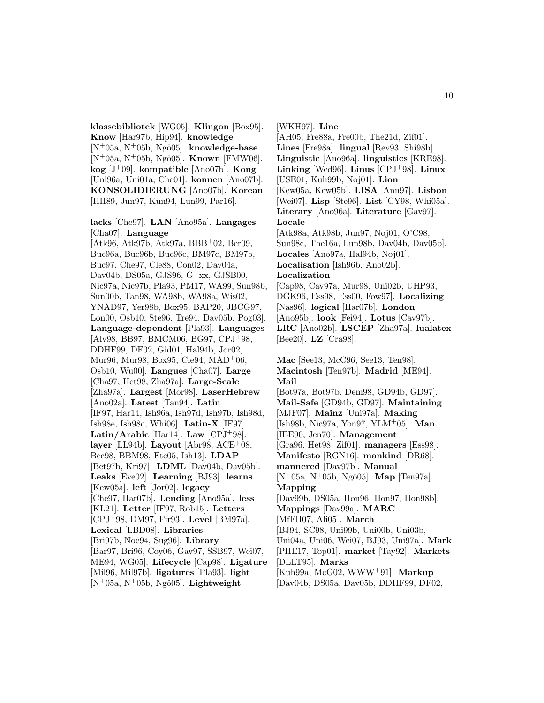**klassebibliotek** [WG05]. **Klingon** [Box95]. **Know** [Har97b, Hip94]. **knowledge**  $[N^+05a, N^+05b, Ngô05]$ . **knowledge-base** [N<sup>+</sup>05a, N<sup>+</sup>05b, Ngô05]. **Known** [FMW06]. **kog** [J<sup>+</sup>09]. **kompatible** [Ano07b]. **Kong** [Uni96a, Uni01a, Che01]. **konnen** [Ano07b]. **KONSOLIDIERUNG** [Ano07b]. **Korean** [HH89, Jun97, Kun94, Lun99, Par16].

**lacks** [Che97]. **LAN** [Ano95a]. **Langages** [Cha07]. **Language**

[Atk96, Atk97b, Atk97a, BBB+02, Ber09, Buc96a, Buc96b, Buc96c, BM97c, BM97b, Buc97, Che97, Cle88, Con02, Dav04a, Dav04b, DS05a, GJS96,  $G^+xx$ , GJSB00, Nic97a, Nic97b, Pla93, PM17, WA99, Sun98b, Sun00b, Tan98, WA98b, WA98a, Wis02, YNAD97, Yer98b, Box95, BAP20, JBCG97, Lon00, Osb10, Ste96, Tre94, Dav05b, Pog03]. **Language-dependent** [Pla93]. **Languages** [Alv98, BB97, BMCM06, BG97, CPJ<sup>+</sup>98, DDHF99, DF02, Gid01, Hal94b, Jor02, Mur96, Mur98, Box95, Cle94, MAD<sup>+</sup>06, Osb10, Wu00]. **Langues** [Cha07]. **Large** [Cha97, Het98, Zha97a]. **Large-Scale** [Zha97a]. **Largest** [Mor98]. **LaserHebrew** [Ano02a]. **Latest** [Tan94]. **Latin** [IF97, Har14, Ish96a, Ish97d, Ish97b, Ish98d, Ish98e, Ish98c, Whi06]. **Latin-X** [IF97]. **Latin/Arabic** [Har14]. **Law** [CPJ<sup>+</sup>98]. **layer** [LL94b]. **Layout** [Abr98, ACE<sup>+</sup>08, Bec98, BBM98, Ete05, Ish13]. **LDAP** [Bet97b, Kri97]. **LDML** [Dav04b, Dav05b]. **Leaks** [Eve02]. **Learning** [BJ93]. **learns** [Kew05a]. **left** [Jor02]. **legacy** [Che97, Har07b]. **Lending** [Ano95a]. **less** [KL21]. **Letter** [IF97, Rob15]. **Letters** [CPJ<sup>+</sup>98, DM97, Fir93]. **Level** [BM97a]. **Lexical** [LBD08]. **Libraries** [Bri97b, Noe94, Sug96]. **Library** [Bar97, Bri96, Coy06, Gav97, SSB97, Wei07, ME94, WG05]. **Lifecycle** [Cap98]. **Ligature** [Mil96, Mil97b]. **ligatures** [Pla93]. **light**  $[N^+05a, N^+05b, Ngô05]$ . **Lightweight** 

[WKH97]. **Line** [AH05, Fre88a, Fre00b, The21d, Zif01]. **Lines** [Fre98a]. **lingual** [Rev93, Shi98b]. **Linguistic** [Ano96a]. **linguistics** [KRE98]. **Linking** [Wed96]. **Linus** [CPJ<sup>+</sup>98]. **Linux** [USE01, Kuh99b, Noj01]. **Lion** [Kew05a, Kew05b]. **LISA** [Ann97]. **Lisbon** [Wei07]. **Lisp** [Ste96]. **List** [CY98, Whi05a]. **Literary** [Ano96a]. **Literature** [Gav97]. **Locale** [Atk98a, Atk98b, Jun97, Noj01, O'C98, Sun98c, The16a, Lun98b, Dav04b, Dav05b]. **Locales** [Ano97a, Hal94b, Noj01]. **Localisation** [Ish96b, Ano02b]. **Localization** [Cap98, Cav97a, Mur98, Uni02b, UHP93,

DGK96, Ess98, Ess00, Fow97]. **Localizing** [Nas96]. **logical** [Har07b]. **London** [Ano95b]. **look** [Fei94]. **Lotus** [Cav97b]. **LRC** [Ano02b]. **LSCEP** [Zha97a]. **lualatex** [Bee20]. **LZ** [Cra98].

**Mac** [See13, McC96, See13, Ten98]. **Macintosh** [Ten97b]. **Madrid** [ME94]. **Mail** [Bot97a, Bot97b, Dem98, GD94b, GD97]. **Mail-Safe** [GD94b, GD97]. **Maintaining** [MJF07]. **Mainz** [Uni97a]. **Making** [Ish98b, Nic97a, Yon97, YLM<sup>+</sup>05]. **Man** [IEE90, Jen70]. **Management** [Gra96, Het98, Zif01]. **managers** [Ess98]. **Manifesto** [RGN16]. **mankind** [DR68]. **mannered** [Dav97b]. **Manual** [N<sup>+</sup>05a, N<sup>+</sup>05b, Ngô05]. **Map** [Ten97a]. **Mapping** [Dav99b, DS05a, Hon96, Hon97, Hon98b]. **Mappings** [Dav99a]. **MARC** [MfFH07, Ali05]. **March** [BJ94, SC98, Uni99b, Uni00b, Uni03b, Uni04a, Uni06, Wei07, BJ93, Uni97a]. **Mark** [PHE17, Top01]. **market** [Tay92]. **Markets** [DLLT95]. **Marks** [Kuh99a, McG02, WWW<sup>+</sup>91]. **Markup** [Dav04b, DS05a, Dav05b, DDHF99, DF02,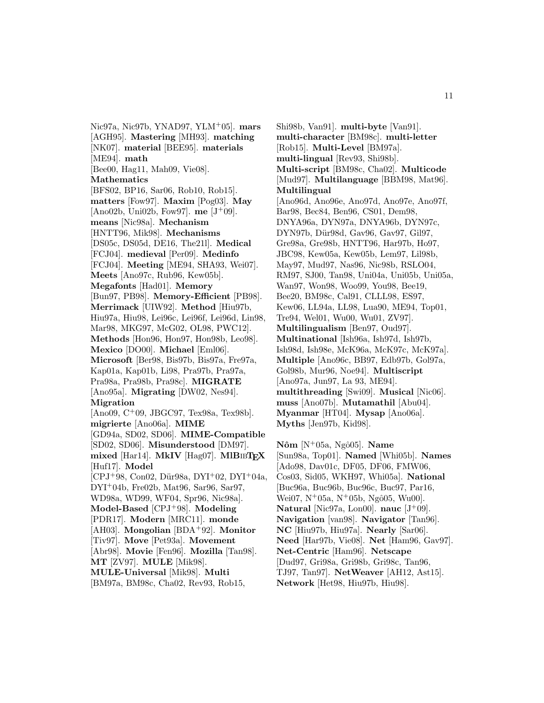Nic97a, Nic97b, YNAD97, YLM<sup>+</sup>05]. **mars** [AGH95]. **Mastering** [MH93]. **matching** [NK07]. **material** [BEE95]. **materials** [ME94]. **math** [Bee00, Hag11, Mah09, Vie08]. **Mathematics** [BFS02, BP16, Sar06, Rob10, Rob15]. **matters** [Fow97]. **Maxim** [Pog03]. **May** [Ano02b, Uni02b, Fow97]. **me** [J<sup>+</sup>09]. **means** [Nic98a]. **Mechanism** [HNTT96, Mik98]. **Mechanisms** [DS05c, DS05d, DE16, The21l]. **Medical** [FCJ04]. **medieval** [Per09]. **Medinfo** [FCJ04]. **Meeting** [ME94, SHA93, Wei07]. **Meets** [Ano97c, Rub96, Kew05b]. **Megafonts** [Had01]. **Memory** [Bun97, PB98]. **Memory-Efficient** [PB98]. **Merrimack** [UIW92]. **Method** [Hiu97b, Hiu97a, Hiu98, Lei96c, Lei96f, Lei96d, Lin98, Mar98, MKG97, McG02, OL98, PWC12]. **Methods** [Hon96, Hon97, Hon98b, Leo98]. **Mexico** [DO00]. **Michael** [Eml06]. **Microsoft** [Ber98, Bis97b, Bis97a, Fre97a, Kap01a, Kap01b, Li98, Pra97b, Pra97a, Pra98a, Pra98b, Pra98c]. **MIGRATE** [Ano95a]. **Migrating** [DW02, Nes94]. **Migration** [Ano09, C<sup>+</sup>09, JBGC97, Tex98a, Tex98b]. **migrierte** [Ano06a]. **MIME** [GD94a, SD02, SD06]. **MIME-Compatible** [SD02, SD06]. **Misunderstood** [DM97]. **mixed** [Har14]. **MkIV** [Hag07]. **MlB**ib**TEX** [Huf17]. **Model**  $[CPJ+98, Con02, Dür98a, DYI+02, DYI+04a,$ DYI<sup>+</sup>04b, Fre02b, Mat96, Sar96, Sar97, WD98a, WD99, WF04, Spr96, Nic98a]. **Model-Based** [CPJ<sup>+</sup>98]. **Modeling** [PDR17]. **Modern** [MRC11]. **monde** [AH03]. **Mongolian** [BDA<sup>+</sup>92]. **Monitor** [Tiv97]. **Move** [Pet93a]. **Movement** [Abr98]. **Movie** [Fen96]. **Mozilla** [Tan98]. **MT** [ZV97]. **MULE** [Mik98]. **MULE-Universal** [Mik98]. **Multi** [BM97a, BM98c, Cha02, Rev93, Rob15,

Shi98b, Van91]. **multi-byte** [Van91]. **multi-character** [BM98c]. **multi-letter** [Rob15]. **Multi-Level** [BM97a]. **multi-lingual** [Rev93, Shi98b]. **Multi-script** [BM98c, Cha02]. **Multicode** [Mud97]. **Multilanguage** [BBM98, Mat96]. **Multilingual** [Ano96d, Ano96e, Ano97d, Ano97e, Ano97f, Bar98, Bec84, Ben96, CS01, Dem98, DNYA96a, DYN97a, DNYA96b, DYN97c, DYN97b, Dür98d, Gav96, Gav97, Gil97, Gre98a, Gre98b, HNTT96, Har97b, Ho97, JBC98, Kew05a, Kew05b, Lem97, Lil98b, May97, Mud97, Nas96, Nic98b, RSLO04, RM97, SJ00, Tan98, Uni04a, Uni05b, Uni05a, Wan97, Won98, Woo99, You98, Bee19, Bee20, BM98c, Cal91, CLLL98, ES97, Kew06, LL94a, LL98, Lua90, ME94, Top01, Tre94, Wel01, Wu00, Wu01, ZV97]. **Multilingualism** [Ben97, Oud97]. **Multinational** [Ish96a, Ish97d, Ish97b, Ish98d, Ish98e, McK96a, McK97c, McK97a]. **Multiple** [Ano96c, BB97, Edb97b, Gol97a, Gol98b, Mur96, Noe94]. **Multiscript** [Ano97a, Jun97, La 93, ME94]. **multithreading** [Swi09]. **Musical** [Nic06]. **muss** [Ano07b]. **Mutamathil** [Abu04]. **Myanmar** [HT04]. **Mysap** [Ano06a]. **Myths** [Jen97b, Kid98].

**Nôm** [N<sup>+</sup>05a, Ngô05]. **Name** [Sun98a, Top01]. **Named** [Whi05b]. **Names** [Ado98, Dav01c, DF05, DF06, FMW06, Cos03, Sid05, WKH97, Whi05a]. **National** [Buc96a, Buc96b, Buc96c, Buc97, Par16, Wei07,  $N+05a$ ,  $N+05b$ , Ngô05, Wu00]. **Natural** [Nic97a, Lon00]. **nauc** [J<sup>+</sup>09]. **Navigation** [van98]. **Navigator** [Tan96]. **NC** [Hiu97b, Hiu97a]. **Nearly** [Sar06]. **Need** [Har97b, Vie08]. **Net** [Ham96, Gav97]. **Net-Centric** [Ham96]. **Netscape** [Dud97, Gri98a, Gri98b, Gri98c, Tan96, TJ97, Tan97]. **NetWeaver** [AH12, Ast15]. **Network** [Het98, Hiu97b, Hiu98].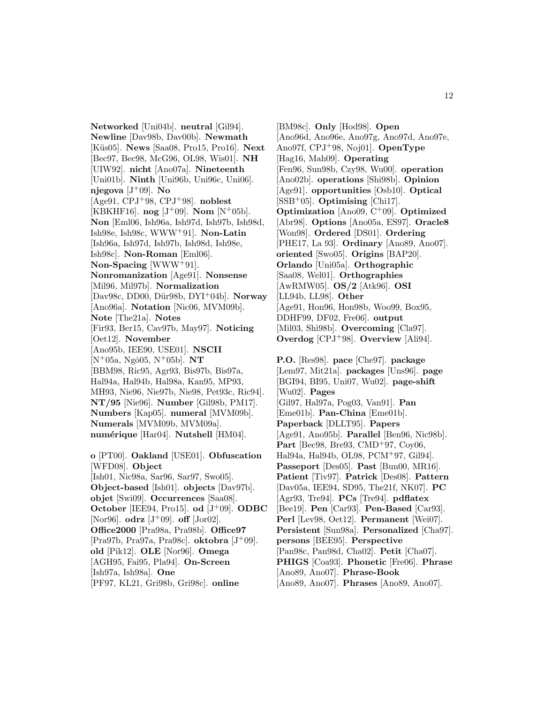**Networked** [Uni04b]. **neutral** [Gil94]. **Newline** [Dav98b, Dav00b]. **Newmath** [K¨us05]. **News** [Saa08, Pro15, Pro16]. **Next** [Bec97, Bec98, McG96, OL98, Wis01]. **NH** [UIW92]. **nicht** [Ano07a]. **Nineteenth** [Uni01b]. **Ninth** [Uni96b, Uni96c, Uni06]. **njegova** [J<sup>+</sup>09]. **No** [Age91, CPJ<sup>+</sup>98, CPJ<sup>+</sup>98]. **noblest** [KBKHF16].  $\log$  [J<sup>+</sup>09]. **Nom** [N<sup>+</sup>05b]. **Non** [Eml06, Ish96a, Ish97d, Ish97b, Ish98d, Ish98e, Ish98c, WWW<sup>+</sup>91]. **Non-Latin** [Ish96a, Ish97d, Ish97b, Ish98d, Ish98e, Ish98c]. **Non-Roman** [Eml06]. **Non-Spacing** [WWW<sup>+</sup>91]. **Nonromanization** [Age91]. **Nonsense** [Mil96, Mil97b]. **Normalization** [Dav98c, DD00, D¨ur98b, DYI<sup>+</sup>04b]. **Norway** [Ano96a]. **Notation** [Nic06, MVM09b]. **Note** [The21a]. **Notes** [Fir93, Ber15, Cav97b, May97]. **Noticing** [Oet12]. **November** [Ano95b, IEE90, USE01]. **NSCII**  $[N^+05a, Ngô05, N^+05b]$ . **NT** [BBM98, Ric95, Agr93, Bis97b, Bis97a, Hal94a, Hal94b, Hal98a, Kan95, MP93, MH93, Nie96, Nie97b, Nie98, Pet93c, Ric94]. **NT/95** [Nie96]. **Number** [Gil98b, PM17]. **Numbers** [Kap05]. **numeral** [MVM09b]. **Numerals** [MVM09b, MVM09a]. **num´erique** [Har04]. **Nutshell** [HM04]. **o** [PT00]. **Oakland** [USE01]. **Obfuscation**

[WFD08]. **Object** [Ish01, Nic98a, Sar96, Sar97, Swo05]. **Object-based** [Ish01]. **objects** [Dav97b]. **objet** [Swi09]. **Occurrences** [Saa08]. **October** [IEE94, Pro15]. **od** [J<sup>+</sup>09]. **ODBC** [Nor96].  $\textbf{odrz}$  [J<sup>+</sup>09].  $\textbf{off}$  [Jor02]. **Office2000** [Pra98a, Pra98b]. **Office97** [Pra97b, Pra97a, Pra98c]. **oktobra** [J<sup>+</sup>09]. **old** [Pik12]. **OLE** [Nor96]. **Omega** [AGH95, Fai95, Pla94]. **On-Screen** [Ish97a, Ish98a]. **One** [PF97, KL21, Gri98b, Gri98c]. **online**

[BM98c]. **Only** [Hod98]. **Open** [Ano96d, Ano96e, Ano97g, Ano97d, Ano97e, Ano97f, CPJ<sup>+</sup>98, Noj01]. **OpenType** [Hag16, Mah09]. **Operating** [Fen96, Sun98b, Czy98, Wu00]. **operation** [Ano02b]. **operations** [Shi98b]. **Opinion** [Age91]. **opportunities** [Osb10]. **Optical** [SSB<sup>+</sup>05]. **Optimising** [Chi17]. **Optimization** [Ano09, C<sup>+</sup>09]. **Optimized** [Abr98]. **Options** [Ano05a, ES97]. **Oracle8** [Won98]. **Ordered** [DS01]. **Ordering** [PHE17, La 93]. **Ordinary** [Ano89, Ano07]. **oriented** [Swo05]. **Origins** [BAP20]. **Orlando** [Uni05a]. **Orthographic** [Saa08, Wel01]. **Orthographies** [AwRMW05]. **OS/2** [Atk96]. **OSI** [LL94b, LL98]. **Other** [Age91, Hon96, Hon98b, Woo99, Box95, DDHF99, DF02, Fre06]. **output** [Mil03, Shi98b]. **Overcoming** [Cla97]. **Overdog** [CPJ<sup>+</sup>98]. **Overview** [Ali94].

**P.O.** [Res98]. **pace** [Che97]. **package** [Lem97, Mit21a]. **packages** [Uns96]. **page** [BGI94, BI95, Uni07, Wu02]. **page-shift** [Wu02]. **Pages** [Gil97, Hal97a, Pog03, Van91]. **Pan** [Eme01b]. **Pan-China** [Eme01b]. **Paperback** [DLLT95]. **Papers** [Age91, Ano95b]. **Parallel** [Ben96, Nic98b]. **Part** [Bec98, Bre93, CMD<sup>+</sup>97, Coy06, Hal94a, Hal94b, OL98, PCM<sup>+</sup>97, Gil94]. **Passeport** [Des05]. **Past** [Bun00, MR16]. **Patient** [Tiv97]. **Patrick** [Des08]. **Pattern** [Dav05a, IEE94, SD95, The21f, NK07]. **PC** [Agr93, Tre94]. **PCs** [Tre94]. **pdflatex** [Bee19]. **Pen** [Car93]. **Pen-Based** [Car93]. **Perl** [Lev98, Oet12]. **Permanent** [Wei07]. **Persistent** [Sun98a]. **Personalized** [Cha97]. **persons** [BEE95]. **Perspective** [Pan98c, Pan98d, Cha02]. **Petit** [Cha07]. **PHIGS** [Coa93]. **Phonetic** [Fre06]. **Phrase** [Ano89, Ano07]. **Phrase-Book** [Ano89, Ano07]. **Phrases** [Ano89, Ano07].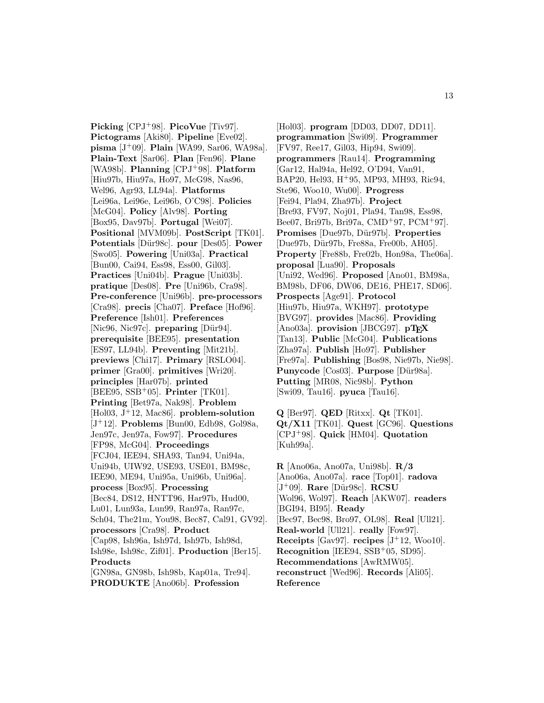**Picking** [CPJ<sup>+</sup>98]. **PicoVue** [Tiv97]. **Pictograms** [Aki80]. **Pipeline** [Eve02]. **pisma** [J<sup>+</sup>09]. **Plain** [WA99, Sar06, WA98a]. **Plain-Text** [Sar06]. **Plan** [Fen96]. **Plane** [WA98b]. **Planning** [CPJ<sup>+</sup>98]. **Platform** [Hiu97b, Hiu97a, Ho97, McG98, Nas96, Wel96, Agr93, LL94a]. **Platforms** [Lei96a, Lei96e, Lei96b, O'C98]. **Policies** [McG04]. **Policy** [Alv98]. **Porting** [Box95, Dav97b]. **Portugal** [Wei07]. **Positional** [MVM09b]. **PostScript** [TK01]. **Potentials** [D¨ur98c]. **pour** [Des05]. **Power** [Swo05]. **Powering** [Uni03a]. **Practical** [Bun00, Cai94, Ess98, Ess00, Gil03]. **Practices** [Uni04b]. **Prague** [Uni03b]. **pratique** [Des08]. **Pre** [Uni96b, Cra98]. **Pre-conference** [Uni96b]. **pre-processors** [Cra98]. **precis** [Cha07]. **Preface** [Hof96]. **Preference** [Ish01]. **Preferences** [Nic96, Nic97c]. **preparing** [Dür94]. **prerequisite** [BEE95]. **presentation** [ES97, LL94b]. **Preventing** [Mit21b]. **previews** [Chi17]. **Primary** [RSLO04]. **primer** [Gra00]. **primitives** [Wri20]. **principles** [Har07b]. **printed** [BEE95, SSB<sup>+</sup>05]. **Printer** [TK01]. **Printing** [Bet97a, Nak98]. **Problem** [Hol03, J<sup>+</sup>12, Mac86]. **problem-solution** [J<sup>+</sup>12]. **Problems** [Bun00, Edb98, Gol98a, Jen97c, Jen97a, Fow97]. **Procedures** [FP98, McG04]. **Proceedings** [FCJ04, IEE94, SHA93, Tan94, Uni94a, Uni94b, UIW92, USE93, USE01, BM98c, IEE90, ME94, Uni95a, Uni96b, Uni96a]. **process** [Box95]. **Processing** [Bec84, DS12, HNTT96, Har97b, Hud00, Lu01, Lun93a, Lun99, Ran97a, Ran97c, Sch04, The21m, You98, Bec87, Cal91, GV92]. **processors** [Cra98]. **Product** [Cap98, Ish96a, Ish97d, Ish97b, Ish98d, Ish98e, Ish98c, Zif01]. **Production** [Ber15]. **Products** [GN98a, GN98b, Ish98b, Kap01a, Tre94]. **PRODUKTE** [Ano06b]. **Profession**

[Hol03]. **program** [DD03, DD07, DD11]. **programmation** [Swi09]. **Programmer** [FV97, Ree17, Gil03, Hip94, Swi09]. **programmers** [Rau14]. **Programming** [Gar12, Hal94a, Hel92, O'D94, Van91, BAP20, Hel93, H<sup>+</sup>95, MP93, MH93, Ric94, Ste96, Woo10, Wu00]. **Progress** [Fei94, Pla94, Zha97b]. **Project** [Bre93, FV97, Noj01, Pla94, Tan98, Ess98, Bee07, Bri97b, Bri97a, CMD<sup>+</sup>97, PCM<sup>+</sup>97]. **Promises** [Due97b, D¨ur97b]. **Properties** [Due97b, Dür97b, Fre88a, Fre00b, AH05]. **Property** [Fre88b, Fre02b, Hon98a, The06a]. **proposal** [Lua90]. **Proposals** [Uni92, Wed96]. **Proposed** [Ano01, BM98a, BM98b, DF06, DW06, DE16, PHE17, SD06]. **Prospects** [Age91]. **Protocol** [Hiu97b, Hiu97a, WKH97]. **prototype** [BVG97]. **provides** [Mac86]. **Providing** [Ano03a]. **provision** [JBCG97]. **pT<sub>E</sub>X** [Tan13]. **Public** [McG04]. **Publications** [Zha97a]. **Publish** [Ho97]. **Publisher** [Fre97a]. **Publishing** [Bos98, Nie97b, Nie98]. **Punycode** [Cos03]. **Purpose** [Dür98a]. **Putting** [MR08, Nic98b]. **Python** [Swi09, Tau16]. **pyuca** [Tau16].

**Q** [Ber97]. **QED** [Ritxx]. **Qt** [TK01]. **Qt/X11** [TK01]. **Quest** [GC96]. **Questions** [CPJ<sup>+</sup>98]. **Quick** [HM04]. **Quotation** [Kuh99a].

**R** [Ano06a, Ano07a, Uni98b]. **R/3** [Ano06a, Ano07a]. **race** [Top01]. **radova** [J<sup>+</sup>09]. **Rare** [D¨ur98c]. **RCSU** [Wol96, Wol97]. **Reach** [AKW07]. **readers** [BGI94, BI95]. **Ready** [Bec97, Bec98, Bro97, OL98]. **Real** [Ull21]. **Real-world** [Ull21]. **really** [Fow97]. **Receipts** [Gav97]. **recipes**  $[J^+12, W_{00}10]$ . **Recognition** [IEE94, SSB<sup>+</sup>05, SD95]. **Recommendations** [AwRMW05]. **reconstruct** [Wed96]. **Records** [Ali05]. **Reference**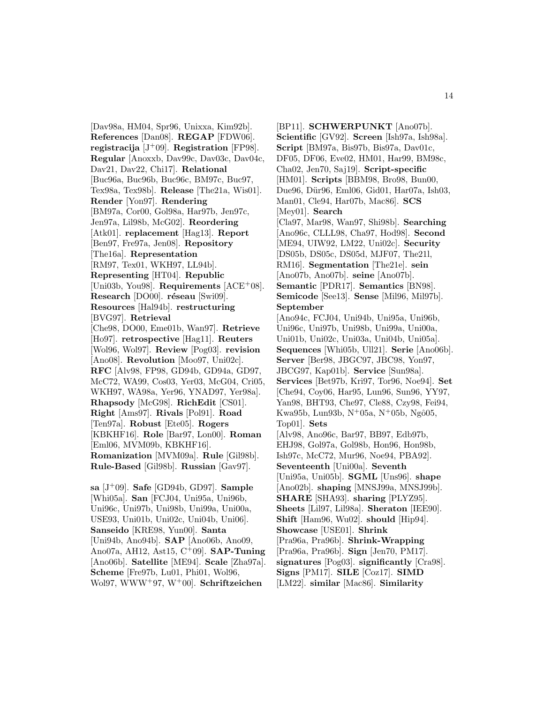[Dav98a, HM04, Spr96, Unixxa, Kim92b]. **References** [Dan08]. **REGAP** [FDW06]. **registracija** [J<sup>+</sup>09]. **Registration** [FP98]. **Regular** [Anoxxb, Dav99c, Dav03c, Dav04c, Dav21, Dav22, Chi17]. **Relational** [Buc96a, Buc96b, Buc96c, BM97c, Buc97, Tex98a, Tex98b]. **Release** [The21a, Wis01]. **Render** [Yon97]. **Rendering** [BM97a, Cor00, Gol98a, Har97b, Jen97c, Jen97a, Lil98b, McG02]. **Reordering** [Atk01]. **replacement** [Hag13]. **Report** [Ben97, Fre97a, Jen08]. **Repository** [The16a]. **Representation** [RM97, Tex01, WKH97, LL94b]. **Representing** [HT04]. **Republic** [Uni03b, You98]. **Requirements** [ACE<sup>+</sup>08]. **Research** [DO00]. **réseau** [Swi09]. **Resources** [Hal94b]. **restructuring** [BVG97]. **Retrieval** [Che98, DO00, Eme01b, Wan97]. **Retrieve** [Ho97]. **retrospective** [Hag11]. **Reuters** [Wol96, Wol97]. **Review** [Pog03]. **revision** [Ano08]. **Revolution** [Moo97, Uni02c]. **RFC** [Alv98, FP98, GD94b, GD94a, GD97, McC72, WA99, Cos03, Yer03, McG04, Cri05, WKH97, WA98a, Yer96, YNAD97, Yer98a]. **Rhapsody** [McG98]. **RichEdit** [CS01]. **Right** [Ams97]. **Rivals** [Pol91]. **Road** [Ten97a]. **Robust** [Ete05]. **Rogers** [KBKHF16]. **Role** [Bar97, Lon00]. **Roman** [Eml06, MVM09b, KBKHF16]. **Romanization** [MVM09a]. **Rule** [Gil98b]. **Rule-Based** [Gil98b]. **Russian** [Gav97].

**sa** [J<sup>+</sup>09]. **Safe** [GD94b, GD97]. **Sample** [Whi05a]. **San** [FCJ04, Uni95a, Uni96b, Uni96c, Uni97b, Uni98b, Uni99a, Uni00a, USE93, Uni01b, Uni02c, Uni04b, Uni06]. **Sanseido** [KRE98, Yun00]. **Santa** [Uni94b, Ano94b]. **SAP** [Ano06b, Ano09, Ano07a, AH12, Ast15, C<sup>+</sup>09]. **SAP-Tuning** [Ano06b]. **Satellite** [ME94]. **Scale** [Zha97a]. **Scheme** [Fre97b, Lu01, Phi01, Wol96, Wol97, WWW<sup>+</sup>97, W<sup>+</sup>00]. **Schriftzeichen**

[BP11]. **SCHWERPUNKT** [Ano07b]. **Scientific** [GV92]. **Screen** [Ish97a, Ish98a]. **Script** [BM97a, Bis97b, Bis97a, Dav01c, DF05, DF06, Eve02, HM01, Har99, BM98c, Cha02, Jen70, Saj19]. **Script-specific** [HM01]. **Scripts** [BBM98, Bro98, Bun00, Due96, Dür96, Eml06, Gid01, Har07a, Ish03, Man01, Cle94, Har07b, Mac86]. **SCS** [Mey01]. **Search** [Cla97, Mar98, Wan97, Shi98b]. **Searching** [Ano96c, CLLL98, Cha97, Hod98]. **Second** [ME94, UIW92, LM22, Uni02c]. **Security** [DS05b, DS05c, DS05d, MJF07, The21l, RM16]. **Segmentation** [The21e]. **sein** [Ano07b, Ano07b]. **seine** [Ano07b]. **Semantic** [PDR17]. **Semantics** [BN98]. **Semicode** [See13]. **Sense** [Mil96, Mil97b]. **September** [Ano94c, FCJ04, Uni94b, Uni95a, Uni96b, Uni96c, Uni97b, Uni98b, Uni99a, Uni00a, Uni01b, Uni02c, Uni03a, Uni04b, Uni05a]. **Sequences** [Whi05b, Ull21]. **Serie** [Ano06b]. **Server** [Ber98, JBGC97, JBC98, Yon97, JBCG97, Kap01b]. **Service** [Sun98a]. **Services** [Bet97b, Kri97, Tor96, Noe94]. **Set** [Che94, Coy06, Har95, Lun96, Sun96, YY97, Yan98, BHT93, Che97, Cle88, Czy98, Fei94, Kwa95b, Lun93b, N<sup>+</sup>05a, N<sup>+</sup>05b, Ngô05, Top01]. **Sets** [Alv98, Ano96c, Bar97, BB97, Edb97b, EHJ98, Gol97a, Gol98b, Hon96, Hon98b, Ish97c, McC72, Mur96, Noe94, PBA92]. **Seventeenth** [Uni00a]. **Seventh** [Uni95a, Uni05b]. **SGML** [Uns96]. **shape** [Ano02b]. **shaping** [MNSJ99a, MNSJ99b]. **SHARE** [SHA93]. **sharing** [PLYZ95]. **Sheets** [Lil97, Lil98a]. **Sheraton** [IEE90]. **Shift** [Ham96, Wu02]. **should** [Hip94]. **Showcase** [USE01]. **Shrink** [Pra96a, Pra96b]. **Shrink-Wrapping** [Pra96a, Pra96b]. **Sign** [Jen70, PM17]. **signatures** [Pog03]. **significantly** [Cra98]. **Signs** [PM17]. **SILE** [Coz17]. **SIMD** [LM22]. **similar** [Mac86]. **Similarity**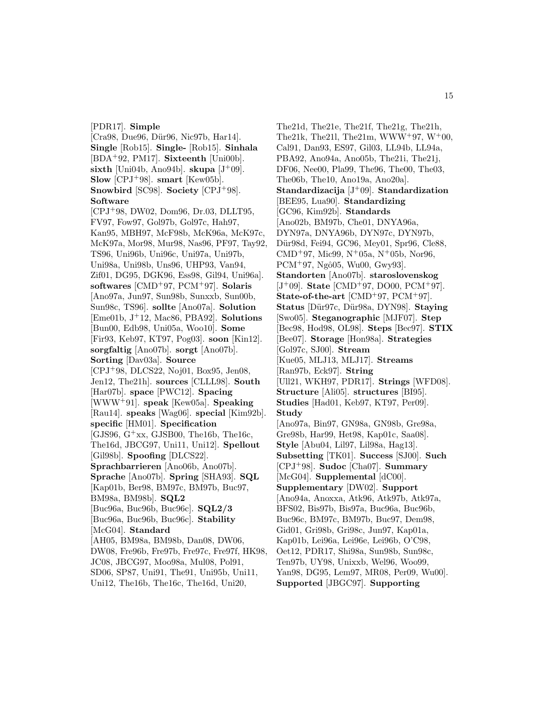#### [PDR17]. **Simple**

[Cra98, Due96, Dür96, Nic97b, Har14]. **Single** [Rob15]. **Single-** [Rob15]. **Sinhala** [BDA<sup>+</sup>92, PM17]. **Sixteenth** [Uni00b].  $\textbf{sixth}$  [Uni04b, Ano94b].  $\textbf{skupa}$  [J<sup>+</sup>09]. **Slow** [CPJ<sup>+</sup>98]. **smart** [Kew05b]. **Snowbird** [SC98]. **Society** [CPJ<sup>+</sup>98]. **Software**

[CPJ<sup>+</sup>98, DW02, Dom96, Dr.03, DLLT95, FV97, Fow97, Gol97b, Gol97c, Hah97, Kan95, MBH97, McF98b, McK96a, McK97c, McK97a, Mor98, Mur98, Nas96, PF97, Tay92, TS96, Uni96b, Uni96c, Uni97a, Uni97b, Uni98a, Uni98b, Uns96, UHP93, Van94, Zif01, DG95, DGK96, Ess98, Gil94, Uni96a]. **softwares** [CMD<sup>+</sup>97, PCM<sup>+</sup>97]. **Solaris** [Ano97a, Jun97, Sun98b, Sunxxb, Sun00b, Sun98c, TS96]. **sollte** [Ano07a]. **Solution** [Eme01b, J<sup>+</sup>12, Mac86, PBA92]. **Solutions** [Bun00, Edb98, Uni05a, Woo10]. **Some** [Fir93, Keb97, KT97, Pog03]. **soon** [Kin12]. **sorgfaltig** [Ano07b]. **sorgt** [Ano07b]. **Sorting** [Dav03a]. **Source** [CPJ<sup>+</sup>98, DLCS22, Noj01, Box95, Jen08, Jen12, The21h]. **sources** [CLLL98]. **South** [Har07b]. **space** [PWC12]. **Spacing** [WWW<sup>+</sup>91]. **speak** [Kew05a]. **Speaking** [Rau14]. **speaks** [Wag06]. **special** [Kim92b]. **specific** [HM01]. **Specification** [GJS96,  $G+xx$ , GJSB00, The16b, The16c, The16d, JBCG97, Uni11, Uni12]. **Spellout** [Gil98b]. **Spoofing** [DLCS22]. **Sprachbarrieren** [Ano06b, Ano07b]. **Sprache** [Ano07b]. **Spring** [SHA93]. **SQL** [Kap01b, Ber98, BM97c, BM97b, Buc97, BM98a, BM98b]. **SQL2** [Buc96a, Buc96b, Buc96c]. **SQL2/3** [Buc96a, Buc96b, Buc96c]. **Stability** [McG04]. **Standard** [AH05, BM98a, BM98b, Dan08, DW06, DW08, Fre96b, Fre97b, Fre97c, Fre97f, HK98, JC08, JBCG97, Moo98a, Mul08, Pol91, SD06, SP87, Uni91, The91, Uni95b, Uni11, Uni12, The16b, The16c, The16d, Uni20,

The21d, The21e, The21f, The21g, The21h, The21k, The21l, The21m, WWW+97,  $W^+00$ , Cal91, Dan93, ES97, Gil03, LL94b, LL94a, PBA92, Ano94a, Ano05b, The21i, The21j, DF06, Nee00, Pla99, The96, The00, The03, The06b, The10, Ano19a, Ano20a]. **Standardizacija** [J<sup>+</sup>09]. **Standardization** [BEE95, Lua90]. **Standardizing** [GC96, Kim92b]. **Standards** [Ano02b, BM97b, Che01, DNYA96a, DYN97a, DNYA96b, DYN97c, DYN97b, Dür98d, Fei94, GC96, Mey01, Spr96, Cle88, CMD<sup>+</sup>97, Mic99, N<sup>+</sup>05a, N<sup>+</sup>05b, Nor96,  $PCM^+97$ , Ngô $05$ , Wu00, Gwy $93$ . **Standorten** [Ano07b]. **staroslovenskog** [J<sup>+</sup>09]. **State** [CMD<sup>+</sup>97, DO00, PCM<sup>+</sup>97]. State-of-the-art [CMD<sup>+</sup>97, PCM<sup>+</sup>97]. **Status** [D¨ur97c, D¨ur98a, DYN98]. **Staying** [Swo05]. **Steganographic** [MJF07]. **Step** [Bec98, Hod98, OL98]. **Steps** [Bec97]. **STIX** [Bee07]. **Storage** [Hon98a]. **Strategies** [Gol97c, SJ00]. **Stream** [Kue05, MLJ13, MLJ17]. **Streams** [Ran97b, Eck97]. **String** [Ull21, WKH97, PDR17]. **Strings** [WFD08]. **Structure** [Ali05]. **structures** [BI95]. **Studies** [Had01, Keb97, KT97, Per09]. **Study** [Ano97a, Bin97, GN98a, GN98b, Gre98a, Gre98b, Har99, Het98, Kap01c, Saa08]. **Style** [Abu04, Lil97, Lil98a, Hag13]. **Subsetting** [TK01]. **Success** [SJ00]. **Such** [CPJ<sup>+</sup>98]. **Sudoc** [Cha07]. **Summary** [McG04]. **Supplemental** [dC00]. **Supplementary** [DW02]. **Support** [Ano94a, Anoxxa, Atk96, Atk97b, Atk97a, BFS02, Bis97b, Bis97a, Buc96a, Buc96b, Buc96c, BM97c, BM97b, Buc97, Dem98, Gid01, Gri98b, Gri98c, Jun97, Kap01a, Kap01b, Lei96a, Lei96e, Lei96b, O'C98, Oet12, PDR17, Shi98a, Sun98b, Sun98c, Ten97b, UY98, Unixxb, Wel96, Woo99, Yan98, DG95, Lem97, MR08, Per09, Wu00]. **Supported** [JBGC97]. **Supporting**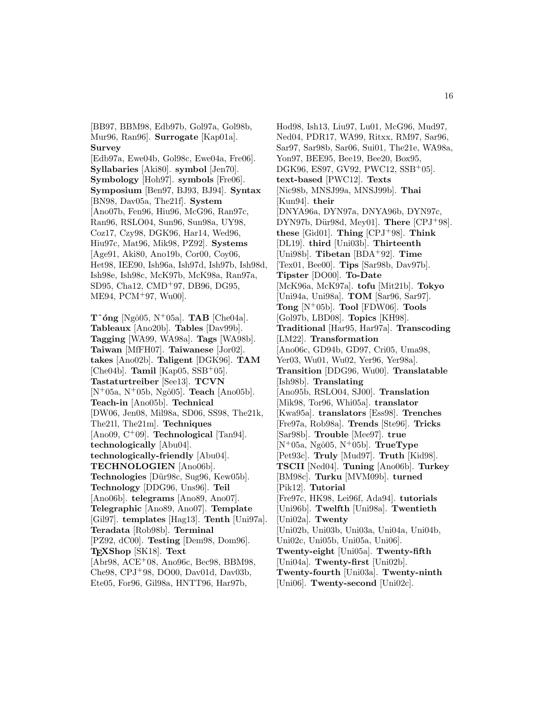[BB97, BBM98, Edb97b, Gol97a, Gol98b, Mur96, Ran96]. **Surrogate** [Kap01a]. **Survey**

[Edb97a, Ewe04b, Gol98c, Ewe04a, Fre06]. **Syllabaries** [Aki80]. **symbol** [Jen70]. **Symbology** [Hoh97]. **symbols** [Fre06]. **Symposium** [Ben97, BJ93, BJ94]. **Syntax** [BN98, Dav05a, The21f]. **System** [Ano07b, Fen96, Hiu96, McG96, Ran97c, Ran96, RSLO04, Sun96, Sun98a, UY98, Coz17, Czy98, DGK96, Har14, Wed96, Hiu97c, Mat96, Mik98, PZ92]. **Systems** [Age91, Aki80, Ano19b, Cor00, Coy06, Het98, IEE90, Ish96a, Ish97d, Ish97b, Ish98d, Ish98e, Ish98c, McK97b, McK98a, Ran97a, SD95, Cha12, CMD<sup>+</sup>97, DB96, DG95, ME94, PCM<sup>+</sup>97, Wu00].

 $\mathbf{T}$ <sup> $\cdot$ </sup>óng [Ngô05, N<sup>+</sup>05a]. **TAB** [Che04a]. **Tableaux** [Ano20b]. **Tables** [Dav99b]. **Tagging** [WA99, WA98a]. **Tags** [WA98b]. **Taiwan** [MfFH07]. **Taiwanese** [Jor02]. **takes** [Ano02b]. **Taligent** [DGK96]. **TAM** [Che04b]. **Tamil** [Kap05, SSB<sup>+</sup>05]. **Tastaturtreiber** [See13]. **TCVN** [N<sup>+</sup>05a, N<sup>+</sup>05b, Ngô05]. **Teach** [Ano05b]. **Teach-in** [Ano05b]. **Technical** [DW06, Jen08, Mil98a, SD06, SS98, The21k, The21l, The21m]. **Techniques** [Ano09, C<sup>+</sup>09]. **Technological** [Tan94]. **technologically** [Abu04]. **technologically-friendly** [Abu04]. **TECHNOLOGIEN** [Ano06b]. Technologies<sup> [Dür98c, Sug96, Kew05b].</sup> **Technology** [DDG96, Uns96]. **Teil** [Ano06b]. **telegrams** [Ano89, Ano07]. **Telegraphic** [Ano89, Ano07]. **Template** [Gil97]. **templates** [Hag13]. **Tenth** [Uni97a]. **Teradata** [Rob98b]. **Terminal** [PZ92, dC00]. **Testing** [Dem98, Dom96]. **TEXShop** [SK18]. **Text** [Abr98, ACE<sup>+</sup>08, Ano96c, Bec98, BBM98, Che98, CPJ<sup>+</sup>98, DO00, Dav01d, Dav03b, Ete05, For96, Gil98a, HNTT96, Har97b,

Hod98, Ish13, Liu97, Lu01, McG96, Mud97, Ned04, PDR17, WA99, Ritxx, RM97, Sar96, Sar97, Sar98b, Sar06, Sui01, The21e, WA98a, Yon97, BEE95, Bee19, Bee20, Box95, DGK96, ES97, GV92, PWC12, SSB<sup>+</sup>05]. **text-based** [PWC12]. **Texts** [Nic98b, MNSJ99a, MNSJ99b]. **Thai** [Kun94]. **their** [DNYA96a, DYN97a, DNYA96b, DYN97c, DYN97b, Dür98d, Mey01]. **There** [CPJ+98]. **these** [Gid01]. **Thing** [CPJ<sup>+</sup>98]. **Think** [DL19]. **third** [Uni03b]. **Thirteenth** [Uni98b]. **Tibetan** [BDA<sup>+</sup>92]. **Time** [Tex01, Bee00]. **Tips** [Sar98b, Dav97b]. **Tipster** [DO00]. **To-Date** [McK96a, McK97a]. **tofu** [Mit21b]. **Tokyo** [Uni94a, Uni98a]. **TOM** [Sar96, Sar97]. **Tong** [N<sup>+</sup>05b]. **Tool** [FDW06]. **Tools** [Gol97b, LBD08]. **Topics** [KH98]. **Traditional** [Har95, Har97a]. **Transcoding** [LM22]. **Transformation** [Ano06c, GD94b, GD97, Cri05, Uma98, Yer03, Wu01, Wu02, Yer96, Yer98a]. **Transition** [DDG96, Wu00]. **Translatable** [Ish98b]. **Translating** [Ano95b, RSLO04, SJ00]. **Translation** [Mik98, Tor96, Whi05a]. **translator** [Kwa95a]. **translators** [Ess98]. **Trenches** [Fre97a, Rob98a]. **Trends** [Ste96]. **Tricks** [Sar98b]. **Trouble** [Mee97]. **true**  $[N^+05a, Ng\hat{0}05, N^+05b]$ . **TrueType** [Pet93c]. **Truly** [Mud97]. **Truth** [Kid98]. **TSCII** [Ned04]. **Tuning** [Ano06b]. **Turkey** [BM98c]. **Turku** [MVM09b]. **turned** [Pik12]. **Tutorial** [Fre97c, HK98, Lei96f, Ada94]. **tutorials** [Uni96b]. **Twelfth** [Uni98a]. **Twentieth** [Uni02a]. **Twenty** [Uni02b, Uni03b, Uni03a, Uni04a, Uni04b, Uni02c, Uni05b, Uni05a, Uni06]. **Twenty-eight** [Uni05a]. **Twenty-fifth** [Uni04a]. **Twenty-first** [Uni02b]. **Twenty-fourth** [Uni03a]. **Twenty-ninth**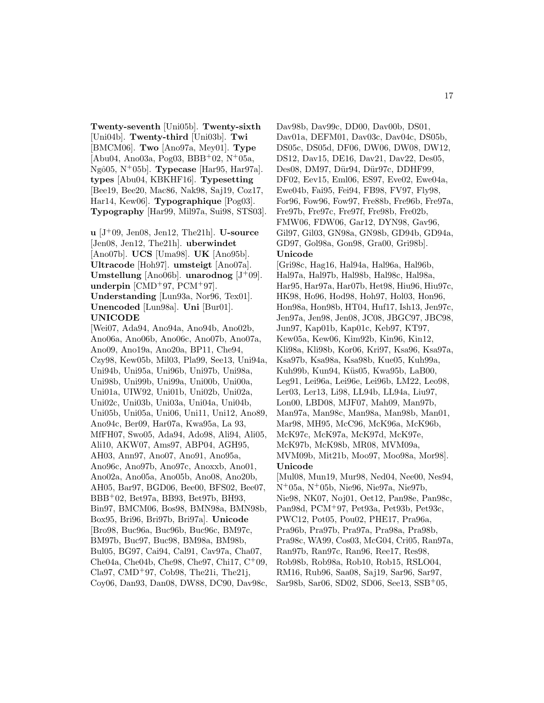**Twenty-seventh** [Uni05b]. **Twenty-sixth** [Uni04b]. **Twenty-third** [Uni03b]. **Twi** [BMCM06]. **Two** [Ano97a, Mey01]. **Type**  $[Abu04, Ano03a, Pog03, BBB<sup>+</sup>02, N<sup>+</sup>05a,$ Ngˆo05, N<sup>+</sup>05b]. **Typecase** [Har95, Har97a]. **types** [Abu04, KBKHF16]. **Typesetting** [Bee19, Bee20, Mac86, Nak98, Saj19, Coz17, Har14, Kew06]. **Typographique** [Pog03]. **Typography** [Har99, Mil97a, Sui98, STS03].

**u** [J<sup>+</sup>09, Jen08, Jen12, The21h]. **U-source** [Jen08, Jen12, The21h]. **uberwindet** [Ano07b]. **UCS** [Uma98]. **UK** [Ano95b]. **Ultracode** [Hoh97]. **umsteigt** [Ano07a]. **Umstellung** [Ano06b]. **unarodnog**  $[J^+09]$ . **underpin** [CMD<sup>+</sup>97, PCM<sup>+</sup>97]. **Understanding** [Lun93a, Nor96, Tex01]. **Unencoded** [Lun98a]. **Uni** [Bur01]. **UNICODE**

[Wei07, Ada94, Ano94a, Ano94b, Ano02b, Ano06a, Ano06b, Ano06c, Ano07b, Ano07a, Ano09, Ano19a, Ano20a, BP11, Che94, Czy98, Kew05b, Mil03, Pla99, See13, Uni94a, Uni94b, Uni95a, Uni96b, Uni97b, Uni98a, Uni98b, Uni99b, Uni99a, Uni00b, Uni00a, Uni01a, UIW92, Uni01b, Uni02b, Uni02a, Uni02c, Uni03b, Uni03a, Uni04a, Uni04b, Uni05b, Uni05a, Uni06, Uni11, Uni12, Ano89, Ano94c, Ber09, Har07a, Kwa95a, La 93, MfFH07, Swo05, Ada94, Ado98, Ali94, Ali05, Ali10, AKW07, Ams97, ABP04, AGH95, AH03, Ann97, Ano07, Ano91, Ano95a, Ano96c, Ano97b, Ano97c, Anoxxb, Ano01, Ano02a, Ano05a, Ano05b, Ano08, Ano20b, AH05, Bar97, BGD06, Bee00, BFS02, Bee07, BBB<sup>+</sup>02, Bet97a, BB93, Bet97b, BH93, Bin97, BMCM06, Bos98, BMN98a, BMN98b, Box95, Bri96, Bri97b, Bri97a]. **Unicode** [Bro98, Buc96a, Buc96b, Buc96c, BM97c, BM97b, Buc97, Buc98, BM98a, BM98b, Bul05, BG97, Cai94, Cal91, Cav97a, Cha07, Che04a, Che04b, Che98, Che97, Chi17, C<sup>+</sup>09, Cla97, CMD<sup>+</sup>97, Cob98, The21i, The21j, Coy06, Dan93, Dan08, DW88, DC90, Dav98c,

Dav98b, Dav99c, DD00, Dav00b, DS01, Dav01a, DEFM01, Dav03c, Dav04c, DS05b, DS05c, DS05d, DF06, DW06, DW08, DW12, DS12, Dav15, DE16, Dav21, Dav22, Des05, Des08, DM97, Dür94, Dür97c, DDHF99, DF02, Eev15, Eml06, ES97, Eve02, Ewe04a, Ewe04b, Fai95, Fei94, FB98, FV97, Fly98, For96, Fow96, Fow97, Fre88b, Fre96b, Fre97a, Fre97b, Fre97c, Fre97f, Fre98b, Fre02b, FMW06, FDW06, Gar12, DYN98, Gav96, Gil97, Gil03, GN98a, GN98b, GD94b, GD94a, GD97, Gol98a, Gon98, Gra00, Gri98b]. **Unicode**

[Gri98c, Hag16, Hal94a, Hal96a, Hal96b, Hal97a, Hal97b, Hal98b, Hal98c, Hal98a, Har95, Har97a, Har07b, Het98, Hiu96, Hiu97c, HK98, Ho96, Hod98, Hoh97, Hol03, Hon96, Hon98a, Hon98b, HT04, Huf17, Ish13, Jen97c, Jen97a, Jen98, Jen08, JC08, JBGC97, JBC98, Jun97, Kap01b, Kap01c, Keb97, KT97, Kew05a, Kew06, Kim92b, Kin96, Kin12, Kli98a, Kli98b, Kor06, Kri97, Ksa96, Ksa97a, Ksa97b, Ksa98a, Ksa98b, Kue05, Kuh99a, Kuh99b, Kun94, Küs05, Kwa95b, LaB00, Leg91, Lei96a, Lei96e, Lei96b, LM22, Leo98, Ler03, Ler13, Li98, LL94b, LL94a, Liu97, Lon00, LBD08, MJF07, Mah09, Man97b, Man97a, Man98c, Man98a, Man98b, Man01, Mar98, MH95, McC96, McK96a, McK96b, McK97c, McK97a, McK97d, McK97e, McK97b, McK98b, MR08, MVM09a, MVM09b, Mit21b, Moo97, Moo98a, Mor98]. **Unicode** [Mul08, Mun19, Mur98, Ned04, Nee00, Nes94, N<sup>+</sup>05a, N<sup>+</sup>05b, Nie96, Nie97a, Nie97b, Nie98, NK07, Noj01, Oet12, Pan98e, Pan98c, Pan98d, PCM<sup>+</sup>97, Pet93a, Pet93b, Pet93c, PWC12, Pot05, Pou02, PHE17, Pra96a, Pra96b, Pra97b, Pra97a, Pra98a, Pra98b, Pra98c, WA99, Cos03, McG04, Cri05, Ran97a, Ran97b, Ran97c, Ran96, Ree17, Res98, Rob98b, Rob98a, Rob10, Rob15, RSLO04,

RM16, Rub96, Saa08, Saj19, Sar96, Sar97,

Sar98b, Sar06, SD02, SD06, See13, SSB<sup>+</sup>05,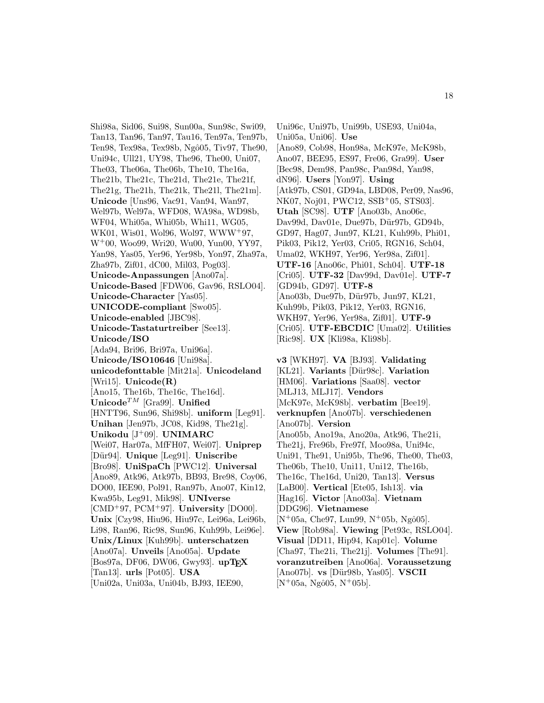Shi98a, Sid06, Sui98, Sun00a, Sun98c, Swi09, Tan13, Tan96, Tan97, Tau16, Ten97a, Ten97b, Ten98, Tex98a, Tex98b, Ngô05, Tiv97, The90, Uni94c, Ull21, UY98, The96, The00, Uni07, The03, The06a, The06b, The10, The16a, The21b, The21c, The21d, The21e, The21f, The21g, The21h, The21k, The21l, The21m]. **Unicode** [Uns96, Vac91, Van94, Wan97, Wel97b, Wel97a, WFD08, WA98a, WD98b, WF04, Whi05a, Whi05b, Whi11, WG05, WK01, Wis01, Wol96, Wol97, WWW<sup>+</sup>97, W<sup>+</sup>00, Woo99, Wri20, Wu00, Yun00, YY97, Yan98, Yas05, Yer96, Yer98b, Yon97, Zha97a, Zha97b, Zif01, dC00, Mil03, Pog03]. **Unicode-Anpassungen** [Ano07a]. **Unicode-Based** [FDW06, Gav96, RSLO04]. **Unicode-Character** [Yas05]. **UNICODE-compliant** [Swo05]. **Unicode-enabled** [JBC98]. **Unicode-Tastaturtreiber** [See13]. **Unicode/ISO** [Ada94, Bri96, Bri97a, Uni96a]. **Unicode/ISO10646** [Uni98a]. **unicodefonttable** [Mit21a]. **Unicodeland** [Wri15]. **Unicode(R)** [Ano15, The16b, The16c, The16d]. **Unicode**TM [Gra99]. **Unified** [HNTT96, Sun96, Shi98b]. **uniform** [Leg91]. **Unihan** [Jen97b, JC08, Kid98, The21g]. **Unikodu** [J<sup>+</sup>09]. **UNIMARC** [Wei07, Har07a, MfFH07, Wei07]. **Uniprep** [D¨ur94]. **Unique** [Leg91]. **Uniscribe** [Bro98]. **UniSpaCh** [PWC12]. **Universal** [Ano89, Atk96, Atk97b, BB93, Bre98, Coy06, DO00, IEE90, Pol91, Ran97b, Ano07, Kin12, Kwa95b, Leg91, Mik98]. **UNIverse** [CMD<sup>+</sup>97, PCM<sup>+</sup>97]. **University** [DO00]. **Unix** [Czy98, Hiu96, Hiu97c, Lei96a, Lei96b, Li98, Ran96, Ric98, Sun96, Kuh99b, Lei96e]. **Unix/Linux** [Kuh99b]. **unterschatzen** [Ano07a]. **Unveils** [Ano05a]. **Update** [Bos97a, DF06, DW06, Gwy93]. **upTFX** [Tan13]. **urls** [Pot05]. **USA** [Uni02a, Uni03a, Uni04b, BJ93, IEE90,

Uni96c, Uni97b, Uni99b, USE93, Uni04a, Uni05a, Uni06]. **Use** [Ano89, Cob98, Hon98a, McK97e, McK98b, Ano07, BEE95, ES97, Fre06, Gra99]. **User** [Bec98, Dem98, Pan98c, Pan98d, Yan98, dN96]. **Users** [Yon97]. **Using** [Atk97b, CS01, GD94a, LBD08, Per09, Nas96, NK07, Noj01, PWC12, SSB<sup>+</sup>05, STS03. **Utah** [SC98]. **UTF** [Ano03b, Ano06c, Dav99d, Dav01e, Due97b, Dür97b, GD94b, GD97, Hag07, Jun97, KL21, Kuh99b, Phi01, Pik03, Pik12, Yer03, Cri05, RGN16, Sch04, Uma02, WKH97, Yer96, Yer98a, Zif01]. **UTF-16** [Ano06c, Phi01, Sch04]. **UTF-18** [Cri05]. **UTF-32** [Dav99d, Dav01e]. **UTF-7** [GD94b, GD97]. **UTF-8** [Ano03b, Due97b, Dür97b, Jun97, KL21, Kuh99b, Pik03, Pik12, Yer03, RGN16, WKH97, Yer96, Yer98a, Zif01]. **UTF-9** [Cri05]. **UTF-EBCDIC** [Uma02]. **Utilities** [Ric98]. **UX** [Kli98a, Kli98b]. **v3** [WKH97]. **VA** [BJ93]. **Validating** [KL21]. **Variants** [Dür98c]. **Variation** [HM06]. **Variations** [Saa08]. **vector** [MLJ13, MLJ17]. **Vendors** [McK97e, McK98b]. **verbatim** [Bee19]. **verknupfen** [Ano07b]. **verschiedenen** [Ano07b]. **Version** [Ano05b, Ano19a, Ano20a, Atk96, The21i,

The21j, Fre96b, Fre97f, Moo98a, Uni94c, Uni91, The91, Uni95b, The96, The00, The03, The06b, The10, Uni11, Uni12, The16b, The16c, The16d, Uni20, Tan13]. **Versus** [LaB00]. **Vertical** [Ete05, Ish13]. **via** [Hag16]. **Victor** [Ano03a]. **Vietnam** [DDG96]. **Vietnamese**  $[N^+05a, Che97, Lun99, N^+05b, Ngô05].$ **View** [Rob98a]. **Viewing** [Pet93c, RSLO04]. **Visual** [DD11, Hip94, Kap01c]. **Volume** [Cha97, The21i, The21j]. **Volumes** [The91]. **voranzutreiben** [Ano06a]. **Voraussetzung** [Ano07b]. **vs** [D¨ur98b, Yas05]. **VSCII**

 $[N+05a, Ngô05, N+05b].$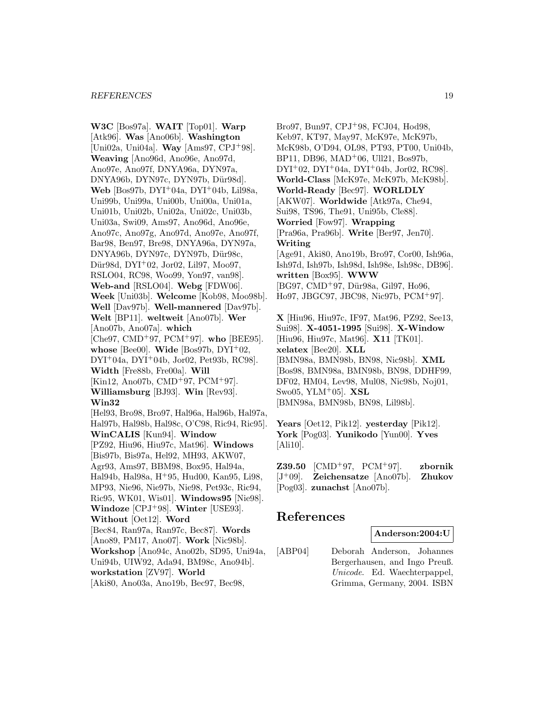**W3C** [Bos97a]. **WAIT** [Top01]. **Warp** [Atk96]. **Was** [Ano06b]. **Washington** [Uni02a, Uni04a]. **Way** [Ams97, CPJ<sup>+</sup>98]. **Weaving** [Ano96d, Ano96e, Ano97d, Ano97e, Ano97f, DNYA96a, DYN97a, DNYA96b, DYN97c, DYN97b, Dür98d]. **Web** [Bos97b, DYI<sup>+</sup>04a, DYI<sup>+</sup>04b, Lil98a, Uni99b, Uni99a, Uni00b, Uni00a, Uni01a, Uni01b, Uni02b, Uni02a, Uni02c, Uni03b, Uni03a, Swi09, Ams97, Ano96d, Ano96e, Ano97c, Ano97g, Ano97d, Ano97e, Ano97f, Bar98, Ben97, Bre98, DNYA96a, DYN97a, DNYA96b, DYN97c, DYN97b, Dür98c, Dür98d, DYI<sup>+</sup>02, Jor02, Lil97, Moo97, RSLO04, RC98, Woo99, Yon97, van98]. **Web-and** [RSLO04]. **Webg** [FDW06]. **Week** [Uni03b]. **Welcome** [Kob98, Moo98b]. **Well** [Dav97b]. **Well-mannered** [Dav97b]. **Welt** [BP11]. **weltweit** [Ano07b]. **Wer** [Ano07b, Ano07a]. **which** [Che97, CMD<sup>+</sup>97, PCM<sup>+</sup>97]. **who** [BEE95]. **whose** [Bee00]. **Wide** [Bos97b, DYI<sup>+</sup>02, DYI<sup>+</sup>04a, DYI<sup>+</sup>04b, Jor02, Pet93b, RC98]. **Width** [Fre88b, Fre00a]. **Will** [Kin12, Ano07b, CMD<sup>+</sup>97, PCM<sup>+</sup>97]. **Williamsburg** [BJ93]. **Win** [Rev93]. **Win32** [Hel93, Bro98, Bro97, Hal96a, Hal96b, Hal97a, Hal97b, Hal98b, Hal98c, O'C98, Ric94, Ric95]. **WinCALIS** [Kun94]. **Window** [PZ92, Hiu96, Hiu97c, Mat96]. **Windows** [Bis97b, Bis97a, Hel92, MH93, AKW07, Agr93, Ams97, BBM98, Box95, Hal94a, Hal94b, Hal98a, H<sup>+</sup>95, Hud00, Kan95, Li98, MP93, Nie96, Nie97b, Nie98, Pet93c, Ric94, Ric95, WK01, Wis01]. **Windows95** [Nie98]. **Windoze** [CPJ<sup>+</sup>98]. **Winter** [USE93]. **Without** [Oet12]. **Word** [Bec84, Ran97a, Ran97c, Bec87]. **Words** [Ano89, PM17, Ano07]. **Work** [Nic98b]. **Workshop** [Ano94c, Ano02b, SD95, Uni94a, Uni94b, UIW92, Ada94, BM98c, Ano94b]. **workstation** [ZV97]. **World** [Aki80, Ano03a, Ano19b, Bec97, Bec98,

Bro97, Bun97, CPJ<sup>+</sup>98, FCJ04, Hod98, Keb97, KT97, May97, McK97e, McK97b, McK98b, O'D94, OL98, PT93, PT00, Uni04b, BP11, DB96, MAD<sup>+</sup>06, Ull21, Bos97b,  $DYI<sup>+</sup>02, DYI<sup>+</sup>04a, DYI<sup>+</sup>04b, Jor02, RC98$ . **World-Class** [McK97e, McK97b, McK98b]. **World-Ready** [Bec97]. **WORLDLY** [AKW07]. **Worldwide** [Atk97a, Che94, Sui98, TS96, The91, Uni95b, Cle88]. **Worried** [Fow97]. **Wrapping** [Pra96a, Pra96b]. **Write** [Ber97, Jen70]. **Writing** [Age91, Aki80, Ano19b, Bro97, Cor00, Ish96a, Ish97d, Ish97b, Ish98d, Ish98e, Ish98c, DB96]. **written** [Box95]. **WWW** [BG97, CMD<sup>+</sup>97, Dür98a, Gil97, Ho96, Ho97, JBGC97, JBC98, Nic97b, PCM<sup>+</sup>97].

**X** [Hiu96, Hiu97c, IF97, Mat96, PZ92, See13, Sui98]. **X-4051-1995** [Sui98]. **X-Window** [Hiu96, Hiu97c, Mat96]. **X11** [TK01]. **xelatex** [Bee20]. **XLL** [BMN98a, BMN98b, BN98, Nic98b]. **XML** [Bos98, BMN98a, BMN98b, BN98, DDHF99, DF02, HM04, Lev98, Mul08, Nic98b, Noj01, Swo05, YLM<sup>+</sup>05]. **XSL** [BMN98a, BMN98b, BN98, Lil98b].

**Years** [Oet12, Pik12]. **yesterday** [Pik12]. **York** [Pog03]. **Yunikodo** [Yun00]. **Yves** [Ali10].

**Z39.50** [CMD<sup>+</sup>97, PCM<sup>+</sup>97]. **zbornik** [J<sup>+</sup>09]. **Zeichensatze** [Ano07b]. **Zhukov** [Pog03]. **zunachst** [Ano07b].

### **References**

**Anderson:2004:U**

[ABP04] Deborah Anderson, Johannes Bergerhausen, and Ingo Preuß. Unicode. Ed. Waechterpappel, Grimma, Germany, 2004. ISBN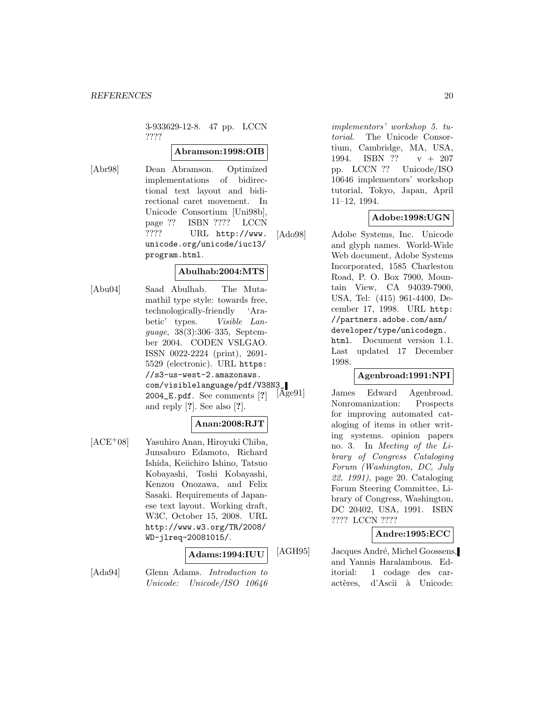3-933629-12-8. 47 pp. LCCN ????

### **Abramson:1998:OIB**

[Abr98] Dean Abramson. Optimized implementations of bidirectional text layout and bidirectional caret movement. In Unicode Consortium [Uni98b], page ?? ISBN ???? LCCN ???? URL http://www. unicode.org/unicode/iuc13/ program.html.

### **Abulhab:2004:MTS**

[Abu04] Saad Abulhab. The Mutamathil type style: towards free, technologically-friendly 'Arabetic' types. Visible Language, 38(3):306–335, September 2004. CODEN VSLGAO. ISSN 0022-2224 (print), 2691- 5529 (electronic). URL https: //s3-us-west-2.amazonaws.  $com/visiblelanguage/pdf/V38N3$ <br>2004 E. pdf See comments [?]  $[Age91]$ 2004\_E.pdf. See comments [**?**] and reply [**?**]. See also [**?**].

### **Anan:2008:RJT**

[ACE<sup>+</sup>08] Yasuhiro Anan, Hiroyuki Chiba, Junsaburo Edamoto, Richard Ishida, Keiichiro Ishino, Tatsuo Kobayashi, Toshi Kobayashi, Kenzou Onozawa, and Felix Sasaki. Requirements of Japanese text layout. Working draft, W3C, October 15, 2008. URL http://www.w3.org/TR/2008/ WD-jlreq-20081015/.

### **Adams:1994:IUU**

[Ada94] Glenn Adams. Introduction to Unicode: Unicode/ISO 10646

implementors' workshop 5. tutorial. The Unicode Consortium, Cambridge, MA, USA, 1994. ISBN ?? v + 207 pp. LCCN ?? Unicode/ISO 10646 implementors' workshop tutorial, Tokyo, Japan, April 11–12, 1994.

### **Adobe:1998:UGN**

[Ado98] Adobe Systems, Inc. Unicode and glyph names. World-Wide Web document, Adobe Systems Incorporated, 1585 Charleston Road, P. O. Box 7900, Mountain View, CA 94039-7900, USA, Tel: (415) 961-4400, December 17, 1998. URL http: //partners.adobe.com/asn/ developer/type/unicodegn. html. Document version 1.1. Last updated 17 December

1998.

**Agenbroad:1991:NPI**

James Edward Agenbroad. Nonromanization: Prospects for improving automated cataloging of items in other writing systems. opinion papers no. 3. In Meeting of the Library of Congress Cataloging Forum (Washington, DC, July 22, 1991), page 20. Cataloging Forum Steering Committee, Library of Congress, Washington, DC 20402, USA, 1991. ISBN ???? LCCN ????

### **Andre:1995:ECC**

[AGH95] Jacques André, Michel Goossens, and Yannis Haralambous. Editorial: 1 codage des caractères, d'Ascii à Unicode: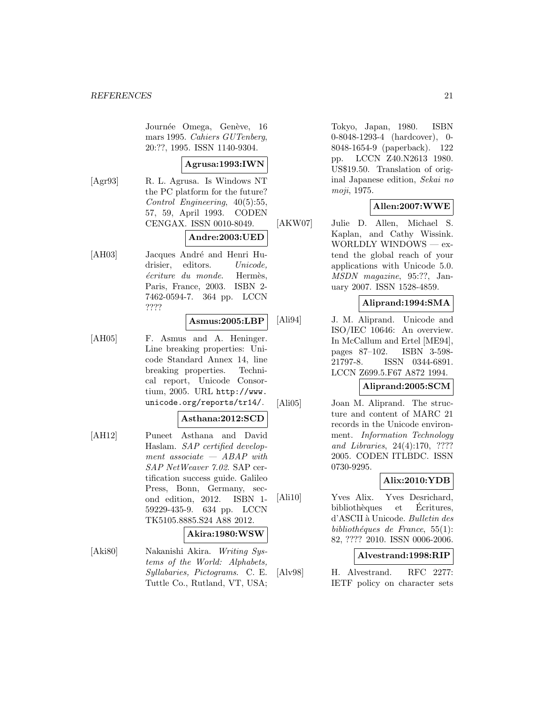Journée Omega, Genève, 16 mars 1995. Cahiers GUTenberg, 20:??, 1995. ISSN 1140-9304.

### **Agrusa:1993:IWN**

[Agr93] R. L. Agrusa. Is Windows NT the PC platform for the future? Control Engineering, 40(5):55, 57, 59, April 1993. CODEN CENGAX. ISSN 0010-8049.

### **Andre:2003:UED**

[AH03] Jacques André and Henri Hudrisier, editors. Unicode, écriture du monde. Hermès, Paris, France, 2003. ISBN 2- 7462-0594-7. 364 pp. LCCN ????

### **Asmus:2005:LBP**

[AH05] F. Asmus and A. Heninger. Line breaking properties: Unicode Standard Annex 14, line breaking properties. Technical report, Unicode Consortium, 2005. URL http://www. unicode.org/reports/tr14/.

### **Asthana:2012:SCD**

[AH12] Puneet Asthana and David Haslam. SAP certified development associate  $-$  ABAP with SAP NetWeaver 7.02. SAP certification success guide. Galileo Press, Bonn, Germany, second edition, 2012. ISBN 1- 59229-435-9. 634 pp. LCCN TK5105.8885.S24 A88 2012.

#### **Akira:1980:WSW**

[Aki80] Nakanishi Akira. Writing Systems of the World: Alphabets, Syllabaries, Pictograms. C. E. Tuttle Co., Rutland, VT, USA; Tokyo, Japan, 1980. ISBN 0-8048-1293-4 (hardcover), 0- 8048-1654-9 (paperback). 122 pp. LCCN Z40.N2613 1980. US\$19.50. Translation of original Japanese edition, Sekai no moji, 1975.

### **Allen:2007:WWE**

[AKW07] Julie D. Allen, Michael S. Kaplan, and Cathy Wissink. WORLDLY WINDOWS — extend the global reach of your applications with Unicode 5.0. MSDN magazine, 95:??, January 2007. ISSN 1528-4859.

### **Aliprand:1994:SMA**

[Ali94] J. M. Aliprand. Unicode and ISO/IEC 10646: An overview. In McCallum and Ertel [ME94], pages 87–102. ISBN 3-598- 21797-8. ISSN 0344-6891. LCCN Z699.5.F67 A872 1994.

### **Aliprand:2005:SCM**

[Ali05] Joan M. Aliprand. The structure and content of MARC 21 records in the Unicode environment. Information Technology and Libraries, 24(4):170, ???? 2005. CODEN ITLBDC. ISSN 0730-9295.

### **Alix:2010:YDB**

[Ali10] Yves Alix. Yves Desrichard, bibliothèques et Écritures, d'ASCII à Unicode. Bulletin des bibliothéques de France, 55(1): 82, ???? 2010. ISSN 0006-2006.

### **Alvestrand:1998:RIP**

[Alv98] H. Alvestrand. RFC 2277: IETF policy on character sets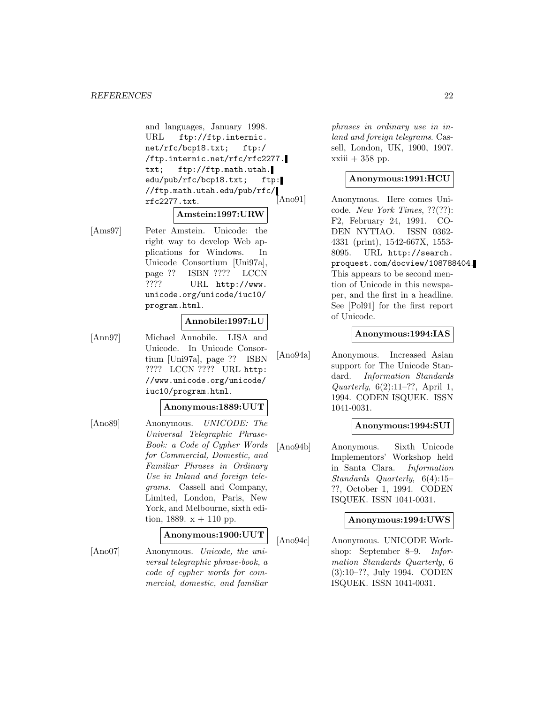#### *REFERENCES* 22

and languages, January 1998. URL ftp://ftp.internic. net/rfc/bcp18.txt; ftp:/ /ftp.internic.net/rfc/rfc2277. txt; ftp://ftp.math.utah. edu/pub/rfc/bcp18.txt; ftp: //ftp.math.utah.edu/pub/rfc/ rfc2277.txt.

### **Amstein:1997:URW**

[Ams97] Peter Amstein. Unicode: the right way to develop Web applications for Windows. In Unicode Consortium [Uni97a], page ?? ISBN ???? LCCN ???? URL http://www. unicode.org/unicode/iuc10/ program.html.

### **Annobile:1997:LU**

[Ann97] Michael Annobile. LISA and Unicode. In Unicode Consortium [Uni97a], page ?? ISBN ???? LCCN ???? URL http: //www.unicode.org/unicode/ iuc10/program.html.

#### **Anonymous:1889:UUT**

[Ano89] Anonymous. UNICODE: The Universal Telegraphic Phrase-Book: a Code of Cypher Words for Commercial, Domestic, and Familiar Phrases in Ordinary Use in Inland and foreign telegrams. Cassell and Company, Limited, London, Paris, New York, and Melbourne, sixth edition, 1889.  $x + 110$  pp.

### **Anonymous:1900:UUT**

[Ano07] Anonymous. Unicode, the universal telegraphic phrase-book, a code of cypher words for commercial, domestic, and familiar phrases in ordinary use in inland and foreign telegrams. Cassell, London, UK, 1900, 1907.  $xxiii + 358$  pp.

### **Anonymous:1991:HCU**

[Ano91] Anonymous. Here comes Unicode. New York Times, ??(??): F2, February 24, 1991. CO-DEN NYTIAO. ISSN 0362- 4331 (print), 1542-667X, 1553- 8095. URL http://search. proquest.com/docview/108788404. This appears to be second mention of Unicode in this newspaper, and the first in a headline. See [Pol91] for the first report of Unicode.

#### **Anonymous:1994:IAS**

[Ano94a] Anonymous. Increased Asian support for The Unicode Standard. Information Standards Quarterly,  $6(2):11-??$ , April 1, 1994. CODEN ISQUEK. ISSN 1041-0031.

#### **Anonymous:1994:SUI**

[Ano94b] Anonymous. Sixth Unicode Implementors' Workshop held in Santa Clara. Information Standards Quarterly, 6(4):15– ??, October 1, 1994. CODEN ISQUEK. ISSN 1041-0031.

#### **Anonymous:1994:UWS**

[Ano94c] Anonymous. UNICODE Workshop: September 8–9. Information Standards Quarterly, 6 (3):10–??, July 1994. CODEN ISQUEK. ISSN 1041-0031.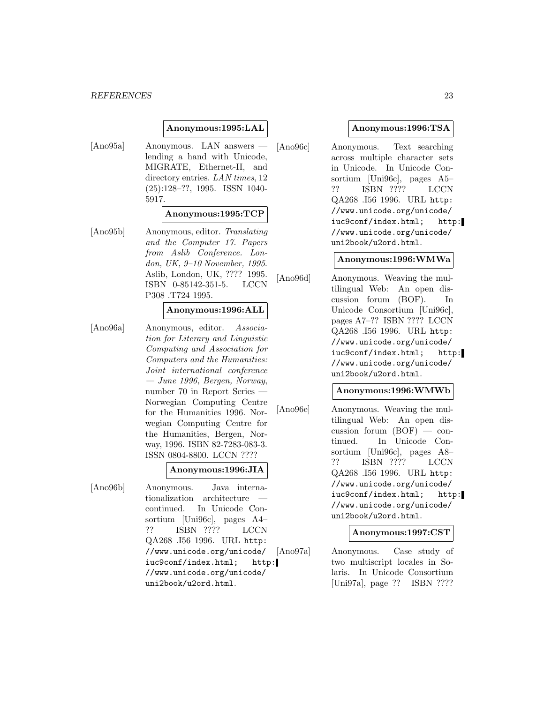#### **Anonymous:1995:LAL**

[Ano95a] Anonymous. LAN answers lending a hand with Unicode, MIGRATE, Ethernet-II, and directory entries. LAN times, 12 (25):128–??, 1995. ISSN 1040- 5917.

#### **Anonymous:1995:TCP**

[Ano95b] Anonymous, editor. Translating and the Computer 17. Papers from Aslib Conference. London, UK, 9–10 November, 1995. Aslib, London, UK, ???? 1995. ISBN 0-85142-351-5. LCCN P308 .T724 1995.

### **Anonymous:1996:ALL**

[Ano96a] Anonymous, editor. Association for Literary and Linguistic Computing and Association for Computers and the Humanities: Joint international conference — June 1996, Bergen, Norway, number 70 in Report Series — Norwegian Computing Centre for the Humanities 1996. Norwegian Computing Centre for the Humanities, Bergen, Norway, 1996. ISBN 82-7283-083-3. ISSN 0804-8800. LCCN ????

### **Anonymous:1996:JIA**

[Ano96b] Anonymous. Java internationalization architecture continued. In Unicode Consortium [Uni96c], pages A4– ?? ISBN ???? LCCN QA268 .I56 1996. URL http: //www.unicode.org/unicode/ iuc9conf/index.html; http: //www.unicode.org/unicode/ uni2book/u2ord.html.

### **Anonymous:1996:TSA**

[Ano96c] Anonymous. Text searching across multiple character sets in Unicode. In Unicode Consortium [Uni96c], pages A5– ?? ISBN ???? LCCN QA268 .I56 1996. URL http: //www.unicode.org/unicode/ iuc9conf/index.html; http: //www.unicode.org/unicode/ uni2book/u2ord.html.

#### **Anonymous:1996:WMWa**

[Ano96d] Anonymous. Weaving the multilingual Web: An open discussion forum (BOF). In Unicode Consortium [Uni96c], pages A7–?? ISBN ???? LCCN QA268 .I56 1996. URL http: //www.unicode.org/unicode/ iuc9conf/index.html; http: //www.unicode.org/unicode/ uni2book/u2ord.html.

#### **Anonymous:1996:WMWb**

[Ano96e] Anonymous. Weaving the multilingual Web: An open discussion forum (BOF) — continued. In Unicode Consortium [Uni96c], pages A8– ?? ISBN ???? LCCN QA268 .I56 1996. URL http: //www.unicode.org/unicode/ iuc9conf/index.html; http: //www.unicode.org/unicode/ uni2book/u2ord.html.

### **Anonymous:1997:CST**

[Ano97a] Anonymous. Case study of two multiscript locales in Solaris. In Unicode Consortium [Uni97a], page ?? ISBN ????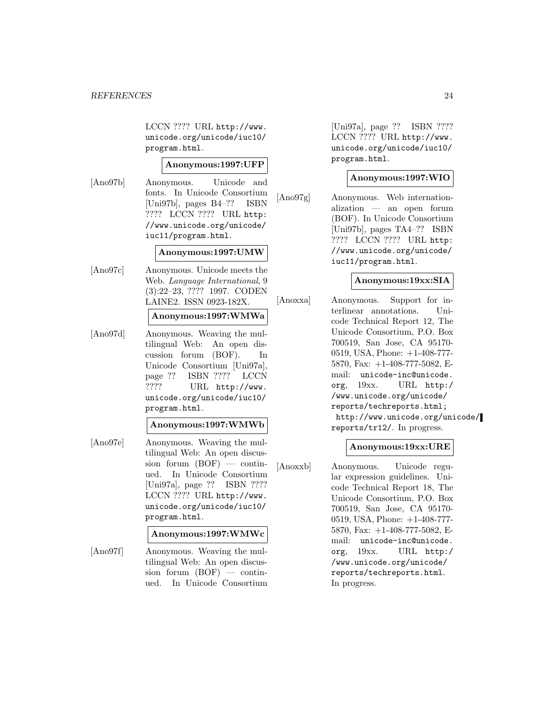LCCN ???? URL http://www. unicode.org/unicode/iuc10/ program.html.

### **Anonymous:1997:UFP**

[Ano97b] Anonymous. Unicode and fonts. In Unicode Consortium [Uni97b], pages B4–?? ISBN ???? LCCN ???? URL http: //www.unicode.org/unicode/ iuc11/program.html.

### **Anonymous:1997:UMW**

[Ano97c] Anonymous. Unicode meets the Web. Language International, 9 (3):22–23, ???? 1997. CODEN LAINE2. ISSN 0923-182X.

#### **Anonymous:1997:WMWa**

[Ano97d] Anonymous. Weaving the multilingual Web: An open discussion forum (BOF). In Unicode Consortium [Uni97a], page ?? ISBN ???? LCCN ???? URL http://www. unicode.org/unicode/iuc10/ program.html.

### **Anonymous:1997:WMWb**

[Ano97e] Anonymous. Weaving the multilingual Web: An open discussion forum  $(BOF)$  — continued. In Unicode Consortium [Uni97a], page ?? ISBN ???? LCCN ???? URL http://www. unicode.org/unicode/iuc10/ program.html.

#### **Anonymous:1997:WMWc**

[Ano97f] Anonymous. Weaving the multilingual Web: An open discussion forum  $(BOF)$  — continued. In Unicode Consortium

[Uni97a], page ?? ISBN ???? LCCN ???? URL http://www. unicode.org/unicode/iuc10/ program.html.

### **Anonymous:1997:WIO**

[Ano97g] Anonymous. Web internationalization — an open forum (BOF). In Unicode Consortium [Uni97b], pages TA4–?? ISBN ???? LCCN ???? URL http: //www.unicode.org/unicode/ iuc11/program.html.

### **Anonymous:19xx:SIA**

[Anoxxa] Anonymous. Support for interlinear annotations. Unicode Technical Report 12, The Unicode Consortium, P.O. Box 700519, San Jose, CA 95170- 0519, USA, Phone: +1-408-777- 5870, Fax: +1-408-777-5082, Email: unicode-inc@unicode. org, 19xx. URL http:/ /www.unicode.org/unicode/ reports/techreports.html; http://www.unicode.org/unicode/ reports/tr12/. In progress.

### **Anonymous:19xx:URE**

[Anoxxb] Anonymous. Unicode regular expression guidelines. Unicode Technical Report 18, The Unicode Consortium, P.O. Box 700519, San Jose, CA 95170- 0519, USA, Phone: +1-408-777- 5870, Fax: +1-408-777-5082, Email: unicode-inc@unicode. org, 19xx. URL http:/ /www.unicode.org/unicode/ reports/techreports.html. In progress.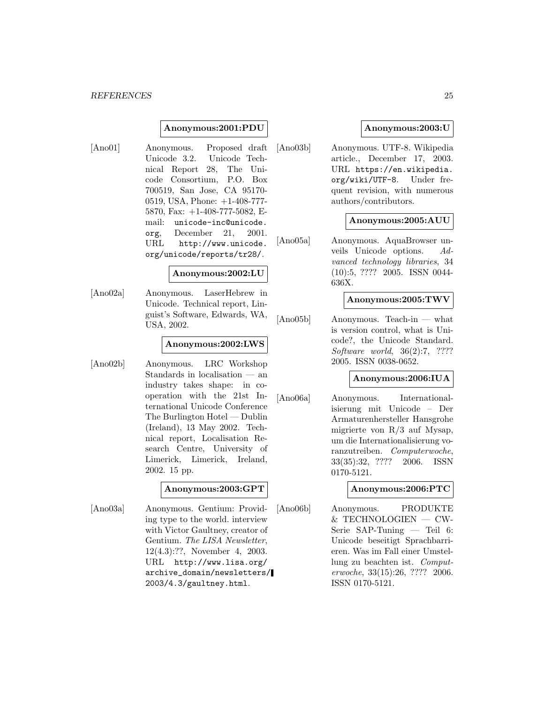#### **Anonymous:2001:PDU**

[Ano01] Anonymous. Proposed draft Unicode 3.2. Unicode Technical Report 28, The Unicode Consortium, P.O. Box 700519, San Jose, CA 95170- 0519, USA, Phone: +1-408-777- 5870, Fax: +1-408-777-5082, Email: unicode-inc@unicode. org, December 21, 2001. URL http://www.unicode. org/unicode/reports/tr28/.

#### **Anonymous:2002:LU**

[Ano02a] Anonymous. LaserHebrew in Unicode. Technical report, Linguist's Software, Edwards, WA, USA, 2002.

#### **Anonymous:2002:LWS**

[Ano02b] Anonymous. LRC Workshop Standards in localisation — an industry takes shape: in cooperation with the 21st International Unicode Conference The Burlington Hotel — Dublin (Ireland), 13 May 2002. Technical report, Localisation Research Centre, University of Limerick, Limerick, Ireland, 2002. 15 pp.

### **Anonymous:2003:GPT**

[Ano03a] Anonymous. Gentium: Providing type to the world. interview with Victor Gaultney, creator of Gentium. The LISA Newsletter, 12(4.3):??, November 4, 2003. URL http://www.lisa.org/ archive\_domain/newsletters/ 2003/4.3/gaultney.html.

### **Anonymous:2003:U**

[Ano03b] Anonymous. UTF-8. Wikipedia article., December 17, 2003. URL https://en.wikipedia. org/wiki/UTF-8. Under frequent revision, with numerous authors/contributors.

#### **Anonymous:2005:AUU**

[Ano05a] Anonymous. AquaBrowser unveils Unicode options. Advanced technology libraries, 34 (10):5, ???? 2005. ISSN 0044- 636X.

#### **Anonymous:2005:TWV**

[Ano05b] Anonymous. Teach-in — what is version control, what is Unicode?, the Unicode Standard. Software world, 36(2):7, ???? 2005. ISSN 0038-0652.

### **Anonymous:2006:IUA**

[Ano06a] Anonymous. Internationalisierung mit Unicode – Der Armaturenhersteller Hansgrohe migrierte von R/3 auf Mysap, um die Internationalisierung voranzutreiben. Computerwoche, 33(35):32, ???? 2006. ISSN 0170-5121.

### **Anonymous:2006:PTC**

[Ano06b] Anonymous. PRODUKTE & TECHNOLOGIEN — CW-Serie SAP-Tuning — Teil 6: Unicode beseitigt Sprachbarrieren. Was im Fall einer Umstellung zu beachten ist. Computerwoche, 33(15):26, ???? 2006. ISSN 0170-5121.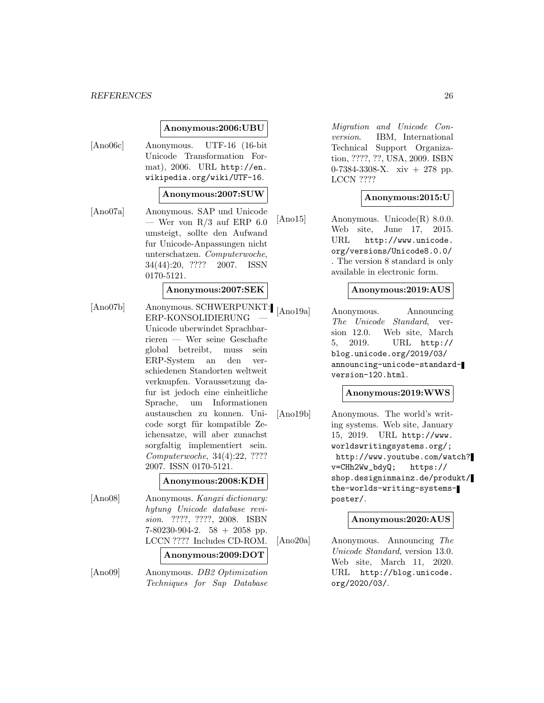#### *REFERENCES* 26

#### **Anonymous:2006:UBU**

[Ano06c] Anonymous. UTF-16 (16-bit Unicode Transformation Format), 2006. URL http://en. wikipedia.org/wiki/UTF-16.

#### **Anonymous:2007:SUW**

[Ano07a] Anonymous. SAP und Unicode — Wer von  $R/3$  auf ERP 6.0 umsteigt, sollte den Aufwand fur Unicode-Anpassungen nicht unterschatzen. Computerwoche, 34(44):20, ???? 2007. ISSN 0170-5121.

#### **Anonymous:2007:SEK**

[Ano07b] Anonymous. SCHWERPUNKT: ERP-KONSOLIDIERUNG — Unicode uberwindet Sprachbarrieren — Wer seine Geschafte global betreibt, muss sein ERP-System an den verschiedenen Standorten weltweit verknupfen. Voraussetzung dafur ist jedoch eine einheitliche Sprache, um Informationen austauschen zu konnen. Unicode sorgt für kompatible Zeichensatze, will aber zunachst sorgfaltig implementiert sein. Computerwoche, 34(4):22, ???? 2007. ISSN 0170-5121.

|         | Anonymous:2008:KDH                                                                                                                                             |
|---------|----------------------------------------------------------------------------------------------------------------------------------------------------------------|
| [Ano08] | Anonymous. Kangxi dictionary:<br>hytung Unicode database revi-<br>sion. ????, ????, 2008. ISBN<br>$7-80230-904-2.$ 58 + 2058 pp.<br>LCCN ???? Includes CD-ROM. |
|         | Anonymous:2009:DOT                                                                                                                                             |

[Ano09] Anonymous. DB2 Optimization Techniques for Sap Database

Migration and Unicode Conversion. IBM, International Technical Support Organization, ????, ??, USA, 2009. ISBN 0-7384-3308-X. xiv + 278 pp. LCCN ????

#### **Anonymous:2015:U**

[Ano15] Anonymous. Unicode(R) 8.0.0. Web site, June 17, 2015. URL http://www.unicode. org/versions/Unicode8.0.0/ . The version 8 standard is only available in electronic form.

#### **Anonymous:2019:AUS**

[Ano19a] Anonymous. Announcing The Unicode Standard, version 12.0. Web site, March 5, 2019. URL http:// blog.unicode.org/2019/03/ announcing-unicode-standardversion-120.html.

#### **Anonymous:2019:WWS**

[Ano19b] Anonymous. The world's writing systems. Web site, January 15, 2019. URL http://www. worldswritingsystems.org/; http://www.youtube.com/watch? v=CHh2Ww\_bdyQ; https:// shop.designinmainz.de/produkt/ the-worlds-writing-systemsposter/.

#### **Anonymous:2020:AUS**

[Ano20a] Anonymous. Announcing The Unicode Standard, version 13.0. Web site, March 11, 2020. URL http://blog.unicode. org/2020/03/.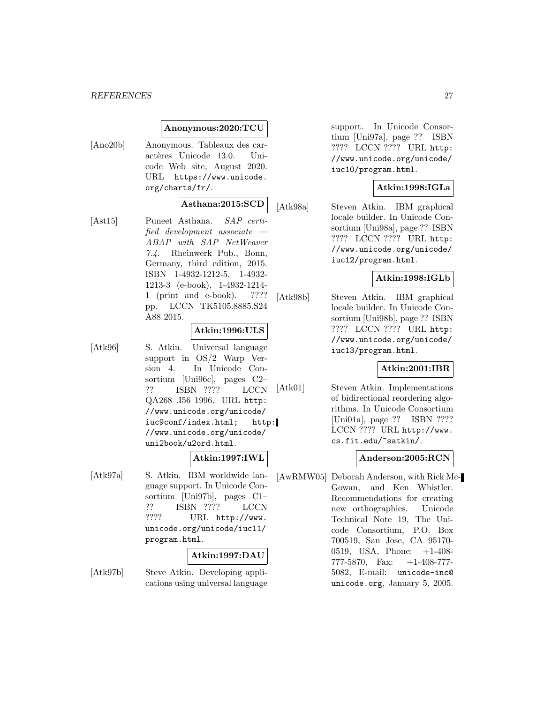### **Anonymous:2020:TCU**

[Ano20b] Anonymous. Tableaux des caractères Unicode 13.0. Unicode Web site, August 2020. URL https://www.unicode. org/charts/fr/.

### **Asthana:2015:SCD**

[Ast15] Puneet Asthana. SAP certified development associate — ABAP with SAP NetWeaver 7.4. Rheinwerk Pub., Bonn, Germany, third edition, 2015. ISBN 1-4932-1212-5, 1-4932- 1213-3 (e-book), 1-4932-1214- 1 (print and e-book). ???? pp. LCCN TK5105.8885.S24 A88 2015.

### **Atkin:1996:ULS**

[Atk96] S. Atkin. Universal language support in OS/2 Warp Version 4. In Unicode Consortium [Uni96c], pages C2– ?? ISBN ???? LCCN QA268 .I56 1996. URL http: //www.unicode.org/unicode/ iuc9conf/index.html; http: //www.unicode.org/unicode/ uni2book/u2ord.html.

### **Atkin:1997:IWL**

[Atk97a] S. Atkin. IBM worldwide language support. In Unicode Consortium [Uni97b], pages C1– ?? ISBN ???? LCCN ???? URL http://www. unicode.org/unicode/iuc11/ program.html.

### **Atkin:1997:DAU**

[Atk97b] Steve Atkin. Developing applications using universal language support. In Unicode Consortium [Uni97a], page ?? ISBN ???? LCCN ???? URL http: //www.unicode.org/unicode/ iuc10/program.html.

### **Atkin:1998:IGLa**

[Atk98a] Steven Atkin. IBM graphical locale builder. In Unicode Consortium [Uni98a], page ?? ISBN ???? LCCN ???? URL http: //www.unicode.org/unicode/ iuc12/program.html.

### **Atkin:1998:IGLb**

[Atk98b] Steven Atkin. IBM graphical locale builder. In Unicode Consortium [Uni98b], page ?? ISBN ???? LCCN ???? URL http: //www.unicode.org/unicode/ iuc13/program.html.

### **Atkin:2001:IBR**

[Atk01] Steven Atkin. Implementations of bidirectional reordering algorithms. In Unicode Consortium [Uni01a], page ?? ISBN ???? LCCN ???? URL http://www. cs.fit.edu/~satkin/.

### **Anderson:2005:RCN**

[AwRMW05] Deborah Anderson, with Rick Mc-Gowan, and Ken Whistler. Recommendations for creating new orthographies. Unicode Technical Note 19, The Unicode Consortium, P.O. Box 700519, San Jose, CA 95170- 0519, USA, Phone: +1-408- 777-5870, Fax: +1-408-777- 5082, E-mail: unicode-inc@ unicode.org, January 5, 2005.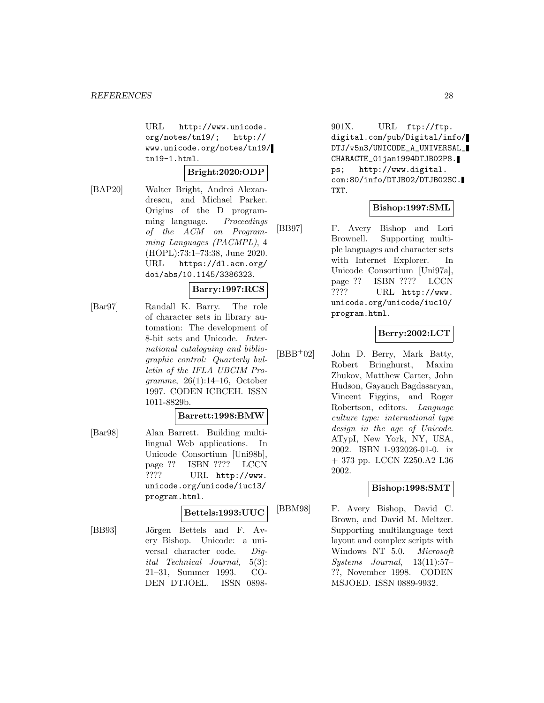URL http://www.unicode. org/notes/tn19/; http:// www.unicode.org/notes/tn19/ tn19-1.html.

### **Bright:2020:ODP**

[BAP20] Walter Bright, Andrei Alexandrescu, and Michael Parker. Origins of the D programming language. Proceedings of the ACM on Programming Languages (PACMPL), 4 (HOPL):73:1–73:38, June 2020. URL https://dl.acm.org/ doi/abs/10.1145/3386323.

### **Barry:1997:RCS**

[Bar97] Randall K. Barry. The role of character sets in library automation: The development of 8-bit sets and Unicode. International cataloguing and bibliographic control: Quarterly bulletin of the IFLA UBCIM Programme, 26(1):14–16, October 1997. CODEN ICBCEH. ISSN 1011-8829b.

### **Barrett:1998:BMW**

[Bar98] Alan Barrett. Building multilingual Web applications. In Unicode Consortium [Uni98b], page ?? ISBN ???? LCCN ???? URL http://www. unicode.org/unicode/iuc13/ program.html.

### **Bettels:1993:UUC**

[BB93] Jörgen Bettels and F. Avery Bishop. Unicode: a universal character code. Digital Technical Journal, 5(3): 21–31, Summer 1993. CO-DEN DTJOEL. ISSN 0898901X. URL ftp://ftp. digital.com/pub/Digital/info/ DTJ/v5n3/UNICODE\_A\_UNIVERSAL\_ CHARACTE\_01jan1994DTJB02P8. ps; http://www.digital. com:80/info/DTJB02/DTJB02SC. TXT.

### **Bishop:1997:SML**

[BB97] F. Avery Bishop and Lori Brownell. Supporting multiple languages and character sets with Internet Explorer. In Unicode Consortium [Uni97a], page ?? ISBN ???? LCCN ???? URL http://www. unicode.org/unicode/iuc10/ program.html.

### **Berry:2002:LCT**

 $[BBB<sup>+</sup>02]$  John D. Berry, Mark Batty, Robert Bringhurst, Maxim Zhukov, Matthew Carter, John Hudson, Gayanch Bagdasaryan, Vincent Figgins, and Roger Robertson, editors. Language culture type: international type design in the age of Unicode. ATypI, New York, NY, USA, 2002. ISBN 1-932026-01-0. ix + 373 pp. LCCN Z250.A2 L36 2002.

### **Bishop:1998:SMT**

[BBM98] F. Avery Bishop, David C. Brown, and David M. Meltzer. Supporting multilanguage text layout and complex scripts with Windows NT 5.0. Microsoft Systems Journal, 13(11):57– ??, November 1998. CODEN MSJOED. ISSN 0889-9932.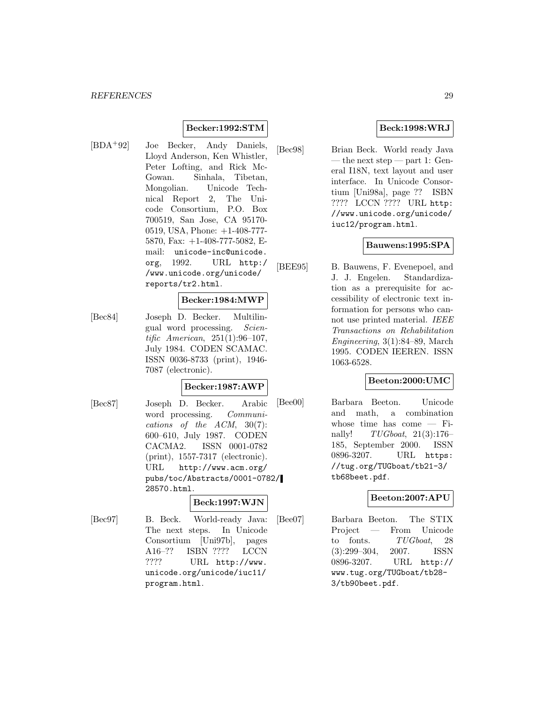### **Becker:1992:STM**

[BDA<sup>+</sup>92] Joe Becker, Andy Daniels, Lloyd Anderson, Ken Whistler, Peter Lofting, and Rick Mc-Gowan. Sinhala, Tibetan, Mongolian. Unicode Technical Report 2, The Unicode Consortium, P.O. Box 700519, San Jose, CA 95170- 0519, USA, Phone: +1-408-777- 5870, Fax: +1-408-777-5082, Email: unicode-inc@unicode. org, 1992. URL http:/ /www.unicode.org/unicode/ reports/tr2.html.

#### **Becker:1984:MWP**

[Bec84] Joseph D. Becker. Multilingual word processing. Scientific American, 251(1):96–107, July 1984. CODEN SCAMAC. ISSN 0036-8733 (print), 1946- 7087 (electronic).

#### **Becker:1987:AWP**

[Bec87] Joseph D. Becker. Arabic word processing. Communications of the ACM, 30(7): 600–610, July 1987. CODEN CACMA2. ISSN 0001-0782 (print), 1557-7317 (electronic). URL http://www.acm.org/ pubs/toc/Abstracts/0001-0782/ 28570.html.

### **Beck:1997:WJN**

[Bec97] B. Beck. World-ready Java: The next steps. In Unicode Consortium [Uni97b], pages A16–?? ISBN ???? LCCN ???? URL http://www. unicode.org/unicode/iuc11/ program.html.

### **Beck:1998:WRJ**

[Bec98] Brian Beck. World ready Java — the next step — part 1: General I18N, text layout and user interface. In Unicode Consortium [Uni98a], page ?? ISBN ???? LCCN ???? URL http: //www.unicode.org/unicode/ iuc12/program.html.

### **Bauwens:1995:SPA**

[BEE95] B. Bauwens, F. Evenepoel, and J. J. Engelen. Standardization as a prerequisite for accessibility of electronic text information for persons who cannot use printed material. IEEE Transactions on Rehabilitation Engineering, 3(1):84–89, March 1995. CODEN IEEREN. ISSN 1063-6528.

### **Beeton:2000:UMC**

[Bee00] Barbara Beeton. Unicode and math, a combination whose time has come — Finally! TUGboat, 21(3):176– 185, September 2000. ISSN 0896-3207. URL https: //tug.org/TUGboat/tb21-3/ tb68beet.pdf.

### **Beeton:2007:APU**

[Bee07] Barbara Beeton. The STIX Project — From Unicode to fonts. TUGboat, 28 (3):299–304, 2007. ISSN 0896-3207. URL http:// www.tug.org/TUGboat/tb28- 3/tb90beet.pdf.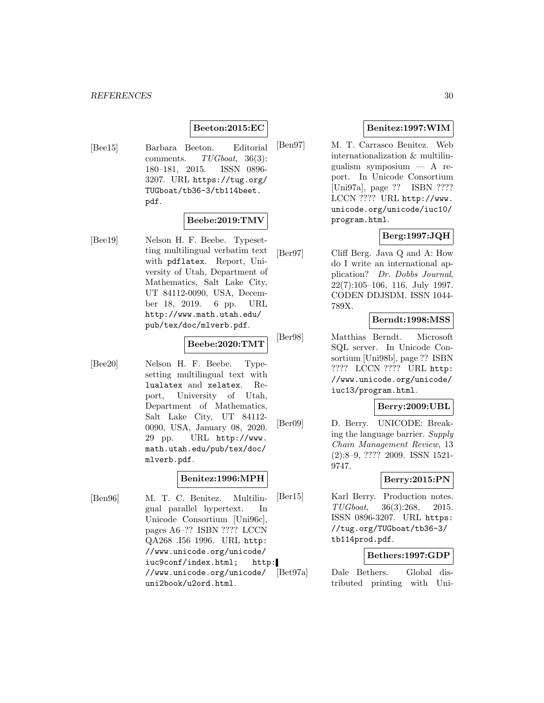### **Beeton:2015:EC**

[Bee15] Barbara Beeton. Editorial comments. TUGboat, 36(3): 180–181, 2015. ISSN 0896- 3207. URL https://tug.org/ TUGboat/tb36-3/tb114beet. pdf.

### **Beebe:2019:TMV**

[Bee19] Nelson H. F. Beebe. Typesetting multilingual verbatim text with pdflatex. Report, University of Utah, Department of Mathematics, Salt Lake City, UT 84112-0090, USA, December 18, 2019. 6 pp. URL http://www.math.utah.edu/ pub/tex/doc/mlverb.pdf.

### **Beebe:2020:TMT**

[Bee20] Nelson H. F. Beebe. Typesetting multilingual text with lualatex and xelatex. Report, University of Utah, Department of Mathematics, Salt Lake City, UT 84112- 0090, USA, January 08, 2020. 29 pp. URL http://www. math.utah.edu/pub/tex/doc/ mlverb.pdf.

### **Benitez:1996:MPH**

[Ben96] M. T. C. Benitez. Multilingual parallel hypertext. In Unicode Consortium [Uni96c], pages A6–?? ISBN ???? LCCN QA268 .I56 1996. URL http: //www.unicode.org/unicode/ iuc9conf/index.html; http: //www.unicode.org/unicode/ uni2book/u2ord.html.

### **Benitez:1997:WIM**

[Ben97] M. T. Carrasco Benitez. Web internationalization & multilingualism symposium — A report. In Unicode Consortium [Uni97a], page ?? ISBN ???? LCCN ???? URL http://www. unicode.org/unicode/iuc10/ program.html.

### **Berg:1997:JQH**

[Ber97] Cliff Berg. Java Q and A: How do I write an international application? Dr. Dobbs Journal, 22(7):105–106, 116, July 1997. CODEN DDJSDM. ISSN 1044- 789X.

### **Berndt:1998:MSS**

[Ber98] Matthias Berndt. Microsoft SQL server. In Unicode Consortium [Uni98b], page ?? ISBN ???? LCCN ???? URL http: //www.unicode.org/unicode/ iuc13/program.html.

### **Berry:2009:UBL**

[Ber09] D. Berry. UNICODE: Breaking the language barrier. Supply Chain Management Review, 13 (2):8–9, ???? 2009. ISSN 1521- 9747.

#### **Berry:2015:PN**

[Ber15] Karl Berry. Production notes. TUGboat, 36(3):268, 2015. ISSN 0896-3207. URL https: //tug.org/TUGboat/tb36-3/ tb114prod.pdf.

### **Bethers:1997:GDP**

[Bet97a] Dale Bethers. Global distributed printing with Uni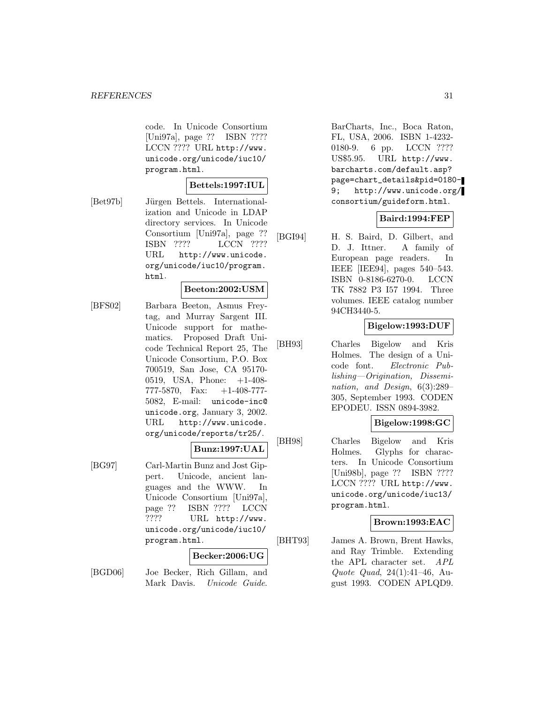code. In Unicode Consortium [Uni97a], page ?? ISBN ???? LCCN ???? URL http://www. unicode.org/unicode/iuc10/ program.html.

### **Bettels:1997:IUL**

[Bet97b] Jürgen Bettels. Internationalization and Unicode in LDAP directory services. In Unicode Consortium [Uni97a], page ?? ISBN ???? LCCN ???? URL http://www.unicode. org/unicode/iuc10/program. html.

#### **Beeton:2002:USM**

[BFS02] Barbara Beeton, Asmus Freytag, and Murray Sargent III. Unicode support for mathematics. Proposed Draft Unicode Technical Report 25, The Unicode Consortium, P.O. Box 700519, San Jose, CA 95170- 0519, USA, Phone: +1-408- 777-5870, Fax: +1-408-777- 5082, E-mail: unicode-inc@ unicode.org, January 3, 2002. URL http://www.unicode. org/unicode/reports/tr25/.

### **Bunz:1997:UAL**

[BG97] Carl-Martin Bunz and Jost Gippert. Unicode, ancient languages and the WWW. In Unicode Consortium [Uni97a], page ?? ISBN ???? LCCN ???? URL http://www. unicode.org/unicode/iuc10/ program.html.

#### **Becker:2006:UG**

[BGD06] Joe Becker, Rich Gillam, and Mark Davis. Unicode Guide. BarCharts, Inc., Boca Raton, FL, USA, 2006. ISBN 1-4232- 0180-9. 6 pp. LCCN ???? US\$5.95. URL http://www. barcharts.com/default.asp? page=chart\_details&pid=0180- 9; http://www.unicode.org/ consortium/guideform.html.

### **Baird:1994:FEP**

[BGI94] H. S. Baird, D. Gilbert, and D. J. Ittner. A family of European page readers. In IEEE [IEE94], pages 540–543. ISBN 0-8186-6270-0. LCCN TK 7882 P3 I57 1994. Three volumes. IEEE catalog number 94CH3440-5.

### **Bigelow:1993:DUF**

[BH93] Charles Bigelow and Kris Holmes. The design of a Unicode font. Electronic Publishing—Origination, Dissemination, and Design, 6(3):289– 305, September 1993. CODEN EPODEU. ISSN 0894-3982.

### **Bigelow:1998:GC**

[BH98] Charles Bigelow and Kris Holmes. Glyphs for characters. In Unicode Consortium [Uni98b], page ?? ISBN ???? LCCN ???? URL http://www. unicode.org/unicode/iuc13/ program.html.

### **Brown:1993:EAC**

[BHT93] James A. Brown, Brent Hawks, and Ray Trimble. Extending the APL character set. APL Quote Quad, 24(1):41–46, August 1993. CODEN APLQD9.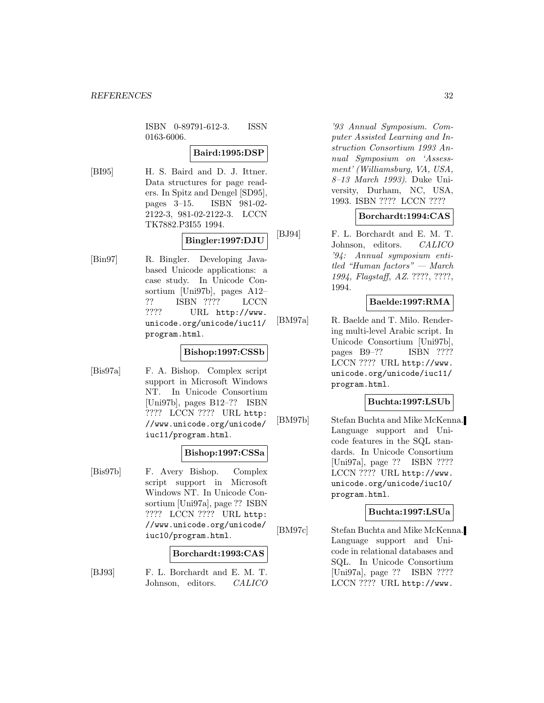ISBN 0-89791-612-3. ISSN 0163-6006.

### **Baird:1995:DSP**

[BI95] H. S. Baird and D. J. Ittner. Data structures for page readers. In Spitz and Dengel [SD95], pages 3–15. ISBN 981-02- 2122-3, 981-02-2122-3. LCCN TK7882.P3I55 1994.

### **Bingler:1997:DJU**

[Bin97] R. Bingler. Developing Javabased Unicode applications: a case study. In Unicode Consortium [Uni97b], pages A12– ?? ISBN ???? LCCN ???? URL http://www. unicode.org/unicode/iuc11/ program.html.

### **Bishop:1997:CSSb**

[Bis97a] F. A. Bishop. Complex script support in Microsoft Windows NT. In Unicode Consortium [Uni97b], pages B12–?? ISBN ???? LCCN ???? URL http: //www.unicode.org/unicode/ iuc11/program.html.

### **Bishop:1997:CSSa**

[Bis97b] F. Avery Bishop. Complex script support in Microsoft Windows NT. In Unicode Consortium [Uni97a], page ?? ISBN ???? LCCN ???? URL http: //www.unicode.org/unicode/ iuc10/program.html.

### **Borchardt:1993:CAS**

[BJ93] F. L. Borchardt and E. M. T. Johnson, editors. CALICO

'93 Annual Symposium. Computer Assisted Learning and Instruction Consortium 1993 Annual Symposium on 'Assessment' (Williamsburg, VA, USA, 8–13 March 1993). Duke University, Durham, NC, USA, 1993. ISBN ???? LCCN ????

### **Borchardt:1994:CAS**

[BJ94] F. L. Borchardt and E. M. T. Johnson, editors. CALICO '94: Annual symposium entitled "Human factors" — March 1994, Flagstaff, AZ. ????, ????, 1994.

### **Baelde:1997:RMA**

[BM97a] R. Baelde and T. Milo. Rendering multi-level Arabic script. In Unicode Consortium [Uni97b], pages B9–?? ISBN ???? LCCN ???? URL http://www. unicode.org/unicode/iuc11/ program.html.

### **Buchta:1997:LSUb**

[BM97b] Stefan Buchta and Mike McKenna. Language support and Unicode features in the SQL standards. In Unicode Consortium [Uni97a], page ?? ISBN ???? LCCN ???? URL http://www. unicode.org/unicode/iuc10/ program.html.

### **Buchta:1997:LSUa**

[BM97c] Stefan Buchta and Mike McKenna. Language support and Unicode in relational databases and SQL. In Unicode Consortium [Uni97a], page ?? ISBN ???? LCCN ???? URL http://www.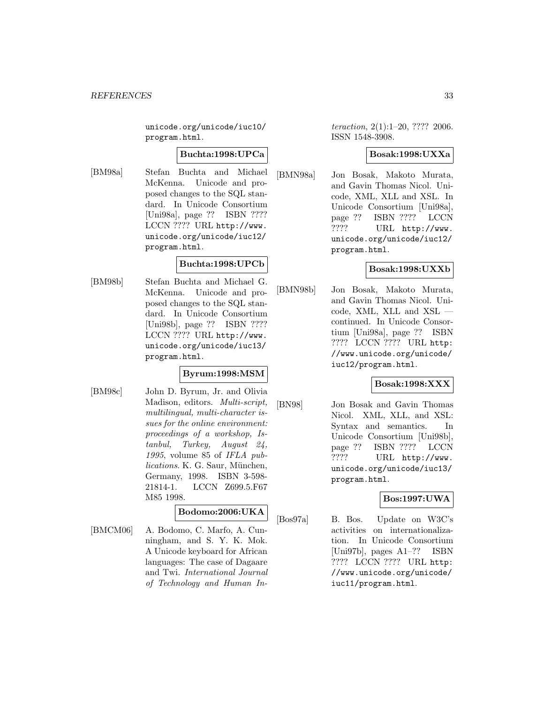unicode.org/unicode/iuc10/ program.html.

#### **Buchta:1998:UPCa**

[BM98a] Stefan Buchta and Michael McKenna. Unicode and proposed changes to the SQL standard. In Unicode Consortium [Uni98a], page ?? ISBN ???? LCCN ???? URL http://www. unicode.org/unicode/iuc12/ program.html.

### **Buchta:1998:UPCb**

[BM98b] Stefan Buchta and Michael G. McKenna. Unicode and proposed changes to the SQL standard. In Unicode Consortium [Uni98b], page ?? ISBN ???? LCCN ???? URL http://www. unicode.org/unicode/iuc13/ program.html.

### **Byrum:1998:MSM**

[BM98c] John D. Byrum, Jr. and Olivia Madison, editors. Multi-script, multilingual, multi-character issues for the online environment: proceedings of a workshop, Istanbul, Turkey, August 24, 1995, volume 85 of IFLA publications. K. G. Saur, München, Germany, 1998. ISBN 3-598- 21814-1. LCCN Z699.5.F67 M85 1998.

### **Bodomo:2006:UKA**

[BMCM06] A. Bodomo, C. Marfo, A. Cunningham, and S. Y. K. Mok. A Unicode keyboard for African languages: The case of Dagaare and Twi. International Journal of Technology and Human In-

teraction, 2(1):1–20, ???? 2006. ISSN 1548-3908.

### **Bosak:1998:UXXa**

[BMN98a] Jon Bosak, Makoto Murata, and Gavin Thomas Nicol. Unicode, XML, XLL and XSL. In Unicode Consortium [Uni98a], page ?? ISBN ???? LCCN ???? URL http://www. unicode.org/unicode/iuc12/ program.html.

### **Bosak:1998:UXXb**

[BMN98b] Jon Bosak, Makoto Murata, and Gavin Thomas Nicol. Unicode, XML, XLL and XSL continued. In Unicode Consortium [Uni98a], page ?? ISBN ???? LCCN ???? URL http: //www.unicode.org/unicode/ iuc12/program.html.

### **Bosak:1998:XXX**

[BN98] Jon Bosak and Gavin Thomas Nicol. XML, XLL, and XSL: Syntax and semantics. In Unicode Consortium [Uni98b], page ?? ISBN ???? LCCN ???? URL http://www. unicode.org/unicode/iuc13/ program.html.

### **Bos:1997:UWA**

[Bos97a] B. Bos. Update on W3C's activities on internationalization. In Unicode Consortium [Uni97b], pages A1–?? ISBN ???? LCCN ???? URL http: //www.unicode.org/unicode/ iuc11/program.html.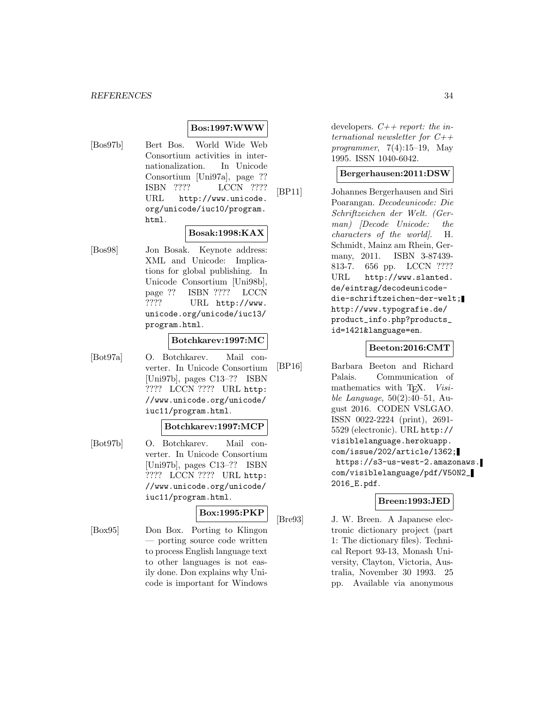### **Bos:1997:WWW**

[Bos97b] Bert Bos. World Wide Web Consortium activities in internationalization. In Unicode Consortium [Uni97a], page ?? ISBN ???? LCCN ???? URL http://www.unicode. org/unicode/iuc10/program. html.

### **Bosak:1998:KAX**

[Bos98] Jon Bosak. Keynote address: XML and Unicode: Implications for global publishing. In Unicode Consortium [Uni98b], page ?? ISBN ???? LCCN ???? URL http://www. unicode.org/unicode/iuc13/ program.html.

### **Botchkarev:1997:MC**

[Bot97a] O. Botchkarev. Mail converter. In Unicode Consortium [Uni97b], pages C13–?? ISBN ???? LCCN ???? URL http: //www.unicode.org/unicode/ iuc11/program.html.

#### **Botchkarev:1997:MCP**

[Bot97b] O. Botchkarev. Mail converter. In Unicode Consortium [Uni97b], pages C13–?? ISBN ???? LCCN ???? URL http: //www.unicode.org/unicode/ iuc11/program.html.

### **Box:1995:PKP**

[Box95] Don Box. Porting to Klingon — porting source code written to process English language text to other languages is not easily done. Don explains why Unicode is important for Windows developers.  $C++$  report: the international newsletter for  $C++$ programmer,  $7(4):15-19$ , May 1995. ISSN 1040-6042.

#### **Bergerhausen:2011:DSW**

[BP11] Johannes Bergerhausen and Siri Poarangan. Decodeunicode: Die Schriftzeichen der Welt. (German) [Decode Unicode: the characters of the world]. H. Schmidt, Mainz am Rhein, Germany, 2011. ISBN 3-87439- 813-7. 656 pp. LCCN ???? URL http://www.slanted. de/eintrag/decodeunicodedie-schriftzeichen-der-welt; http://www.typografie.de/ product\_info.php?products\_ id=1421&language=en.

#### **Beeton:2016:CMT**

[BP16] Barbara Beeton and Richard Palais. Communication of mathematics with T<sub>E</sub>X. Visible Language, 50(2):40–51, August 2016. CODEN VSLGAO. ISSN 0022-2224 (print), 2691- 5529 (electronic). URL http:// visiblelanguage.herokuapp. com/issue/202/article/1362; https://s3-us-west-2.amazonaws. com/visiblelanguage/pdf/V50N2\_ 2016\_E.pdf.

### **Breen:1993:JED**

[Bre93] J. W. Breen. A Japanese electronic dictionary project (part 1: The dictionary files). Technical Report 93-13, Monash University, Clayton, Victoria, Australia, November 30 1993. 25 pp. Available via anonymous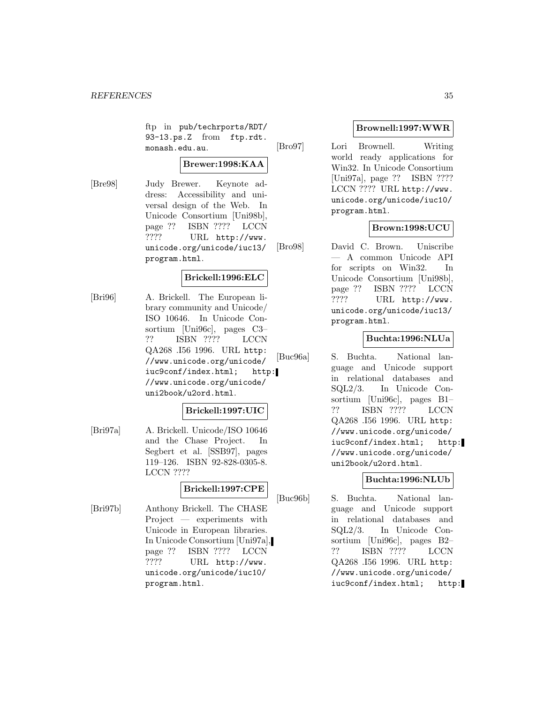ftp in pub/techrports/RDT/ 93-13.ps.Z from ftp.rdt. monash.edu.au.

### **Brewer:1998:KAA**

[Bre98] Judy Brewer. Keynote address: Accessibility and universal design of the Web. In Unicode Consortium [Uni98b], page ?? ISBN ???? LCCN ???? URL http://www. unicode.org/unicode/iuc13/ program.html.

### **Brickell:1996:ELC**

[Bri96] A. Brickell. The European library community and Unicode/ ISO 10646. In Unicode Consortium [Uni96c], pages C3– ?? ISBN ???? LCCN QA268 .I56 1996. URL http: //www.unicode.org/unicode/ iuc9conf/index.html; http: //www.unicode.org/unicode/ uni2book/u2ord.html.

### **Brickell:1997:UIC**

[Bri97a] A. Brickell. Unicode/ISO 10646 and the Chase Project. In Segbert et al. [SSB97], pages 119–126. ISBN 92-828-0305-8. LCCN ????

### **Brickell:1997:CPE**

[Bri97b] Anthony Brickell. The CHASE Project — experiments with Unicode in European libraries. In Unicode Consortium [Uni97a], page ?? ISBN ???? LCCN<br>???? URL http://www. URL http://www. unicode.org/unicode/iuc10/ program.html.

### **Brownell:1997:WWR**

[Bro97] Lori Brownell. Writing world ready applications for Win32. In Unicode Consortium [Uni97a], page ?? ISBN ???? LCCN ???? URL http://www. unicode.org/unicode/iuc10/ program.html.

### **Brown:1998:UCU**

[Bro98] David C. Brown. Uniscribe — A common Unicode API for scripts on Win32. In Unicode Consortium [Uni98b], page ?? ISBN ???? LCCN ???? URL http://www. unicode.org/unicode/iuc13/ program.html.

### **Buchta:1996:NLUa**

[Buc96a] S. Buchta. National language and Unicode support in relational databases and SQL2/3. In Unicode Consortium [Uni96c], pages B1– ?? ISBN ???? LCCN QA268 .I56 1996. URL http: //www.unicode.org/unicode/ iuc9conf/index.html; http: //www.unicode.org/unicode/ uni2book/u2ord.html.

### **Buchta:1996:NLUb**

[Buc96b] S. Buchta. National language and Unicode support in relational databases and SQL2/3. In Unicode Consortium [Uni96c], pages B2– ?? ISBN ???? LCCN QA268 .I56 1996. URL http: //www.unicode.org/unicode/ iuc9conf/index.html; http: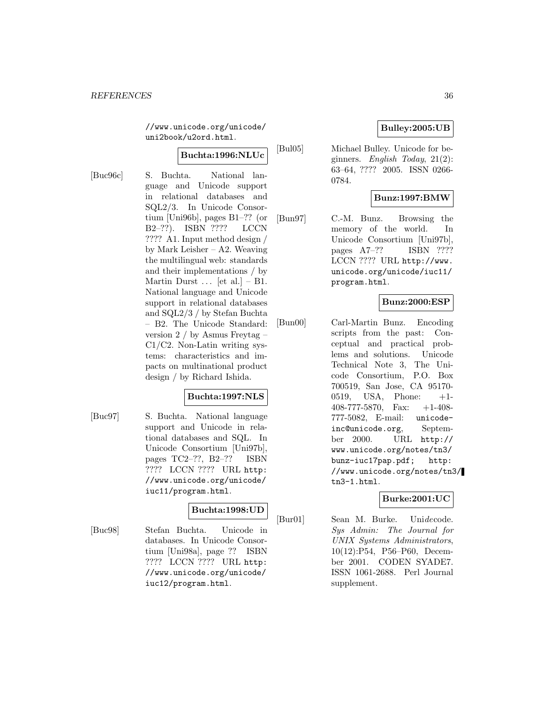//www.unicode.org/unicode/ uni2book/u2ord.html.

### **Buchta:1996:NLUc**

[Buc96c] S. Buchta. National language and Unicode support in relational databases and SQL2/3. In Unicode Consortium [Uni96b], pages B1–?? (or B2–??). ISBN ???? LCCN ???? A1. Input method design / by Mark Leisher – A2. Weaving the multilingual web: standards and their implementations / by Martin Durst  $\ldots$  [et al.] – B1. National language and Unicode support in relational databases and SQL2/3 / by Stefan Buchta – B2. The Unicode Standard: version 2 / by Asmus Freytag – C1/C2. Non-Latin writing systems: characteristics and impacts on multinational product design / by Richard Ishida.

### **Buchta:1997:NLS**

[Buc97] S. Buchta. National language support and Unicode in relational databases and SQL. In Unicode Consortium [Uni97b], pages TC2–??, B2–?? ISBN ???? LCCN ???? URL http: //www.unicode.org/unicode/ iuc11/program.html.

### **Buchta:1998:UD**

[Buc98] Stefan Buchta. Unicode in databases. In Unicode Consortium [Uni98a], page ?? ISBN ???? LCCN ???? URL http: //www.unicode.org/unicode/ iuc12/program.html.

### **Bulley:2005:UB**

[Bul05] Michael Bulley. Unicode for beginners. English Today,  $21(2)$ : 63–64, ???? 2005. ISSN 0266- 0784.

### **Bunz:1997:BMW**

[Bun97] C.-M. Bunz. Browsing the memory of the world. In Unicode Consortium [Uni97b], pages A7–?? ISBN ???? LCCN ???? URL http://www. unicode.org/unicode/iuc11/ program.html.

### **Bunz:2000:ESP**

[Bun00] Carl-Martin Bunz. Encoding scripts from the past: Conceptual and practical problems and solutions. Unicode Technical Note 3, The Unicode Consortium, P.O. Box 700519, San Jose, CA 95170- 0519, USA, Phone: +1- 408-777-5870, Fax: +1-408- 777-5082, E-mail: unicodeinc@unicode.org, September 2000. URL http:// www.unicode.org/notes/tn3/ bunz-iuc17pap.pdf; http: //www.unicode.org/notes/tn3/ tn3-1.html.

### **Burke:2001:UC**

[Bur01] Sean M. Burke. Unidecode. Sys Admin: The Journal for UNIX Systems Administrators, 10(12):P54, P56–P60, December 2001. CODEN SYADE7. ISSN 1061-2688. Perl Journal supplement.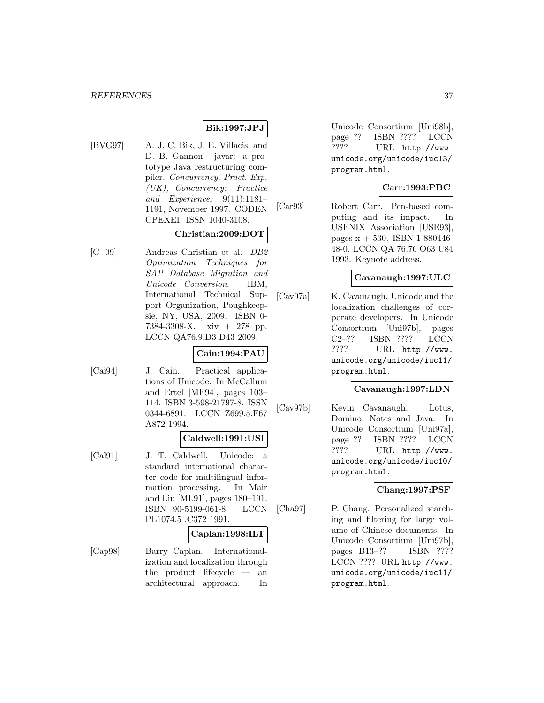#### *REFERENCES* 37

## **Bik:1997:JPJ**

[BVG97] A. J. C. Bik, J. E. Villacis, and D. B. Gannon. javar: a prototype Java restructuring compiler. Concurrency, Pract. Exp. (UK), Concurrency: Practice and Experience,  $9(11):1181-$ 1191, November 1997. CODEN CPEXEI. ISSN 1040-3108.

# **Christian:2009:DOT**

[C<sup>+</sup>09] Andreas Christian et al. DB2 Optimization Techniques for SAP Database Migration and Unicode Conversion. IBM, International Technical Support Organization, Poughkeepsie, NY, USA, 2009. ISBN 0- 7384-3308-X. xiv + 278 pp. LCCN QA76.9.D3 D43 2009.

#### **Cain:1994:PAU**

[Cai94] J. Cain. Practical applications of Unicode. In McCallum and Ertel [ME94], pages 103– 114. ISBN 3-598-21797-8. ISSN 0344-6891. LCCN Z699.5.F67 A872 1994.

# **Caldwell:1991:USI**

[Cal91] J. T. Caldwell. Unicode: a standard international character code for multilingual information processing. In Mair and Liu [ML91], pages 180–191. ISBN 90-5199-061-8. LCCN PL1074.5 .C372 1991.

#### **Caplan:1998:ILT**

[Cap98] Barry Caplan. Internationalization and localization through the product lifecycle — an architectural approach. In Unicode Consortium [Uni98b], page ?? ISBN ???? LCCN ???? URL http://www. unicode.org/unicode/iuc13/ program.html.

## **Carr:1993:PBC**

[Car93] Robert Carr. Pen-based computing and its impact. In USENIX Association [USE93], pages  $x + 530$ . ISBN 1-880446-48-0. LCCN QA 76.76 O63 U84 1993. Keynote address.

# **Cavanaugh:1997:ULC**

[Cav97a] K. Cavanaugh. Unicode and the localization challenges of corporate developers. In Unicode Consortium [Uni97b], pages C2–?? ISBN ???? LCCN ???? URL http://www. unicode.org/unicode/iuc11/ program.html.

#### **Cavanaugh:1997:LDN**

[Cav97b] Kevin Cavanaugh. Lotus, Domino, Notes and Java. In Unicode Consortium [Uni97a], page ?? ISBN ???? LCCN ???? URL http://www. unicode.org/unicode/iuc10/ program.html.

#### **Chang:1997:PSF**

[Cha97] P. Chang. Personalized searching and filtering for large volume of Chinese documents. In Unicode Consortium [Uni97b], pages B13–?? ISBN ???? LCCN ???? URL http://www. unicode.org/unicode/iuc11/ program.html.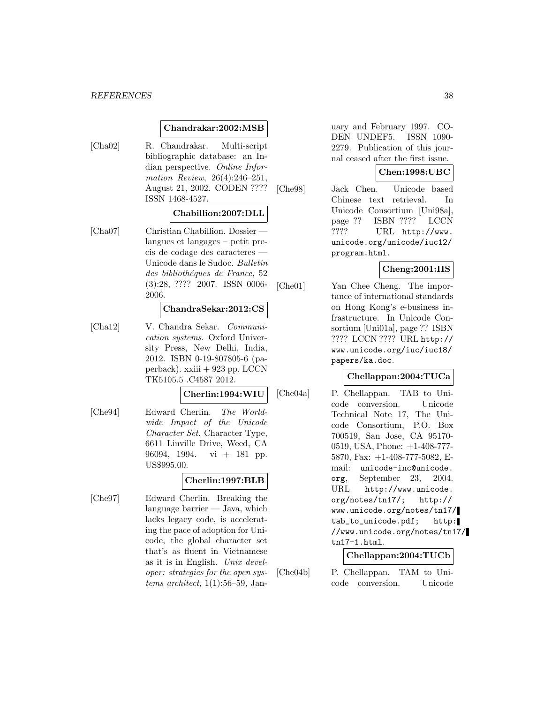#### *REFERENCES* 38

#### **Chandrakar:2002:MSB**

[Cha02] R. Chandrakar. Multi-script bibliographic database: an Indian perspective. Online Information Review, 26(4):246–251, August 21, 2002. CODEN ???? ISSN 1468-4527.

#### **Chabillion:2007:DLL**

[Cha07] Christian Chabillion. Dossier langues et langages – petit precis de codage des caracteres — Unicode dans le Sudoc. Bulletin des bibliothéques de France, 52 (3):28, ???? 2007. ISSN 0006- 2006.

#### **ChandraSekar:2012:CS**

[Cha12] V. Chandra Sekar. Communication systems. Oxford University Press, New Delhi, India, 2012. ISBN 0-19-807805-6 (paperback). xxiii + 923 pp. LCCN TK5105.5 .C4587 2012.

#### **Cherlin:1994:WIU**

[Che94] Edward Cherlin. The Worldwide Impact of the Unicode Character Set. Character Type, 6611 Linville Drive, Weed, CA 96094, 1994. vi + 181 pp. US\$995.00.

#### **Cherlin:1997:BLB**

[Che97] Edward Cherlin. Breaking the language barrier — Java, which lacks legacy code, is accelerating the pace of adoption for Unicode, the global character set that's as fluent in Vietnamese as it is in English. Unix developer: strategies for the open systems architect,  $1(1):56-59$ , January and February 1997. CO-DEN UNDEF5. ISSN 1090- 2279. Publication of this journal ceased after the first issue.

# **Chen:1998:UBC**

[Che98] Jack Chen. Unicode based Chinese text retrieval. In Unicode Consortium [Uni98a], page ?? ISBN ???? LCCN ???? URL http://www. unicode.org/unicode/iuc12/ program.html.

# **Cheng:2001:IIS**

[Che01] Yan Chee Cheng. The importance of international standards on Hong Kong's e-business infrastructure. In Unicode Consortium [Uni01a], page ?? ISBN ???? LCCN ???? URL http:// www.unicode.org/iuc/iuc18/ papers/ka.doc.

#### **Chellappan:2004:TUCa**

[Che04a] P. Chellappan. TAB to Unicode conversion. Unicode Technical Note 17, The Unicode Consortium, P.O. Box 700519, San Jose, CA 95170- 0519, USA, Phone: +1-408-777- 5870, Fax: +1-408-777-5082, Email: unicode-inc@unicode. org, September 23, 2004. URL http://www.unicode. org/notes/tn17/; http:// www.unicode.org/notes/tn17/ tab\_to\_unicode.pdf; http: //www.unicode.org/notes/tn17/ tn17-1.html.

#### **Chellappan:2004:TUCb**

[Che04b] P. Chellappan. TAM to Unicode conversion. Unicode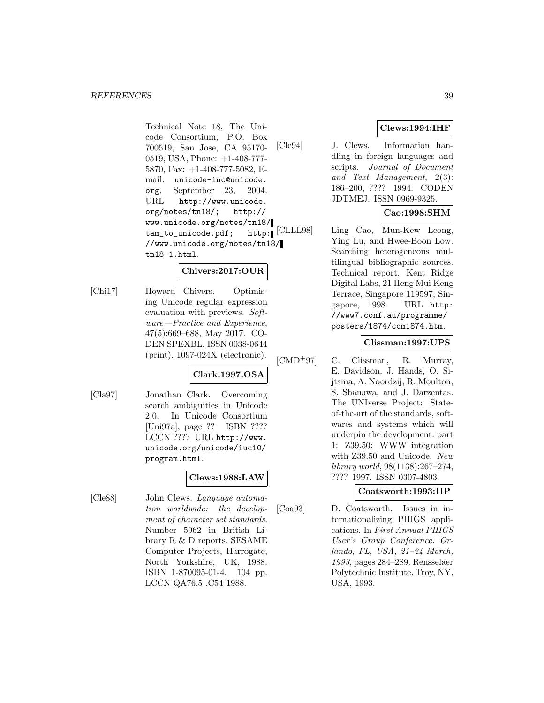Technical Note 18, The Unicode Consortium, P.O. Box 700519, San Jose, CA 95170- 0519, USA, Phone: +1-408-777- 5870, Fax: +1-408-777-5082, Email: unicode-inc@unicode. org, September 23, 2004. URL http://www.unicode. org/notes/tn18/; http:// www.unicode.org/notes/tn18/ tam\_to\_unicode.pdf; http: //www.unicode.org/notes/tn18/ tn18-1.html.

# **Chivers:2017:OUR**

[Chi17] Howard Chivers. Optimising Unicode regular expression evaluation with previews. Software—Practice and Experience, 47(5):669–688, May 2017. CO-DEN SPEXBL. ISSN 0038-0644 (print), 1097-024X (electronic).

# **Clark:1997:OSA**

[Cla97] Jonathan Clark. Overcoming search ambiguities in Unicode 2.0. In Unicode Consortium [Uni97a], page ?? ISBN ???? LCCN ???? URL http://www. unicode.org/unicode/iuc10/ program.html.

# **Clews:1988:LAW**

[Cle88] John Clews. Language automation worldwide: the development of character set standards. Number 5962 in British Library R & D reports. SESAME Computer Projects, Harrogate, North Yorkshire, UK, 1988. ISBN 1-870095-01-4. 104 pp. LCCN QA76.5 .C54 1988.

# **Clews:1994:IHF**

[Cle94] J. Clews. Information handling in foreign languages and scripts. Journal of Document and Text Management, 2(3): 186–200, ???? 1994. CODEN JDTMEJ. ISSN 0969-9325.

# **Cao:1998:SHM**

[CLLL98] Ling Cao, Mun-Kew Leong, Ying Lu, and Hwee-Boon Low. Searching heterogeneous multilingual bibliographic sources. Technical report, Kent Ridge Digital Labs, 21 Heng Mui Keng Terrace, Singapore 119597, Singapore, 1998. URL http: //www7.conf.au/programme/ posters/1874/com1874.htm.

#### **Clissman:1997:UPS**

- $[CMD+97]$  C. Clissman, R. Murray,
	- E. Davidson, J. Hands, O. Sijtsma, A. Noordzij, R. Moulton, S. Shanawa, and J. Darzentas. The UNIverse Project: Stateof-the-art of the standards, softwares and systems which will underpin the development. part 1: Z39.50: WWW integration with Z39.50 and Unicode. New library world, 98(1138):267–274, ???? 1997. ISSN 0307-4803.

#### **Coatsworth:1993:IIP**

[Coa93] D. Coatsworth. Issues in internationalizing PHIGS applications. In First Annual PHIGS User's Group Conference. Orlando, FL, USA, 21–24 March, 1993, pages 284–289. Rensselaer Polytechnic Institute, Troy, NY, USA, 1993.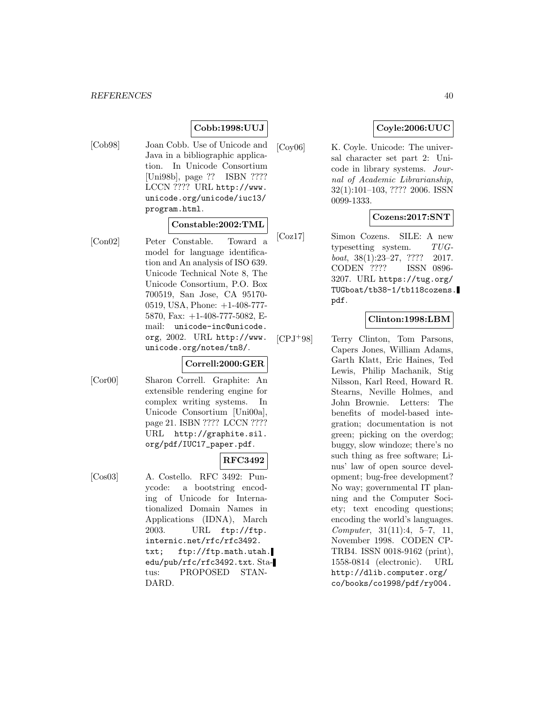# **Cobb:1998:UUJ**

[Cob98] Joan Cobb. Use of Unicode and Java in a bibliographic application. In Unicode Consortium [Uni98b], page ?? ISBN ???? LCCN ???? URL http://www. unicode.org/unicode/iuc13/ program.html.

# **Constable:2002:TML**

[Con02] Peter Constable. Toward a model for language identification and An analysis of ISO 639. Unicode Technical Note 8, The Unicode Consortium, P.O. Box 700519, San Jose, CA 95170- 0519, USA, Phone: +1-408-777- 5870, Fax: +1-408-777-5082, Email: unicode-inc@unicode. org, 2002. URL http://www. unicode.org/notes/tn8/.

#### **Correll:2000:GER**

[Cor00] Sharon Correll. Graphite: An extensible rendering engine for complex writing systems. In Unicode Consortium [Uni00a], page 21. ISBN ???? LCCN ???? URL http://graphite.sil. org/pdf/IUC17\_paper.pdf.

# **RFC3492**

[Cos03] A. Costello. RFC 3492: Punycode: a bootstring encoding of Unicode for Internationalized Domain Names in Applications (IDNA), March 2003. URL ftp://ftp. internic.net/rfc/rfc3492. txt; ftp://ftp.math.utah. edu/pub/rfc/rfc3492.txt. Status: PROPOSED STAN-DARD.

# **Coyle:2006:UUC**

[Coy06] K. Coyle. Unicode: The universal character set part 2: Unicode in library systems. Journal of Academic Librarianship, 32(1):101–103, ???? 2006. ISSN 0099-1333.

# **Cozens:2017:SNT**

[Coz17] Simon Cozens. SILE: A new typesetting system. TUGboat, 38(1):23–27, ???? 2017. CODEN ???? ISSN 0896- 3207. URL https://tug.org/ TUGboat/tb38-1/tb118cozens. pdf.

# **Clinton:1998:LBM**

[CPJ<sup>+</sup>98] Terry Clinton, Tom Parsons, Capers Jones, William Adams, Garth Klatt, Eric Haines, Ted Lewis, Philip Machanik, Stig Nilsson, Karl Reed, Howard R. Stearns, Neville Holmes, and John Brownie. Letters: The benefits of model-based integration; documentation is not green; picking on the overdog; buggy, slow windoze; there's no such thing as free software; Linus' law of open source development; bug-free development? No way; governmental IT planning and the Computer Society; text encoding questions; encoding the world's languages. Computer, 31(11):4, 5–7, 11, November 1998. CODEN CP-TRB4. ISSN 0018-9162 (print), 1558-0814 (electronic). URL http://dlib.computer.org/ co/books/co1998/pdf/ry004.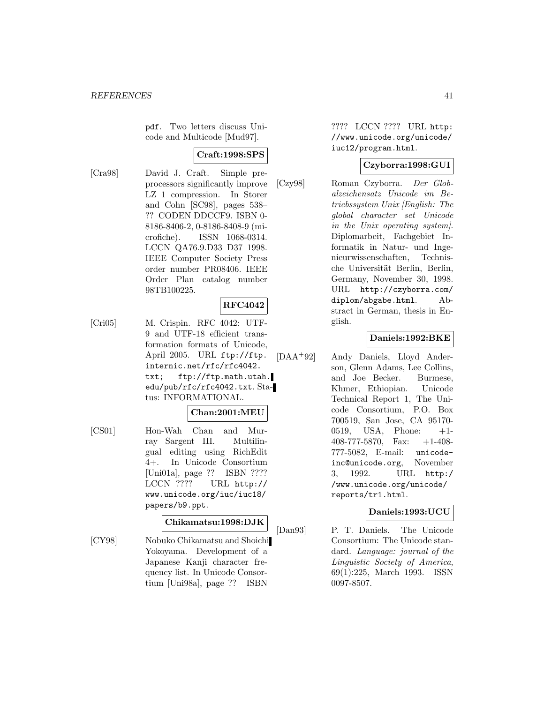pdf. Two letters discuss Unicode and Multicode [Mud97].

# **Craft:1998:SPS**

[Cra98] David J. Craft. Simple preprocessors significantly improve LZ 1 compression. In Storer and Cohn [SC98], pages 538– ?? CODEN DDCCF9. ISBN 0- 8186-8406-2, 0-8186-8408-9 (microfiche). ISSN 1068-0314. LCCN QA76.9.D33 D37 1998. IEEE Computer Society Press order number PR08406. IEEE Order Plan catalog number 98TB100225.

# **RFC4042**

[Cri05] M. Crispin. RFC 4042: UTF-9 and UTF-18 efficient transformation formats of Unicode, April 2005. URL ftp://ftp. internic.net/rfc/rfc4042. txt; ftp://ftp.math.utah. edu/pub/rfc/rfc4042.txt. Status: INFORMATIONAL.

#### **Chan:2001:MEU**

[CS01] Hon-Wah Chan and Murray Sargent III. Multilingual editing using RichEdit 4+. In Unicode Consortium [Uni01a], page ?? ISBN ???? LCCN ???? URL http:// www.unicode.org/iuc/iuc18/ papers/b9.ppt.

#### **Chikamatsu:1998:DJK**

[CY98] Nobuko Chikamatsu and Shoichi Yokoyama. Development of a Japanese Kanji character frequency list. In Unicode Consortium [Uni98a], page ?? ISBN

???? LCCN ???? URL http: //www.unicode.org/unicode/ iuc12/program.html.

# **Czyborra:1998:GUI**

[Czy98] Roman Czyborra. Der Globalzeichensatz Unicode im Betriebssystem Unix [English: The global character set Unicode in the Unix operating system]. Diplomarbeit, Fachgebiet Informatik in Natur- und Ingenieurwissenschaften, Technische Universität Berlin, Berlin, Germany, November 30, 1998. URL http://czyborra.com/ diplom/abgabe.html. Abstract in German, thesis in English.

# **Daniels:1992:BKE**

[DAA<sup>+</sup>92] Andy Daniels, Lloyd Anderson, Glenn Adams, Lee Collins, and Joe Becker. Burmese, Khmer, Ethiopian. Unicode Technical Report 1, The Unicode Consortium, P.O. Box 700519, San Jose, CA 95170- 0519, USA, Phone: +1- 408-777-5870, Fax: +1-408- 777-5082, E-mail: unicodeinc@unicode.org, November 3, 1992. URL http:/ /www.unicode.org/unicode/ reports/tr1.html.

# **Daniels:1993:UCU**

[Dan93] P. T. Daniels. The Unicode Consortium: The Unicode standard. Language: journal of the Linguistic Society of America, 69(1):225, March 1993. ISSN 0097-8507.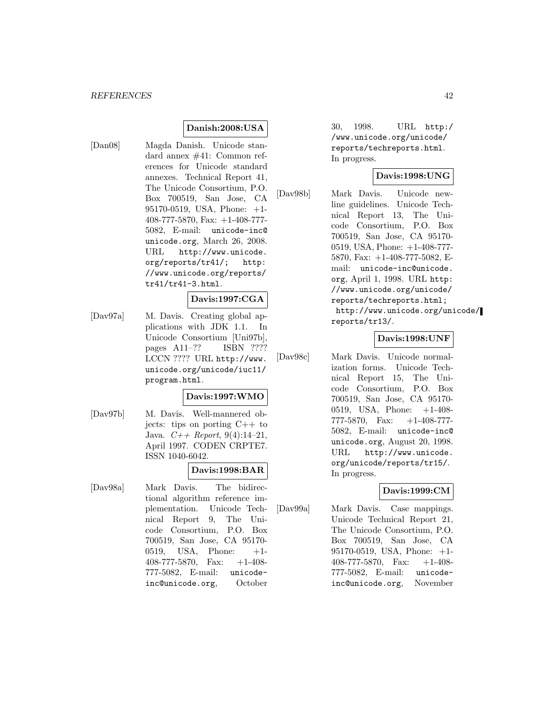## **Danish:2008:USA**

[Dan08] Magda Danish. Unicode standard annex #41: Common references for Unicode standard annexes. Technical Report 41, The Unicode Consortium, P.O. Box 700519, San Jose, CA 95170-0519, USA, Phone: +1- 408-777-5870, Fax: +1-408-777- 5082, E-mail: unicode-inc@ unicode.org, March 26, 2008. URL http://www.unicode. org/reports/tr41/; http: //www.unicode.org/reports/ tr41/tr41-3.html.

#### **Davis:1997:CGA**

[Dav97a] M. Davis. Creating global applications with JDK 1.1. In Unicode Consortium [Uni97b], pages A11–?? ISBN ???? LCCN ???? URL http://www. unicode.org/unicode/iuc11/ program.html.

#### **Davis:1997:WMO**

[Dav97b] M. Davis. Well-mannered objects: tips on porting C++ to Java.  $C_{++}$  Report, 9(4):14-21, April 1997. CODEN CRPTE7. ISSN 1040-6042.

# **Davis:1998:BAR**

[Dav98a] Mark Davis. The bidirectional algorithm reference implementation. Unicode Technical Report 9, The Unicode Consortium, P.O. Box 700519, San Jose, CA 95170-  $0519.$  USA, Phone:  $+1$ -408-777-5870, Fax: +1-408- 777-5082, E-mail: unicodeinc@unicode.org, October 30, 1998. URL http:/ /www.unicode.org/unicode/ reports/techreports.html. In progress.

#### **Davis:1998:UNG**

[Dav98b] Mark Davis. Unicode newline guidelines. Unicode Technical Report 13, The Unicode Consortium, P.O. Box 700519, San Jose, CA 95170- 0519, USA, Phone: +1-408-777- 5870, Fax: +1-408-777-5082, Email: unicode-inc@unicode. org, April 1, 1998. URL http: //www.unicode.org/unicode/ reports/techreports.html; http://www.unicode.org/unicode/ reports/tr13/.

#### **Davis:1998:UNF**

[Dav98c] Mark Davis. Unicode normalization forms. Unicode Technical Report 15, The Unicode Consortium, P.O. Box 700519, San Jose, CA 95170- 0519, USA, Phone: +1-408- 777-5870, Fax: +1-408-777- 5082, E-mail: unicode-inc@ unicode.org, August 20, 1998. URL http://www.unicode. org/unicode/reports/tr15/. In progress.

#### **Davis:1999:CM**

[Dav99a] Mark Davis. Case mappings. Unicode Technical Report 21, The Unicode Consortium, P.O. Box 700519, San Jose, CA 95170-0519, USA, Phone: +1- 408-777-5870, Fax: +1-408- 777-5082, E-mail: unicodeinc@unicode.org, November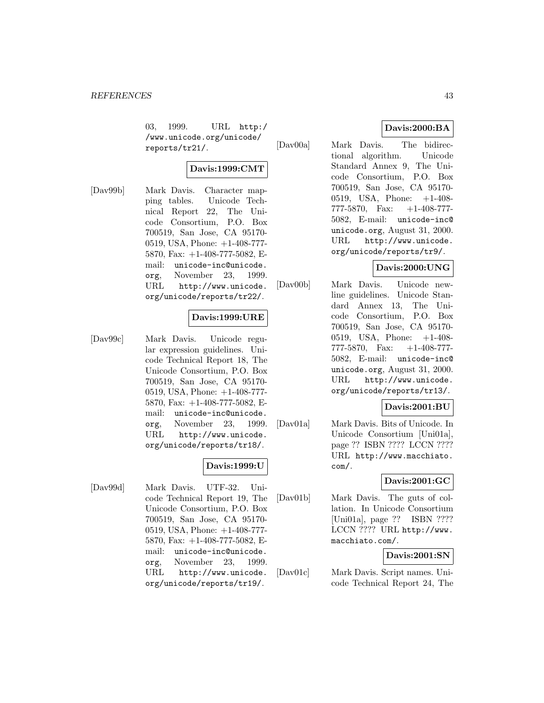03, 1999. URL http:/ /www.unicode.org/unicode/ reports/tr21/.

#### **Davis:1999:CMT**

[Dav99b] Mark Davis. Character mapping tables. Unicode Technical Report 22, The Unicode Consortium, P.O. Box 700519, San Jose, CA 95170- 0519, USA, Phone: +1-408-777- 5870, Fax: +1-408-777-5082, Email: unicode-inc@unicode. org, November 23, 1999. URL http://www.unicode. org/unicode/reports/tr22/.

# **Davis:1999:URE**

[Dav99c] Mark Davis. Unicode regular expression guidelines. Unicode Technical Report 18, The Unicode Consortium, P.O. Box 700519, San Jose, CA 95170- 0519, USA, Phone: +1-408-777- 5870, Fax: +1-408-777-5082, Email: unicode-inc@unicode. org, November 23, 1999. URL http://www.unicode. org/unicode/reports/tr18/.

#### **Davis:1999:U**

[Dav99d] Mark Davis. UTF-32. Unicode Technical Report 19, The Unicode Consortium, P.O. Box 700519, San Jose, CA 95170- 0519, USA, Phone: +1-408-777- 5870, Fax: +1-408-777-5082, Email: unicode-inc@unicode. org, November 23, 1999. URL http://www.unicode. org/unicode/reports/tr19/.

## **Davis:2000:BA**

[Dav00a] Mark Davis. The bidirectional algorithm. Unicode Standard Annex 9, The Unicode Consortium, P.O. Box 700519, San Jose, CA 95170- 0519, USA, Phone: +1-408- 777-5870, Fax: +1-408-777- 5082, E-mail: unicode-inc@ unicode.org, August 31, 2000. URL http://www.unicode. org/unicode/reports/tr9/.

#### **Davis:2000:UNG**

[Dav00b] Mark Davis. Unicode newline guidelines. Unicode Standard Annex 13, The Unicode Consortium, P.O. Box 700519, San Jose, CA 95170- 0519, USA, Phone: +1-408- 777-5870, Fax: +1-408-777- 5082, E-mail: unicode-inc@ unicode.org, August 31, 2000. URL http://www.unicode. org/unicode/reports/tr13/.

#### **Davis:2001:BU**

[Dav01a] Mark Davis. Bits of Unicode. In Unicode Consortium [Uni01a], page ?? ISBN ???? LCCN ???? URL http://www.macchiato. com/.

# **Davis:2001:GC**

[Dav01b] Mark Davis. The guts of collation. In Unicode Consortium [Uni01a], page ?? ISBN ???? LCCN ???? URL http://www. macchiato.com/.

## **Davis:2001:SN**

[Dav01c] Mark Davis. Script names. Unicode Technical Report 24, The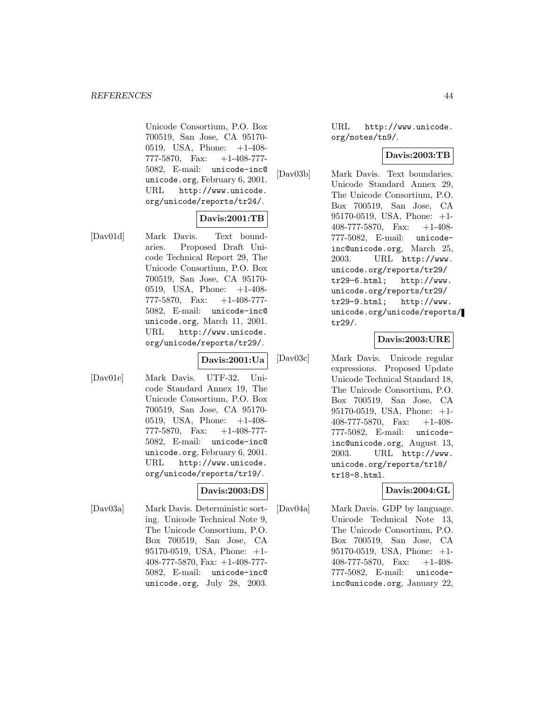Unicode Consortium, P.O. Box 700519, San Jose, CA 95170- 0519, USA, Phone: +1-408- 777-5870, Fax: +1-408-777- 5082, E-mail: unicode-inc@ unicode.org, February 6, 2001. URL http://www.unicode. org/unicode/reports/tr24/.

# **Davis:2001:TB**

[Dav01d] Mark Davis. Text boundaries. Proposed Draft Unicode Technical Report 29, The Unicode Consortium, P.O. Box 700519, San Jose, CA 95170- 0519, USA, Phone: +1-408- 777-5870, Fax: +1-408-777- 5082, E-mail: unicode-inc@ unicode.org, March 11, 2001. URL http://www.unicode. org/unicode/reports/tr29/.

**Davis:2001:Ua**

[Dav01e] Mark Davis. UTF-32. Unicode Standard Annex 19, The Unicode Consortium, P.O. Box 700519, San Jose, CA 95170- 0519, USA, Phone: +1-408- 777-5870, Fax:  $+1-408-777$ 5082, E-mail: unicode-inc@ unicode.org, February 6, 2001. URL http://www.unicode. org/unicode/reports/tr19/.

# **Davis:2003:DS**

[Dav03a] Mark Davis. Deterministic sorting. Unicode Technical Note 9, The Unicode Consortium, P.O. Box 700519, San Jose, CA 95170-0519, USA, Phone: +1- 408-777-5870, Fax: +1-408-777- 5082, E-mail: unicode-inc@ unicode.org, July 28, 2003.

URL http://www.unicode. org/notes/tn9/.

## **Davis:2003:TB**

[Dav03b] Mark Davis. Text boundaries. Unicode Standard Annex 29, The Unicode Consortium, P.O. Box 700519, San Jose, CA 95170-0519, USA, Phone: +1- 408-777-5870, Fax: +1-408- 777-5082, E-mail: unicodeinc@unicode.org, March 25, 2003. URL http://www. unicode.org/reports/tr29/ tr29-6.html; http://www. unicode.org/reports/tr29/ tr29-9.html; http://www. unicode.org/unicode/reports/ tr29/.

# **Davis:2003:URE**

[Dav03c] Mark Davis. Unicode regular expressions. Proposed Update Unicode Technical Standard 18, The Unicode Consortium, P.O. Box 700519, San Jose, CA 95170-0519, USA, Phone: +1- 408-777-5870, Fax: +1-408- 777-5082, E-mail: unicodeinc@unicode.org, August 13, 2003. URL http://www. unicode.org/reports/tr18/ tr18-8.html.

# **Davis:2004:GL**

[Dav04a] Mark Davis. GDP by language. Unicode Technical Note 13, The Unicode Consortium, P.O. Box 700519, San Jose, CA 95170-0519, USA, Phone: +1- 408-777-5870, Fax: +1-408- 777-5082, E-mail: unicodeinc@unicode.org, January 22,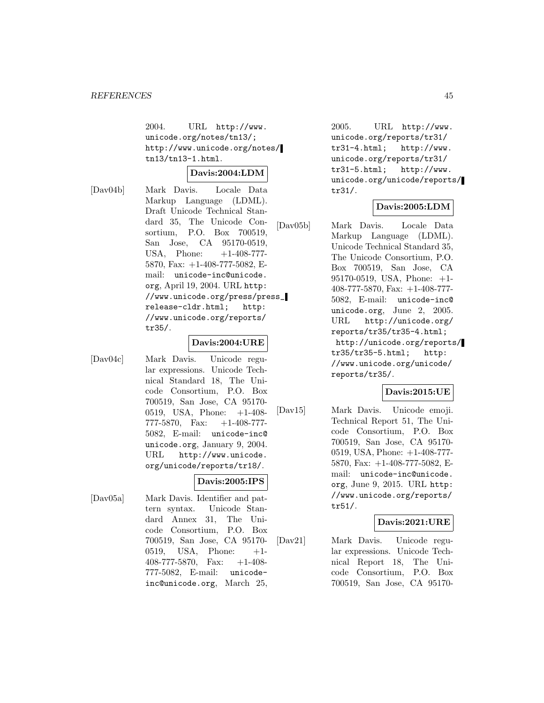2004. URL http://www. unicode.org/notes/tn13/; http://www.unicode.org/notes/ tn13/tn13-1.html.

#### **Davis:2004:LDM**

[Dav04b] Mark Davis. Locale Data Markup Language (LDML). Draft Unicode Technical Standard 35, The Unicode Consortium, P.O. Box 700519, San Jose, CA 95170-0519, USA, Phone:  $+1-408-777-$ 5870, Fax: +1-408-777-5082, Email: unicode-inc@unicode. org, April 19, 2004. URL http: //www.unicode.org/press/press\_ release-cldr.html; http: //www.unicode.org/reports/ tr35/.

#### **Davis:2004:URE**

[Dav04c] Mark Davis. Unicode regular expressions. Unicode Technical Standard 18, The Unicode Consortium, P.O. Box 700519, San Jose, CA 95170- 0519, USA, Phone: +1-408- 777-5870, Fax: +1-408-777- 5082, E-mail: unicode-inc@ unicode.org, January 9, 2004. URL http://www.unicode. org/unicode/reports/tr18/.

#### **Davis:2005:IPS**

[Dav05a] Mark Davis. Identifier and pattern syntax. Unicode Standard Annex 31, The Unicode Consortium, P.O. Box 700519, San Jose, CA 95170- 0519, USA, Phone:  $+1$ -408-777-5870, Fax: +1-408- 777-5082, E-mail: unicodeinc@unicode.org, March 25,

 $2005.$  URL  $http://www.$ unicode.org/reports/tr31/ tr31-4.html; http://www. unicode.org/reports/tr31/ tr31-5.html; http://www. unicode.org/unicode/reports/ tr31/.

# **Davis:2005:LDM**

[Dav05b] Mark Davis. Locale Data Markup Language (LDML). Unicode Technical Standard 35, The Unicode Consortium, P.O. Box 700519, San Jose, CA 95170-0519, USA, Phone: +1- 408-777-5870, Fax: +1-408-777- 5082, E-mail: unicode-inc@ unicode.org, June 2, 2005. URL http://unicode.org/ reports/tr35/tr35-4.html; http://unicode.org/reports/ tr35/tr35-5.html; http: //www.unicode.org/unicode/ reports/tr35/.

#### **Davis:2015:UE**

[Dav15] Mark Davis. Unicode emoji. Technical Report 51, The Unicode Consortium, P.O. Box 700519, San Jose, CA 95170- 0519, USA, Phone: +1-408-777- 5870, Fax: +1-408-777-5082, Email: unicode-inc@unicode. org, June 9, 2015. URL http: //www.unicode.org/reports/ tr51/.

#### **Davis:2021:URE**

[Dav21] Mark Davis. Unicode regular expressions. Unicode Technical Report 18, The Unicode Consortium, P.O. Box 700519, San Jose, CA 95170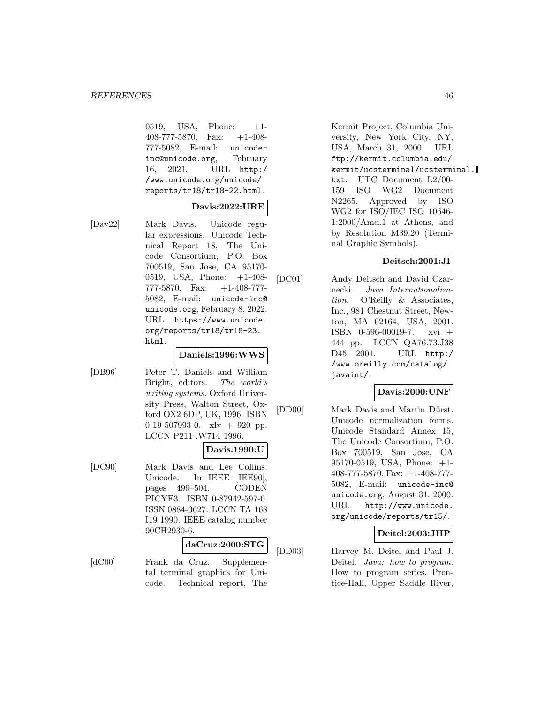0519, USA, Phone:  $+1$ -408-777-5870, Fax: +1-408- 777-5082, E-mail: unicodeinc@unicode.org, February 16, 2021. URL http:/ /www.unicode.org/unicode/ reports/tr18/tr18-22.html.

## **Davis:2022:URE**

[Dav22] Mark Davis. Unicode regular expressions. Unicode Technical Report 18, The Unicode Consortium, P.O. Box 700519, San Jose, CA 95170- 0519, USA, Phone: +1-408- 777-5870, Fax: +1-408-777- 5082, E-mail: unicode-inc@ unicode.org, February 8, 2022. URL https://www.unicode. org/reports/tr18/tr18-23. html.

#### **Daniels:1996:WWS**

[DB96] Peter T. Daniels and William Bright, editors. The world's writing systems. Oxford University Press, Walton Street, Oxford OX2 6DP, UK, 1996. ISBN 0-19-507993-0. xlv + 920 pp. LCCN P211 .W714 1996.

# **Davis:1990:U**

[DC90] Mark Davis and Lee Collins. Unicode. In IEEE [IEE90], pages 499–504. CODEN PICYE3. ISBN 0-87942-597-0. ISSN 0884-3627. LCCN TA 168 I19 1990. IEEE catalog number 90CH2930-6.

# **daCruz:2000:STG**

[dC00] Frank da Cruz. Supplemental terminal graphics for Unicode. Technical report, The

Kermit Project, Columbia University, New York City, NY, USA, March 31, 2000. URL ftp://kermit.columbia.edu/ kermit/ucsterminal/ucsterminal. txt. UTC Document L2/00- 159 ISO WG2 Document N2265. Approved by ISO WG2 for ISO/IEC ISO 10646- 1:2000/Amd.1 at Athens, and by Resolution M39.20 (Terminal Graphic Symbols).

## **Deitsch:2001:JI**

[DC01] Andy Deitsch and David Czarnecki. Java Internationalization. O'Reilly & Associates, Inc., 981 Chestnut Street, Newton, MA 02164, USA, 2001. ISBN 0-596-00019-7. xvi + 444 pp. LCCN QA76.73.J38 D45 2001. URL http:/ /www.oreilly.com/catalog/ javaint/.

#### **Davis:2000:UNF**

[DD00] Mark Davis and Martin Dürst. Unicode normalization forms. Unicode Standard Annex 15, The Unicode Consortium, P.O. Box 700519, San Jose, CA 95170-0519, USA, Phone: +1- 408-777-5870, Fax: +1-408-777- 5082, E-mail: unicode-inc@ unicode.org, August 31, 2000. URL http://www.unicode. org/unicode/reports/tr15/.

#### **Deitel:2003:JHP**

[DD03] Harvey M. Deitel and Paul J. Deitel. *Java:* how to program. How to program series. Prentice-Hall, Upper Saddle River,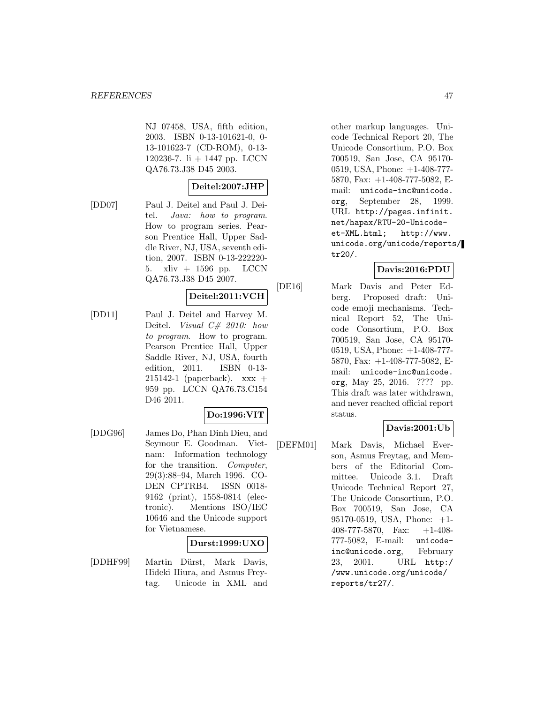NJ 07458, USA, fifth edition, 2003. ISBN 0-13-101621-0, 0- 13-101623-7 (CD-ROM), 0-13- 120236-7. li + 1447 pp. LCCN QA76.73.J38 D45 2003.

# **Deitel:2007:JHP**

[DD07] Paul J. Deitel and Paul J. Deitel. Java: how to program. How to program series. Pearson Prentice Hall, Upper Saddle River, NJ, USA, seventh edition, 2007. ISBN 0-13-222220- 5. xliv + 1596 pp. LCCN QA76.73.J38 D45 2007.

## **Deitel:2011:VCH**

[DD11] Paul J. Deitel and Harvey M. Deitel. *Visual C# 2010:* how to program. How to program. Pearson Prentice Hall, Upper Saddle River, NJ, USA, fourth edition, 2011. ISBN 0-13-  $215142-1$  (paperback).  $xxx +$ 959 pp. LCCN QA76.73.C154 D46 2011.

#### **Do:1996:VIT**

[DDG96] James Do, Phan Dinh Dieu, and Seymour E. Goodman. Vietnam: Information technology for the transition. Computer, 29(3):88–94, March 1996. CO-DEN CPTRB4. ISSN 0018- 9162 (print), 1558-0814 (electronic). Mentions ISO/IEC 10646 and the Unicode support for Vietnamese.

# **Durst:1999:UXO**

[DDHF99] Martin Dürst, Mark Davis, Hideki Hiura, and Asmus Freytag. Unicode in XML and other markup languages. Unicode Technical Report 20, The Unicode Consortium, P.O. Box 700519, San Jose, CA 95170- 0519, USA, Phone: +1-408-777- 5870, Fax: +1-408-777-5082, Email: unicode-inc@unicode. org, September 28, 1999. URL http://pages.infinit. net/hapax/RTU-20-Unicodeet-XML.html; http://www. unicode.org/unicode/reports/ tr20/.

# **Davis:2016:PDU**

[DE16] Mark Davis and Peter Edberg. Proposed draft: Unicode emoji mechanisms. Technical Report 52, The Unicode Consortium, P.O. Box 700519, San Jose, CA 95170- 0519, USA, Phone: +1-408-777- 5870, Fax: +1-408-777-5082, Email: unicode-inc@unicode. org, May 25, 2016. ???? pp. This draft was later withdrawn, and never reached official report status.

# **Davis:2001:Ub**

[DEFM01] Mark Davis, Michael Everson, Asmus Freytag, and Members of the Editorial Committee. Unicode 3.1. Draft Unicode Technical Report 27, The Unicode Consortium, P.O. Box 700519, San Jose, CA 95170-0519, USA, Phone: +1- 408-777-5870, Fax: +1-408- 777-5082, E-mail: unicodeinc@unicode.org, February 23, 2001. URL http:/ /www.unicode.org/unicode/ reports/tr27/.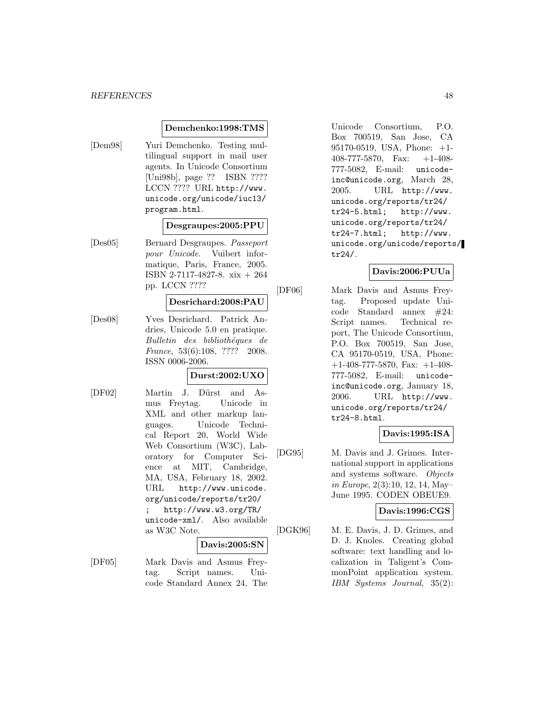#### **Demchenko:1998:TMS**

[Dem98] Yuri Demchenko. Testing multilingual support in mail user agents. In Unicode Consortium [Uni98b], page ?? ISBN ???? LCCN ???? URL http://www. unicode.org/unicode/iuc13/ program.html.

#### **Desgraupes:2005:PPU**

[Des05] Bernard Desgraupes. Passeport pour Unicode. Vuibert informatique, Paris, France, 2005. ISBN 2-7117-4827-8. xix + 264 pp. LCCN ????

# **Desrichard:2008:PAU**

[Des08] Yves Desrichard. Patrick Andries, Unicode 5.0 en pratique. Bulletin des bibliothéques de France, 53(6):108, ???? 2008. ISSN 0006-2006.

# **Durst:2002:UXO**

[DF02] Martin J. Dürst and Asmus Freytag. Unicode in XML and other markup languages. Unicode Technical Report 20, World Wide Web Consortium (W3C), Laboratory for Computer Science at MIT, Cambridge, MA, USA, February 18, 2002. URL http://www.unicode. org/unicode/reports/tr20/ ; http://www.w3.org/TR/ unicode-xml/. Also available as W3C Note.

#### **Davis:2005:SN**

[DF05] Mark Davis and Asmus Freytag. Script names. Unicode Standard Annex 24, The Unicode Consortium, P.O. Box 700519, San Jose, CA 95170-0519, USA, Phone: +1- 408-777-5870, Fax: +1-408- 777-5082, E-mail: unicodeinc@unicode.org, March 28, 2005. URL http://www. unicode.org/reports/tr24/ tr24-5.html; http://www. unicode.org/reports/tr24/ tr24-7.html; http://www. unicode.org/unicode/reports/ tr24/.

#### **Davis:2006:PUUa**

[DF06] Mark Davis and Asmus Freytag. Proposed update Unicode Standard annex #24: Script names. Technical report, The Unicode Consortium, P.O. Box 700519, San Jose, CA 95170-0519, USA, Phone:  $+1-408-777-5870$ , Fax:  $+1-408-$ 777-5082, E-mail: unicodeinc@unicode.org, January 18, 2006. URL http://www. unicode.org/reports/tr24/ tr24-8.html.

# **Davis:1995:ISA**

[DG95] M. Davis and J. Grimes. International support in applications and systems software. Objects in Europe, 2(3):10, 12, 14, May– June 1995. CODEN OBEUE9.

#### **Davis:1996:CGS**

[DGK96] M. E. Davis, J. D. Grimes, and D. J. Knoles. Creating global software: text handling and localization in Taligent's CommonPoint application system. IBM Systems Journal, 35(2):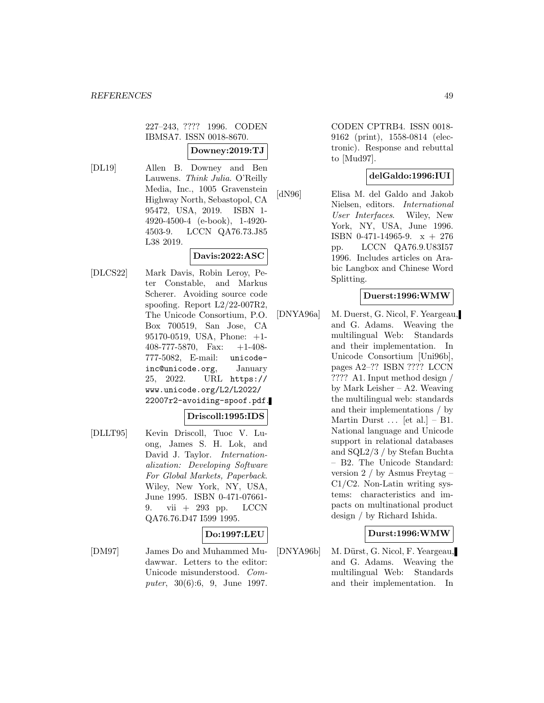227–243, ???? 1996. CODEN IBMSA7. ISSN 0018-8670.

## **Downey:2019:TJ**

[DL19] Allen B. Downey and Ben Lauwens. Think Julia. O'Reilly Media, Inc., 1005 Gravenstein Highway North, Sebastopol, CA 95472, USA, 2019. ISBN 1- 4920-4500-4 (e-book), 1-4920- 4503-9. LCCN QA76.73.J85 L38 2019.

# **Davis:2022:ASC**

[DLCS22] Mark Davis, Robin Leroy, Peter Constable, and Markus Scherer. Avoiding source code spoofing. Report L2/22-007R2, The Unicode Consortium, P.O. Box 700519, San Jose, CA 95170-0519, USA, Phone: +1- 408-777-5870, Fax: +1-408- 777-5082, E-mail: unicodeinc@unicode.org, January 25, 2022. URL https:// www.unicode.org/L2/L2022/ 22007r2-avoiding-spoof.pdf.

#### **Driscoll:1995:IDS**

[DLLT95] Kevin Driscoll, Tuoc V. Luong, James S. H. Lok, and David J. Taylor. Internationalization: Developing Software For Global Markets, Paperback. Wiley, New York, NY, USA, June 1995. ISBN 0-471-07661- 9. vii + 293 pp. LCCN QA76.76.D47 I599 1995.

#### **Do:1997:LEU**

[DM97] James Do and Muhammed Mudawwar. Letters to the editor: Unicode misunderstood. Computer, 30(6):6, 9, June 1997.

CODEN CPTRB4. ISSN 0018- 9162 (print), 1558-0814 (electronic). Response and rebuttal to [Mud97].

# **delGaldo:1996:IUI**

[dN96] Elisa M. del Galdo and Jakob Nielsen, editors. International User Interfaces. Wiley, New York, NY, USA, June 1996. ISBN 0-471-14965-9. x + 276 pp. LCCN QA76.9.U83I57 1996. Includes articles on Arabic Langbox and Chinese Word Splitting.

## **Duerst:1996:WMW**

[DNYA96a] M. Duerst, G. Nicol, F. Yeargeau, and G. Adams. Weaving the multilingual Web: Standards and their implementation. In Unicode Consortium [Uni96b], pages A2–?? ISBN ???? LCCN ???? A1. Input method design / by Mark Leisher – A2. Weaving the multilingual web: standards and their implementations / by Martin Durst  $\ldots$  [et al.] – B1. National language and Unicode support in relational databases and SQL2/3 / by Stefan Buchta – B2. The Unicode Standard: version 2 / by Asmus Freytag – C1/C2. Non-Latin writing systems: characteristics and impacts on multinational product design / by Richard Ishida.

#### **Durst:1996:WMW**

[DNYA96b] M. Dürst, G. Nicol, F. Yeargeau, and G. Adams. Weaving the multilingual Web: Standards and their implementation. In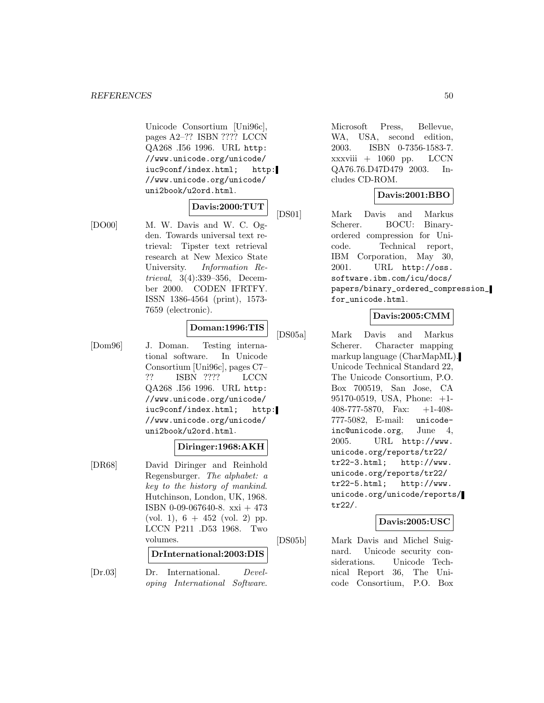Unicode Consortium [Uni96c], pages A2–?? ISBN ???? LCCN QA268 .I56 1996. URL http: //www.unicode.org/unicode/ iuc9conf/index.html; http: //www.unicode.org/unicode/ uni2book/u2ord.html.

# **Davis:2000:TUT**

[DO00] M. W. Davis and W. C. Ogden. Towards universal text retrieval: Tipster text retrieval research at New Mexico State University. Information Retrieval, 3(4):339–356, December 2000. CODEN IFRTFY. ISSN 1386-4564 (print), 1573- 7659 (electronic).

# **Doman:1996:TIS**

[Dom96] J. Doman. Testing international software. In Unicode Consortium [Uni96c], pages C7– ?? ISBN ???? LCCN QA268 .I56 1996. URL http: //www.unicode.org/unicode/ iuc9conf/index.html; http: //www.unicode.org/unicode/ uni2book/u2ord.html.

# **Diringer:1968:AKH**

[DR68] David Diringer and Reinhold Regensburger. The alphabet: a key to the history of mankind. Hutchinson, London, UK, 1968. ISBN 0-09-067640-8. xxi + 473 (vol. 1),  $6 + 452$  (vol. 2) pp. LCCN P211 .D53 1968. Two volumes.

**DrInternational:2003:DIS**

[Dr.03] Dr. International. Developing International Software.

Microsoft Press, Bellevue, WA, USA, second edition, 2003. ISBN 0-7356-1583-7. xxxviii + 1060 pp. LCCN QA76.76.D47D479 2003. Includes CD-ROM.

# **Davis:2001:BBO**

[DS01] Mark Davis and Markus Scherer. BOCU: Binaryordered compression for Unicode. Technical report, IBM Corporation, May 30, 2001. URL http://oss. software.ibm.com/icu/docs/ papers/binary\_ordered\_compression\_ for\_unicode.html.

## **Davis:2005:CMM**

[DS05a] Mark Davis and Markus Scherer. Character mapping markup language (CharMapML). Unicode Technical Standard 22, The Unicode Consortium, P.O. Box 700519, San Jose, CA 95170-0519, USA, Phone: +1- 408-777-5870, Fax: +1-408- 777-5082, E-mail: unicodeinc@unicode.org, June 4, 2005. URL http://www. unicode.org/reports/tr22/ tr22-3.html; http://www. unicode.org/reports/tr22/ tr22-5.html; http://www. unicode.org/unicode/reports/ tr22/.

## **Davis:2005:USC**

[DS05b] Mark Davis and Michel Suignard. Unicode security considerations. Unicode Technical Report 36, The Unicode Consortium, P.O. Box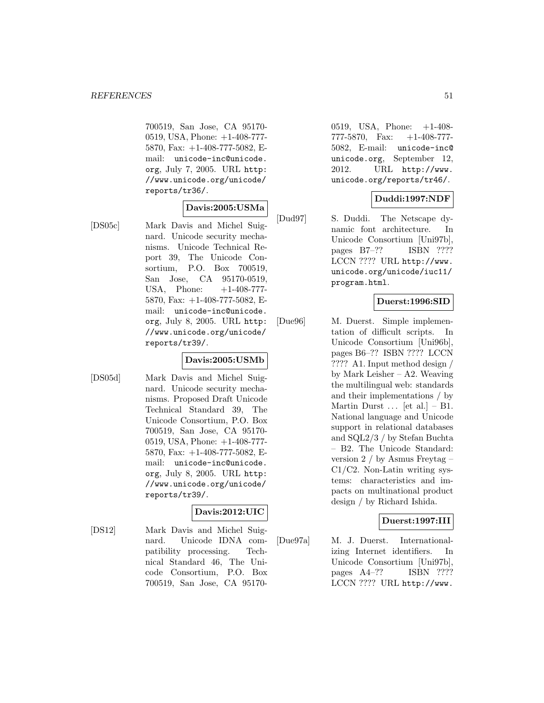700519, San Jose, CA 95170- 0519, USA, Phone: +1-408-777- 5870, Fax: +1-408-777-5082, Email: unicode-inc@unicode. org, July 7, 2005. URL http: //www.unicode.org/unicode/ reports/tr36/.

# **Davis:2005:USMa**

[DS05c] Mark Davis and Michel Suignard. Unicode security mechanisms. Unicode Technical Report 39, The Unicode Consortium, P.O. Box 700519, San Jose, CA 95170-0519, USA, Phone: +1-408-777-5870, Fax: +1-408-777-5082, Email: unicode-inc@unicode. org, July 8, 2005. URL http: //www.unicode.org/unicode/ reports/tr39/.

# **Davis:2005:USMb**

[DS05d] Mark Davis and Michel Suignard. Unicode security mechanisms. Proposed Draft Unicode Technical Standard 39, The Unicode Consortium, P.O. Box 700519, San Jose, CA 95170- 0519, USA, Phone: +1-408-777- 5870, Fax: +1-408-777-5082, Email: unicode-inc@unicode. org, July 8, 2005. URL http: //www.unicode.org/unicode/ reports/tr39/.

# **Davis:2012:UIC**

[DS12] Mark Davis and Michel Suignard. Unicode IDNA compatibility processing. Technical Standard 46, The Unicode Consortium, P.O. Box 700519, San Jose, CA 951700519, USA, Phone: +1-408- 777-5870, Fax: +1-408-777- 5082, E-mail: unicode-inc@ unicode.org, September 12, 2012. URL http://www. unicode.org/reports/tr46/.

## **Duddi:1997:NDF**

[Dud97] S. Duddi. The Netscape dynamic font architecture. In Unicode Consortium [Uni97b], pages B7–?? ISBN ???? LCCN ???? URL http://www. unicode.org/unicode/iuc11/ program.html.

## **Duerst:1996:SID**

[Due96] M. Duerst. Simple implementation of difficult scripts. In Unicode Consortium [Uni96b], pages B6–?? ISBN ???? LCCN ???? A1. Input method design / by Mark Leisher – A2. Weaving the multilingual web: standards and their implementations / by Martin Durst  $\ldots$  [et al.] – B1. National language and Unicode support in relational databases and SQL2/3 / by Stefan Buchta – B2. The Unicode Standard: version 2 / by Asmus Freytag – C1/C2. Non-Latin writing systems: characteristics and impacts on multinational product design / by Richard Ishida.

# **Duerst:1997:III**

[Due97a] M. J. Duerst. Internationalizing Internet identifiers. In Unicode Consortium [Uni97b], pages A4–?? ISBN ???? LCCN ???? URL http://www.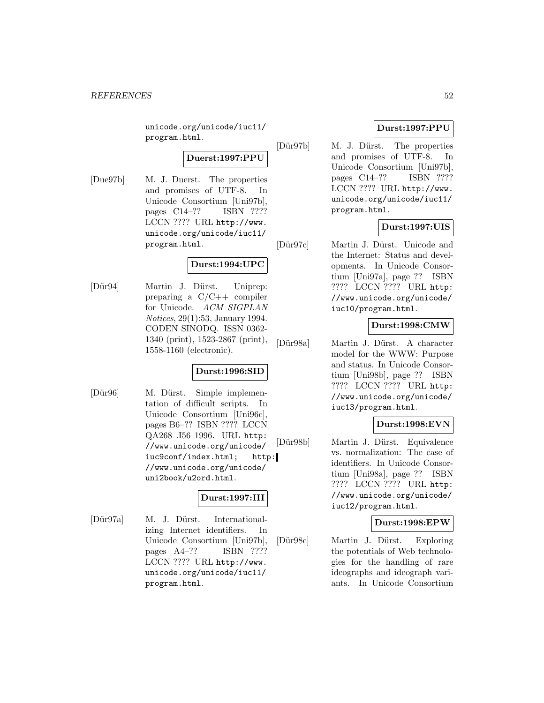unicode.org/unicode/iuc11/ program.html.

**Duerst:1997:PPU**

[Due97b] M. J. Duerst. The properties and promises of UTF-8. In Unicode Consortium [Uni97b], pages C14–?? ISBN ???? LCCN ???? URL http://www. unicode.org/unicode/iuc11/ program.html.

# **Durst:1994:UPC**

[Dür94] Martin J. Dürst. Uniprep: preparing a C/C++ compiler for Unicode. ACM SIGPLAN Notices, 29(1):53, January 1994. CODEN SINODQ. ISSN 0362- 1340 (print), 1523-2867 (print), 1558-1160 (electronic).

# **Durst:1996:SID**

[Dür96] M. Dürst. Simple implementation of difficult scripts. In Unicode Consortium [Uni96c], pages B6–?? ISBN ???? LCCN QA268 .I56 1996. URL http: //www.unicode.org/unicode/ iuc9conf/index.html; http: //www.unicode.org/unicode/ uni2book/u2ord.html.

# **Durst:1997:III**

[Dür97a] M. J. Dürst. Internationalizing Internet identifiers. In Unicode Consortium [Uni97b], pages A4–?? ISBN ???? LCCN ???? URL http://www. unicode.org/unicode/iuc11/ program.html.

# **Durst:1997:PPU**

[Dür97b] M. J. Dürst. The properties and promises of UTF-8. In Unicode Consortium [Uni97b], pages C14–?? ISBN ???? LCCN ???? URL http://www. unicode.org/unicode/iuc11/ program.html.

# **Durst:1997:UIS**

[Dür97c] Martin J. Dürst. Unicode and the Internet: Status and developments. In Unicode Consortium [Uni97a], page ?? ISBN ???? LCCN ???? URL http: //www.unicode.org/unicode/ iuc10/program.html.

# **Durst:1998:CMW**

[Dür98a] Martin J. Dürst. A character model for the WWW: Purpose and status. In Unicode Consortium [Uni98b], page ?? ISBN ???? LCCN ???? URL http: //www.unicode.org/unicode/ iuc13/program.html.

# **Durst:1998:EVN**

[Dür98b] Martin J. Dürst. Equivalence vs. normalization: The case of identifiers. In Unicode Consortium [Uni98a], page ?? ISBN ???? LCCN ???? URL http: //www.unicode.org/unicode/ iuc12/program.html.

# **Durst:1998:EPW**

[Dür98c] Martin J. Dürst. Exploring the potentials of Web technologies for the handling of rare ideographs and ideograph variants. In Unicode Consortium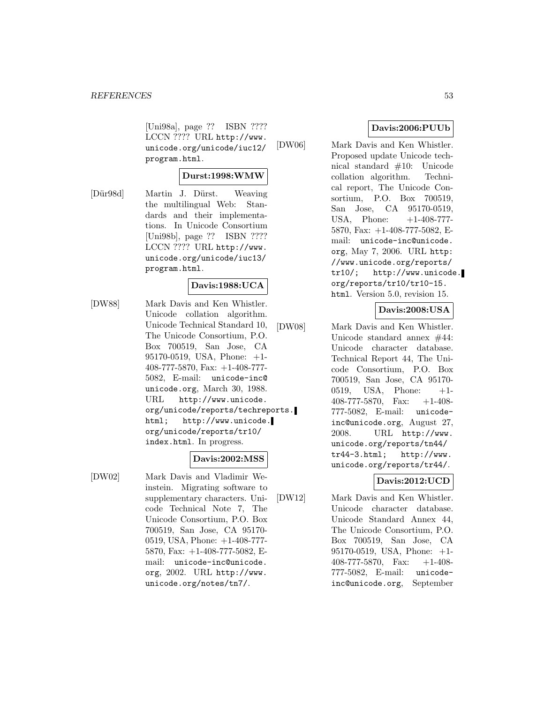[Uni98a], page ?? ISBN ???? LCCN ???? URL http://www. unicode.org/unicode/iuc12/ program.html.

## **Durst:1998:WMW**

[Dür98d] Martin J. Dürst. Weaving the multilingual Web: Standards and their implementations. In Unicode Consortium [Uni98b], page ?? ISBN ???? LCCN ???? URL http://www. unicode.org/unicode/iuc13/ program.html.

#### **Davis:1988:UCA**

[DW88] Mark Davis and Ken Whistler. Unicode collation algorithm. Unicode Technical Standard 10, The Unicode Consortium, P.O. Box 700519, San Jose, CA 95170-0519, USA, Phone: +1- 408-777-5870, Fax: +1-408-777- 5082, E-mail: unicode-inc@ unicode.org, March 30, 1988. URL http://www.unicode. org/unicode/reports/techreports. html; http://www.unicode. org/unicode/reports/tr10/ index.html. In progress.

#### **Davis:2002:MSS**

[DW02] Mark Davis and Vladimir Weinstein. Migrating software to supplementary characters. Unicode Technical Note 7, The Unicode Consortium, P.O. Box 700519, San Jose, CA 95170- 0519, USA, Phone: +1-408-777- 5870, Fax: +1-408-777-5082, Email: unicode-inc@unicode. org, 2002. URL http://www. unicode.org/notes/tn7/.

# **Davis:2006:PUUb**

[DW06] Mark Davis and Ken Whistler. Proposed update Unicode technical standard #10: Unicode collation algorithm. Technical report, The Unicode Consortium, P.O. Box 700519, San Jose, CA 95170-0519, USA, Phone: +1-408-777-5870, Fax: +1-408-777-5082, Email: unicode-inc@unicode. org, May 7, 2006. URL http: //www.unicode.org/reports/ tr10/; http://www.unicode. org/reports/tr10/tr10-15. html. Version 5.0, revision 15.

## **Davis:2008:USA**

[DW08] Mark Davis and Ken Whistler. Unicode standard annex #44: Unicode character database. Technical Report 44, The Unicode Consortium, P.O. Box 700519, San Jose, CA 95170- 0519, USA, Phone: +1- 408-777-5870, Fax: +1-408- 777-5082, E-mail: unicodeinc@unicode.org, August 27, 2008. URL http://www. unicode.org/reports/tn44/ tr44-3.html; http://www. unicode.org/reports/tr44/.

# **Davis:2012:UCD**

[DW12] Mark Davis and Ken Whistler. Unicode character database. Unicode Standard Annex 44, The Unicode Consortium, P.O. Box 700519, San Jose, CA 95170-0519, USA, Phone: +1- 408-777-5870, Fax: +1-408- 777-5082, E-mail: unicodeinc@unicode.org, September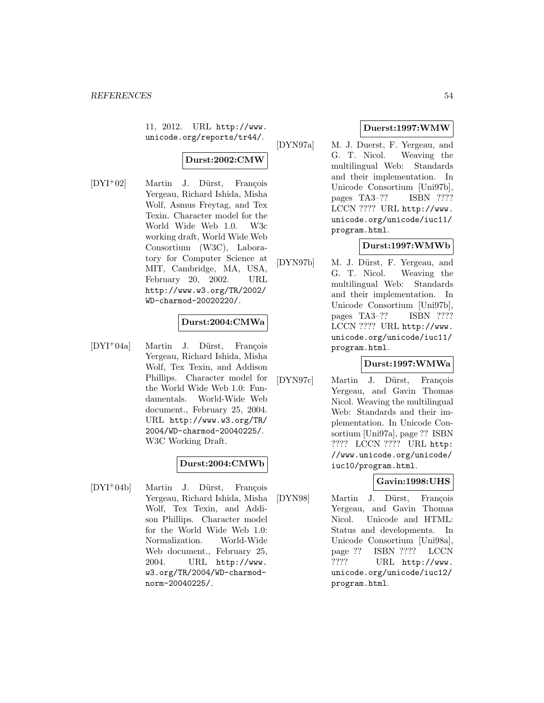11, 2012. URL http://www. unicode.org/reports/tr44/.

# **Durst:2002:CMW**

 $[DYI^+02]$  Martin J. Dürst, François Yergeau, Richard Ishida, Misha Wolf, Asmus Freytag, and Tex Texin. Character model for the World Wide Web 1.0. W3c working draft, World Wide Web Consortium (W3C), Laboratory for Computer Science at MIT, Cambridge, MA, USA, February 20, 2002. URL http://www.w3.org/TR/2002/ WD-charmod-20020220/.

# **Durst:2004:CMWa**

[DYI<sup>+</sup>04a] Martin J. Dürst, François Yergeau, Richard Ishida, Misha Wolf, Tex Texin, and Addison Phillips. Character model for the World Wide Web 1.0: Fundamentals. World-Wide Web document., February 25, 2004. URL http://www.w3.org/TR/ 2004/WD-charmod-20040225/. W3C Working Draft.

# **Durst:2004:CMWb**

[DYI<sup>+</sup>04b] Martin J. Dürst, François Yergeau, Richard Ishida, Misha Wolf, Tex Texin, and Addison Phillips. Character model for the World Wide Web 1.0: Normalization. World-Wide Web document., February 25, 2004. URL http://www. w3.org/TR/2004/WD-charmodnorm-20040225/.

# **Duerst:1997:WMW**

[DYN97a] M. J. Duerst, F. Yergeau, and G. T. Nicol. Weaving the multilingual Web: Standards and their implementation. In Unicode Consortium [Uni97b], pages TA3–?? ISBN ???? LCCN ???? URL http://www. unicode.org/unicode/iuc11/ program.html.

## **Durst:1997:WMWb**

[DYN97b] M. J. Dürst, F. Yergeau, and G. T. Nicol. Weaving the multilingual Web: Standards and their implementation. In Unicode Consortium [Uni97b], pages TA3–?? ISBN ???? LCCN ???? URL http://www. unicode.org/unicode/iuc11/ program.html.

# **Durst:1997:WMWa**

[DYN97c] Martin J. Dürst, François Yergeau, and Gavin Thomas Nicol. Weaving the multilingual Web: Standards and their implementation. In Unicode Consortium [Uni97a], page ?? ISBN ???? LCCN ???? URL http: //www.unicode.org/unicode/ iuc10/program.html.

# **Gavin:1998:UHS**

[DYN98] Martin J. Dürst, François Yergeau, and Gavin Thomas Nicol. Unicode and HTML: Status and developments. In Unicode Consortium [Uni98a], page ?? ISBN ???? LCCN ???? URL http://www. unicode.org/unicode/iuc12/ program.html.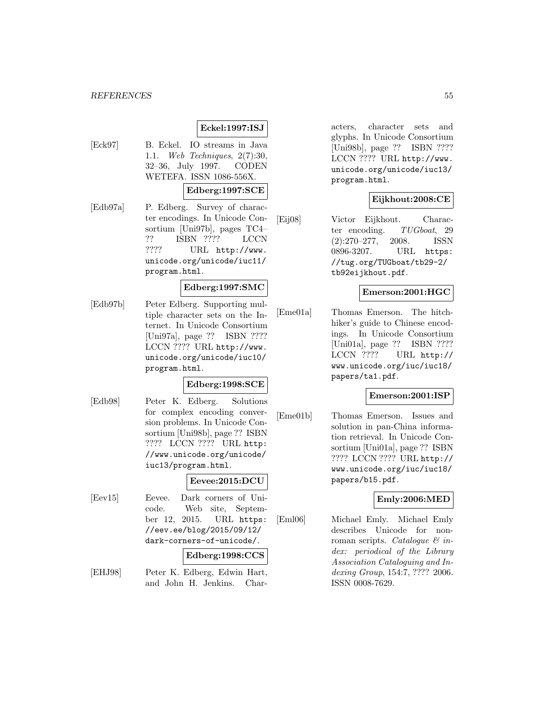#### *REFERENCES* 55

## **Eckel:1997:ISJ**

[Eck97] B. Eckel. IO streams in Java 1.1. Web Techniques, 2(7):30, 32–36, July 1997. CODEN WETEFA. ISSN 1086-556X.

# **Edberg:1997:SCE**

[Edb97a] P. Edberg. Survey of character encodings. In Unicode Consortium [Uni97b], pages TC4– ?? ISBN ???? LCCN ???? URL http://www. unicode.org/unicode/iuc11/ program.html.

#### **Edberg:1997:SMC**

[Edb97b] Peter Edberg. Supporting multiple character sets on the Internet. In Unicode Consortium [Uni97a], page ?? ISBN ???? LCCN ???? URL http://www. unicode.org/unicode/iuc10/ program.html.

#### **Edberg:1998:SCE**

[Edb98] Peter K. Edberg. Solutions for complex encoding conversion problems. In Unicode Consortium [Uni98b], page ?? ISBN ???? LCCN ???? URL http: //www.unicode.org/unicode/ iuc13/program.html.

#### **Eevee:2015:DCU**

[Eev15] Eevee. Dark corners of Unicode. Web site, September 12, 2015. URL https: //eev.ee/blog/2015/09/12/ dark-corners-of-unicode/.

#### **Edberg:1998:CCS**

[EHJ98] Peter K. Edberg, Edwin Hart, and John H. Jenkins. Characters, character sets and glyphs. In Unicode Consortium [Uni98b], page ?? ISBN ???? LCCN ???? URL http://www. unicode.org/unicode/iuc13/ program.html.

# **Eijkhout:2008:CE**

[Eij08] Victor Eijkhout. Character encoding. TUGboat, 29 (2):270–277, 2008. ISSN 0896-3207. URL https: //tug.org/TUGboat/tb29-2/ tb92eijkhout.pdf.

# **Emerson:2001:HGC**

[Eme01a] Thomas Emerson. The hitchhiker's guide to Chinese encodings. In Unicode Consortium [Uni01a], page ?? ISBN ???? LCCN ???? URL http:// www.unicode.org/iuc/iuc18/ papers/ta1.pdf.

## **Emerson:2001:ISP**

[Eme01b] Thomas Emerson. Issues and solution in pan-China information retrieval. In Unicode Consortium [Uni01a], page ?? ISBN ???? LCCN ???? URL http:// www.unicode.org/iuc/iuc18/ papers/b15.pdf.

#### **Emly:2006:MED**

[Eml06] Michael Emly. Michael Emly describes Unicode for nonroman scripts. Catalogue  $\mathcal{C}$  index: periodical of the Library Association Cataloguing and Indexing Group, 154:7, ???? 2006. ISSN 0008-7629.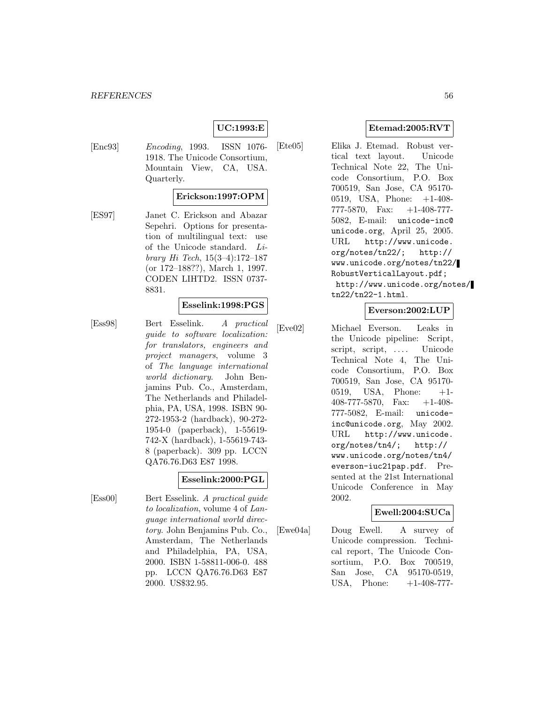# **UC:1993:E**

[Enc93] Encoding, 1993. ISSN 1076- 1918. The Unicode Consortium, Mountain View, CA, USA. Quarterly.

#### **Erickson:1997:OPM**

[ES97] Janet C. Erickson and Abazar Sepehri. Options for presentation of multilingual text: use of the Unicode standard. Library Hi Tech, 15(3–4):172–187 (or 172–188??), March 1, 1997. CODEN LIHTD2. ISSN 0737- 8831.

#### **Esselink:1998:PGS**

[Ess98] Bert Esselink. A practical guide to software localization: for translators, engineers and project managers, volume 3 of The language international world dictionary. John Benjamins Pub. Co., Amsterdam, The Netherlands and Philadelphia, PA, USA, 1998. ISBN 90- 272-1953-2 (hardback), 90-272- 1954-0 (paperback), 1-55619- 742-X (hardback), 1-55619-743- 8 (paperback). 309 pp. LCCN QA76.76.D63 E87 1998.

#### **Esselink:2000:PGL**

[Ess00] Bert Esselink. A practical guide to localization, volume 4 of Language international world directory. John Benjamins Pub. Co., Amsterdam, The Netherlands and Philadelphia, PA, USA, 2000. ISBN 1-58811-006-0. 488 pp. LCCN QA76.76.D63 E87 2000. US\$32.95.

# **Etemad:2005:RVT**

[Ete05] Elika J. Etemad. Robust vertical text layout. Unicode Technical Note 22, The Unicode Consortium, P.O. Box 700519, San Jose, CA 95170- 0519, USA, Phone: +1-408- 777-5870, Fax: +1-408-777- 5082, E-mail: unicode-inc@ unicode.org, April 25, 2005. URL http://www.unicode. org/notes/tn22/; http:// www.unicode.org/notes/tn22/ RobustVerticalLayout.pdf; http://www.unicode.org/notes/ tn22/tn22-1.html.

#### **Everson:2002:LUP**

[Eve02] Michael Everson. Leaks in the Unicode pipeline: Script, script, script, .... Unicode Technical Note 4, The Unicode Consortium, P.O. Box 700519, San Jose, CA 95170- 0519, USA, Phone: +1- 408-777-5870, Fax: +1-408- 777-5082, E-mail: unicodeinc@unicode.org, May 2002. URL http://www.unicode. org/notes/tn4/; http:// www.unicode.org/notes/tn4/ everson-iuc21pap.pdf. Presented at the 21st International Unicode Conference in May 2002.

# **Ewell:2004:SUCa**

[Ewe04a] Doug Ewell. A survey of Unicode compression. Technical report, The Unicode Consortium, P.O. Box 700519, San Jose, CA 95170-0519, USA, Phone:  $+1-408-777$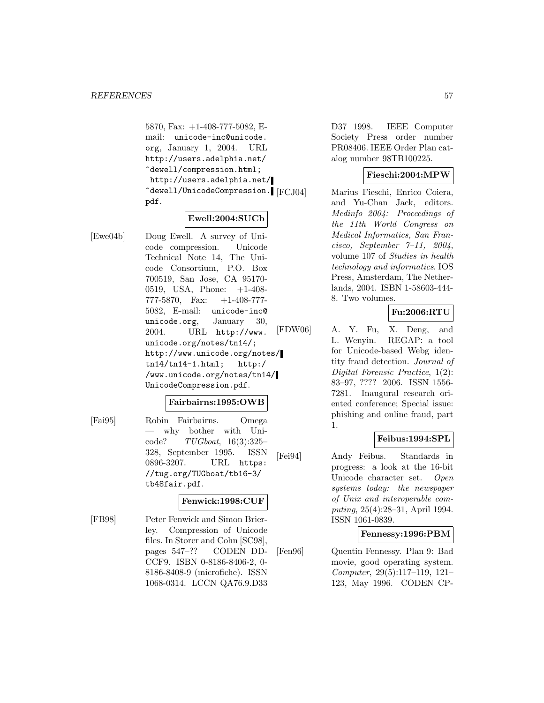5870, Fax: +1-408-777-5082, Email: unicode-inc@unicode. org, January 1, 2004. URL http://users.adelphia.net/ ~dewell/compression.html; http://users.adelphia.net/ ~dewell/UnicodeCompression. pdf.

## **Ewell:2004:SUCb**

[Ewe04b] Doug Ewell. A survey of Unicode compression. Unicode Technical Note 14, The Unicode Consortium, P.O. Box 700519, San Jose, CA 95170- 0519, USA, Phone: +1-408- 777-5870, Fax: +1-408-777- 5082, E-mail: unicode-inc@ unicode.org, January 30, 2004. URL http://www. unicode.org/notes/tn14/; http://www.unicode.org/notes/ tn14/tn14-1.html; http:/ /www.unicode.org/notes/tn14/ UnicodeCompression.pdf.

#### **Fairbairns:1995:OWB**

[Fai95] Robin Fairbairns. Omega why bother with Uni $code?$   $TUGboat$ ,  $16(3):325-$ 328, September 1995. ISSN 0896-3207. URL https: //tug.org/TUGboat/tb16-3/ tb48fair.pdf.

#### **Fenwick:1998:CUF**

[FB98] Peter Fenwick and Simon Brierley. Compression of Unicode files. In Storer and Cohn [SC98], pages 547–?? CODEN DD-CCF9. ISBN 0-8186-8406-2, 0- 8186-8408-9 (microfiche). ISSN 1068-0314. LCCN QA76.9.D33

D37 1998. IEEE Computer Society Press order number PR08406. IEEE Order Plan catalog number 98TB100225.

# **Fieschi:2004:MPW**

Marius Fieschi, Enrico Coiera, and Yu-Chan Jack, editors. Medinfo 2004: Proceedings of the 11th World Congress on Medical Informatics, San Francisco, September  $7-11$ , 2004, volume 107 of Studies in health technology and informatics. IOS Press, Amsterdam, The Netherlands, 2004. ISBN 1-58603-444- 8. Two volumes.

## **Fu:2006:RTU**

[FDW06] A. Y. Fu, X. Deng, and L. Wenyin. REGAP: a tool for Unicode-based Webg identity fraud detection. Journal of Digital Forensic Practice, 1(2): 83–97, ???? 2006. ISSN 1556- 7281. Inaugural research oriented conference; Special issue: phishing and online fraud, part 1.

# **Feibus:1994:SPL**

[Fei94] Andy Feibus. Standards in progress: a look at the 16-bit Unicode character set. Open systems today: the newspaper of Unix and interoperable computing, 25(4):28–31, April 1994. ISSN 1061-0839.

#### **Fennessy:1996:PBM**

[Fen96] Quentin Fennessy. Plan 9: Bad movie, good operating system. Computer, 29(5):117–119, 121– 123, May 1996. CODEN CP-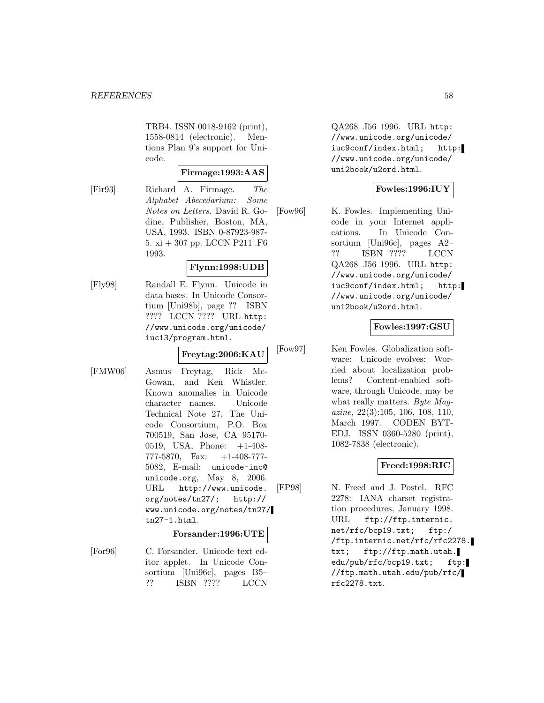TRB4. ISSN 0018-9162 (print), 1558-0814 (electronic). Mentions Plan 9's support for Unicode.

#### **Firmage:1993:AAS**

[Fir93] Richard A. Firmage. The Alphabet Abecedarium: Some Notes on Letters. David R. Godine, Publisher, Boston, MA, USA, 1993. ISBN 0-87923-987-  $5.$ xi + $307$ pp. LCCN P $211$  .F $6\,$ 1993.

#### **Flynn:1998:UDB**

[Fly98] Randall E. Flynn. Unicode in data bases. In Unicode Consortium [Uni98b], page ?? ISBN ???? LCCN ???? URL http: //www.unicode.org/unicode/ iuc13/program.html.

## **Freytag:2006:KAU**

[FMW06] Asmus Freytag, Rick Mc-Gowan, and Ken Whistler. Known anomalies in Unicode character names. Unicode Technical Note 27, The Unicode Consortium, P.O. Box 700519, San Jose, CA 95170- 0519, USA, Phone: +1-408- 777-5870, Fax:  $+1-408-777$ 5082, E-mail: unicode-inc@ unicode.org, May 8, 2006. URL http://www.unicode. org/notes/tn27/; http:// www.unicode.org/notes/tn27/ tn27-1.html.

#### **Forsander:1996:UTE**

[For96] C. Forsander. Unicode text editor applet. In Unicode Consortium [Uni96c], pages B5– ?? ISBN ???? LCCN QA268 .I56 1996. URL http: //www.unicode.org/unicode/ iuc9conf/index.html; http: //www.unicode.org/unicode/ uni2book/u2ord.html.

# **Fowles:1996:IUY**

[Fow96] K. Fowles. Implementing Unicode in your Internet applications. In Unicode Consortium [Uni96c], pages A2– ?? ISBN ???? LCCN QA268 .I56 1996. URL http: //www.unicode.org/unicode/ iuc9conf/index.html; http: //www.unicode.org/unicode/ uni2book/u2ord.html.

## **Fowles:1997:GSU**

[Fow97] Ken Fowles. Globalization software: Unicode evolves: Worried about localization problems? Content-enabled software, through Unicode, may be what really matters. Byte Magazine, 22(3):105, 106, 108, 110, March 1997. CODEN BYT-EDJ. ISSN 0360-5280 (print), 1082-7838 (electronic).

# **Freed:1998:RIC**

[FP98] N. Freed and J. Postel. RFC 2278: IANA charset registration procedures, January 1998. URL ftp://ftp.internic. net/rfc/bcp19.txt; ftp:/ /ftp.internic.net/rfc/rfc2278. txt; ftp://ftp.math.utah. edu/pub/rfc/bcp19.txt; ftp: //ftp.math.utah.edu/pub/rfc/ rfc2278.txt.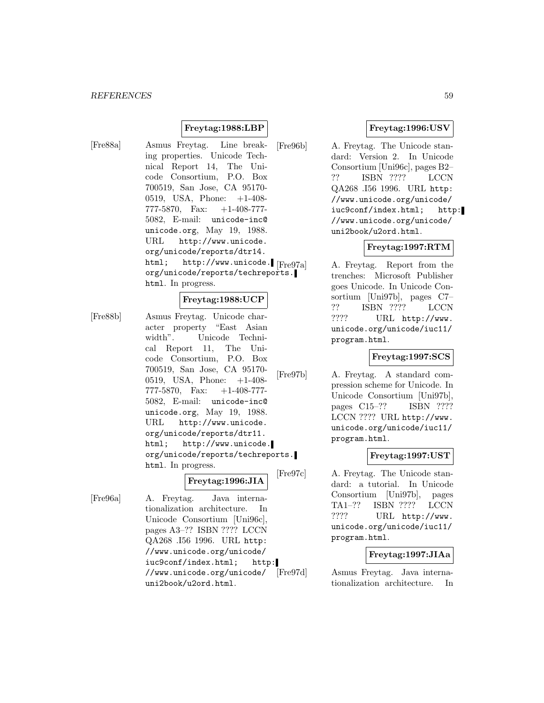# **Freytag:1988:LBP**

[Fre88a] Asmus Freytag. Line breaking properties. Unicode Technical Report 14, The Unicode Consortium, P.O. Box 700519, San Jose, CA 95170- 0519, USA, Phone: +1-408- 777-5870, Fax: +1-408-777- 5082, E-mail: unicode-inc@ unicode.org, May 19, 1988. URL http://www.unicode. org/unicode/reports/dtr14. html; http://www.unicode. Freg7al org/unicode/reports/techreports. html. In progress.

#### **Freytag:1988:UCP**

[Fre88b] Asmus Freytag. Unicode character property "East Asian width". Unicode Technical Report 11, The Unicode Consortium, P.O. Box 700519, San Jose, CA 95170- 0519, USA, Phone: +1-408- 777-5870, Fax: +1-408-777- 5082, E-mail: unicode-inc@ unicode.org, May 19, 1988. URL http://www.unicode. org/unicode/reports/dtr11. html; http://www.unicode. org/unicode/reports/techreports. html. In progress.

**Freytag:1996:JIA**

[Fre96a] A. Freytag. Java internationalization architecture. In Unicode Consortium [Uni96c], pages A3–?? ISBN ???? LCCN QA268 .I56 1996. URL http: //www.unicode.org/unicode/ iuc9conf/index.html; http: //www.unicode.org/unicode/ uni2book/u2ord.html.

## **Freytag:1996:USV**

[Fre96b] A. Freytag. The Unicode standard: Version 2. In Unicode Consortium [Uni96c], pages B2– ?? ISBN ???? LCCN QA268 .I56 1996. URL http: //www.unicode.org/unicode/ iuc9conf/index.html; http: //www.unicode.org/unicode/ uni2book/u2ord.html.

#### **Freytag:1997:RTM**

A. Freytag. Report from the trenches: Microsoft Publisher goes Unicode. In Unicode Consortium [Uni97b], pages C7– ?? ISBN ???? LCCN ???? URL http://www. unicode.org/unicode/iuc11/ program.html.

# **Freytag:1997:SCS**

[Fre97b] A. Freytag. A standard compression scheme for Unicode. In Unicode Consortium [Uni97b], pages C15–?? ISBN ???? LCCN ???? URL http://www. unicode.org/unicode/iuc11/ program.html.

#### **Freytag:1997:UST**

[Fre97c] A. Freytag. The Unicode standard: a tutorial. In Unicode Consortium [Uni97b], pages TA1–?? ISBN ???? LCCN ???? URL http://www. unicode.org/unicode/iuc11/ program.html.

#### **Freytag:1997:JIAa**

[Fre97d] Asmus Freytag. Java internationalization architecture. In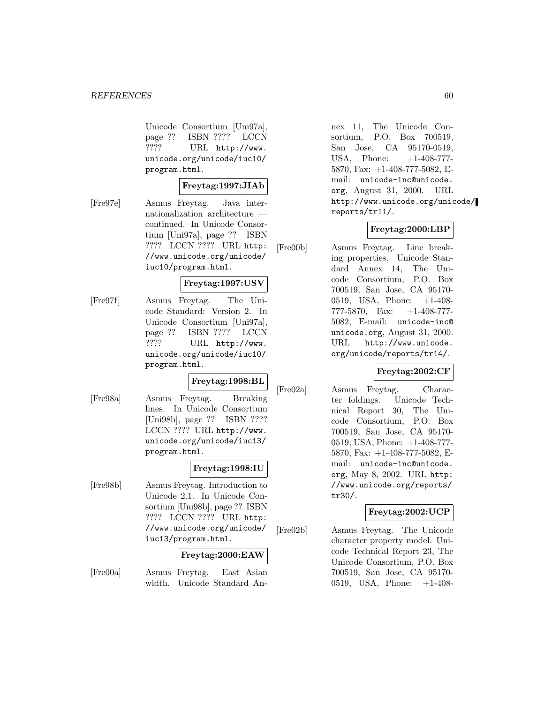Unicode Consortium [Uni97a], page ?? ISBN ???? LCCN ???? URL http://www. unicode.org/unicode/iuc10/ program.html.

#### **Freytag:1997:JIAb**

[Fre97e] Asmus Freytag. Java internationalization architecture continued. In Unicode Consortium [Uni97a], page ?? ISBN ???? LCCN ???? URL http: //www.unicode.org/unicode/ iuc10/program.html.

## **Freytag:1997:USV**

[Fre97f] Asmus Freytag. The Unicode Standard: Version 2. In Unicode Consortium [Uni97a], page ?? ISBN ???? LCCN ???? URL http://www. unicode.org/unicode/iuc10/ program.html.

## **Freytag:1998:BL**

[Fre98a] Asmus Freytag. Breaking lines. In Unicode Consortium [Uni98b], page ?? ISBN ???? LCCN ???? URL http://www. unicode.org/unicode/iuc13/ program.html.

# **Freytag:1998:IU**

[Fre98b] Asmus Freytag. Introduction to Unicode 2.1. In Unicode Consortium [Uni98b], page ?? ISBN ???? LCCN ???? URL http: //www.unicode.org/unicode/ iuc13/program.html.

#### **Freytag:2000:EAW**

[Fre00a] Asmus Freytag. East Asian width. Unicode Standard Annex 11, The Unicode Consortium, P.O. Box 700519, San Jose, CA 95170-0519, USA, Phone:  $+1-408-777-$ 5870, Fax: +1-408-777-5082, Email: unicode-inc@unicode. org, August 31, 2000. URL http://www.unicode.org/unicode/ reports/tr11/.

#### **Freytag:2000:LBP**

[Fre00b] Asmus Freytag. Line breaking properties. Unicode Standard Annex 14, The Unicode Consortium, P.O. Box 700519, San Jose, CA 95170- 0519, USA, Phone: +1-408- 777-5870, Fax: +1-408-777- 5082, E-mail: unicode-inc@ unicode.org, August 31, 2000. URL http://www.unicode. org/unicode/reports/tr14/.

#### **Freytag:2002:CF**

[Fre02a] Asmus Freytag. Character foldings. Unicode Technical Report 30, The Unicode Consortium, P.O. Box 700519, San Jose, CA 95170- 0519, USA, Phone: +1-408-777- 5870, Fax: +1-408-777-5082, Email: unicode-inc@unicode. org, May 8, 2002. URL http: //www.unicode.org/reports/ tr30/.

#### **Freytag:2002:UCP**

[Fre02b] Asmus Freytag. The Unicode character property model. Unicode Technical Report 23, The Unicode Consortium, P.O. Box 700519, San Jose, CA 95170- 0519, USA, Phone: +1-408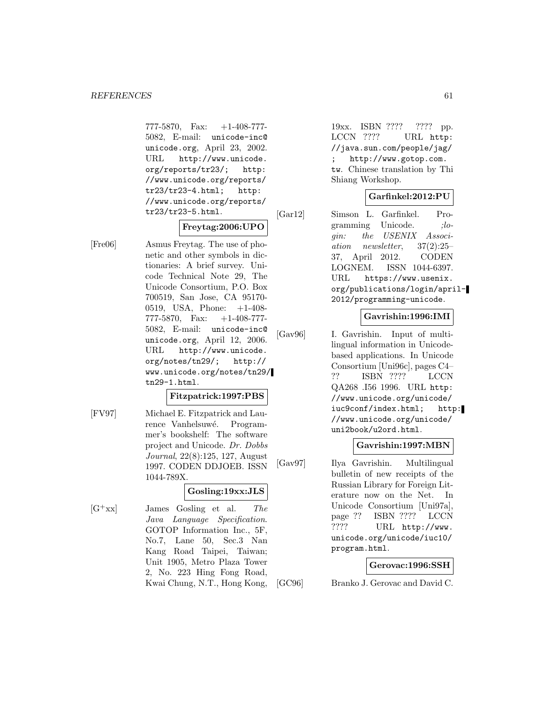777-5870, Fax: +1-408-777- 5082, E-mail: unicode-inc@ unicode.org, April 23, 2002. URL http://www.unicode. org/reports/tr23/; http: //www.unicode.org/reports/ tr23/tr23-4.html; http: //www.unicode.org/reports/ tr23/tr23-5.html.

## **Freytag:2006:UPO**

[Fre06] Asmus Freytag. The use of phonetic and other symbols in dictionaries: A brief survey. Unicode Technical Note 29, The Unicode Consortium, P.O. Box 700519, San Jose, CA 95170- 0519, USA, Phone: +1-408- 777-5870, Fax: +1-408-777- 5082, E-mail: unicode-inc@ unicode.org, April 12, 2006. URL http://www.unicode. org/notes/tn29/; http:// www.unicode.org/notes/tn29/ tn29-1.html.

### **Fitzpatrick:1997:PBS**

[FV97] Michael E. Fitzpatrick and Laurence Vanhelsuwé. Programmer's bookshelf: The software project and Unicode. Dr. Dobbs Journal, 22(8):125, 127, August 1997. CODEN DDJOEB. ISSN 1044-789X.

# **Gosling:19xx:JLS**

 $[G^+xx]$  James Gosling et al. The Java Language Specification. GOTOP Information Inc., 5F, No.7, Lane 50, Sec.3 Nan Kang Road Taipei, Taiwan; Unit 1905, Metro Plaza Tower 2, No. 223 Hing Fong Road, Kwai Chung, N.T., Hong Kong,

19xx. ISBN ???? ???? pp. LCCN ???? URL http: //java.sun.com/people/jag/ http://www.gotop.com. tw. Chinese translation by Thi Shiang Workshop.

# **Garfinkel:2012:PU**

[Gar12] Simson L. Garfinkel. Programming Unicode.  $ilo$ gin: the USENIX Association newsletter, 37(2):25– 37, April 2012. CODEN LOGNEM. ISSN 1044-6397. URL https://www.usenix. org/publications/login/april-2012/programming-unicode.

## **Gavrishin:1996:IMI**

[Gav96] I. Gavrishin. Input of multilingual information in Unicodebased applications. In Unicode Consortium [Uni96c], pages C4– ?? ISBN ???? LCCN QA268 .I56 1996. URL http: //www.unicode.org/unicode/ iuc9conf/index.html; http: //www.unicode.org/unicode/ uni2book/u2ord.html.

# **Gavrishin:1997:MBN**

[Gav97] Ilya Gavrishin. Multilingual bulletin of new receipts of the Russian Library for Foreign Literature now on the Net. In Unicode Consortium [Uni97a], page ?? ISBN ???? LCCN ???? URL http://www. unicode.org/unicode/iuc10/ program.html.

# **Gerovac:1996:SSH**

[GC96] Branko J. Gerovac and David C.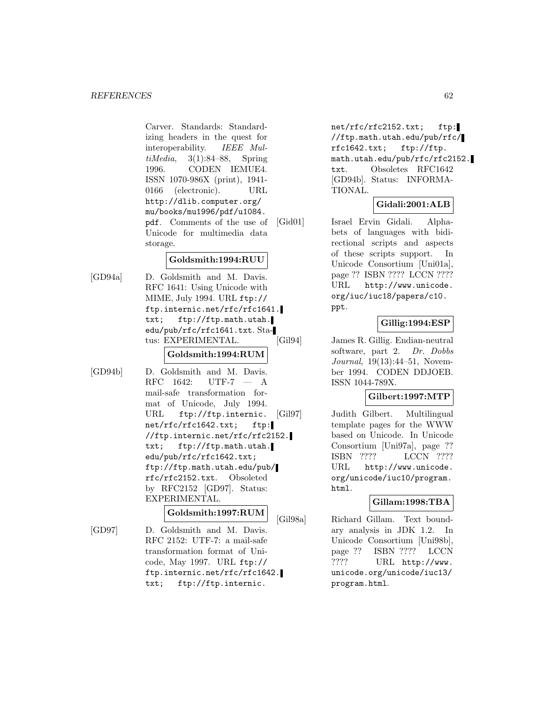Carver. Standards: Standardizing headers in the quest for interoperability. IEEE MultiMedia,  $3(1):84-88$ , Spring 1996. CODEN IEMUE4. ISSN 1070-986X (print), 1941- 0166 (electronic). URL http://dlib.computer.org/ mu/books/mu1996/pdf/u1084. pdf. Comments of the use of Unicode for multimedia data storage.

# **Goldsmith:1994:RUU**

[GD94a] D. Goldsmith and M. Davis. RFC 1641: Using Unicode with MIME, July 1994. URL ftp:// ftp.internic.net/rfc/rfc1641. txt; ftp://ftp.math.utah. edu/pub/rfc/rfc1641.txt. Status: EXPERIMENTAL.

# **Goldsmith:1994:RUM**

[GD94b] D. Goldsmith and M. Davis. RFC 1642: UTF-7 — A mail-safe transformation format of Unicode, July 1994. URL ftp://ftp.internic. net/rfc/rfc1642.txt; ftp: //ftp.internic.net/rfc/rfc2152. txt; ftp://ftp.math.utah. edu/pub/rfc/rfc1642.txt; ftp://ftp.math.utah.edu/pub/ rfc/rfc2152.txt. Obsoleted by RFC2152 [GD97]. Status: EXPERIMENTAL.

# **Goldsmith:1997:RUM**

[GD97] D. Goldsmith and M. Davis. RFC 2152: UTF-7: a mail-safe transformation format of Unicode, May 1997. URL ftp:// ftp.internic.net/rfc/rfc1642. txt; ftp://ftp.internic.

net/rfc/rfc2152.txt; ftp: //ftp.math.utah.edu/pub/rfc/ rfc1642.txt; ftp://ftp. math.utah.edu/pub/rfc/rfc2152. txt. Obsoletes RFC1642 [GD94b]. Status: INFORMA-TIONAL.

## **Gidali:2001:ALB**

[Gid01] Israel Ervin Gidali. Alphabets of languages with bidirectional scripts and aspects of these scripts support. In Unicode Consortium [Uni01a], page ?? ISBN ???? LCCN ???? URL http://www.unicode. org/iuc/iuc18/papers/c10. ppt.

# **Gillig:1994:ESP**

[Gil94] James R. Gillig. Endian-neutral software, part 2. Dr. Dobbs Journal, 19(13):44–51, November 1994. CODEN DDJOEB. ISSN 1044-789X.

# **Gilbert:1997:MTP**

[Gil97] Judith Gilbert. Multilingual template pages for the WWW based on Unicode. In Unicode Consortium [Uni97a], page ?? ISBN ???? LCCN ???? URL http://www.unicode. org/unicode/iuc10/program. html.

#### **Gillam:1998:TBA**

[Gil98a] Richard Gillam. Text boundary analysis in JDK 1.2. In Unicode Consortium [Uni98b], page ?? ISBN ???? LCCN ???? URL http://www. unicode.org/unicode/iuc13/ program.html.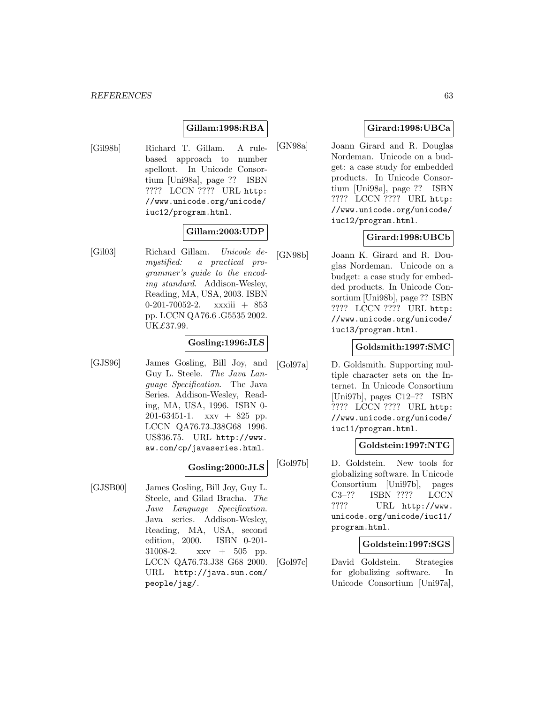# **Gillam:1998:RBA**

[Gil98b] Richard T. Gillam. A rulebased approach to number spellout. In Unicode Consortium [Uni98a], page ?? ISBN ???? LCCN ???? URL http: //www.unicode.org/unicode/ iuc12/program.html.

#### **Gillam:2003:UDP**

[Gil03] Richard Gillam. Unicode demystified: a practical programmer's guide to the encoding standard. Addison-Wesley, Reading, MA, USA, 2003. ISBN 0-201-70052-2. xxxiii + 853 pp. LCCN QA76.6 .G5535 2002. UK£37.99.

## **Gosling:1996:JLS**

[GJS96] James Gosling, Bill Joy, and Guy L. Steele. The Java Language Specification. The Java Series. Addison-Wesley, Reading, MA, USA, 1996. ISBN 0- 201-63451-1. xxv + 825 pp. LCCN QA76.73.J38G68 1996. US\$36.75. URL http://www. aw.com/cp/javaseries.html.

#### **Gosling:2000:JLS**

[GJSB00] James Gosling, Bill Joy, Guy L. Steele, and Gilad Bracha. The Java Language Specification. Java series. Addison-Wesley, Reading, MA, USA, second edition, 2000. ISBN 0-201- 31008-2. xxv + 505 pp. LCCN QA76.73.J38 G68 2000. URL http://java.sun.com/ people/jag/.

# **Girard:1998:UBCa**

[GN98a] Joann Girard and R. Douglas Nordeman. Unicode on a budget: a case study for embedded products. In Unicode Consortium [Uni98a], page ?? ISBN ???? LCCN ???? URL http: //www.unicode.org/unicode/ iuc12/program.html.

# **Girard:1998:UBCb**

[GN98b] Joann K. Girard and R. Douglas Nordeman. Unicode on a budget: a case study for embedded products. In Unicode Consortium [Uni98b], page ?? ISBN ???? LCCN ???? URL http: //www.unicode.org/unicode/ iuc13/program.html.

## **Goldsmith:1997:SMC**

[Gol97a] D. Goldsmith. Supporting multiple character sets on the Internet. In Unicode Consortium [Uni97b], pages C12–?? ISBN ???? LCCN ???? URL http: //www.unicode.org/unicode/ iuc11/program.html.

#### **Goldstein:1997:NTG**

[Gol97b] D. Goldstein. New tools for globalizing software. In Unicode Consortium [Uni97b], pages C3–?? ISBN ???? LCCN ???? URL http://www. unicode.org/unicode/iuc11/ program.html.

#### **Goldstein:1997:SGS**

[Gol97c] David Goldstein. Strategies for globalizing software. In Unicode Consortium [Uni97a],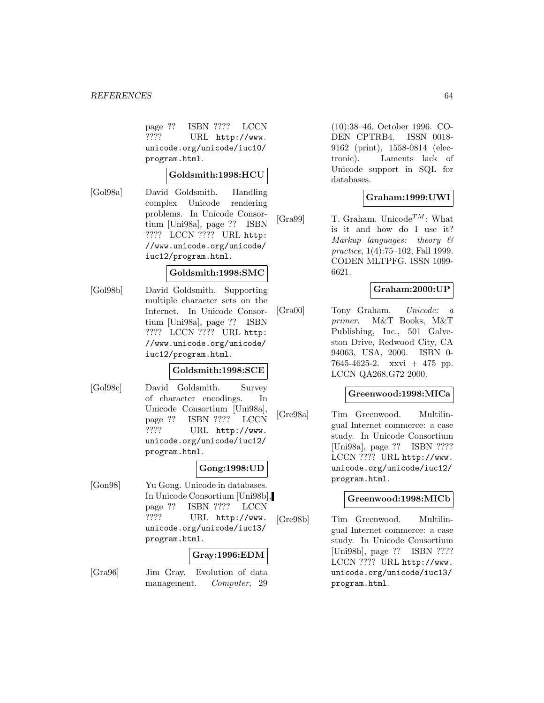#### *REFERENCES* 64

page ?? ISBN ???? LCCN ???? URL http://www. unicode.org/unicode/iuc10/ program.html.

# **Goldsmith:1998:HCU**

[Gol98a] David Goldsmith. Handling complex Unicode rendering problems. In Unicode Consortium [Uni98a], page ?? ISBN ???? LCCN ???? URL http: //www.unicode.org/unicode/ iuc12/program.html.

#### **Goldsmith:1998:SMC**

[Gol98b] David Goldsmith. Supporting multiple character sets on the Internet. In Unicode Consortium [Uni98a], page ?? ISBN ???? LCCN ???? URL http: //www.unicode.org/unicode/ iuc12/program.html.

## **Goldsmith:1998:SCE**

[Gol98c] David Goldsmith. Survey of character encodings. In Unicode Consortium [Uni98a], page ?? ISBN ???? LCCN ???? URL http://www. unicode.org/unicode/iuc12/ program.html.

## **Gong:1998:UD**

[Gon98] Yu Gong. Unicode in databases. In Unicode Consortium [Uni98b], page ?? ISBN ???? LCCN ???? URL http://www. unicode.org/unicode/iuc13/ program.html.

## **Gray:1996:EDM**

[Gra96] Jim Gray. Evolution of data management. Computer, 29

(10):38–46, October 1996. CO-DEN CPTRB4. ISSN 0018- 9162 (print), 1558-0814 (electronic). Laments lack of Unicode support in SQL for databases.

# **Graham:1999:UWI**

[Gra99] T. Graham. Unicode<sup>TM</sup>: What is it and how do I use it? Markup languages: theory & practice, 1(4):75–102, Fall 1999. CODEN MLTPFG. ISSN 1099- 6621.

#### **Graham:2000:UP**

[Gra00] Tony Graham. Unicode: a primer. M&T Books, M&T Publishing, Inc., 501 Galveston Drive, Redwood City, CA 94063, USA, 2000. ISBN 0- 7645-4625-2. xxvi + 475 pp. LCCN QA268.G72 2000.

#### **Greenwood:1998:MICa**

[Gre98a] Tim Greenwood. Multilingual Internet commerce: a case study. In Unicode Consortium [Uni98a], page ?? ISBN ???? LCCN ???? URL http://www. unicode.org/unicode/iuc12/ program.html.

## **Greenwood:1998:MICb**

[Gre98b] Tim Greenwood. Multilingual Internet commerce: a case study. In Unicode Consortium [Uni98b], page ?? ISBN ???? LCCN ???? URL http://www. unicode.org/unicode/iuc13/ program.html.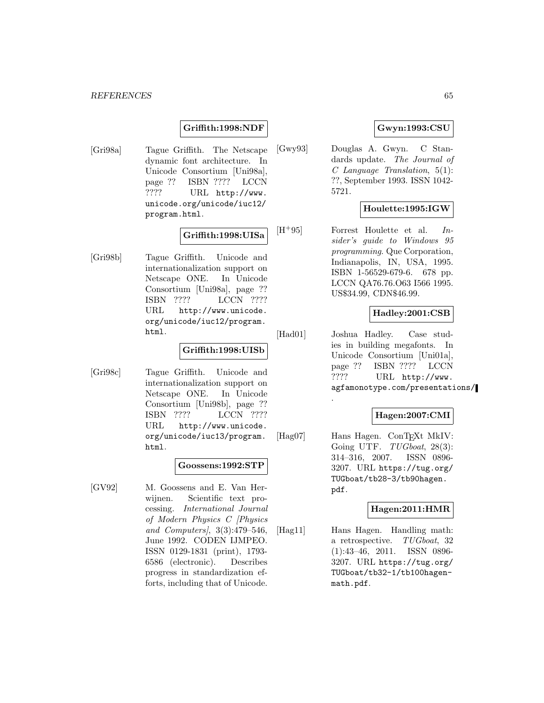#### *REFERENCES* 65

#### **Griffith:1998:NDF**

[Gri98a] Tague Griffith. The Netscape dynamic font architecture. In Unicode Consortium [Uni98a], page ?? ISBN ???? LCCN ???? URL http://www. unicode.org/unicode/iuc12/ program.html.

#### **Griffith:1998:UISa**

[Gri98b] Tague Griffith. Unicode and internationalization support on Netscape ONE. In Unicode Consortium [Uni98a], page ?? ISBN ???? LCCN ???? URL http://www.unicode. org/unicode/iuc12/program. html.

#### **Griffith:1998:UISb**

[Gri98c] Tague Griffith. Unicode and internationalization support on Netscape ONE. In Unicode Consortium [Uni98b], page ?? ISBN ???? LCCN ???? URL http://www.unicode. org/unicode/iuc13/program. html.

#### **Goossens:1992:STP**

[GV92] M. Goossens and E. Van Herwijnen. Scientific text processing. International Journal of Modern Physics C [Physics and Computers], 3(3):479–546, June 1992. CODEN IJMPEO. ISSN 0129-1831 (print), 1793- 6586 (electronic). Describes progress in standardization efforts, including that of Unicode.

## **Gwyn:1993:CSU**

[Gwy93] Douglas A. Gwyn. C Standards update. The Journal of C Language Translation, 5(1): ??, September 1993. ISSN 1042- 5721.

#### **Houlette:1995:IGW**

[H<sup>+</sup>95] Forrest Houlette et al. Insider's guide to Windows 95 programming. Que Corporation, Indianapolis, IN, USA, 1995. ISBN 1-56529-679-6. 678 pp. LCCN QA76.76.O63 I566 1995. US\$34.99, CDN\$46.99.

#### **Hadley:2001:CSB**

[Had01] Joshua Hadley. Case studies in building megafonts. In Unicode Consortium [Uni01a], page ?? ISBN ???? LCCN ???? URL http://www. agfamonotype.com/presentations/

## **Hagen:2007:CMI**

[Hag07] Hans Hagen. ConTEXt MkIV: Going UTF.  $TUGboat$ , 28(3): 314–316, 2007. ISSN 0896- 3207. URL https://tug.org/ TUGboat/tb28-3/tb90hagen. pdf.

.

#### **Hagen:2011:HMR**

[Hag11] Hans Hagen. Handling math: a retrospective. TUGboat, 32 (1):43–46, 2011. ISSN 0896- 3207. URL https://tug.org/ TUGboat/tb32-1/tb100hagenmath.pdf.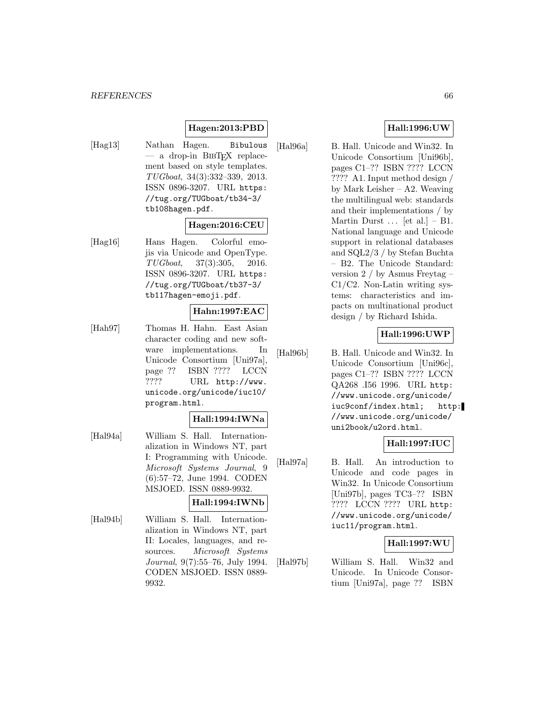# **Hagen:2013:PBD**

[Hag13] Nathan Hagen. Bibulous  $-$  a drop-in BIBT<sub>EX</sub> replacement based on style templates. TUGboat, 34(3):332–339, 2013. ISSN 0896-3207. URL https: //tug.org/TUGboat/tb34-3/ tb108hagen.pdf.

## **Hagen:2016:CEU**

[Hag16] Hans Hagen. Colorful emojis via Unicode and OpenType. TUGboat, 37(3):305, 2016. ISSN 0896-3207. URL https: //tug.org/TUGboat/tb37-3/ tb117hagen-emoji.pdf.

# **Hahn:1997:EAC**

[Hah97] Thomas H. Hahn. East Asian character coding and new software implementations. In Unicode Consortium [Uni97a], page ?? ISBN ???? LCCN ???? URL http://www. unicode.org/unicode/iuc10/ program.html.

#### **Hall:1994:IWNa**

- [Hal94a] William S. Hall. Internationalization in Windows NT, part I: Programming with Unicode. Microsoft Systems Journal, 9 (6):57–72, June 1994. CODEN MSJOED. ISSN 0889-9932. **Hall:1994:IWNb**
- [Hal94b] William S. Hall. Internationalization in Windows NT, part II: Locales, languages, and resources. Microsoft Systems Journal, 9(7):55–76, July 1994. CODEN MSJOED. ISSN 0889- 9932.

#### **Hall:1996:UW**

[Hal96a] B. Hall. Unicode and Win32. In Unicode Consortium [Uni96b], pages C1–?? ISBN ???? LCCN ???? A1. Input method design / by Mark Leisher – A2. Weaving the multilingual web: standards and their implementations / by Martin Durst  $\ldots$  [et al.] – B1. National language and Unicode support in relational databases and SQL2/3 / by Stefan Buchta – B2. The Unicode Standard: version 2 / by Asmus Freytag – C1/C2. Non-Latin writing systems: characteristics and impacts on multinational product design / by Richard Ishida.

# **Hall:1996:UWP**

[Hal96b] B. Hall. Unicode and Win32. In Unicode Consortium [Uni96c], pages C1–?? ISBN ???? LCCN QA268 .I56 1996. URL http: //www.unicode.org/unicode/ iuc9conf/index.html; http: //www.unicode.org/unicode/ uni2book/u2ord.html.

## **Hall:1997:IUC**

[Hal97a] B. Hall. An introduction to Unicode and code pages in Win32. In Unicode Consortium [Uni97b], pages TC3–?? ISBN ???? LCCN ???? URL http: //www.unicode.org/unicode/ iuc11/program.html.

#### **Hall:1997:WU**

[Hal97b] William S. Hall. Win32 and Unicode. In Unicode Consortium [Uni97a], page ?? ISBN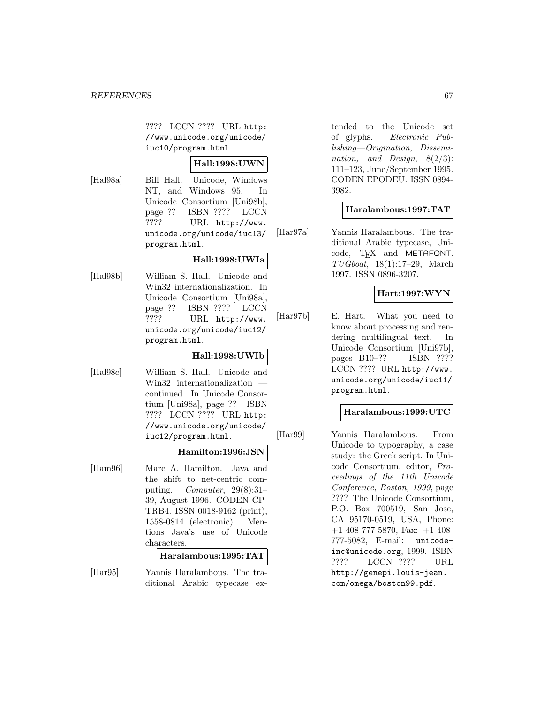???? LCCN ???? URL http: //www.unicode.org/unicode/ iuc10/program.html.

# **Hall:1998:UWN**

[Hal98a] Bill Hall. Unicode, Windows NT, and Windows 95. In Unicode Consortium [Uni98b], page ?? ISBN ???? LCCN ???? URL http://www. unicode.org/unicode/iuc13/ program.html.

## **Hall:1998:UWIa**

[Hal98b] William S. Hall. Unicode and Win32 internationalization. In Unicode Consortium [Uni98a], page ?? ISBN ???? LCCN ???? URL http://www. unicode.org/unicode/iuc12/ program.html.

# **Hall:1998:UWIb**

[Hal98c] William S. Hall. Unicode and Win32 internationalization continued. In Unicode Consortium [Uni98a], page ?? ISBN ???? LCCN ???? URL http: //www.unicode.org/unicode/ iuc12/program.html.

#### **Hamilton:1996:JSN**

[Ham96] Marc A. Hamilton. Java and the shift to net-centric computing. Computer,  $29(8):31-$ 39, August 1996. CODEN CP-TRB4. ISSN 0018-9162 (print), 1558-0814 (electronic). Mentions Java's use of Unicode characters.

#### **Haralambous:1995:TAT**

[Har95] Yannis Haralambous. The traditional Arabic typecase ex-

tended to the Unicode set of glyphs. Electronic Publishing—Origination, Dissemination, and Design, 8(2/3): 111–123, June/September 1995. CODEN EPODEU. ISSN 0894- 3982.

# **Haralambous:1997:TAT**

[Har97a] Yannis Haralambous. The traditional Arabic typecase, Unicode, TEX and METAFONT. TUGboat, 18(1):17–29, March 1997. ISSN 0896-3207.

# **Hart:1997:WYN**

[Har97b] E. Hart. What you need to know about processing and rendering multilingual text. In Unicode Consortium [Uni97b], pages B10–?? ISBN ???? LCCN ???? URL http://www. unicode.org/unicode/iuc11/ program.html.

#### **Haralambous:1999:UTC**

[Har99] Yannis Haralambous. From Unicode to typography, a case study: the Greek script. In Unicode Consortium, editor, Proceedings of the 11th Unicode Conference, Boston, 1999, page ???? The Unicode Consortium, P.O. Box 700519, San Jose, CA 95170-0519, USA, Phone: +1-408-777-5870, Fax: +1-408- 777-5082, E-mail: unicodeinc@unicode.org, 1999. ISBN ???? LCCN ???? URL http://genepi.louis-jean. com/omega/boston99.pdf.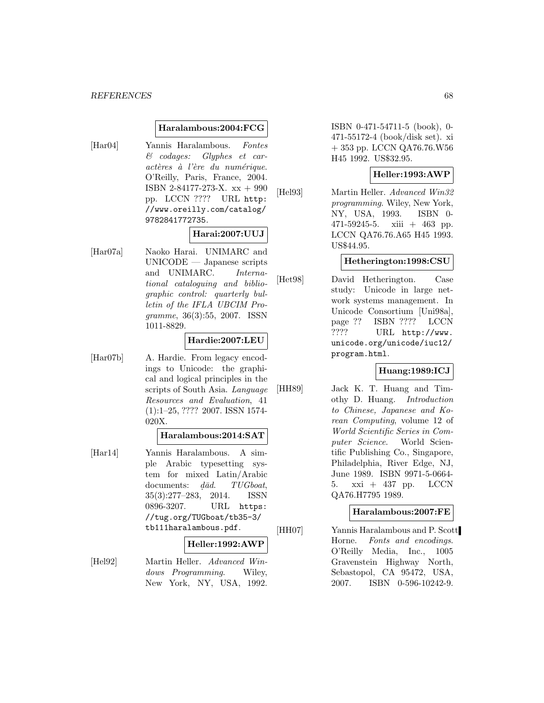#### **Haralambous:2004:FCG**

[Har04] Yannis Haralambous. Fontes & codages: Glyphes et caractères à l'ère du numérique. O'Reilly, Paris, France, 2004. ISBN 2-84177-273-X. xx + 990 pp. LCCN ???? URL http: //www.oreilly.com/catalog/ 9782841772735.

#### **Harai:2007:UUJ**

[Har07a] Naoko Harai. UNIMARC and UNICODE — Japanese scripts and UNIMARC. International cataloguing and bibliographic control: quarterly bulletin of the IFLA UBCIM Programme, 36(3):55, 2007. ISSN 1011-8829.

#### **Hardie:2007:LEU**

[Har07b] A. Hardie. From legacy encodings to Unicode: the graphical and logical principles in the scripts of South Asia. Language Resources and Evaluation, 41 (1):1–25, ???? 2007. ISSN 1574- 020X.

#### **Haralambous:2014:SAT**

[Har14] Yannis Haralambous. A simple Arabic typesetting system for mixed Latin/Arabic documents:  $d\bar{a}d$ . TUGboat, 35(3):277–283, 2014. ISSN 0896-3207. URL https: //tug.org/TUGboat/tb35-3/ tb111haralambous.pdf.

#### **Heller:1992:AWP**

[Hel92] Martin Heller. Advanced Windows Programming. Wiley, New York, NY, USA, 1992.

ISBN 0-471-54711-5 (book), 0- 471-55172-4 (book/disk set). xi + 353 pp. LCCN QA76.76.W56 H45 1992. US\$32.95.

#### **Heller:1993:AWP**

[Hel93] Martin Heller. Advanced Win32 programming. Wiley, New York, NY, USA, 1993. ISBN 0-  $471-59245-5$ . xiii  $+ 463$  pp. LCCN QA76.76.A65 H45 1993. US\$44.95.

#### **Hetherington:1998:CSU**

[Het98] David Hetherington. Case study: Unicode in large network systems management. In Unicode Consortium [Uni98a], page ?? ISBN ???? LCCN ???? URL http://www. unicode.org/unicode/iuc12/ program.html.

## **Huang:1989:ICJ**

[HH89] Jack K. T. Huang and Timothy D. Huang. Introduction to Chinese, Japanese and Korean Computing, volume 12 of World Scientific Series in Computer Science. World Scientific Publishing Co., Singapore, Philadelphia, River Edge, NJ, June 1989. ISBN 9971-5-0664- 5. xxi + 437 pp. LCCN QA76.H7795 1989.

#### **Haralambous:2007:FE**

[HH07] Yannis Haralambous and P. Scott Horne. Fonts and encodings. O'Reilly Media, Inc., 1005 Gravenstein Highway North, Sebastopol, CA 95472, USA, 2007. ISBN 0-596-10242-9.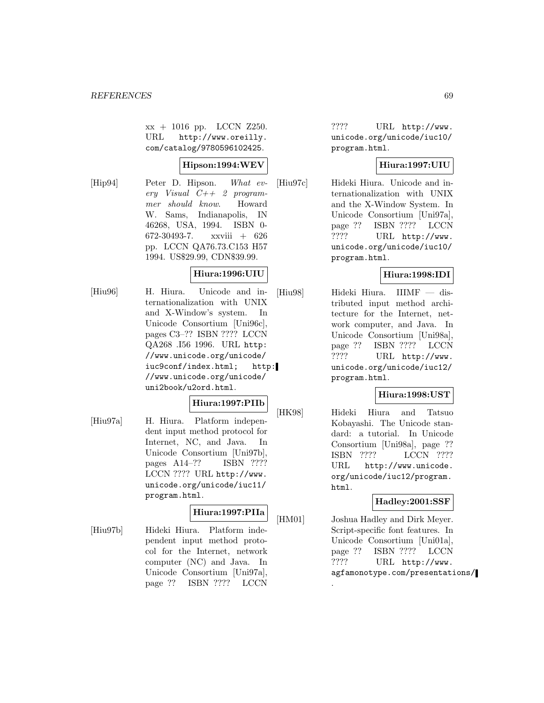xx + 1016 pp. LCCN Z250. URL http://www.oreilly. com/catalog/9780596102425.

#### **Hipson:1994:WEV**

[Hip94] Peter D. Hipson. What every Visual  $C++2$  programmer should know. Howard W. Sams, Indianapolis, IN 46268, USA, 1994. ISBN 0- 672-30493-7. xxviii + 626 pp. LCCN QA76.73.C153 H57 1994. US\$29.99, CDN\$39.99.

## **Hiura:1996:UIU**

[Hiu96] H. Hiura. Unicode and internationalization with UNIX and X-Window's system. In Unicode Consortium [Uni96c], pages C3–?? ISBN ???? LCCN QA268 .I56 1996. URL http: //www.unicode.org/unicode/ iuc9conf/index.html; http: //www.unicode.org/unicode/ uni2book/u2ord.html.

#### **Hiura:1997:PIIb**

[Hiu97a] H. Hiura. Platform independent input method protocol for Internet, NC, and Java. In Unicode Consortium [Uni97b], pages A14–?? ISBN ???? LCCN ???? URL http://www. unicode.org/unicode/iuc11/ program.html.

# **Hiura:1997:PIIa**

[Hiu97b] Hideki Hiura. Platform independent input method protocol for the Internet, network computer (NC) and Java. In Unicode Consortium [Uni97a], page ?? ISBN ???? LCCN

???? URL http://www. unicode.org/unicode/iuc10/ program.html.

## **Hiura:1997:UIU**

[Hiu97c] Hideki Hiura. Unicode and internationalization with UNIX and the X-Window System. In Unicode Consortium [Uni97a], page ?? ISBN ???? LCCN ???? URL http://www. unicode.org/unicode/iuc10/ program.html.

# **Hiura:1998:IDI**

[Hiu98] Hideki Hiura. IIIMF — distributed input method architecture for the Internet, network computer, and Java. In Unicode Consortium [Uni98a], page ?? ISBN ???? LCCN ???? URL http://www. unicode.org/unicode/iuc12/ program.html.

# **Hiura:1998:UST**

[HK98] Hideki Hiura and Tatsuo Kobayashi. The Unicode standard: a tutorial. In Unicode Consortium [Uni98a], page ?? ISBN ???? LCCN ???? URL http://www.unicode. org/unicode/iuc12/program. html.

#### **Hadley:2001:SSF**

[HM01] Joshua Hadley and Dirk Meyer. Script-specific font features. In Unicode Consortium [Uni01a], page ?? ISBN ???? LCCN ???? URL http://www. agfamonotype.com/presentations/

.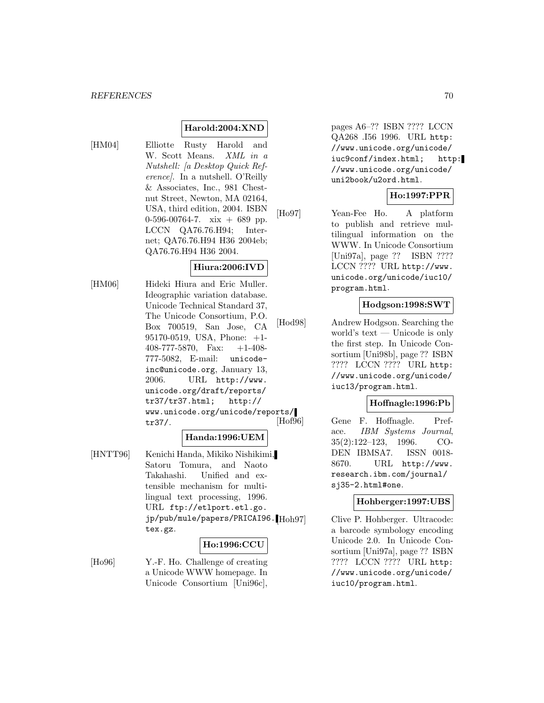# **Harold:2004:XND**

[HM04] Elliotte Rusty Harold and W. Scott Means. XML in a Nutshell: [a Desktop Quick Reference]. In a nutshell. O'Reilly & Associates, Inc., 981 Chestnut Street, Newton, MA 02164, USA, third edition, 2004. ISBN 0-596-00764-7. xix  $+$  689 pp. LCCN QA76.76.H94; Internet; QA76.76.H94 H36 2004eb; QA76.76.H94 H36 2004.

## **Hiura:2006:IVD**

[HM06] Hideki Hiura and Eric Muller. Ideographic variation database. Unicode Technical Standard 37, The Unicode Consortium, P.O. Box 700519, San Jose, CA 95170-0519, USA, Phone: +1- 408-777-5870, Fax: +1-408- 777-5082, E-mail: unicodeinc@unicode.org, January 13, 2006. URL http://www. unicode.org/draft/reports/ tr37/tr37.html; http:// www.unicode.org/unicode/reports/ tr37/.

#### **Handa:1996:UEM**

[HNTT96] Kenichi Handa, Mikiko Nishikimi, Satoru Tomura, and Naoto Takahashi. Unified and extensible mechanism for multilingual text processing, 1996. URL ftp://etlport.etl.go. jp/pub/mule/papers/PRICAI96. Hoh97 tex.gz.

# **Ho:1996:CCU**

[Ho96] Y.-F. Ho. Challenge of creating a Unicode WWW homepage. In Unicode Consortium [Uni96c],

pages A6–?? ISBN ???? LCCN QA268 .I56 1996. URL http: //www.unicode.org/unicode/ iuc9conf/index.html; http: //www.unicode.org/unicode/ uni2book/u2ord.html.

# **Ho:1997:PPR**

[Ho97] Yean-Fee Ho. A platform to publish and retrieve multilingual information on the WWW. In Unicode Consortium [Uni97a], page ?? ISBN ???? LCCN ???? URL http://www. unicode.org/unicode/iuc10/ program.html.

#### **Hodgson:1998:SWT**

[Hod98] Andrew Hodgson. Searching the world's text — Unicode is only the first step. In Unicode Consortium [Uni98b], page ?? ISBN ???? LCCN ???? URL http: //www.unicode.org/unicode/ iuc13/program.html.

#### **Hoffnagle:1996:Pb**

[Hof96] Gene F. Hoffnagle. Preface. IBM Systems Journal, 35(2):122–123, 1996. CO-DEN IBMSA7. ISSN 0018-8670. URL http://www. research.ibm.com/journal/ sj35-2.html#one.

#### **Hohberger:1997:UBS**

Clive P. Hohberger. Ultracode: a barcode symbology encoding Unicode 2.0. In Unicode Consortium [Uni97a], page ?? ISBN ???? LCCN ???? URL http: //www.unicode.org/unicode/ iuc10/program.html.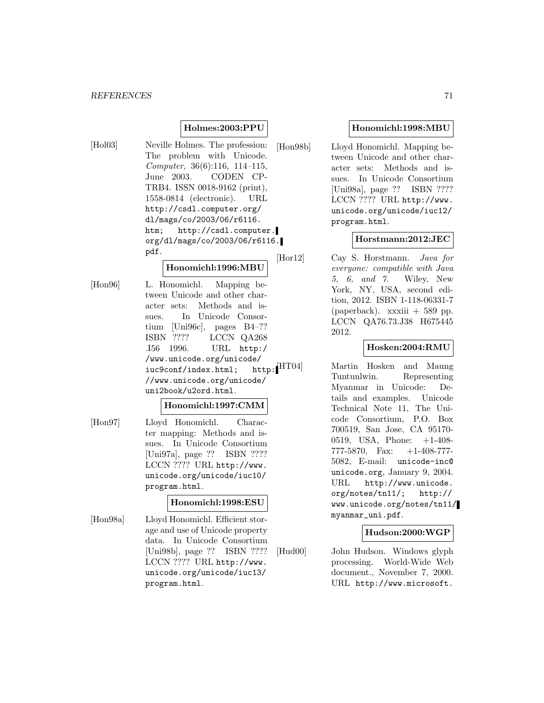#### **Holmes:2003:PPU**

[Hol03] Neville Holmes. The profession: The problem with Unicode. Computer, 36(6):116, 114–115, June 2003. CODEN CP-TRB4. ISSN 0018-9162 (print), 1558-0814 (electronic). URL http://csdl.computer.org/ dl/mags/co/2003/06/r6116. htm; http://csdl.computer. org/dl/mags/co/2003/06/r6116. pdf.

#### **Honomichl:1996:MBU**

[Hon96] L. Honomichl. Mapping between Unicode and other character sets: Methods and issues. In Unicode Consortium [Uni96c], pages B4–?? ISBN ???? LCCN QA268 .I56 1996. URL http:/ /www.unicode.org/unicode/ iuc9conf/index.html; http: //www.unicode.org/unicode/ uni2book/u2ord.html.

#### **Honomichl:1997:CMM**

[Hon97] Lloyd Honomichl. Character mapping: Methods and issues. In Unicode Consortium [Uni97a], page ?? ISBN ???? LCCN ???? URL http://www. unicode.org/unicode/iuc10/ program.html.

#### **Honomichl:1998:ESU**

[Hon98a] Lloyd Honomichl. Efficient storage and use of Unicode property data. In Unicode Consortium [Uni98b], page ?? ISBN ???? LCCN ???? URL http://www. unicode.org/unicode/iuc13/ program.html.

#### **Honomichl:1998:MBU**

[Hon98b] Lloyd Honomichl. Mapping between Unicode and other character sets: Methods and issues. In Unicode Consortium [Uni98a], page ?? ISBN ???? LCCN ???? URL http://www. unicode.org/unicode/iuc12/ program.html.

#### **Horstmann:2012:JEC**

[Hor12] Cay S. Horstmann. Java for everyone: compatible with Java 5, 6, and 7. Wiley, New York, NY, USA, second edition, 2012. ISBN 1-118-06331-7 (paperback). xxxiii  $+ 589$  pp. LCCN QA76.73.J38 H675445 2012.

# **Hosken:2004:RMU**

[HT04] Martin Hosken and Maung Tuntunlwin. Representing Myanmar in Unicode: Details and examples. Unicode Technical Note 11, The Unicode Consortium, P.O. Box 700519, San Jose, CA 95170- 0519, USA, Phone: +1-408- 777-5870, Fax: +1-408-777- 5082, E-mail: unicode-inc@ unicode.org, January 9, 2004. URL http://www.unicode. org/notes/tn11/; http:// www.unicode.org/notes/tn11/ myanmar\_uni.pdf.

## **Hudson:2000:WGP**

[Hud00] John Hudson. Windows glyph processing. World-Wide Web document., November 7, 2000. URL http://www.microsoft.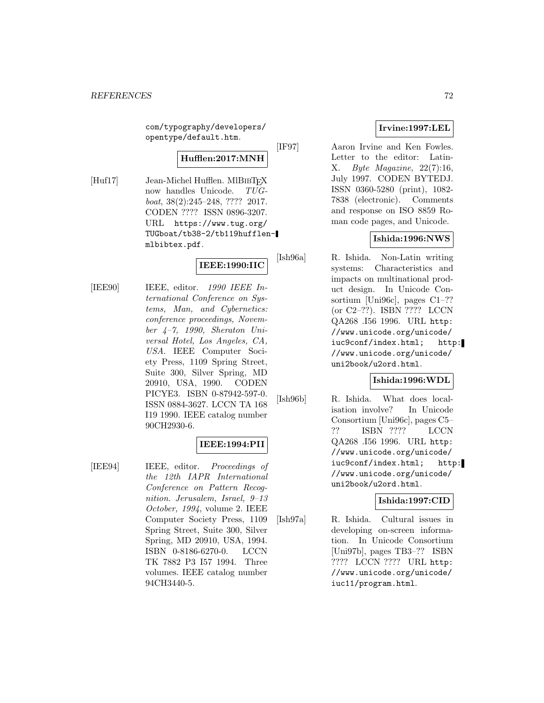com/typography/developers/ opentype/default.htm.

# **Hufflen:2017:MNH**

[Huf17] Jean-Michel Hufflen. MlBIBTEX<br>now handles Unicode.  $TUG$ now handles Unicode. boat, 38(2):245–248, ???? 2017. CODEN ???? ISSN 0896-3207. URL https://www.tug.org/ TUGboat/tb38-2/tb119hufflenmlbibtex.pdf.

# **IEEE:1990:IIC**

[IEE90] IEEE, editor. 1990 IEEE International Conference on Systems, Man, and Cybernetics: conference proceedings, November  $\mu$ -7, 1990, Sheraton Universal Hotel, Los Angeles, CA, USA. IEEE Computer Society Press, 1109 Spring Street, Suite 300, Silver Spring, MD 20910, USA, 1990. CODEN PICYE3. ISBN 0-87942-597-0. ISSN 0884-3627. LCCN TA 168 I19 1990. IEEE catalog number 90CH2930-6.

# **IEEE:1994:PII**

[IEE94] IEEE, editor. Proceedings of the 12th IAPR International Conference on Pattern Recognition. Jerusalem, Israel, 9–13 October, 1994, volume 2. IEEE Computer Society Press, 1109 Spring Street, Suite 300, Silver Spring, MD 20910, USA, 1994. ISBN 0-8186-6270-0. LCCN TK 7882 P3 I57 1994. Three volumes. IEEE catalog number 94CH3440-5.

# **Irvine:1997:LEL**

[IF97] Aaron Irvine and Ken Fowles. Letter to the editor: Latin-X. Byte Magazine, 22(7):16, July 1997. CODEN BYTEDJ. ISSN 0360-5280 (print), 1082- 7838 (electronic). Comments and response on ISO 8859 Roman code pages, and Unicode.

# **Ishida:1996:NWS**

[Ish96a] R. Ishida. Non-Latin writing systems: Characteristics and impacts on multinational product design. In Unicode Consortium [Uni96c], pages C1–?? (or C2–??). ISBN ???? LCCN QA268 .I56 1996. URL http: //www.unicode.org/unicode/ iuc9conf/index.html; http: //www.unicode.org/unicode/ uni2book/u2ord.html.

# **Ishida:1996:WDL**

[Ish96b] R. Ishida. What does localisation involve? In Unicode Consortium [Uni96c], pages C5– ?? ISBN ???? LCCN QA268 .I56 1996. URL http: //www.unicode.org/unicode/ iuc9conf/index.html; http: //www.unicode.org/unicode/ uni2book/u2ord.html.

#### **Ishida:1997:CID**

[Ish97a] R. Ishida. Cultural issues in developing on-screen information. In Unicode Consortium [Uni97b], pages TB3–?? ISBN ???? LCCN ???? URL http: //www.unicode.org/unicode/ iuc11/program.html.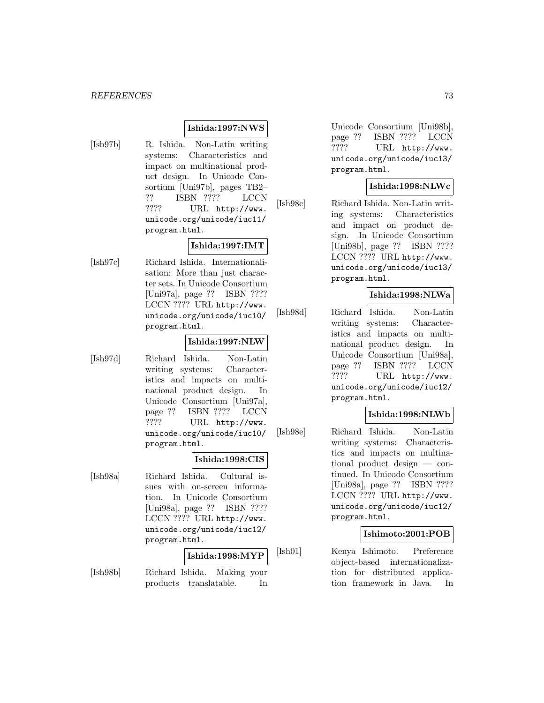#### **Ishida:1997:NWS**

- 
- [Ish97b] R. Ishida. Non-Latin writing systems: Characteristics and impact on multinational product design. In Unicode Consortium [Uni97b], pages TB2– ?? ISBN ???? LCCN ???? URL http://www. unicode.org/unicode/iuc11/ program.html.

#### **Ishida:1997:IMT**

[Ish97c] Richard Ishida. Internationalisation: More than just character sets. In Unicode Consortium [Uni97a], page ?? ISBN ???? LCCN ???? URL http://www. unicode.org/unicode/iuc10/ program.html.

#### **Ishida:1997:NLW**

[Ish97d] Richard Ishida. Non-Latin writing systems: Characteristics and impacts on multinational product design. In Unicode Consortium [Uni97a], page ?? ISBN ???? LCCN ???? URL http://www. unicode.org/unicode/iuc10/ program.html.

#### **Ishida:1998:CIS**

[Ish98a] Richard Ishida. Cultural issues with on-screen information. In Unicode Consortium [Uni98a], page ?? ISBN ???? LCCN ???? URL http://www. unicode.org/unicode/iuc12/ program.html.

# **Ishida:1998:MYP**

[Ish98b] Richard Ishida. Making your products translatable. In Unicode Consortium [Uni98b], page ?? ISBN ???? LCCN ???? URL http://www. unicode.org/unicode/iuc13/ program.html.

### **Ishida:1998:NLWc**

[Ish98c] Richard Ishida. Non-Latin writing systems: Characteristics and impact on product design. In Unicode Consortium [Uni98b], page ?? ISBN ???? LCCN ???? URL http://www. unicode.org/unicode/iuc13/ program.html.

### **Ishida:1998:NLWa**

[Ish98d] Richard Ishida. Non-Latin writing systems: Characteristics and impacts on multinational product design. In Unicode Consortium [Uni98a], page ?? ISBN ???? LCCN ???? URL http://www. unicode.org/unicode/iuc12/ program.html.

#### **Ishida:1998:NLWb**

[Ish98e] Richard Ishida. Non-Latin writing systems: Characteristics and impacts on multinational product design — continued. In Unicode Consortium [Uni98a], page ?? ISBN ???? LCCN ???? URL http://www. unicode.org/unicode/iuc12/ program.html.

#### **Ishimoto:2001:POB**

[Ish01] Kenya Ishimoto. Preference object-based internationalization for distributed application framework in Java. In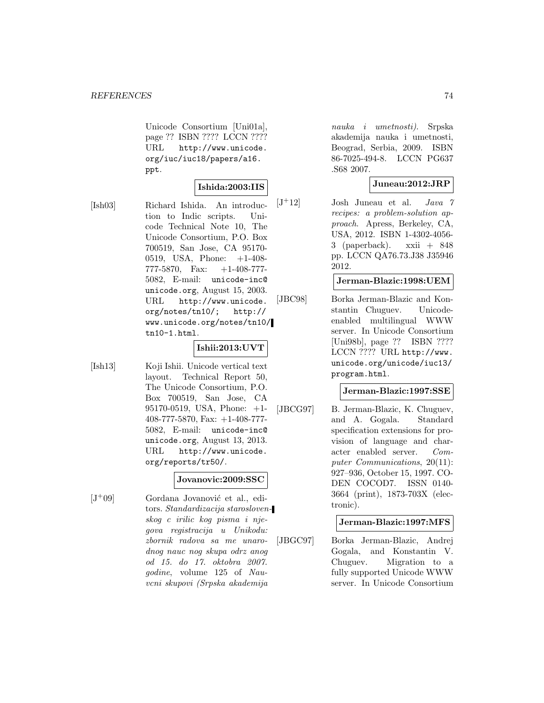Unicode Consortium [Uni01a], page ?? ISBN ???? LCCN ???? URL http://www.unicode. org/iuc/iuc18/papers/a16. ppt.

### **Ishida:2003:IIS**

[Ish03] Richard Ishida. An introduction to Indic scripts. Unicode Technical Note 10, The Unicode Consortium, P.O. Box 700519, San Jose, CA 95170- 0519, USA, Phone: +1-408- 777-5870, Fax: +1-408-777- 5082, E-mail: unicode-inc@ unicode.org, August 15, 2003. URL http://www.unicode. org/notes/tn10/; http:// www.unicode.org/notes/tn10/ tn10-1.html.

### **Ishii:2013:UVT**

[Ish13] Koji Ishii. Unicode vertical text layout. Technical Report 50, The Unicode Consortium, P.O. Box 700519, San Jose, CA 95170-0519, USA, Phone: +1- 408-777-5870, Fax: +1-408-777- 5082, E-mail: unicode-inc@ unicode.org, August 13, 2013. URL http://www.unicode. org/reports/tr50/.

#### **Jovanovic:2009:SSC**

 $[J^+09]$  Gordana Jovanović et al., editors. Standardizacija staroslovenskog c irilic kog pisma i njegova registracija u Unikodu: zbornik radova sa me unarodnog nauc nog skupa odrz anog od 15. do 17. oktobra 2007. godine, volume 125 of Nauvcni skupovi (Srpska akademija

nauka i umetnosti). Srpska akademija nauka i umetnosti, Beograd, Serbia, 2009. ISBN 86-7025-494-8. LCCN PG637 .S68 2007.

### **Juneau:2012:JRP**

 $[J^+12]$  Josh Juneau et al. Java 7 recipes: a problem-solution approach. Apress, Berkeley, CA, USA, 2012. ISBN 1-4302-4056- 3 (paperback). xxii + 848 pp. LCCN QA76.73.J38 J35946 2012.

### **Jerman-Blazic:1998:UEM**

[JBC98] Borka Jerman-Blazic and Konstantin Chuguev. Unicodeenabled multilingual WWW server. In Unicode Consortium [Uni98b], page ?? ISBN ???? LCCN ???? URL http://www. unicode.org/unicode/iuc13/ program.html.

#### **Jerman-Blazic:1997:SSE**

[JBCG97] B. Jerman-Blazic, K. Chuguev, and A. Gogala. Standard specification extensions for provision of language and character enabled server. Computer Communications, 20(11): 927–936, October 15, 1997. CO-DEN COCOD7. ISSN 0140- 3664 (print), 1873-703X (electronic).

#### **Jerman-Blazic:1997:MFS**

[JBGC97] Borka Jerman-Blazic, Andrej Gogala, and Konstantin V. Chuguev. Migration to a fully supported Unicode WWW server. In Unicode Consortium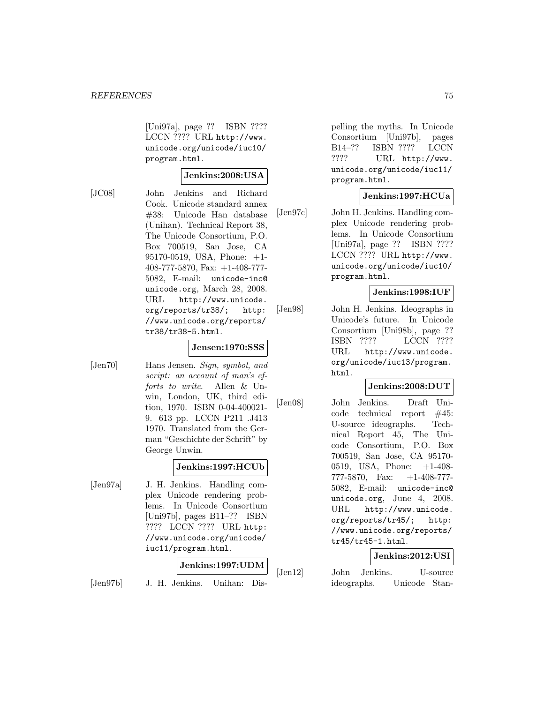[Uni97a], page ?? ISBN ???? LCCN ???? URL http://www. unicode.org/unicode/iuc10/ program.html.

#### **Jenkins:2008:USA**

[JC08] John Jenkins and Richard Cook. Unicode standard annex #38: Unicode Han database (Unihan). Technical Report 38, The Unicode Consortium, P.O. Box 700519, San Jose, CA 95170-0519, USA, Phone: +1- 408-777-5870, Fax: +1-408-777- 5082, E-mail: unicode-inc@ unicode.org, March 28, 2008. URL http://www.unicode. org/reports/tr38/; http: //www.unicode.org/reports/ tr38/tr38-5.html.

### **Jensen:1970:SSS**

[Jen70] Hans Jensen. Sign, symbol, and script: an account of man's efforts to write. Allen & Unwin, London, UK, third edition, 1970. ISBN 0-04-400021- 9. 613 pp. LCCN P211 .J413 1970. Translated from the German "Geschichte der Schrift" by George Unwin.

#### **Jenkins:1997:HCUb**

[Jen97a] J. H. Jenkins. Handling complex Unicode rendering problems. In Unicode Consortium [Uni97b], pages B11–?? ISBN ???? LCCN ???? URL http: //www.unicode.org/unicode/ iuc11/program.html.

#### **Jenkins:1997:UDM**

[Jen97b] J. H. Jenkins. Unihan: Dis-

pelling the myths. In Unicode Consortium [Uni97b], pages B14–?? ISBN ???? LCCN ???? URL http://www. unicode.org/unicode/iuc11/ program.html.

#### **Jenkins:1997:HCUa**

[Jen97c] John H. Jenkins. Handling complex Unicode rendering problems. In Unicode Consortium [Uni97a], page ?? ISBN ???? LCCN ???? URL http://www. unicode.org/unicode/iuc10/ program.html.

### **Jenkins:1998:IUF**

[Jen98] John H. Jenkins. Ideographs in Unicode's future. In Unicode Consortium [Uni98b], page ?? ISBN ???? LCCN ???? URL http://www.unicode. org/unicode/iuc13/program. html.

#### **Jenkins:2008:DUT**

[Jen08] John Jenkins. Draft Unicode technical report #45: U-source ideographs. Technical Report 45, The Unicode Consortium, P.O. Box 700519, San Jose, CA 95170- 0519, USA, Phone: +1-408- 777-5870, Fax: +1-408-777- 5082, E-mail: unicode-inc@ unicode.org, June 4, 2008. URL http://www.unicode. org/reports/tr45/; http: //www.unicode.org/reports/ tr45/tr45-1.html.

### **Jenkins:2012:USI**

[Jen12] John Jenkins. U-source ideographs. Unicode Stan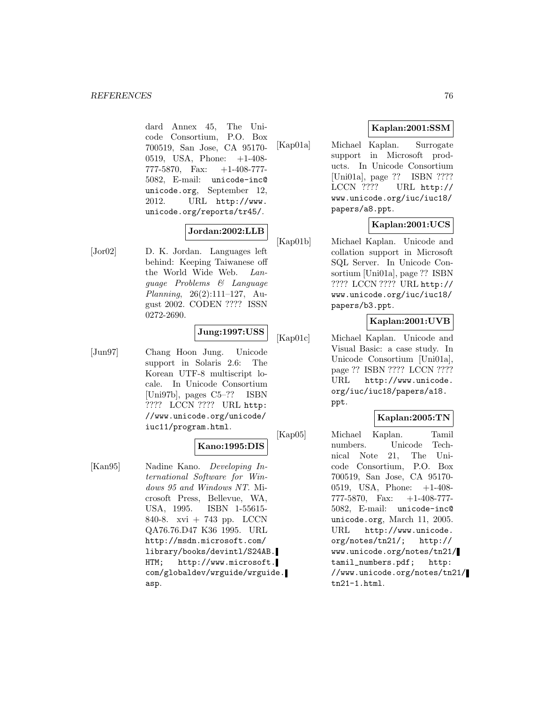dard Annex 45, The Unicode Consortium, P.O. Box 700519, San Jose, CA 95170- 0519, USA, Phone: +1-408- 777-5870, Fax: +1-408-777- 5082, E-mail: unicode-inc@ unicode.org, September 12, 2012. URL http://www. unicode.org/reports/tr45/.

# **Jordan:2002:LLB**

[Jor02] D. K. Jordan. Languages left behind: Keeping Taiwanese off the World Wide Web. Language Problems & Language Planning, 26(2):111–127, August 2002. CODEN ???? ISSN 0272-2690.

### **Jung:1997:USS**

[Jun97] Chang Hoon Jung. Unicode support in Solaris 2.6: The Korean UTF-8 multiscript locale. In Unicode Consortium [Uni97b], pages C5–?? ISBN ???? LCCN ???? URL http: //www.unicode.org/unicode/ iuc11/program.html.

# **Kano:1995:DIS**

[Kan95] Nadine Kano. Developing International Software for Windows 95 and Windows NT. Microsoft Press, Bellevue, WA, USA, 1995. ISBN 1-55615- 840-8. xvi + 743 pp. LCCN QA76.76.D47 K36 1995. URL http://msdn.microsoft.com/ library/books/devintl/S24AB. HTM; http://www.microsoft. com/globaldev/wrguide/wrguide. asp.

# **Kaplan:2001:SSM**

[Kap01a] Michael Kaplan. Surrogate support in Microsoft products. In Unicode Consortium [Uni01a], page ?? ISBN ???? LCCN ???? URL http:// www.unicode.org/iuc/iuc18/ papers/a8.ppt.

# **Kaplan:2001:UCS**

[Kap01b] Michael Kaplan. Unicode and collation support in Microsoft SQL Server. In Unicode Consortium [Uni01a], page ?? ISBN ???? LCCN ???? URL http:// www.unicode.org/iuc/iuc18/ papers/b3.ppt.

# **Kaplan:2001:UVB**

[Kap01c] Michael Kaplan. Unicode and Visual Basic: a case study. In Unicode Consortium [Uni01a], page ?? ISBN ???? LCCN ???? URL http://www.unicode. org/iuc/iuc18/papers/a18. ppt.

### **Kaplan:2005:TN**

[Kap05] Michael Kaplan. Tamil numbers. Unicode Technical Note 21, The Unicode Consortium, P.O. Box 700519, San Jose, CA 95170- 0519, USA, Phone: +1-408- 777-5870, Fax: +1-408-777- 5082, E-mail: unicode-inc@ unicode.org, March 11, 2005. URL http://www.unicode. org/notes/tn21/; http:// www.unicode.org/notes/tn21/ tamil\_numbers.pdf; http: //www.unicode.org/notes/tn21/ tn21-1.html.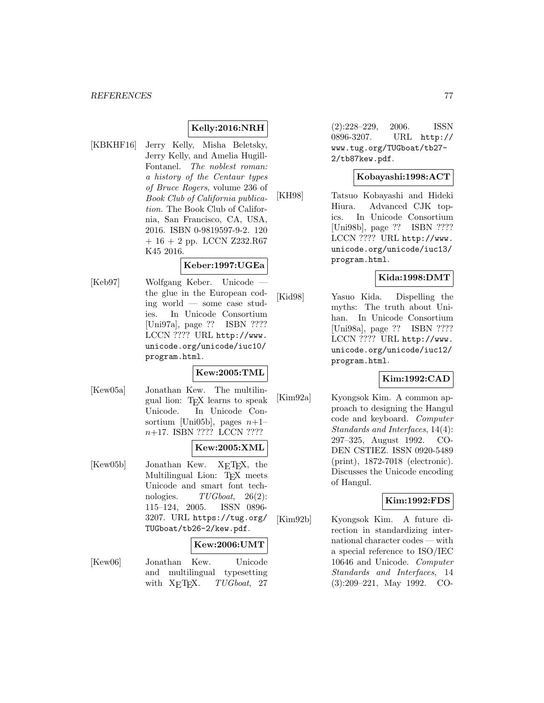### **Kelly:2016:NRH**

[KBKHF16] Jerry Kelly, Misha Beletsky, Jerry Kelly, and Amelia Hugill-Fontanel. The noblest roman: a history of the Centaur types of Bruce Rogers, volume 236 of Book Club of California publication. The Book Club of California, San Francisco, CA, USA, 2016. ISBN 0-9819597-9-2. 120  $+ 16 + 2$  pp. LCCN Z232.R67 K45 2016.

#### **Keber:1997:UGEa**

[Keb97] Wolfgang Keber. Unicode the glue in the European coding world — some case studies. In Unicode Consortium [Uni97a], page ?? ISBN ???? LCCN ???? URL http://www. unicode.org/unicode/iuc10/ program.html.

#### **Kew:2005:TML**

[Kew05a] Jonathan Kew. The multilingual lion: TEX learns to speak Unicode. In Unicode Consortium [Uni05b], pages  $n+1$ – n+17. ISBN ???? LCCN ????

#### **Kew:2005:XML**

[Kew05b] Jonathan Kew. X<sub>E</sub>T<sub>E</sub>X, the Multilingual Lion: TEX meets Unicode and smart font technologies.  $TUGboat$ , 26(2): 115–124, 2005. ISSN 0896- 3207. URL https://tug.org/ TUGboat/tb26-2/kew.pdf.

#### **Kew:2006:UMT**

[Kew06] Jonathan Kew. Unicode and multilingual typesetting with  $X<sub>F</sub>$ T<sub>F</sub>X. *TUGboat*, 27

(2):228–229, 2006. ISSN 0896-3207. URL http:// www.tug.org/TUGboat/tb27- 2/tb87kew.pdf.

#### **Kobayashi:1998:ACT**

[KH98] Tatsuo Kobayashi and Hideki Hiura. Advanced CJK topics. In Unicode Consortium [Uni98b], page ?? ISBN ???? LCCN ???? URL http://www. unicode.org/unicode/iuc13/ program.html.

### **Kida:1998:DMT**

[Kid98] Yasuo Kida. Dispelling the myths: The truth about Unihan. In Unicode Consortium [Uni98a], page ?? ISBN ???? LCCN ???? URL http://www. unicode.org/unicode/iuc12/ program.html.

### **Kim:1992:CAD**

[Kim92a] Kyongsok Kim. A common approach to designing the Hangul code and keyboard. Computer Standards and Interfaces, 14(4): 297–325, August 1992. CO-DEN CSTIEZ. ISSN 0920-5489 (print), 1872-7018 (electronic). Discusses the Unicode encoding of Hangul.

#### **Kim:1992:FDS**

[Kim92b] Kyongsok Kim. A future direction in standardizing international character codes — with a special reference to ISO/IEC 10646 and Unicode. Computer Standards and Interfaces, 14 (3):209–221, May 1992. CO-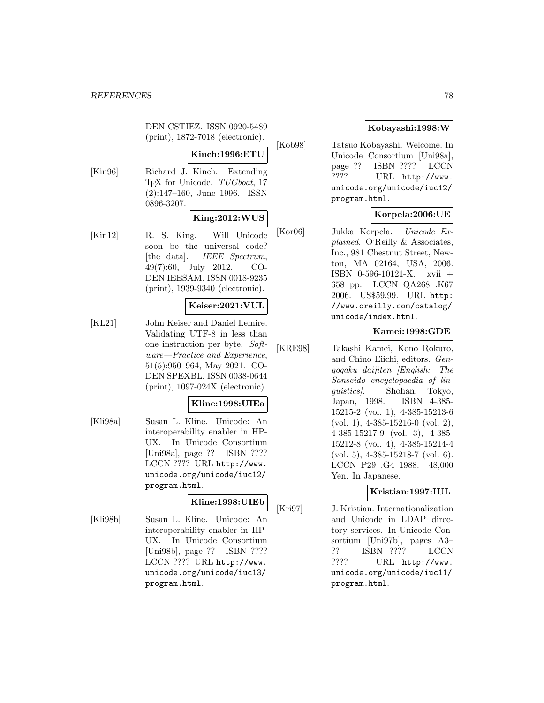DEN CSTIEZ. ISSN 0920-5489 (print), 1872-7018 (electronic).

# **Kinch:1996:ETU**

[Kin96] Richard J. Kinch. Extending T<sub>EX</sub> for Unicode. TUGboat, 17 (2):147–160, June 1996. ISSN 0896-3207.

### **King:2012:WUS**

[Kin12] R. S. King. Will Unicode soon be the universal code? [the data]. IEEE Spectrum, 49(7):60, July 2012. CO-DEN IEESAM. ISSN 0018-9235 (print), 1939-9340 (electronic).

### **Keiser:2021:VUL**

[KL21] John Keiser and Daniel Lemire. Validating UTF-8 in less than one instruction per byte. Software—Practice and Experience, 51(5):950–964, May 2021. CO-DEN SPEXBL. ISSN 0038-0644 (print), 1097-024X (electronic).

#### **Kline:1998:UIEa**

[Kli98a] Susan L. Kline. Unicode: An interoperability enabler in HP-UX. In Unicode Consortium [Uni98a], page ?? ISBN ???? LCCN ???? URL http://www. unicode.org/unicode/iuc12/ program.html.

#### **Kline:1998:UIEb**

[Kli98b] Susan L. Kline. Unicode: An interoperability enabler in HP-UX. In Unicode Consortium [Uni98b], page ?? ISBN ???? LCCN ???? URL http://www. unicode.org/unicode/iuc13/ program.html.

# **Kobayashi:1998:W**

[Kob98] Tatsuo Kobayashi. Welcome. In Unicode Consortium [Uni98a], page ?? ISBN ???? LCCN ???? URL http://www. unicode.org/unicode/iuc12/ program.html.

# **Korpela:2006:UE**

[Kor06] Jukka Korpela. Unicode Explained. O'Reilly & Associates, Inc., 981 Chestnut Street, Newton, MA 02164, USA, 2006. ISBN 0-596-10121-X. xvii + 658 pp. LCCN QA268 .K67 2006. US\$59.99. URL http: //www.oreilly.com/catalog/ unicode/index.html.

# **Kamei:1998:GDE**

[KRE98] Takashi Kamei, Kono Rokuro, and Chino Eiichi, editors. Gengogaku daijiten [English: The Sanseido encyclopaedia of linguistics]. Shohan, Tokyo, Japan, 1998. ISBN 4-385- 15215-2 (vol. 1), 4-385-15213-6 (vol. 1), 4-385-15216-0 (vol. 2), 4-385-15217-9 (vol. 3), 4-385- 15212-8 (vol. 4), 4-385-15214-4 (vol. 5), 4-385-15218-7 (vol. 6). LCCN P29 .G4 1988. 48,000 Yen. In Japanese.

### **Kristian:1997:IUL**

[Kri97] J. Kristian. Internationalization and Unicode in LDAP directory services. In Unicode Consortium [Uni97b], pages A3– ?? ISBN ???? LCCN ???? URL http://www. unicode.org/unicode/iuc11/ program.html.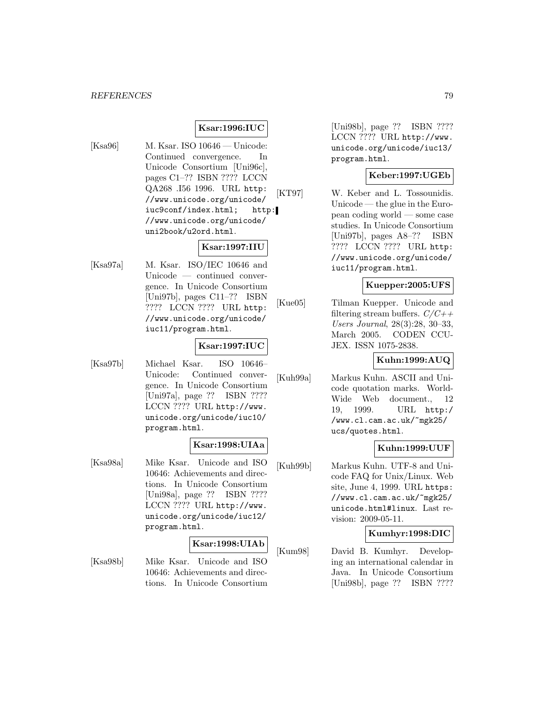# **Ksar:1996:IUC**

[Ksa96] M. Ksar. ISO 10646 — Unicode: Continued convergence. In Unicode Consortium [Uni96c], pages C1–?? ISBN ???? LCCN QA268 .I56 1996. URL http: //www.unicode.org/unicode/ iuc9conf/index.html; http: //www.unicode.org/unicode/ uni2book/u2ord.html.

### **Ksar:1997:IIU**

[Ksa97a] M. Ksar. ISO/IEC 10646 and Unicode — continued convergence. In Unicode Consortium [Uni97b], pages C11–?? ISBN ???? LCCN ???? URL http: //www.unicode.org/unicode/ iuc11/program.html.

# **Ksar:1997:IUC**

[Ksa97b] Michael Ksar. ISO 10646– Unicode: Continued convergence. In Unicode Consortium [Uni97a], page ?? ISBN ???? LCCN ???? URL http://www. unicode.org/unicode/iuc10/ program.html.

#### **Ksar:1998:UIAa**

[Ksa98a] Mike Ksar. Unicode and ISO 10646: Achievements and directions. In Unicode Consortium [Uni98a], page ?? ISBN ???? LCCN ???? URL http://www. unicode.org/unicode/iuc12/ program.html.

#### **Ksar:1998:UIAb**

[Ksa98b] Mike Ksar. Unicode and ISO 10646: Achievements and directions. In Unicode Consortium

[Uni98b], page ?? ISBN ???? LCCN ???? URL http://www. unicode.org/unicode/iuc13/ program.html.

### **Keber:1997:UGEb**

[KT97] W. Keber and L. Tossounidis. Unicode — the glue in the European coding world — some case studies. In Unicode Consortium [Uni97b], pages A8–?? ISBN ???? LCCN ???? URL http: //www.unicode.org/unicode/ iuc11/program.html.

#### **Kuepper:2005:UFS**

[Kue05] Tilman Kuepper. Unicode and filtering stream buffers.  $C/C++$ Users Journal, 28(3):28, 30–33, March 2005. CODEN CCU-JEX. ISSN 1075-2838.

#### **Kuhn:1999:AUQ**

[Kuh99a] Markus Kuhn. ASCII and Unicode quotation marks. World-Wide Web document., 12 19, 1999. URL http:/ /www.cl.cam.ac.uk/~mgk25/ ucs/quotes.html.

#### **Kuhn:1999:UUF**

[Kuh99b] Markus Kuhn. UTF-8 and Unicode FAQ for Unix/Linux. Web site, June 4, 1999. URL https: //www.cl.cam.ac.uk/~mgk25/ unicode.html#linux. Last revision: 2009-05-11.

#### **Kumhyr:1998:DIC**

[Kum98] David B. Kumhyr. Developing an international calendar in Java. In Unicode Consortium [Uni98b], page ?? ISBN ????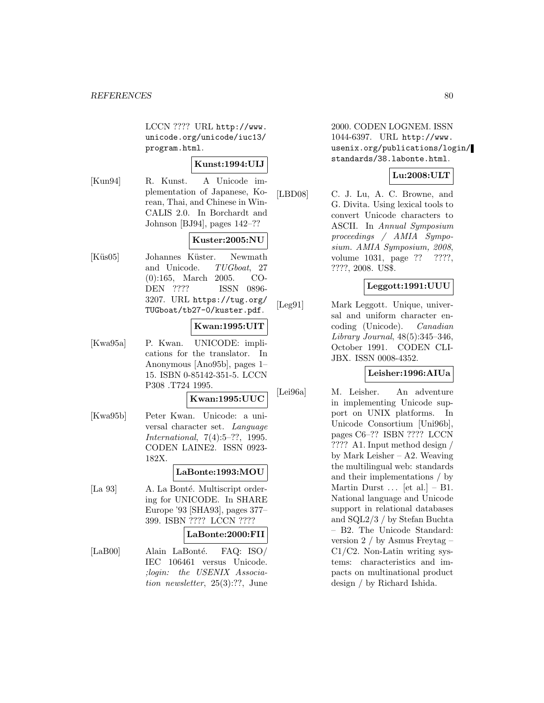LCCN ???? URL http://www. unicode.org/unicode/iuc13/ program.html.

### **Kunst:1994:UIJ**

[Kun94] R. Kunst. A Unicode implementation of Japanese, Korean, Thai, and Chinese in Win-CALIS 2.0. In Borchardt and Johnson [BJ94], pages 142–??

### **Kuster:2005:NU**

[Küs05] Johannes Küster. Newmath and Unicode. TUGboat, 27 (0):165, March 2005. CO-DEN ???? ISSN 0896- 3207. URL https://tug.org/ TUGboat/tb27-0/kuster.pdf.

### **Kwan:1995:UIT**

[Kwa95a] P. Kwan. UNICODE: implications for the translator. In Anonymous [Ano95b], pages 1– 15. ISBN 0-85142-351-5. LCCN P308 .T724 1995.

# **Kwan:1995:UUC**

[Kwa95b] Peter Kwan. Unicode: a universal character set. Language International, 7(4):5–??, 1995. CODEN LAINE2. ISSN 0923- 182X.

#### **LaBonte:1993:MOU**

[La 93] A. La Bonté. Multiscript ordering for UNICODE. In SHARE Europe '93 [SHA93], pages 377– 399. ISBN ???? LCCN ????

#### **LaBonte:2000:FII**

[LaB00] Alain LaBonté. FAQ: ISO/ IEC 106461 versus Unicode. ;login: the USENIX Association newsletter, 25(3):??, June

2000. CODEN LOGNEM. ISSN 1044-6397. URL http://www. usenix.org/publications/login/ standards/38.labonte.html.

# **Lu:2008:ULT**

[LBD08] C. J. Lu, A. C. Browne, and G. Divita. Using lexical tools to convert Unicode characters to ASCII. In Annual Symposium proceedings / AMIA Symposium. AMIA Symposium, 2008, volume 1031, page ?? ????, ????, 2008. US\$.

### **Leggott:1991:UUU**

[Leg91] Mark Leggott. Unique, universal and uniform character encoding (Unicode). Canadian Library Journal, 48(5):345–346, October 1991. CODEN CLI-JBX. ISSN 0008-4352.

### **Leisher:1996:AIUa**

[Lei96a] M. Leisher. An adventure in implementing Unicode support on UNIX platforms. In Unicode Consortium [Uni96b], pages C6–?? ISBN ???? LCCN ???? A1. Input method design / by Mark Leisher – A2. Weaving the multilingual web: standards and their implementations / by Martin Durst  $\ldots$  [et al.] – B1. National language and Unicode support in relational databases and SQL2/3 / by Stefan Buchta – B2. The Unicode Standard: version 2 / by Asmus Freytag – C1/C2. Non-Latin writing systems: characteristics and impacts on multinational product design / by Richard Ishida.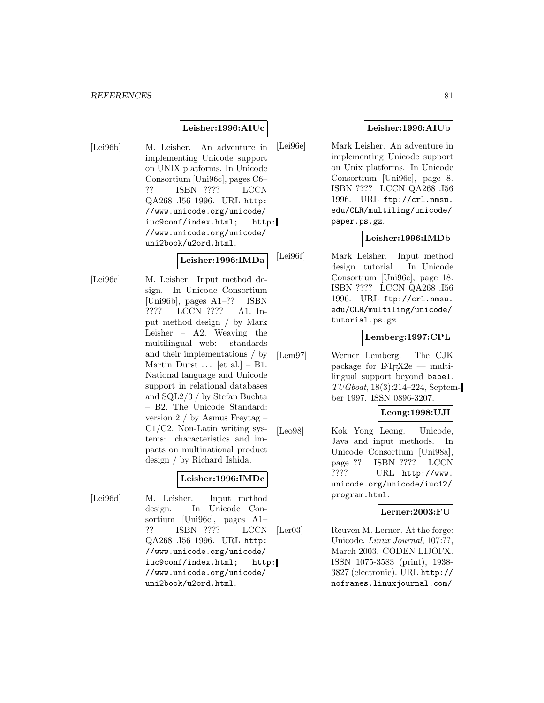#### **Leisher:1996:AIUc**

[Lei96b] M. Leisher. An adventure in implementing Unicode support on UNIX platforms. In Unicode Consortium [Uni96c], pages C6– ?? ISBN ???? LCCN QA268 .I56 1996. URL http: //www.unicode.org/unicode/ iuc9conf/index.html; http: //www.unicode.org/unicode/ uni2book/u2ord.html.

#### **Leisher:1996:IMDa**

[Lei96c] M. Leisher. Input method design. In Unicode Consortium [Uni96b], pages A1–?? ISBN ???? LCCN ???? A1. Input method design / by Mark Leisher – A2. Weaving the multilingual web: standards and their implementations / by Martin Durst  $\ldots$  [et al.] – B1. National language and Unicode support in relational databases and SQL2/3 / by Stefan Buchta – B2. The Unicode Standard: version 2 / by Asmus Freytag – C1/C2. Non-Latin writing systems: characteristics and impacts on multinational product design / by Richard Ishida.

### **Leisher:1996:IMDc**

[Lei96d] M. Leisher. Input method design. In Unicode Consortium [Uni96c], pages A1– ?? ISBN ???? LCCN QA268 .I56 1996. URL http: //www.unicode.org/unicode/ iuc9conf/index.html; http: //www.unicode.org/unicode/ uni2book/u2ord.html.

### **Leisher:1996:AIUb**

[Lei96e] Mark Leisher. An adventure in implementing Unicode support on Unix platforms. In Unicode Consortium [Uni96c], page 8. ISBN ???? LCCN QA268 .I56 1996. URL ftp://crl.nmsu. edu/CLR/multiling/unicode/ paper.ps.gz.

### **Leisher:1996:IMDb**

[Lei96f] Mark Leisher. Input method design. tutorial. In Unicode Consortium [Uni96c], page 18. ISBN ???? LCCN QA268 .I56 1996. URL ftp://crl.nmsu. edu/CLR/multiling/unicode/ tutorial.ps.gz.

### **Lemberg:1997:CPL**

[Lem97] Werner Lemberg. The CJK package for  $\text{LAT}_F X2e$  — multilingual support beyond babel. TUGboat, 18(3):214–224, September 1997. ISSN 0896-3207.

### **Leong:1998:UJI**

[Leo98] Kok Yong Leong. Unicode, Java and input methods. In Unicode Consortium [Uni98a], page ?? ISBN ???? LCCN ???? URL http://www. unicode.org/unicode/iuc12/ program.html.

### **Lerner:2003:FU**

[Ler03] Reuven M. Lerner. At the forge: Unicode. Linux Journal, 107:??, March 2003. CODEN LIJOFX. ISSN 1075-3583 (print), 1938- 3827 (electronic). URL http:// noframes.linuxjournal.com/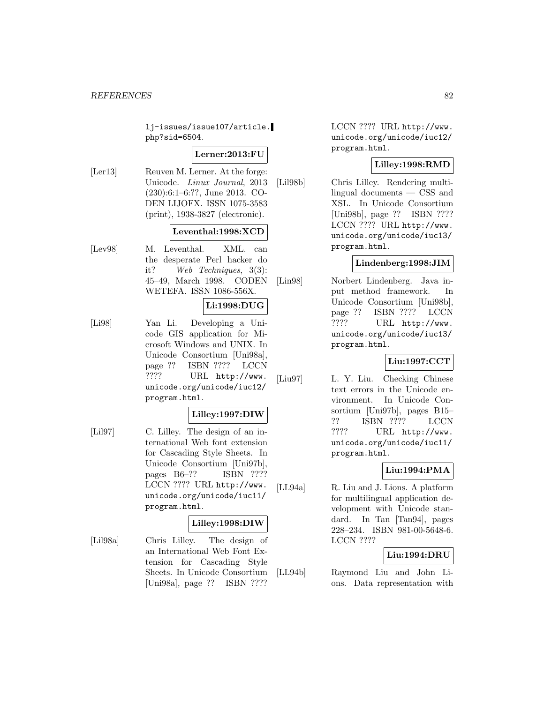lj-issues/issue107/article. php?sid=6504.

#### **Lerner:2013:FU**

[Ler13] Reuven M. Lerner. At the forge: Unicode. Linux Journal, 2013 (230):6:1–6:??, June 2013. CO-DEN LIJOFX. ISSN 1075-3583 (print), 1938-3827 (electronic).

#### **Leventhal:1998:XCD**

[Lev98] M. Leventhal. XML. can the desperate Perl hacker do it? Web Techniques, 3(3): 45–49, March 1998. CODEN WETEFA. ISSN 1086-556X.

### **Li:1998:DUG**

[Li98] Yan Li. Developing a Unicode GIS application for Microsoft Windows and UNIX. In Unicode Consortium [Uni98a], page ?? ISBN ???? LCCN ???? URL http://www. unicode.org/unicode/iuc12/ program.html.

#### **Lilley:1997:DIW**

[Lil97] C. Lilley. The design of an international Web font extension for Cascading Style Sheets. In Unicode Consortium [Uni97b], pages B6–?? ISBN ???? LCCN ???? URL http://www. unicode.org/unicode/iuc11/ program.html.

### **Lilley:1998:DIW**

[Lil98a] Chris Lilley. The design of an International Web Font Extension for Cascading Style Sheets. In Unicode Consortium [Uni98a], page ?? ISBN ????

LCCN ???? URL http://www. unicode.org/unicode/iuc12/ program.html.

### **Lilley:1998:RMD**

[Lil98b] Chris Lilley. Rendering multilingual documents — CSS and XSL. In Unicode Consortium [Uni98b], page ?? ISBN ???? LCCN ???? URL http://www. unicode.org/unicode/iuc13/ program.html.

### **Lindenberg:1998:JIM**

[Lin98] Norbert Lindenberg. Java input method framework. In Unicode Consortium [Uni98b], page ?? ISBN ???? LCCN ???? URL http://www. unicode.org/unicode/iuc13/ program.html.

#### **Liu:1997:CCT**

[Liu97] L. Y. Liu. Checking Chinese text errors in the Unicode environment. In Unicode Consortium [Uni97b], pages B15– ?? ISBN ???? LCCN ???? URL http://www. unicode.org/unicode/iuc11/ program.html.

### **Liu:1994:PMA**

[LL94a] R. Liu and J. Lions. A platform for multilingual application development with Unicode standard. In Tan [Tan94], pages 228–234. ISBN 981-00-5648-6. LCCN ????

#### **Liu:1994:DRU**

[LL94b] Raymond Liu and John Lions. Data representation with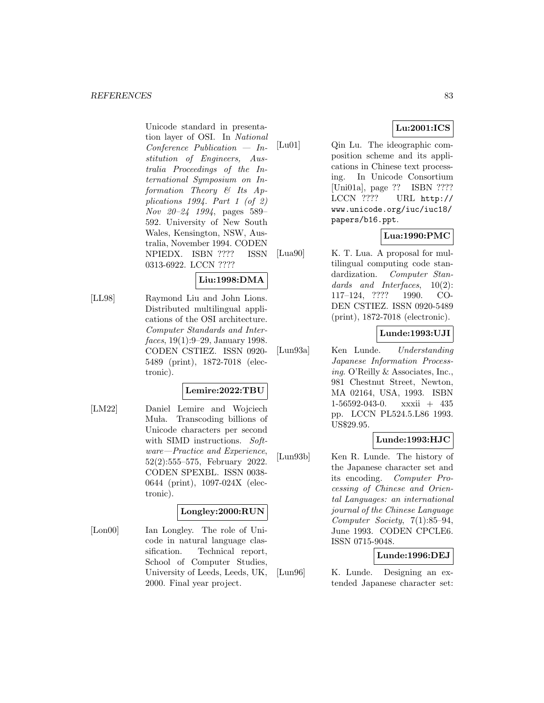Unicode standard in presentation layer of OSI. In National Conference Publication — Institution of Engineers, Australia Proceedings of the International Symposium on Information Theory & Its Applications 1994. Part 1 (of 2) Nov 20–24 1994, pages 589– 592. University of New South Wales, Kensington, NSW, Australia, November 1994. CODEN NPIEDX. ISBN ???? ISSN 0313-6922. LCCN ????

**Liu:1998:DMA**

[LL98] Raymond Liu and John Lions. Distributed multilingual applications of the OSI architecture. Computer Standards and Interfaces, 19(1):9–29, January 1998. CODEN CSTIEZ. ISSN 0920- 5489 (print), 1872-7018 (electronic).

### **Lemire:2022:TBU**

[LM22] Daniel Lemire and Wojciech Muła. Transcoding billions of Unicode characters per second with SIMD instructions. Software—Practice and Experience, 52(2):555–575, February 2022. CODEN SPEXBL. ISSN 0038- 0644 (print), 1097-024X (electronic).

### **Longley:2000:RUN**

[Lon00] Ian Longley. The role of Unicode in natural language classification. Technical report, School of Computer Studies, University of Leeds, Leeds, UK, 2000. Final year project.

[Lu01] Qin Lu. The ideographic composition scheme and its applications in Chinese text processing. In Unicode Consortium [Uni01a], page ?? ISBN ???? LCCN ???? URL http:// www.unicode.org/iuc/iuc18/

# **Lua:1990:PMC**

**Lu:2001:ICS**

[Lua90] K. T. Lua. A proposal for multilingual computing code standardization. Computer Standards and Interfaces,  $10(2)$ : 117–124, ???? 1990. CO-DEN CSTIEZ. ISSN 0920-5489 (print), 1872-7018 (electronic).

papers/b16.ppt.

### **Lunde:1993:UJI**

[Lun93a] Ken Lunde. Understanding Japanese Information Processing. O'Reilly & Associates, Inc., 981 Chestnut Street, Newton, MA 02164, USA, 1993. ISBN 1-56592-043-0. xxxii + 435 pp. LCCN PL524.5.L86 1993. US\$29.95.

#### **Lunde:1993:HJC**

[Lun93b] Ken R. Lunde. The history of the Japanese character set and its encoding. Computer Processing of Chinese and Oriental Languages: an international journal of the Chinese Language Computer Society, 7(1):85–94, June 1993. CODEN CPCLE6. ISSN 0715-9048.

### **Lunde:1996:DEJ**

[Lun96] K. Lunde. Designing an extended Japanese character set: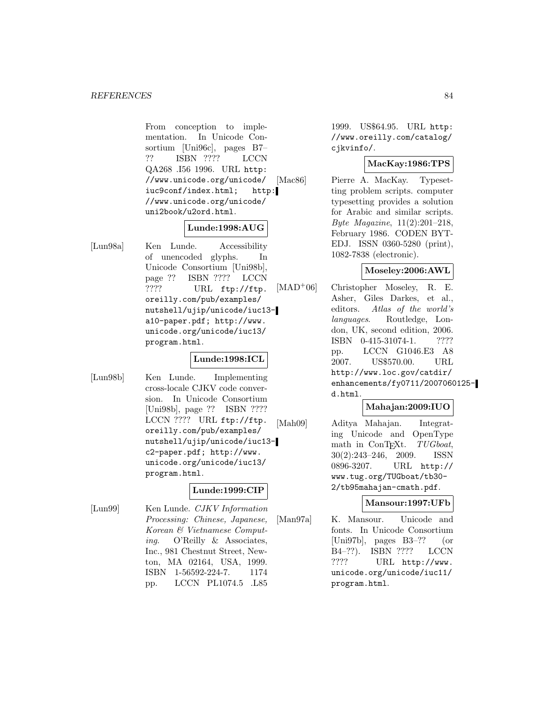From conception to implementation. In Unicode Consortium [Uni96c], pages B7– ?? ISBN ???? LCCN QA268 .I56 1996. URL http: //www.unicode.org/unicode/ iuc9conf/index.html; http: //www.unicode.org/unicode/ uni2book/u2ord.html.

### **Lunde:1998:AUG**

[Lun98a] Ken Lunde. Accessibility of unencoded glyphs. In Unicode Consortium [Uni98b], page ?? ISBN ???? LCCN ???? URL ftp://ftp. oreilly.com/pub/examples/ nutshell/ujip/unicode/iuc13 a10-paper.pdf; http://www. unicode.org/unicode/iuc13/ program.html.

#### **Lunde:1998:ICL**

[Lun98b] Ken Lunde. Implementing cross-locale CJKV code conversion. In Unicode Consortium [Uni98b], page ?? ISBN ???? LCCN ???? URL ftp://ftp. oreilly.com/pub/examples/ nutshell/ujip/unicode/iuc13 c2-paper.pdf; http://www. unicode.org/unicode/iuc13/ program.html.

#### **Lunde:1999:CIP**

[Lun99] Ken Lunde. CJKV Information Processing: Chinese, Japanese, Korean & Vietnamese Computing. O'Reilly & Associates, Inc., 981 Chestnut Street, Newton, MA 02164, USA, 1999. ISBN 1-56592-224-7. 1174 pp. LCCN PL1074.5 .L85

1999. US\$64.95. URL http: //www.oreilly.com/catalog/ cjkvinfo/.

### **MacKay:1986:TPS**

[Mac86] Pierre A. MacKay. Typesetting problem scripts. computer typesetting provides a solution for Arabic and similar scripts. Byte Magazine, 11(2):201–218, February 1986. CODEN BYT-EDJ. ISSN 0360-5280 (print), 1082-7838 (electronic).

### **Moseley:2006:AWL**

[MAD<sup>+</sup>06] Christopher Moseley, R. E. Asher, Giles Darkes, et al., editors. Atlas of the world's languages. Routledge, London, UK, second edition, 2006. ISBN 0-415-31074-1. ???? pp. LCCN G1046.E3 A8 2007. US\$570.00. URL http://www.loc.gov/catdir/ enhancements/fy0711/2007060125 d.html.

### **Mahajan:2009:IUO**

[Mah09] Aditya Mahajan. Integrating Unicode and OpenType math in ConTEXt.  $TUGboat$ ,<br> $30(2):243-246$ . 2009. ISSN  $30(2):243-246$ , 2009. 0896-3207. URL http:// www.tug.org/TUGboat/tb30- 2/tb95mahajan-cmath.pdf.

#### **Mansour:1997:UFb**

[Man97a] K. Mansour. Unicode and fonts. In Unicode Consortium [Uni97b], pages B3–?? (or B4–??). ISBN ???? LCCN ???? URL http://www. unicode.org/unicode/iuc11/ program.html.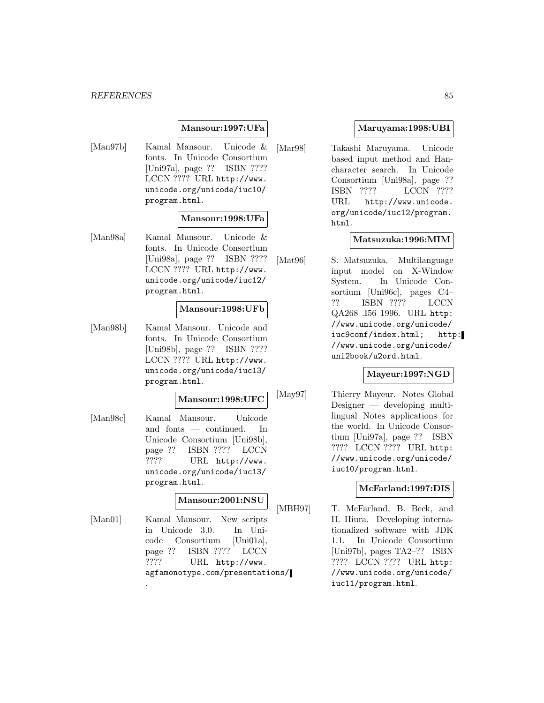#### **Mansour:1997:UFa**

[Man97b] Kamal Mansour. Unicode & fonts. In Unicode Consortium [Uni97a], page ?? ISBN ???? LCCN ???? URL http://www. unicode.org/unicode/iuc10/ program.html.

### **Mansour:1998:UFa**

[Man98a] Kamal Mansour. Unicode & fonts. In Unicode Consortium [Uni98a], page ?? ISBN ???? LCCN ???? URL http://www. unicode.org/unicode/iuc12/ program.html.

#### **Mansour:1998:UFb**

[Man98b] Kamal Mansour. Unicode and fonts. In Unicode Consortium [Uni98b], page ?? ISBN ???? LCCN ???? URL http://www. unicode.org/unicode/iuc13/ program.html.

### **Mansour:1998:UFC**

[Man98c] Kamal Mansour. Unicode and fonts — continued. In Unicode Consortium [Uni98b], page ?? ISBN ???? LCCN ???? URL http://www. unicode.org/unicode/iuc13/ program.html.

#### **Mansour:2001:NSU**

[Man01] Kamal Mansour. New scripts in Unicode 3.0. In Unicode Consortium [Uni01a], page ?? ISBN ???? LCCN ???? URL http://www. agfamonotype.com/presentations/

.

#### **Maruyama:1998:UBI**

[Mar98] Takashi Maruyama. Unicode based input method and Hancharacter search. In Unicode Consortium [Uni98a], page ?? ISBN ???? LCCN ???? URL http://www.unicode. org/unicode/iuc12/program. html.

#### **Matsuzuka:1996:MIM**

[Mat96] S. Matsuzuka. Multilanguage input model on X-Window System. In Unicode Consortium [Uni96c], pages C4– ?? ISBN ???? LCCN QA268 .I56 1996. URL http: //www.unicode.org/unicode/ iuc9conf/index.html; http: //www.unicode.org/unicode/ uni2book/u2ord.html.

### **Mayeur:1997:NGD**

[May97] Thierry Mayeur. Notes Global Designer — developing multilingual Notes applications for the world. In Unicode Consortium [Uni97a], page ?? ISBN ???? LCCN ???? URL http: //www.unicode.org/unicode/ iuc10/program.html.

### **McFarland:1997:DIS**

[MBH97] T. McFarland, B. Beck, and H. Hiura. Developing internationalized software with JDK 1.1. In Unicode Consortium [Uni97b], pages TA2–?? ISBN ???? LCCN ???? URL http: //www.unicode.org/unicode/ iuc11/program.html.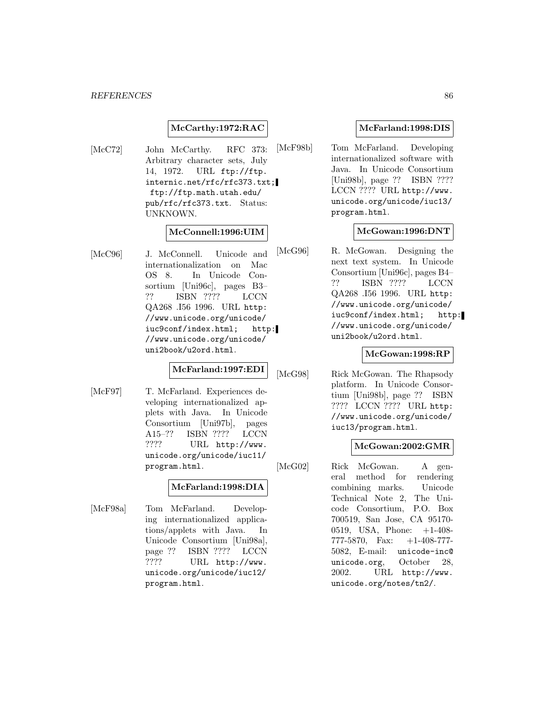### **McCarthy:1972:RAC**

[McC72] John McCarthy. RFC 373: Arbitrary character sets, July 14, 1972. URL ftp://ftp. internic.net/rfc/rfc373.txt; ftp://ftp.math.utah.edu/ pub/rfc/rfc373.txt. Status: UNKNOWN.

### **McConnell:1996:UIM**

[McC96] J. McConnell. Unicode and internationalization on Mac OS 8. In Unicode Consortium [Uni96c], pages B3– ?? ISBN ???? LCCN QA268 .I56 1996. URL http: //www.unicode.org/unicode/ iuc9conf/index.html; http: //www.unicode.org/unicode/ uni2book/u2ord.html.

# **McFarland:1997:EDI**

[McF97] T. McFarland. Experiences developing internationalized applets with Java. In Unicode Consortium [Uni97b], pages A15-?? ISBN ???? LCCN<br>???? URL http://www. URL http://www. unicode.org/unicode/iuc11/ program.html.

#### **McFarland:1998:DIA**

[McF98a] Tom McFarland. Developing internationalized applications/applets with Java. In Unicode Consortium [Uni98a], page ?? ISBN ???? LCCN<br>???? URL http://www. URL http://www. unicode.org/unicode/iuc12/ program.html.

#### **McFarland:1998:DIS**

[McF98b] Tom McFarland. Developing internationalized software with Java. In Unicode Consortium [Uni98b], page ?? ISBN ???? LCCN ???? URL http://www. unicode.org/unicode/iuc13/ program.html.

#### **McGowan:1996:DNT**

[McG96] R. McGowan. Designing the next text system. In Unicode Consortium [Uni96c], pages B4– ?? ISBN ???? LCCN QA268 .I56 1996. URL http: //www.unicode.org/unicode/ iuc9conf/index.html; http: //www.unicode.org/unicode/ uni2book/u2ord.html.

### **McGowan:1998:RP**

[McG98] Rick McGowan. The Rhapsody platform. In Unicode Consortium [Uni98b], page ?? ISBN ???? LCCN ???? URL http: //www.unicode.org/unicode/ iuc13/program.html.

#### **McGowan:2002:GMR**

[McG02] Rick McGowan. A general method for rendering combining marks. Unicode Technical Note 2, The Unicode Consortium, P.O. Box 700519, San Jose, CA 95170- 0519, USA, Phone: +1-408- 777-5870, Fax: +1-408-777- 5082, E-mail: unicode-inc@ unicode.org, October 28, 2002. URL http://www. unicode.org/notes/tn2/.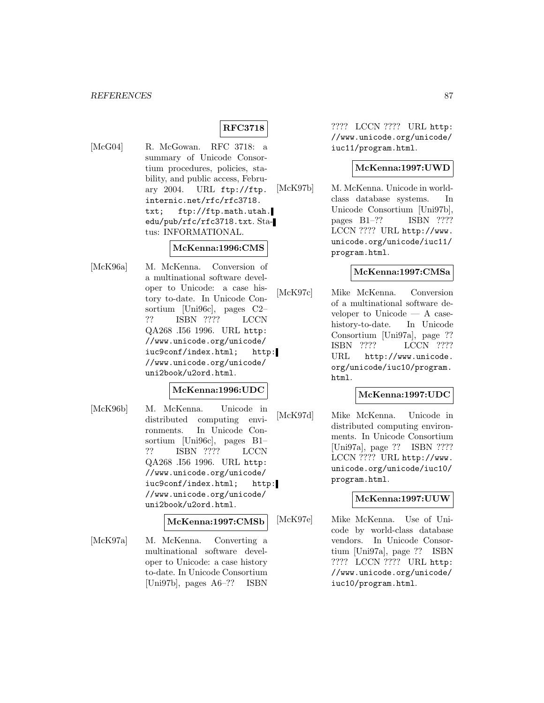# **RFC3718**

[McG04] R. McGowan. RFC 3718: a summary of Unicode Consortium procedures, policies, stability, and public access, February 2004. URL ftp://ftp. internic.net/rfc/rfc3718. txt; ftp://ftp.math.utah. edu/pub/rfc/rfc3718.txt. Status: INFORMATIONAL.

# **McKenna:1996:CMS**

[McK96a] M. McKenna. Conversion of a multinational software developer to Unicode: a case history to-date. In Unicode Consortium [Uni96c], pages C2– ?? ISBN ???? LCCN QA268 .I56 1996. URL http: //www.unicode.org/unicode/ iuc9conf/index.html; http: //www.unicode.org/unicode/ uni2book/u2ord.html.

#### **McKenna:1996:UDC**

[McK96b] M. McKenna. Unicode in distributed computing environments. In Unicode Consortium [Uni96c], pages B1– ?? ISBN ???? LCCN QA268 .I56 1996. URL http: //www.unicode.org/unicode/ iuc9conf/index.html; http: //www.unicode.org/unicode/ uni2book/u2ord.html.

#### **McKenna:1997:CMSb**

[McK97a] M. McKenna. Converting a multinational software developer to Unicode: a case history to-date. In Unicode Consortium [Uni97b], pages A6–?? ISBN

???? LCCN ???? URL http: //www.unicode.org/unicode/ iuc11/program.html.

### **McKenna:1997:UWD**

[McK97b] M. McKenna. Unicode in worldclass database systems. In Unicode Consortium [Uni97b], pages B1–?? ISBN ???? LCCN ???? URL http://www. unicode.org/unicode/iuc11/ program.html.

#### **McKenna:1997:CMSa**

[McK97c] Mike McKenna. Conversion of a multinational software developer to Unicode — A casehistory-to-date. In Unicode Consortium [Uni97a], page ?? ISBN ???? LCCN ???? URL http://www.unicode. org/unicode/iuc10/program. html.

### **McKenna:1997:UDC**

[McK97d] Mike McKenna. Unicode in distributed computing environments. In Unicode Consortium [Uni97a], page ?? ISBN ???? LCCN ???? URL http://www. unicode.org/unicode/iuc10/ program.html.

### **McKenna:1997:UUW**

[McK97e] Mike McKenna. Use of Unicode by world-class database vendors. In Unicode Consortium [Uni97a], page ?? ISBN ???? LCCN ???? URL http: //www.unicode.org/unicode/ iuc10/program.html.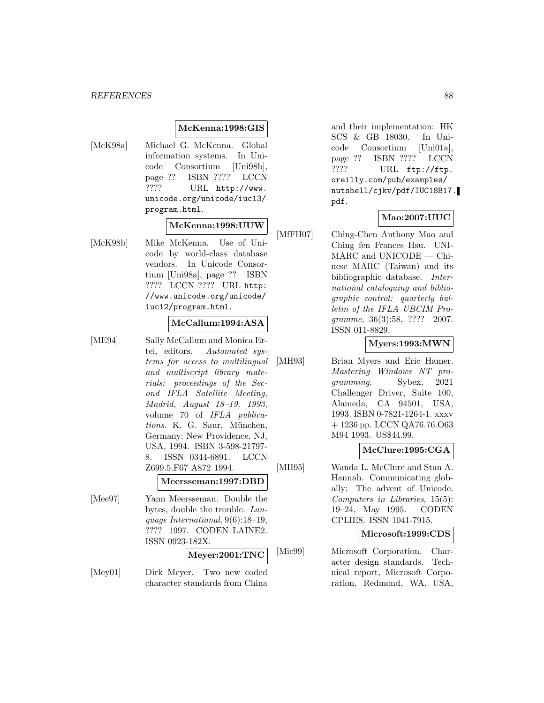### **McKenna:1998:GIS**

[McK98a] Michael G. McKenna. Global information systems. In Unicode Consortium [Uni98b], page ?? ISBN ???? LCCN ???? URL http://www. unicode.org/unicode/iuc13/ program.html.

# **McKenna:1998:UUW**

[McK98b] Mike McKenna. Use of Unicode by world-class database vendors. In Unicode Consortium [Uni98a], page ?? ISBN ???? LCCN ???? URL http: //www.unicode.org/unicode/ iuc12/program.html.

### **McCallum:1994:ASA**

[ME94] Sally McCallum and Monica Ertel, editors. Automated systems for access to multilingual and multiscript library materials: proceedings of the Second IFLA Satellite Meeting, Madrid, August 18–19, 1993, volume 70 of IFLA publications. K. G. Saur, München, Germany; New Providence, NJ, USA, 1994. ISBN 3-598-21797- 8. ISSN 0344-6891. LCCN Z699.5.F67 A872 1994.

#### **Meersseman:1997:DBD**

[Mee97] Yann Meersseman. Double the bytes, double the trouble. Language International, 9(6):18–19, ???? 1997. CODEN LAINE2. ISSN 0923-182X.

#### **Meyer:2001:TNC**

[Mey01] Dirk Meyer. Two new coded character standards from China and their implementation: HK SCS & GB 18030. In Unicode Consortium [Uni01a], page ?? ISBN ???? LCCN ???? URL ftp://ftp. oreilly.com/pub/examples/ nutshell/cjkv/pdf/IUC18B17. pdf.

#### **Mao:2007:UUC**

[MfFH07] Ching-Chen Anthony Mao and Ching fen Frances Hsu. UNI-MARC and UNICODE — Chinese MARC (Taiwan) and its bibliographic database. International cataloguing and bibliographic control: quarterly bulletin of the IFLA UBCIM Programme, 36(3):58, ???? 2007. ISSN 011-8829.

#### **Myers:1993:MWN**

[MH93] Brian Myers and Eric Hamer. Mastering Windows NT programming. Sybex, 2021 Challenger Driver, Suite 100, Alameda, CA 94501, USA, 1993. ISBN 0-7821-1264-1. xxxv + 1236 pp. LCCN QA76.76.O63 M94 1993. US\$44.99.

#### **McClure:1995:CGA**

[MH95] Wanda L. McClure and Stan A. Hannah. Communicating globally: The advent of Unicode. Computers in Libraries, 15(5): 19–24, May 1995. CODEN CPLIE8. ISSN 1041-7915.

#### **Microsoft:1999:CDS**

[Mic99] Microsoft Corporation. Character design standards. Technical report, Microsoft Corporation, Redmond, WA, USA,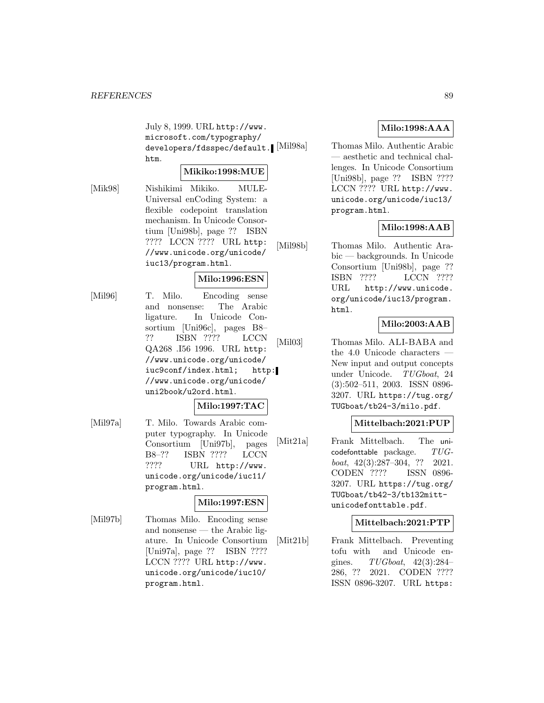July 8, 1999. URL http://www. microsoft.com/typography/ developers/fdsspec/default. Mil98a htm.

### **Mikiko:1998:MUE**

[Mik98] Nishikimi Mikiko. MULE-Universal enCoding System: a flexible codepoint translation mechanism. In Unicode Consortium [Uni98b], page ?? ISBN ???? LCCN ???? URL http: //www.unicode.org/unicode/ iuc13/program.html.

### **Milo:1996:ESN**

[Mil96] T. Milo. Encoding sense and nonsense: The Arabic ligature. In Unicode Consortium [Uni96c], pages B8– ?? ISBN ???? LCCN QA268 .I56 1996. URL http: //www.unicode.org/unicode/ iuc9conf/index.html; http: //www.unicode.org/unicode/ uni2book/u2ord.html.

#### **Milo:1997:TAC**

[Mil97a] T. Milo. Towards Arabic computer typography. In Unicode Consortium [Uni97b], pages B8–?? ISBN ???? LCCN ???? URL http://www. unicode.org/unicode/iuc11/ program.html.

## **Milo:1997:ESN**

[Mil97b] Thomas Milo. Encoding sense and nonsense — the Arabic ligature. In Unicode Consortium [Uni97a], page ?? ISBN ???? LCCN ???? URL http://www. unicode.org/unicode/iuc10/ program.html.

# **Milo:1998:AAA**

Thomas Milo. Authentic Arabic — aesthetic and technical challenges. In Unicode Consortium [Uni98b], page ?? ISBN ???? LCCN ???? URL http://www. unicode.org/unicode/iuc13/ program.html.

# **Milo:1998:AAB**

[Mil98b] Thomas Milo. Authentic Arabic — backgrounds. In Unicode Consortium [Uni98b], page ?? ISBN ???? LCCN ???? URL http://www.unicode. org/unicode/iuc13/program. html.

# **Milo:2003:AAB**

[Mil03] Thomas Milo. ALI-BABA and the 4.0 Unicode characters — New input and output concepts under Unicode. TUGboat, 24 (3):502–511, 2003. ISSN 0896- 3207. URL https://tug.org/ TUGboat/tb24-3/milo.pdf.

### **Mittelbach:2021:PUP**

[Mit21a] Frank Mittelbach. The uni $codefonttable$  package.  $TUG$ boat, 42(3):287–304, ?? 2021. CODEN ???? ISSN 0896- 3207. URL https://tug.org/ TUGboat/tb42-3/tb132mittunicodefonttable.pdf.

### **Mittelbach:2021:PTP**

[Mit21b] Frank Mittelbach. Preventing tofu with and Unicode engines.  $TUGboat$ ,  $42(3):284-$ 286, ?? 2021. CODEN ???? ISSN 0896-3207. URL https: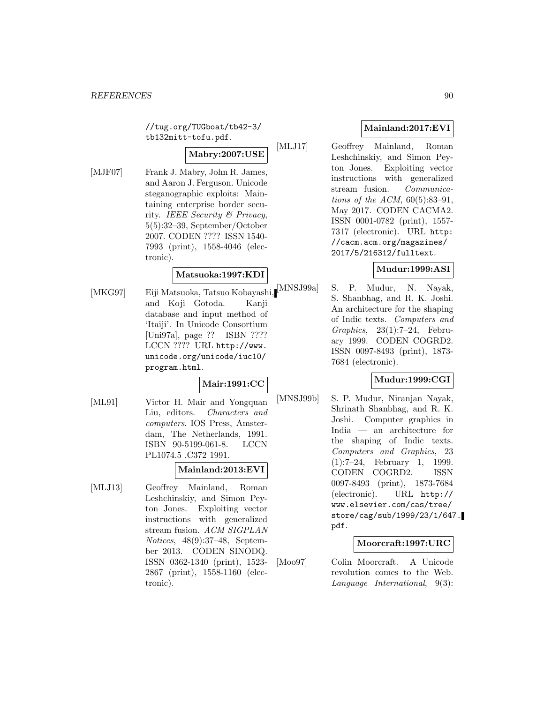//tug.org/TUGboat/tb42-3/ tb132mitt-tofu.pdf.

# **Mabry:2007:USE**

[MJF07] Frank J. Mabry, John R. James, and Aaron J. Ferguson. Unicode steganographic exploits: Maintaining enterprise border security. IEEE Security & Privacy, 5(5):32–39, September/October 2007. CODEN ???? ISSN 1540- 7993 (print), 1558-4046 (electronic).

### **Matsuoka:1997:KDI**

and Koji Gotoda. Kanji database and input method of 'Itaiji'. In Unicode Consortium [Uni97a], page ?? ISBN ???? LCCN ???? URL http://www. unicode.org/unicode/iuc10/ program.html.

### **Mair:1991:CC**

[ML91] Victor H. Mair and Yongquan Liu, editors. Characters and computers. IOS Press, Amsterdam, The Netherlands, 1991. ISBN 90-5199-061-8. LCCN PL1074.5 .C372 1991.

#### **Mainland:2013:EVI**

[MLJ13] Geoffrey Mainland, Roman Leshchinskiy, and Simon Peyton Jones. Exploiting vector instructions with generalized stream fusion. ACM SIGPLAN Notices, 48(9):37–48, September 2013. CODEN SINODQ. ISSN 0362-1340 (print), 1523- 2867 (print), 1558-1160 (electronic).

# **Mainland:2017:EVI**

[MLJ17] Geoffrey Mainland, Roman Leshchinskiy, and Simon Peyton Jones. Exploiting vector instructions with generalized stream fusion. Communications of the ACM,  $60(5):83-91$ , May 2017. CODEN CACMA2. ISSN 0001-0782 (print), 1557- 7317 (electronic). URL http: //cacm.acm.org/magazines/ 2017/5/216312/fulltext.

### **Mudur:1999:ASI**

[MKG97] Eiji Matsuoka, Tatsuo Kobayashi, [MNSJ99a] S. P. Mudur, N. Nayak, S. Shanbhag, and R. K. Joshi. An architecture for the shaping of Indic texts. Computers and Graphics, 23(1):7–24, February 1999. CODEN COGRD2. ISSN 0097-8493 (print), 1873- 7684 (electronic).

### **Mudur:1999:CGI**

[MNSJ99b] S. P. Mudur, Niranjan Nayak, Shrinath Shanbhag, and R. K. Joshi. Computer graphics in India — an architecture for the shaping of Indic texts. Computers and Graphics, 23 (1):7–24, February 1, 1999. CODEN COGRD2. ISSN 0097-8493 (print), 1873-7684 (electronic). URL http:// www.elsevier.com/cas/tree/ store/cag/sub/1999/23/1/647. pdf.

### **Moorcraft:1997:URC**

[Moo97] Colin Moorcraft. A Unicode revolution comes to the Web. Language International, 9(3):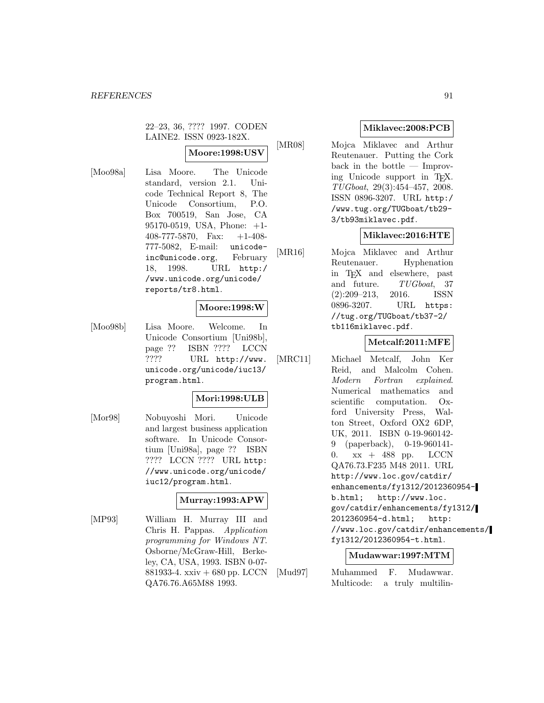22–23, 36, ???? 1997. CODEN LAINE2. ISSN 0923-182X.

### **Moore:1998:USV**

[Moo98a] Lisa Moore. The Unicode standard, version 2.1. Unicode Technical Report 8, The Unicode Consortium, P.O. Box 700519, San Jose, CA 95170-0519, USA, Phone: +1- 408-777-5870, Fax:  $+1-408$ -777-5082, E-mail: unicodeinc@unicode.org, February 18, 1998. URL http:/ /www.unicode.org/unicode/ reports/tr8.html.

#### **Moore:1998:W**

[Moo98b] Lisa Moore. Welcome. In Unicode Consortium [Uni98b], page ?? ISBN ???? LCCN ???? URL http://www. unicode.org/unicode/iuc13/ program.html.

### **Mori:1998:ULB**

[Mor98] Nobuyoshi Mori. Unicode and largest business application software. In Unicode Consortium [Uni98a], page ?? ISBN ???? LCCN ???? URL http: //www.unicode.org/unicode/ iuc12/program.html.

#### **Murray:1993:APW**

[MP93] William H. Murray III and Chris H. Pappas. Application programming for Windows NT. Osborne/McGraw-Hill, Berkeley, CA, USA, 1993. ISBN 0-07- 881933-4. xxiv + 680 pp. LCCN QA76.76.A65M88 1993.

### **Miklavec:2008:PCB**

[MR08] Mojca Miklavec and Arthur Reutenauer. Putting the Cork back in the bottle — Improving Unicode support in TEX. TUGboat, 29(3):454–457, 2008. ISSN 0896-3207. URL http:/ /www.tug.org/TUGboat/tb29- 3/tb93miklavec.pdf.

### **Miklavec:2016:HTE**

[MR16] Mojca Miklavec and Arthur Reutenauer. Hyphenation in T<sub>E</sub>X and elsewhere, past<br>and future. TUGboat, 37  $TUGboat$ , 37 (2):209–213, 2016. ISSN 0896-3207. URL https: //tug.org/TUGboat/tb37-2/ tb116miklavec.pdf.

### **Metcalf:2011:MFE**

[MRC11] Michael Metcalf, John Ker Reid, and Malcolm Cohen. Modern Fortran explained. Numerical mathematics and scientific computation. Oxford University Press, Walton Street, Oxford OX2 6DP, UK, 2011. ISBN 0-19-960142- 9 (paperback), 0-19-960141- 0.  $xx + 488$  pp. LCCN QA76.73.F235 M48 2011. URL http://www.loc.gov/catdir/ enhancements/fy1312/2012360954 b.html; http://www.loc. gov/catdir/enhancements/fy1312/ 2012360954-d.html; http: //www.loc.gov/catdir/enhancements/ fy1312/2012360954-t.html.

#### **Mudawwar:1997:MTM**

[Mud97] Muhammed F. Mudawwar. Multicode: a truly multilin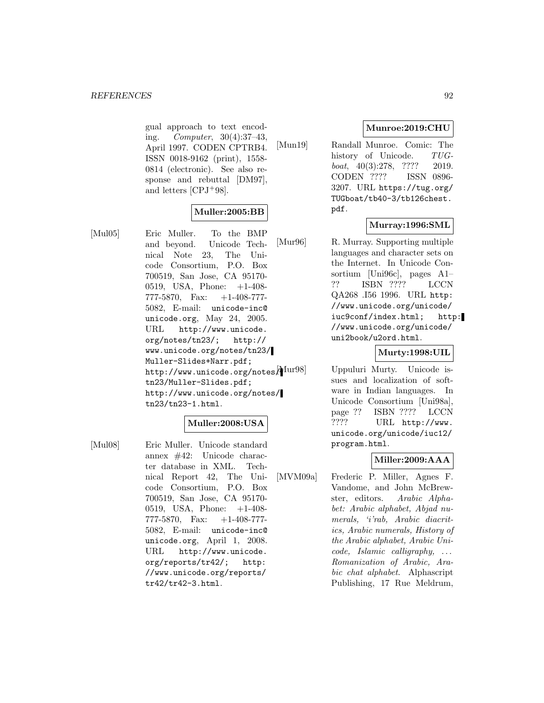gual approach to text encoding. Computer, 30(4):37–43, April 1997. CODEN CPTRB4. ISSN 0018-9162 (print), 1558- 0814 (electronic). See also response and rebuttal [DM97], and letters [CPJ<sup>+</sup>98].

### **Muller:2005:BB**

[Mul05] Eric Muller. To the BMP and beyond. Unicode Technical Note 23, The Unicode Consortium, P.O. Box 700519, San Jose, CA 95170- 0519, USA, Phone: +1-408- 777-5870, Fax: +1-408-777- 5082, E-mail: unicode-inc@ unicode.org, May 24, 2005. URL http://www.unicode. org/notes/tn23/; http:// www.unicode.org/notes/tn23/ Muller-Slides+Narr.pdf;

http://www.unicode.org/notes/Mur98] tn23/Muller-Slides.pdf; http://www.unicode.org/notes/

#### tn23/tn23-1.html.

# **Muller:2008:USA**

[Mul08] Eric Muller. Unicode standard annex #42: Unicode character database in XML. Technical Report 42, The Unicode Consortium, P.O. Box 700519, San Jose, CA 95170- 0519, USA, Phone: +1-408- 777-5870, Fax:  $+1-408-777$ 5082, E-mail: unicode-inc@ unicode.org, April 1, 2008. URL http://www.unicode. org/reports/tr42/; http: //www.unicode.org/reports/ tr42/tr42-3.html.

### **Munroe:2019:CHU**

[Mun19] Randall Munroe. Comic: The history of Unicode. TUGboat,  $40(3):278$ , ???? 2019. CODEN ???? ISSN 0896- 3207. URL https://tug.org/ TUGboat/tb40-3/tb126chest. pdf.

### **Murray:1996:SML**

[Mur96] R. Murray. Supporting multiple languages and character sets on the Internet. In Unicode Consortium [Uni96c], pages A1– ?? ISBN ???? LCCN QA268 .I56 1996. URL http: //www.unicode.org/unicode/ iuc9conf/index.html; http: //www.unicode.org/unicode/ uni2book/u2ord.html.

#### **Murty:1998:UIL**

Uppuluri Murty. Unicode issues and localization of software in Indian languages. In Unicode Consortium [Uni98a], page ?? ISBN ???? LCCN ???? URL http://www. unicode.org/unicode/iuc12/ program.html.

### **Miller:2009:AAA**

[MVM09a] Frederic P. Miller, Agnes F. Vandome, and John McBrewster, editors. Arabic Alphabet: Arabic alphabet, Abjad numerals, 'i'rab, Arabic diacritics, Arabic numerals, History of the Arabic alphabet, Arabic Unicode, Islamic calligraphy, ... Romanization of Arabic, Arabic chat alphabet. Alphascript Publishing, 17 Rue Meldrum,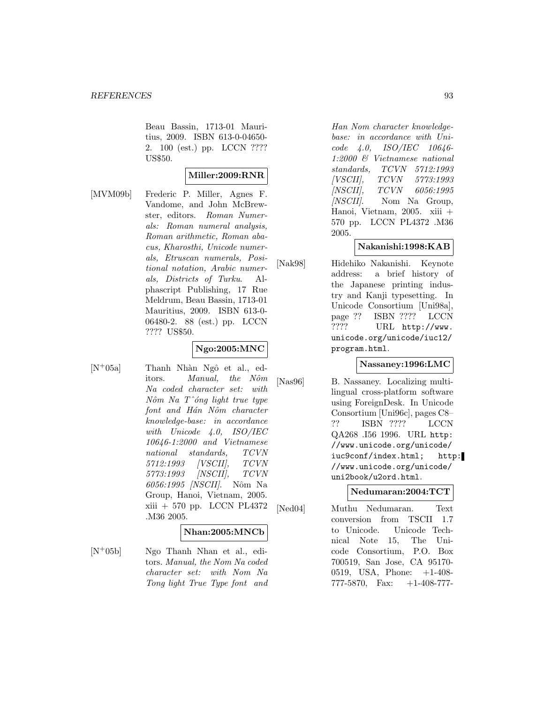Beau Bassin, 1713-01 Mauritius, 2009. ISBN 613-0-04650- 2. 100 (est.) pp. LCCN ???? US\$50.

# **Miller:2009:RNR**

[MVM09b] Frederic P. Miller, Agnes F. Vandome, and John McBrewster, editors. Roman Numerals: Roman numeral analysis, Roman arithmetic, Roman abacus, Kharosthi, Unicode numerals, Etruscan numerals, Positional notation, Arabic numerals, Districts of Turku. Alphascript Publishing, 17 Rue Meldrum, Beau Bassin, 1713-01 Mauritius, 2009. ISBN 613-0- 06480-2. 88 (est.) pp. LCCN ???? US\$50.

# **Ngo:2005:MNC**

 $[N^+05a]$  Thanh Nhàn Ngô et al., editors. *Manual*, the Nôm Na coded character set: with  $N\hat{o}m$  Na T^ $\hat{o}ng$  light true type font and Hán Nôm character knowledge-base: in accordance with Unicode 4.0, ISO/IEC 10646-1:2000 and Vietnamese national standards, TCVN 5712:1993 [VSCII], TCVN 5773:1993 [NSCII], TCVN 6056:1995 [NSCII]. Nôm Na Group, Hanoi, Vietnam, 2005. xiii + 570 pp. LCCN PL4372 .M36 2005.

#### **Nhan:2005:MNCb**

[N<sup>+</sup>05b] Ngo Thanh Nhan et al., editors. Manual, the Nom Na coded character set: with Nom Na Tong light True Type font and

Han Nom character knowledgebase: in accordance with Unicode 4.0, ISO/IEC 10646- 1:2000 & Vietnamese national standards, TCVN 5712:1993 [VSCII], TCVN 5773:1993 [NSCII], TCVN 6056:1995 [NSCII]. Nom Na Group, Hanoi, Vietnam, 2005. xiii + 570 pp. LCCN PL4372 .M36 2005.

### **Nakanishi:1998:KAB**

[Nak98] Hidehiko Nakanishi. Keynote address: a brief history of the Japanese printing industry and Kanji typesetting. In Unicode Consortium [Uni98a], page ?? ISBN ???? LCCN ???? URL http://www. unicode.org/unicode/iuc12/ program.html.

### **Nassaney:1996:LMC**

[Nas96] B. Nassaney. Localizing multilingual cross-platform software using ForeignDesk. In Unicode Consortium [Uni96c], pages C8– ?? ISBN ???? LCCN QA268 .I56 1996. URL http: //www.unicode.org/unicode/ iuc9conf/index.html; http: //www.unicode.org/unicode/ uni2book/u2ord.html.

### **Nedumaran:2004:TCT**

[Ned04] Muthu Nedumaran. Text conversion from TSCII 1.7 to Unicode. Unicode Technical Note 15, The Unicode Consortium, P.O. Box 700519, San Jose, CA 95170- 0519, USA, Phone: +1-408- 777-5870, Fax:  $+1-408-777$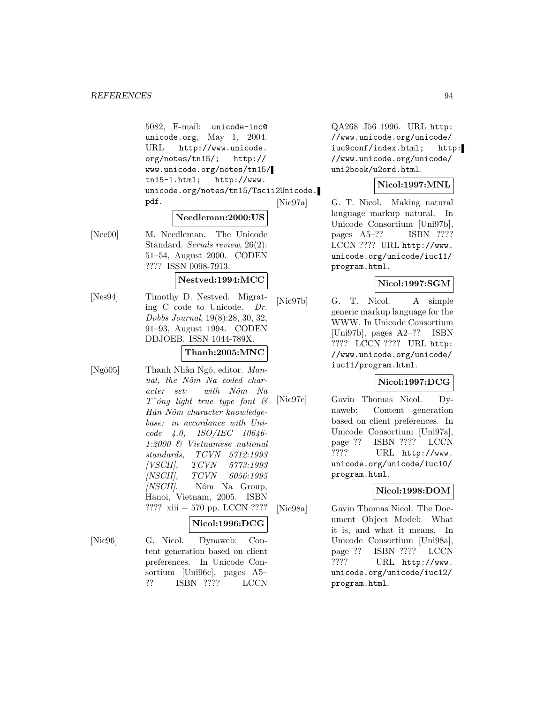5082, E-mail: unicode-inc@ unicode.org, May 1, 2004. URL http://www.unicode. org/notes/tn15/; http:// www.unicode.org/notes/tn15/ tn15-1.html; http://www. unicode.org/notes/tn15/Tscii2Unicode. pdf.

# **Needleman:2000:US**

[Nee00] M. Needleman. The Unicode Standard. Serials review, 26(2): 51–54, August 2000. CODEN ???? ISSN 0098-7913.

#### **Nestved:1994:MCC**

[Nes94] Timothy D. Nestved. Migrating C code to Unicode. Dr. Dobbs Journal, 19(8):28, 30, 32, 91–93, August 1994. CODEN DDJOEB. ISSN 1044-789X.

### **Thanh:2005:MNC**

[Ngô05] Thanh Nhàn Ngô, editor. Manual, the Nôm Na coded character set: with Nôm Na  $T^{\wedge}$ óng light true type font  $\mathcal{B}$ Hán Nôm character knowledgebase: in accordance with Unicode 4.0, ISO/IEC 10646- 1:2000 & Vietnamese national standards, TCVN 5712:1993<br>[VSCII], TCVN 5773:1993 [VSCII], TCVN 5773:1993 [NSCII], TCVN 6056:1995  $[NSCII]$ . Nôm Na Group, Hanoi, Vietnam, 2005. ISBN ???? xiii + 570 pp. LCCN ????

#### **Nicol:1996:DCG**

[Nic96] G. Nicol. Dynaweb: Content generation based on client preferences. In Unicode Consortium [Uni96c], pages A5– ?? ISBN ???? LCCN

QA268 .I56 1996. URL http: //www.unicode.org/unicode/ iuc9conf/index.html; http: //www.unicode.org/unicode/ uni2book/u2ord.html.

### **Nicol:1997:MNL**

[Nic97a] G. T. Nicol. Making natural language markup natural. In Unicode Consortium [Uni97b], pages A5–?? ISBN ???? LCCN ???? URL http://www. unicode.org/unicode/iuc11/ program.html.

### **Nicol:1997:SGM**

[Nic97b] G. T. Nicol. A simple generic markup language for the WWW. In Unicode Consortium [Uni97b], pages A2–?? ISBN ???? LCCN ???? URL http: //www.unicode.org/unicode/ iuc11/program.html.

### **Nicol:1997:DCG**

[Nic97c] Gavin Thomas Nicol. Dynaweb: Content generation based on client preferences. In Unicode Consortium [Uni97a], page ?? ISBN ???? LCCN ???? URL http://www. unicode.org/unicode/iuc10/ program.html.

### **Nicol:1998:DOM**

[Nic98a] Gavin Thomas Nicol. The Document Object Model: What it is, and what it means. In Unicode Consortium [Uni98a], page ?? ISBN ???? LCCN ???? URL http://www. unicode.org/unicode/iuc12/ program.html.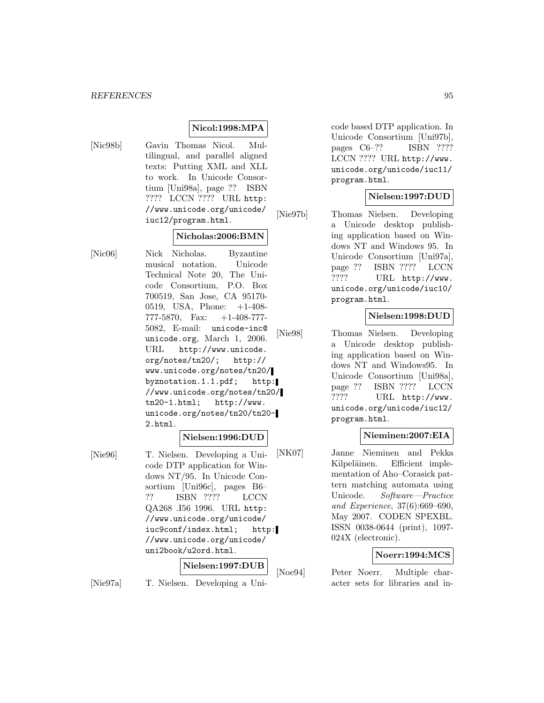### **Nicol:1998:MPA**

- 
- [Nic98b] Gavin Thomas Nicol. Multilingual, and parallel aligned texts: Putting XML and XLL to work. In Unicode Consortium [Uni98a], page ?? ISBN ???? LCCN ???? URL http: //www.unicode.org/unicode/ iuc12/program.html.

### **Nicholas:2006:BMN**

[Nic06] Nick Nicholas. Byzantine musical notation. Unicode Technical Note 20, The Unicode Consortium, P.O. Box 700519, San Jose, CA 95170- 0519, USA, Phone: +1-408- 777-5870, Fax: +1-408-777- 5082, E-mail: unicode-inc@ unicode.org, March 1, 2006. URL http://www.unicode. org/notes/tn20/; http:// www.unicode.org/notes/tn20/ byznotation.1.1.pdf; http: //www.unicode.org/notes/tn20/ tn20-1.html; http://www. unicode.org/notes/tn20/tn20- 2.html.

#### **Nielsen:1996:DUD**

[Nie96] T. Nielsen. Developing a Unicode DTP application for Windows NT/95. In Unicode Consortium [Uni96c], pages B6– ?? ISBN ???? LCCN QA268 .I56 1996. URL http: //www.unicode.org/unicode/ iuc9conf/index.html; http: //www.unicode.org/unicode/ uni2book/u2ord.html.

#### **Nielsen:1997:DUB**

[Nie97a] T. Nielsen. Developing a Uni-

code based DTP application. In Unicode Consortium [Uni97b], pages C6–?? ISBN ???? LCCN ???? URL http://www. unicode.org/unicode/iuc11/ program.html.

### **Nielsen:1997:DUD**

[Nie97b] Thomas Nielsen. Developing a Unicode desktop publishing application based on Windows NT and Windows 95. In Unicode Consortium [Uni97a], page ?? ISBN ???? LCCN ???? URL http://www. unicode.org/unicode/iuc10/ program.html.

### **Nielsen:1998:DUD**

[Nie98] Thomas Nielsen. Developing a Unicode desktop publishing application based on Windows NT and Windows95. In Unicode Consortium [Uni98a], page ?? ISBN ???? LCCN ???? URL http://www. unicode.org/unicode/iuc12/ program.html.

#### **Nieminen:2007:EIA**

[NK07] Janne Nieminen and Pekka Kilpeläinen. Efficient implementation of Aho–Corasick pattern matching automata using Unicode. Software—Practice and Experience, 37(6):669–690, May 2007. CODEN SPEXBL. ISSN 0038-0644 (print), 1097- 024X (electronic).

#### **Noerr:1994:MCS**

[Noe94] Peter Noerr. Multiple character sets for libraries and in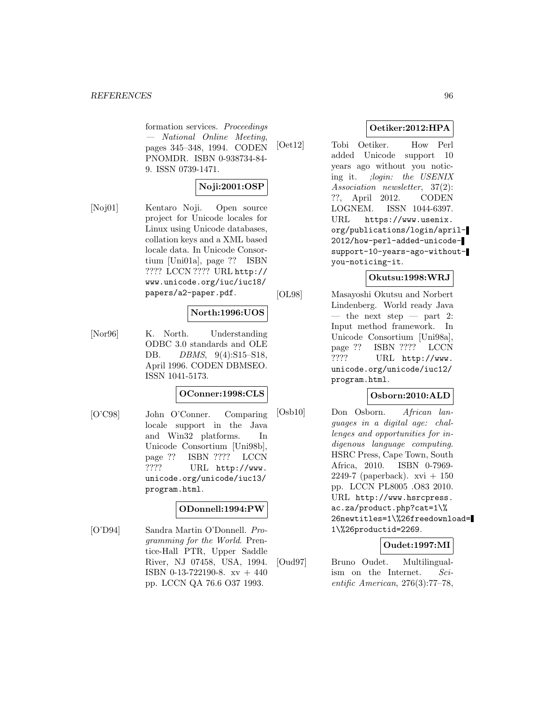formation services. Proceedings — National Online Meeting, pages 345–348, 1994. CODEN PNOMDR. ISBN 0-938734-84- 9. ISSN 0739-1471.

# **Noji:2001:OSP**

[Noj01] Kentaro Noji. Open source project for Unicode locales for Linux using Unicode databases, collation keys and a XML based locale data. In Unicode Consortium [Uni01a], page ?? ISBN ???? LCCN ???? URL http:// www.unicode.org/iuc/iuc18/ papers/a2-paper.pdf.

# **North:1996:UOS**

[Nor96] K. North. Understanding ODBC 3.0 standards and OLE DB. *DBMS*, 9(4):S15-S18, April 1996. CODEN DBMSEO. ISSN 1041-5173.

### **OConner:1998:CLS**

[O'C98] John O'Conner. Comparing locale support in the Java and Win32 platforms. In Unicode Consortium [Uni98b], page ?? ISBN ???? LCCN ???? URL http://www. unicode.org/unicode/iuc13/ program.html.

### **ODonnell:1994:PW**

[O'D94] Sandra Martin O'Donnell. Programming for the World. Prentice-Hall PTR, Upper Saddle River, NJ 07458, USA, 1994. ISBN 0-13-722190-8. xv + 440 pp. LCCN QA 76.6 O37 1993.

### **Oetiker:2012:HPA**

[Oet12] Tobi Oetiker. How Perl added Unicode support 10 years ago without you noticing it. ;login: the USENIX Association newsletter, 37(2): ??, April 2012. CODEN LOGNEM. ISSN 1044-6397. URL https://www.usenix. org/publications/login/april-2012/how-perl-added-unicodesupport-10-years-ago-withoutyou-noticing-it.

### **Okutsu:1998:WRJ**

[OL98] Masayoshi Okutsu and Norbert Lindenberg. World ready Java — the next step — part 2: Input method framework. In Unicode Consortium [Uni98a], page ?? ISBN ???? LCCN ???? URL http://www. unicode.org/unicode/iuc12/ program.html.

### **Osborn:2010:ALD**

[Osb10] Don Osborn. African languages in a digital age: challenges and opportunities for indigenous language computing. HSRC Press, Cape Town, South Africa, 2010. ISBN 0-7969- 2249-7 (paperback).  $xvi + 150$ pp. LCCN PL8005 .O83 2010. URL http://www.hsrcpress. ac.za/product.php?cat=1\% 26newtitles=1\%26freedownload= 1\%26productid=2269.

### **Oudet:1997:MI**

[Oud97] Bruno Oudet. Multilingualism on the Internet. Scientific American, 276(3):77–78,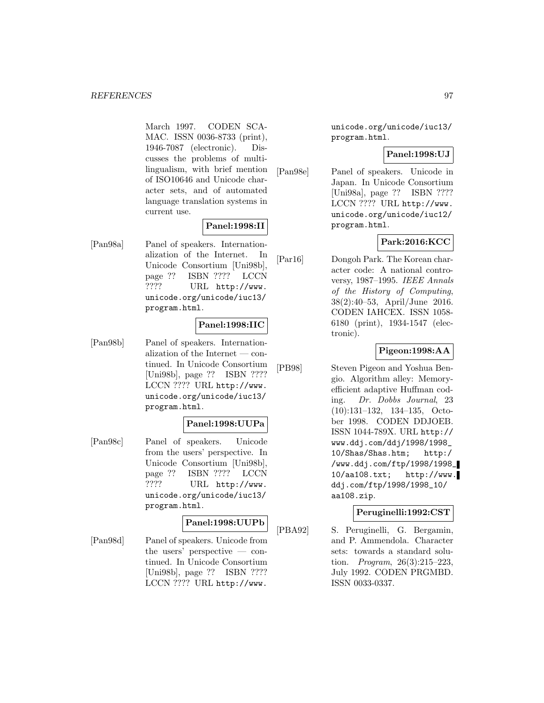March 1997. CODEN SCA-MAC. ISSN 0036-8733 (print), 1946-7087 (electronic). Discusses the problems of multilingualism, with brief mention of ISO10646 and Unicode character sets, and of automated language translation systems in current use.

### **Panel:1998:II**

[Pan98a] Panel of speakers. Internationalization of the Internet. In Unicode Consortium [Uni98b], page ?? ISBN ???? LCCN ???? URL http://www. unicode.org/unicode/iuc13/ program.html.

### **Panel:1998:IIC**

[Pan98b] Panel of speakers. Internationalization of the Internet — continued. In Unicode Consortium [Uni98b], page ?? ISBN ???? LCCN ???? URL http://www. unicode.org/unicode/iuc13/ program.html.

#### **Panel:1998:UUPa**

[Pan98c] Panel of speakers. Unicode from the users' perspective. In Unicode Consortium [Uni98b], page ?? ISBN ???? LCCN ???? URL http://www. unicode.org/unicode/iuc13/ program.html.

#### **Panel:1998:UUPb**

[Pan98d] Panel of speakers. Unicode from the users' perspective — continued. In Unicode Consortium [Uni98b], page ?? ISBN ???? LCCN ???? URL http://www.

unicode.org/unicode/iuc13/ program.html.

#### **Panel:1998:UJ**

[Pan98e] Panel of speakers. Unicode in Japan. In Unicode Consortium [Uni98a], page ?? ISBN ???? LCCN ???? URL http://www. unicode.org/unicode/iuc12/ program.html.

### **Park:2016:KCC**

[Par16] Dongoh Park. The Korean character code: A national controversy, 1987–1995. IEEE Annals of the History of Computing, 38(2):40–53, April/June 2016. CODEN IAHCEX. ISSN 1058- 6180 (print), 1934-1547 (electronic).

### **Pigeon:1998:AA**

[PB98] Steven Pigeon and Yoshua Bengio. Algorithm alley: Memoryefficient adaptive Huffman coding. Dr. Dobbs Journal, 23 (10):131–132, 134–135, October 1998. CODEN DDJOEB. ISSN 1044-789X. URL http:// www.ddj.com/ddj/1998/1998\_ 10/Shas/Shas.htm; http:/ /www.ddj.com/ftp/1998/1998\_ 10/aa108.txt; http://www. ddj.com/ftp/1998/1998\_10/ aa108.zip.

#### **Peruginelli:1992:CST**

[PBA92] S. Peruginelli, G. Bergamin, and P. Ammendola. Character sets: towards a standard solution. Program, 26(3):215–223, July 1992. CODEN PRGMBD. ISSN 0033-0337.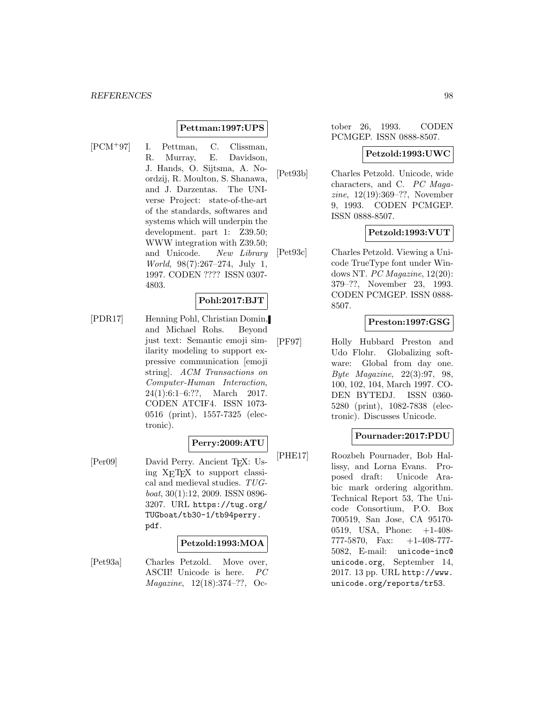#### **Pettman:1997:UPS**

[PCM<sup>+</sup>97] I. Pettman, C. Clissman, R. Murray, E. Davidson, J. Hands, O. Sijtsma, A. Noordzij, R. Moulton, S. Shanawa, and J. Darzentas. The UNIverse Project: state-of-the-art of the standards, softwares and systems which will underpin the development. part 1: Z39.50; WWW integration with Z39.50; and Unicode. New Library World, 98(7):267–274, July 1, 1997. CODEN ???? ISSN 0307- 4803.

#### **Pohl:2017:BJT**

[PDR17] Henning Pohl, Christian Domin, and Michael Rohs. Beyond just text: Semantic emoji similarity modeling to support expressive communication [emoji string]. ACM Transactions on Computer-Human Interaction, 24(1):6:1–6:??, March 2017. CODEN ATCIF4. ISSN 1073- 0516 (print), 1557-7325 (electronic).

#### **Perry:2009:ATU**

[Per09] David Perry. Ancient T<sub>E</sub>X: Using XETEX to support classical and medieval studies. TUGboat, 30(1):12, 2009. ISSN 0896- 3207. URL https://tug.org/ TUGboat/tb30-1/tb94perry. pdf.

#### **Petzold:1993:MOA**

[Pet93a] Charles Petzold. Move over, ASCII! Unicode is here. PC Magazine, 12(18):374–??, October 26, 1993. CODEN PCMGEP. ISSN 0888-8507.

#### **Petzold:1993:UWC**

[Pet93b] Charles Petzold. Unicode, wide characters, and C. PC Magazine, 12(19):369–??, November 9, 1993. CODEN PCMGEP. ISSN 0888-8507.

#### **Petzold:1993:VUT**

[Pet93c] Charles Petzold. Viewing a Unicode TrueType font under Windows NT. PC Magazine, 12(20): 379–??, November 23, 1993. CODEN PCMGEP. ISSN 0888- 8507.

### **Preston:1997:GSG**

[PF97] Holly Hubbard Preston and Udo Flohr. Globalizing software: Global from day one. Byte Magazine, 22(3):97, 98, 100, 102, 104, March 1997. CO-DEN BYTEDJ. ISSN 0360- 5280 (print), 1082-7838 (electronic). Discusses Unicode.

#### **Pournader:2017:PDU**

[PHE17] Roozbeh Pournader, Bob Hallissy, and Lorna Evans. Proposed draft: Unicode Arabic mark ordering algorithm. Technical Report 53, The Unicode Consortium, P.O. Box 700519, San Jose, CA 95170- 0519, USA, Phone: +1-408- 777-5870, Fax: +1-408-777- 5082, E-mail: unicode-inc@ unicode.org, September 14, 2017. 13 pp. URL http://www. unicode.org/reports/tr53.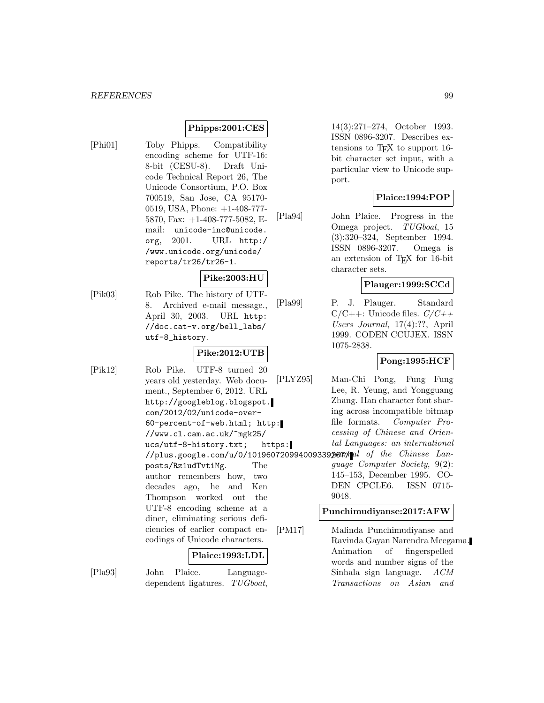### **Phipps:2001:CES**

[Phi01] Toby Phipps. Compatibility encoding scheme for UTF-16: 8-bit (CESU-8). Draft Unicode Technical Report 26, The Unicode Consortium, P.O. Box 700519, San Jose, CA 95170- 0519, USA, Phone: +1-408-777- 5870, Fax: +1-408-777-5082, Email: unicode-inc@unicode. org, 2001. URL http:/ /www.unicode.org/unicode/ reports/tr26/tr26-1.

# **Pike:2003:HU**

[Pik03] Rob Pike. The history of UTF-8. Archived e-mail message., April 30, 2003. URL http: //doc.cat-v.org/bell\_labs/ utf-8\_history.

# **Pike:2012:UTB**

[Pik12] Rob Pike. UTF-8 turned 20 years old yesterday. Web document., September 6, 2012. URL http://googleblog.blogspot. com/2012/02/unicode-over-60-percent-of-web.html; http: //www.cl.cam.ac.uk/~mgk25/ ucs/utf-8-history.txt; https: //plus.google.com/u/0/101960720994009339 $j$ 67 $n/$ al of the Chinese Lanposts/Rz1udTvtiMg. The author remembers how, two decades ago, he and Ken Thompson worked out the UTF-8 encoding scheme at a diner, eliminating serious deficiencies of earlier compact encodings of Unicode characters.

#### **Plaice:1993:LDL**

[Pla93] John Plaice. Languagedependent ligatures. TUGboat,

14(3):271–274, October 1993. ISSN 0896-3207. Describes extensions to TEX to support 16 bit character set input, with a particular view to Unicode support.

#### **Plaice:1994:POP**

[Pla94] John Plaice. Progress in the Omega project. TUGboat, 15 (3):320–324, September 1994. ISSN 0896-3207. Omega is an extension of TEX for 16-bit character sets.

#### **Plauger:1999:SCCd**

[Pla99] P. J. Plauger. Standard  $C/C++$ : Unicode files.  $C/C++$ Users Journal, 17(4):??, April 1999. CODEN CCUJEX. ISSN 1075-2838.

### **Pong:1995:HCF**

[PLYZ95] Man-Chi Pong, Fung Fung Lee, R. Yeung, and Yongguang Zhang. Han character font sharing across incompatible bitmap file formats. Computer Processing of Chinese and Oriental Languages: an international guage Computer Society, 9(2): 145–153, December 1995. CO-DEN CPCLE6. ISSN 0715-

#### **Punchimudiyanse:2017:AFW**

9048.

[PM17] Malinda Punchimudiyanse and Ravinda Gayan Narendra Meegama. Animation of fingerspelled words and number signs of the Sinhala sign language. ACM Transactions on Asian and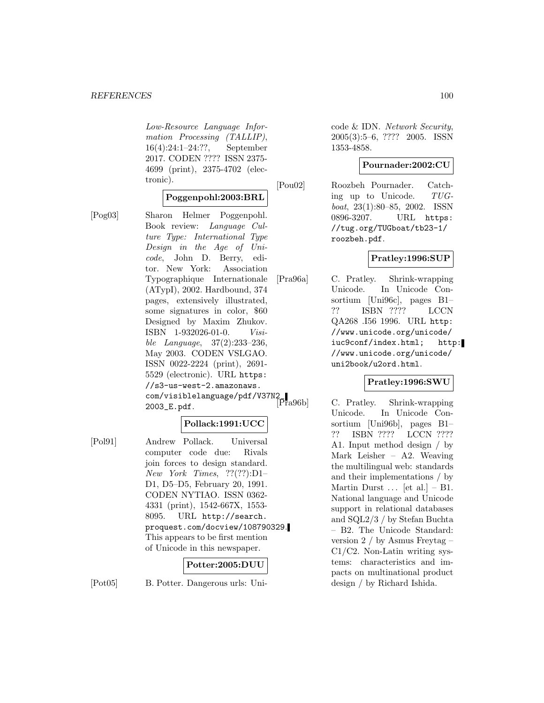Low-Resource Language Information Processing (TALLIP), 16(4):24:1–24:??, September 2017. CODEN ???? ISSN 2375- 4699 (print), 2375-4702 (electronic).

### **Poggenpohl:2003:BRL**

[Pog03] Sharon Helmer Poggenpohl. Book review: Language Culture Type: International Type Design in the Age of Unicode, John D. Berry, editor. New York: Association Typographique Internationale (ATypI), 2002. Hardbound, 374 pages, extensively illustrated, some signatures in color, \$60 Designed by Maxim Zhukov. ISBN 1-932026-01-0. Visible Language, 37(2):233–236, May 2003. CODEN VSLGAO. ISSN 0022-2224 (print), 2691- 5529 (electronic). URL https: //s3-us-west-2.amazonaws. com/visiblelanguage/pdf/V37N2\_<br>[Pra96b] 2003\_E.pdf.

### **Pollack:1991:UCC**

[Pol91] Andrew Pollack. Universal computer code due: Rivals join forces to design standard. New York Times, ??(??):D1– D1, D5–D5, February 20, 1991. CODEN NYTIAO. ISSN 0362- 4331 (print), 1542-667X, 1553- 8095. URL http://search. proquest.com/docview/108790329. This appears to be first mention of Unicode in this newspaper.

### **Potter:2005:DUU**

[Pot05] B. Potter. Dangerous urls: Uni-

**Pratley:1996:SUP**

roozbeh.pdf.

1353-4858.

[Pou02] Roozbeh Pournader. Catch-

[Pra96a] C. Pratley. Shrink-wrapping Unicode. In Unicode Consortium [Uni96c], pages B1– ?? ISBN ???? LCCN QA268 .I56 1996. URL http: //www.unicode.org/unicode/ iuc9conf/index.html; http: //www.unicode.org/unicode/ uni2book/u2ord.html.

code & IDN. Network Security, 2005(3):5–6, ???? 2005. ISSN

ing up to Unicode. TUGboat, 23(1):80–85, 2002. ISSN 0896-3207. URL https: //tug.org/TUGboat/tb23-1/

**Pournader:2002:CU**

#### **Pratley:1996:SWU**

C. Pratley. Shrink-wrapping Unicode. In Unicode Consortium [Uni96b], pages B1– ?? ISBN ???? LCCN ???? A1. Input method design / by Mark Leisher – A2. Weaving the multilingual web: standards and their implementations / by Martin Durst  $\ldots$  [et al.] – B1. National language and Unicode support in relational databases and SQL2/3 / by Stefan Buchta – B2. The Unicode Standard: version 2 / by Asmus Freytag – C1/C2. Non-Latin writing systems: characteristics and impacts on multinational product design / by Richard Ishida.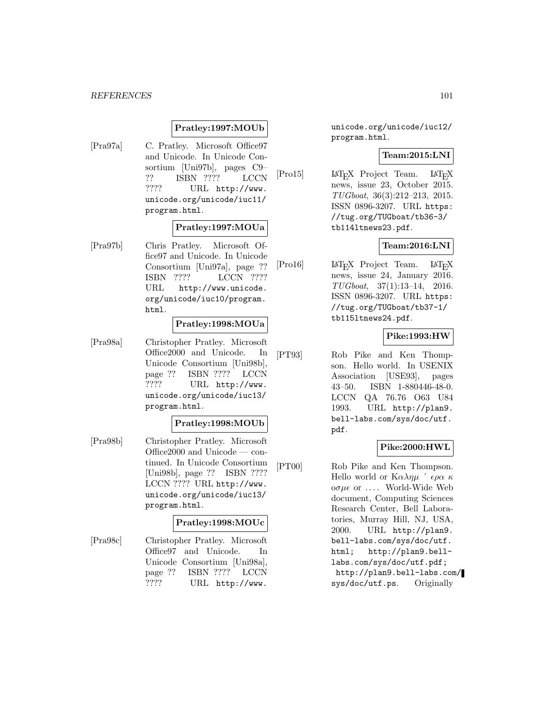#### **Pratley:1997:MOUb**

[Pra97a] C. Pratley. Microsoft Office97 and Unicode. In Unicode Consortium [Uni97b], pages C9– ?? ISBN ???? LCCN ???? URL http://www. unicode.org/unicode/iuc11/ program.html.

### **Pratley:1997:MOUa**

[Pra97b] Chris Pratley. Microsoft Office97 and Unicode. In Unicode Consortium [Uni97a], page ?? ISBN ???? LCCN ???? URL http://www.unicode. org/unicode/iuc10/program. html.

#### **Pratley:1998:MOUa**

[Pra98a] Christopher Pratley. Microsoft Office2000 and Unicode. In Unicode Consortium [Uni98b], page ?? ISBN ???? LCCN ???? URL http://www. unicode.org/unicode/iuc13/ program.html.

#### **Pratley:1998:MOUb**

[Pra98b] Christopher Pratley. Microsoft Office2000 and Unicode — continued. In Unicode Consortium [Uni98b], page ?? ISBN ???? LCCN ???? URL http://www. unicode.org/unicode/iuc13/ program.html.

#### **Pratley:1998:MOUc**

[Pra98c] Christopher Pratley. Microsoft Office97 and Unicode. In Unicode Consortium [Uni98a], page ?? ISBN ???? LCCN ???? URL http://www.

unicode.org/unicode/iuc12/ program.html.

### **Team:2015:LNI**

[Pro15] LAT<sub>E</sub>X Project Team. LAT<sub>E</sub>X news, issue 23, October 2015. TUGboat, 36(3):212–213, 2015. ISSN 0896-3207. URL https: //tug.org/TUGboat/tb36-3/ tb114ltnews23.pdf.

#### **Team:2016:LNI**

[Pro16] LAT<sub>E</sub>X Project Team. LAT<sub>E</sub>X news, issue 24, January 2016. TUGboat, 37(1):13–14, 2016. ISSN 0896-3207. URL https: //tug.org/TUGboat/tb37-1/ tb115ltnews24.pdf.

### **Pike:1993:HW**

[PT93] Rob Pike and Ken Thompson. Hello world. In USENIX Association [USE93], pages 43–50. ISBN 1-880446-48-0. LCCN QA 76.76 O63 U84 1993. URL http://plan9. bell-labs.com/sys/doc/utf. pdf.

#### **Pike:2000:HWL**

[PT00] Rob Pike and Ken Thompson. Hello world or  $K \alpha \lambda \eta \mu$  '  $\epsilon \rho \alpha \kappa$ oσμε or .... World-Wide Web document, Computing Sciences Research Center, Bell Laboratories, Murray Hill, NJ, USA, 2000. URL http://plan9. bell-labs.com/sys/doc/utf. html; http://plan9.belllabs.com/sys/doc/utf.pdf; http://plan9.bell-labs.com/ sys/doc/utf.ps. Originally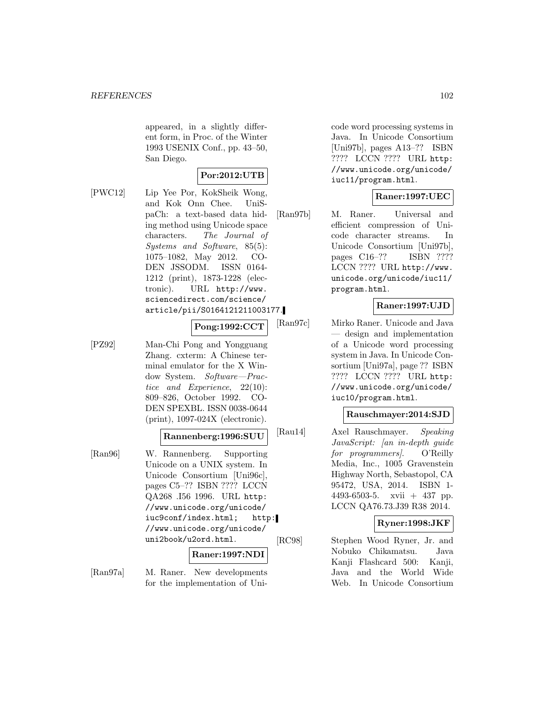appeared, in a slightly different form, in Proc. of the Winter 1993 USENIX Conf., pp. 43–50, San Diego.

# **Por:2012:UTB**

[PWC12] Lip Yee Por, KokSheik Wong, and Kok Onn Chee. UniSpaCh: a text-based data hiding method using Unicode space characters. The Journal of Systems and Software, 85(5): 1075–1082, May 2012. CO-DEN JSSODM. ISSN 0164- 1212 (print), 1873-1228 (electronic). URL http://www. sciencedirect.com/science/ article/pii/S0164121211003177.

#### **Pong:1992:CCT**

[PZ92] Man-Chi Pong and Yongguang Zhang. cxterm: A Chinese terminal emulator for the X Window System. Software—Practice and Experience, 22(10): 809–826, October 1992. CO-DEN SPEXBL. ISSN 0038-0644 (print), 1097-024X (electronic).

#### **Rannenberg:1996:SUU**

[Ran96] W. Rannenberg. Supporting Unicode on a UNIX system. In Unicode Consortium [Uni96c], pages C5–?? ISBN ???? LCCN QA268 .I56 1996. URL http: //www.unicode.org/unicode/ iuc9conf/index.html; http: //www.unicode.org/unicode/ uni2book/u2ord.html.

#### **Raner:1997:NDI**

[Ran97a] M. Raner. New developments for the implementation of Unicode word processing systems in Java. In Unicode Consortium [Uni97b], pages A13–?? ISBN ???? LCCN ???? URL http: //www.unicode.org/unicode/ iuc11/program.html.

### **Raner:1997:UEC**

[Ran97b] M. Raner. Universal and efficient compression of Unicode character streams. In Unicode Consortium [Uni97b], pages C16–?? ISBN ???? LCCN ???? URL http://www. unicode.org/unicode/iuc11/ program.html.

#### **Raner:1997:UJD**

[Ran97c] Mirko Raner. Unicode and Java — design and implementation of a Unicode word processing system in Java. In Unicode Consortium [Uni97a], page ?? ISBN ???? LCCN ???? URL http: //www.unicode.org/unicode/ iuc10/program.html.

#### **Rauschmayer:2014:SJD**

[Rau14] Axel Rauschmayer. Speaking JavaScript: [an in-depth guide for programmers). O'Reilly Media, Inc., 1005 Gravenstein Highway North, Sebastopol, CA 95472, USA, 2014. ISBN 1- 4493-6503-5. xvii + 437 pp. LCCN QA76.73.J39 R38 2014.

#### **Ryner:1998:JKF**

[RC98] Stephen Wood Ryner, Jr. and Nobuko Chikamatsu. Java Kanji Flashcard 500: Kanji, Java and the World Wide Web. In Unicode Consortium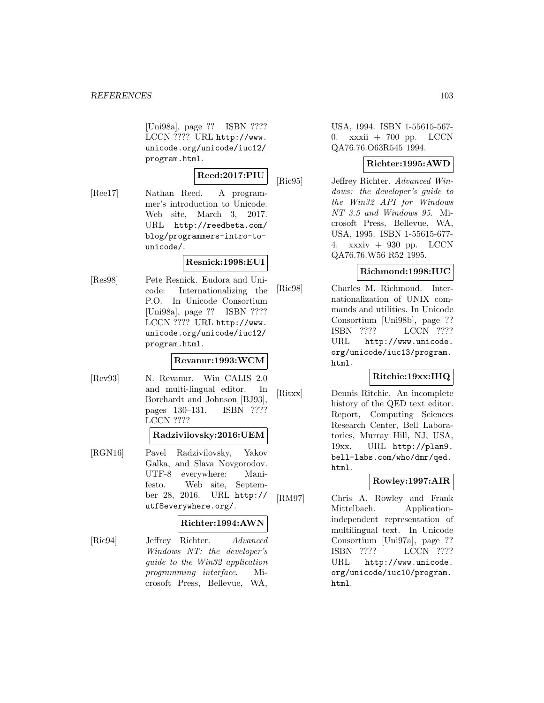[Uni98a], page ?? ISBN ???? LCCN ???? URL http://www. unicode.org/unicode/iuc12/ program.html.

# **Reed:2017:PIU**

[Ree17] Nathan Reed. A programmer's introduction to Unicode. Web site, March 3, 2017. URL http://reedbeta.com/ blog/programmers-intro-tounicode/.

### **Resnick:1998:EUI**

[Res98] Pete Resnick. Eudora and Unicode: Internationalizing the P.O. In Unicode Consortium [Uni98a], page ?? ISBN ???? LCCN ???? URL http://www. unicode.org/unicode/iuc12/ program.html.

#### **Revanur:1993:WCM**

[Rev93] N. Revanur. Win CALIS 2.0 and multi-lingual editor. In Borchardt and Johnson [BJ93], pages 130–131. ISBN ???? LCCN ????

#### **Radzivilovsky:2016:UEM**

[RGN16] Pavel Radzivilovsky, Yakov Galka, and Slava Novgorodov. UTF-8 everywhere: Manifesto. Web site, September 28, 2016. URL http:// utf8everywhere.org/.

#### **Richter:1994:AWN**

[Ric94] Jeffrey Richter. Advanced Windows NT: the developer's guide to the Win32 application programming interface. Microsoft Press, Bellevue, WA,

USA, 1994. ISBN 1-55615-567- 0. xxxii + 700 pp. LCCN QA76.76.O63R545 1994.

### **Richter:1995:AWD**

[Ric95] Jeffrey Richter. Advanced Windows: the developer's guide to the Win32 API for Windows NT 3.5 and Windows 95. Microsoft Press, Bellevue, WA, USA, 1995. ISBN 1-55615-677- 4. xxxiv + 930 pp. LCCN QA76.76.W56 R52 1995.

### **Richmond:1998:IUC**

[Ric98] Charles M. Richmond. Internationalization of UNIX commands and utilities. In Unicode Consortium [Uni98b], page ?? ISBN ???? LCCN ???? URL http://www.unicode. org/unicode/iuc13/program. html.

### **Ritchie:19xx:IHQ**

[Ritxx] Dennis Ritchie. An incomplete history of the QED text editor. Report, Computing Sciences Research Center, Bell Laboratories, Murray Hill, NJ, USA, 19xx. URL http://plan9. bell-labs.com/who/dmr/qed. html.

### **Rowley:1997:AIR**

[RM97] Chris A. Rowley and Frank Mittelbach. Applicationindependent representation of multilingual text. In Unicode Consortium [Uni97a], page ?? ISBN ???? LCCN ???? URL http://www.unicode. org/unicode/iuc10/program. html.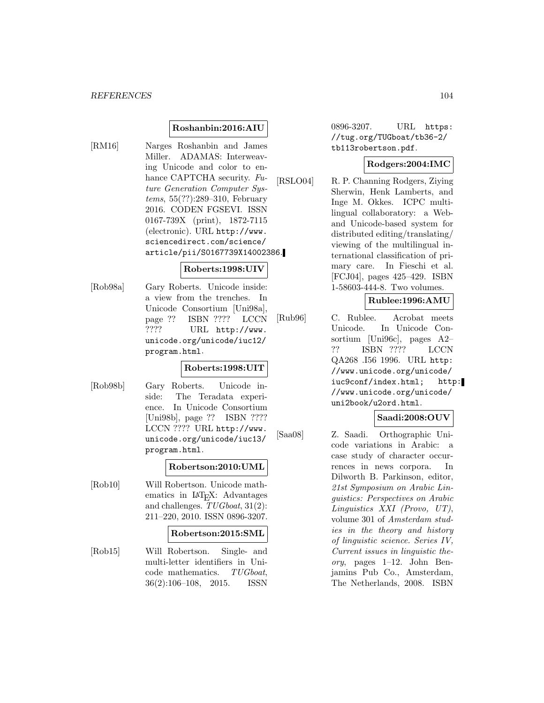#### **Roshanbin:2016:AIU**

[RM16] Narges Roshanbin and James Miller. ADAMAS: Interweaving Unicode and color to enhance CAPTCHA security. Future Generation Computer Systems, 55(??):289–310, February 2016. CODEN FGSEVI. ISSN 0167-739X (print), 1872-7115 (electronic). URL http://www. sciencedirect.com/science/ article/pii/S0167739X14002386.

#### **Roberts:1998:UIV**

[Rob98a] Gary Roberts. Unicode inside: a view from the trenches. In Unicode Consortium [Uni98a], page ?? ISBN ???? LCCN ???? URL http://www. unicode.org/unicode/iuc12/ program.html.

#### **Roberts:1998:UIT**

[Rob98b] Gary Roberts. Unicode inside: The Teradata experience. In Unicode Consortium [Uni98b], page ?? ISBN ???? LCCN ???? URL http://www. unicode.org/unicode/iuc13/ program.html.

### **Robertson:2010:UML**

[Rob10] Will Robertson. Unicode mathematics in  $IAT$ <sub>E</sub>X: Advantages and challenges. TUGboat, 31(2): 211–220, 2010. ISSN 0896-3207.

#### **Robertson:2015:SML**

[Rob15] Will Robertson. Single- and multi-letter identifiers in Unicode mathematics. TUGboat, 36(2):106–108, 2015. ISSN

0896-3207. URL https: //tug.org/TUGboat/tb36-2/ tb113robertson.pdf.

### **Rodgers:2004:IMC**

[RSLO04] R. P. Channing Rodgers, Ziying Sherwin, Henk Lamberts, and Inge M. Okkes. ICPC multilingual collaboratory: a Weband Unicode-based system for distributed editing/translating/ viewing of the multilingual international classification of primary care. In Fieschi et al. [FCJ04], pages 425–429. ISBN 1-58603-444-8. Two volumes.

### **Rublee:1996:AMU**

[Rub96] C. Rublee. Acrobat meets Unicode. In Unicode Consortium [Uni96c], pages A2– ?? ISBN ???? LCCN QA268 .I56 1996. URL http: //www.unicode.org/unicode/ iuc9conf/index.html; http: //www.unicode.org/unicode/ uni2book/u2ord.html.

#### **Saadi:2008:OUV**

[Saa08] Z. Saadi. Orthographic Unicode variations in Arabic: a case study of character occurrences in news corpora. In Dilworth B. Parkinson, editor, 21st Symposium on Arabic Linguistics: Perspectives on Arabic Linguistics XXI (Provo, UT), volume 301 of Amsterdam studies in the theory and history of linguistic science. Series IV, Current issues in linguistic theory, pages 1–12. John Benjamins Pub Co., Amsterdam, The Netherlands, 2008. ISBN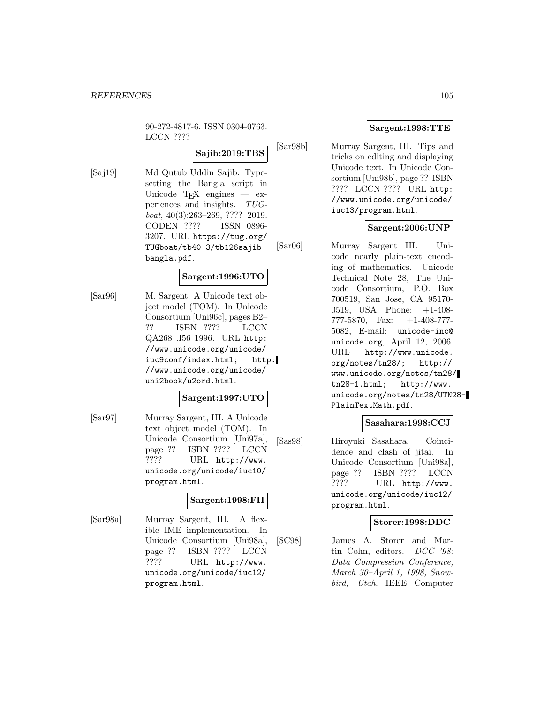90-272-4817-6. ISSN 0304-0763. LCCN ????

# **Sajib:2019:TBS**

[Saj19] Md Qutub Uddin Sajib. Typesetting the Bangla script in Unicode  $TFX$  engines  $-$  experiences and insights. TUGboat, 40(3):263–269, ???? 2019. CODEN ???? ISSN 0896- 3207. URL https://tug.org/ TUGboat/tb40-3/tb126sajibbangla.pdf.

#### **Sargent:1996:UTO**

[Sar96] M. Sargent. A Unicode text object model (TOM). In Unicode Consortium [Uni96c], pages B2– ?? ISBN ???? LCCN QA268 .I56 1996. URL http: //www.unicode.org/unicode/ iuc9conf/index.html; http: //www.unicode.org/unicode/ uni2book/u2ord.html.

#### **Sargent:1997:UTO**

[Sar97] Murray Sargent, III. A Unicode text object model (TOM). In Unicode Consortium [Uni97a], page ?? ISBN ???? LCCN ???? URL http://www. unicode.org/unicode/iuc10/ program.html.

### **Sargent:1998:FII**

[Sar98a] Murray Sargent, III. A flexible IME implementation. In Unicode Consortium [Uni98a], page ?? ISBN ???? LCCN<br>???? URL http://www. URL http://www. unicode.org/unicode/iuc12/ program.html.

### **Sargent:1998:TTE**

[Sar98b] Murray Sargent, III. Tips and tricks on editing and displaying Unicode text. In Unicode Consortium [Uni98b], page ?? ISBN ???? LCCN ???? URL http: //www.unicode.org/unicode/ iuc13/program.html.

#### **Sargent:2006:UNP**

[Sar06] Murray Sargent III. Unicode nearly plain-text encoding of mathematics. Unicode Technical Note 28, The Unicode Consortium, P.O. Box 700519, San Jose, CA 95170- 0519, USA, Phone: +1-408- 777-5870, Fax: +1-408-777- 5082, E-mail: unicode-inc@ unicode.org, April 12, 2006. URL http://www.unicode. org/notes/tn28/; http:// www.unicode.org/notes/tn28/ tn28-1.html; http://www. unicode.org/notes/tn28/UTN28- PlainTextMath.pdf.

### **Sasahara:1998:CCJ**

[Sas98] Hiroyuki Sasahara. Coincidence and clash of jitai. In Unicode Consortium [Uni98a], page ?? ISBN ???? LCCN ???? URL http://www. unicode.org/unicode/iuc12/ program.html.

#### **Storer:1998:DDC**

[SC98] James A. Storer and Martin Cohn, editors. DCC '98: Data Compression Conference, March 30–April 1, 1998, Snowbird, Utah. IEEE Computer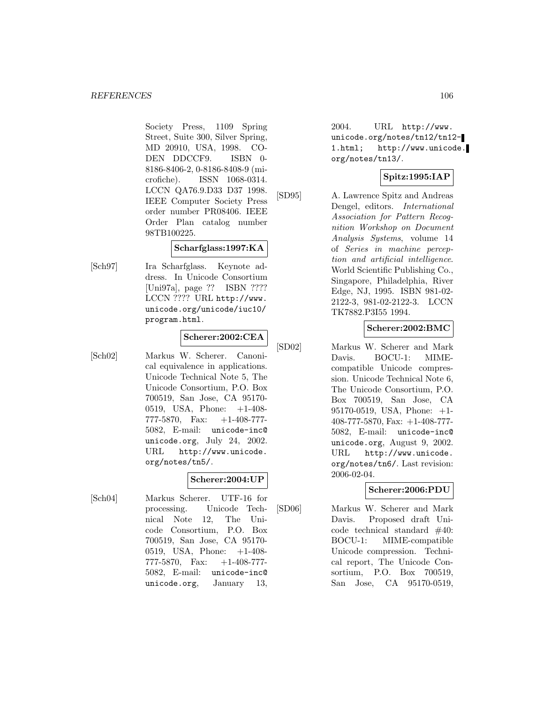Society Press, 1109 Spring Street, Suite 300, Silver Spring, MD 20910, USA, 1998. CO-DEN DDCCF9. ISBN 0- 8186-8406-2, 0-8186-8408-9 (microfiche). ISSN 1068-0314. LCCN QA76.9.D33 D37 1998. IEEE Computer Society Press order number PR08406. IEEE Order Plan catalog number 98TB100225.

#### **Scharfglass:1997:KA**

[Sch97] Ira Scharfglass. Keynote address. In Unicode Consortium [Uni97a], page ?? ISBN ???? LCCN ???? URL http://www. unicode.org/unicode/iuc10/ program.html.

# **Scherer:2002:CEA**

[Sch02] Markus W. Scherer. Canonical equivalence in applications. Unicode Technical Note 5, The Unicode Consortium, P.O. Box 700519, San Jose, CA 95170- 0519, USA, Phone: +1-408- 777-5870, Fax: +1-408-777- 5082, E-mail: unicode-inc@ unicode.org, July 24, 2002. URL http://www.unicode. org/notes/tn5/.

### **Scherer:2004:UP**

[Sch04] Markus Scherer. UTF-16 for processing. Unicode Technical Note 12, The Unicode Consortium, P.O. Box 700519, San Jose, CA 95170- 0519, USA, Phone: +1-408- 777-5870, Fax: +1-408-777- 5082, E-mail: unicode-inc@ unicode.org, January 13,

 $2004.$  URL  $http://www.$ unicode.org/notes/tn12/tn12- 1.html; http://www.unicode. org/notes/tn13/.

# **Spitz:1995:IAP**

[SD95] A. Lawrence Spitz and Andreas Dengel, editors. International Association for Pattern Recognition Workshop on Document Analysis Systems, volume 14 of Series in machine perception and artificial intelligence. World Scientific Publishing Co., Singapore, Philadelphia, River Edge, NJ, 1995. ISBN 981-02- 2122-3, 981-02-2122-3. LCCN TK7882.P3I55 1994.

# **Scherer:2002:BMC**

[SD02] Markus W. Scherer and Mark Davis. BOCU-1: MIMEcompatible Unicode compression. Unicode Technical Note 6, The Unicode Consortium, P.O. Box 700519, San Jose, CA 95170-0519, USA, Phone: +1- 408-777-5870, Fax: +1-408-777- 5082, E-mail: unicode-inc@ unicode.org, August 9, 2002. URL http://www.unicode. org/notes/tn6/. Last revision: 2006-02-04.

### **Scherer:2006:PDU**

[SD06] Markus W. Scherer and Mark Davis. Proposed draft Unicode technical standard #40: BOCU-1: MIME-compatible Unicode compression. Technical report, The Unicode Consortium, P.O. Box 700519, San Jose, CA 95170-0519,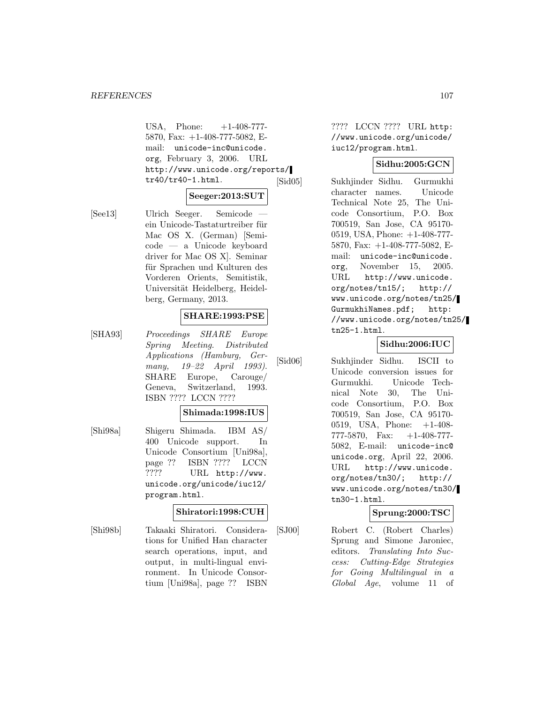#### *REFERENCES* 107

USA, Phone:  $+1-408-777-$ 5870, Fax: +1-408-777-5082, Email: unicode-inc@unicode. org, February 3, 2006. URL http://www.unicode.org/reports/ tr40/tr40-1.html.

# **Seeger:2013:SUT**

[See13] Ulrich Seeger. Semicode ein Unicode-Tastaturtreiber für Mac OS X. (German) [Semicode — a Unicode keyboard driver for Mac OS X]. Seminar für Sprachen und Kulturen des Vorderen Orients, Semitistik, Universität Heidelberg, Heidelberg, Germany, 2013.

#### **SHARE:1993:PSE**

[SHA93] Proceedings SHARE Europe Spring Meeting. Distributed Applications (Hamburg, Germany, 19–22 April 1993). SHARE Europe, Carouge/ Geneva, Switzerland, 1993. ISBN ???? LCCN ????

#### **Shimada:1998:IUS**

[Shi98a] Shigeru Shimada. IBM AS/ 400 Unicode support. In Unicode Consortium [Uni98a], page ?? ISBN ???? LCCN ???? URL http://www. unicode.org/unicode/iuc12/ program.html.

### **Shiratori:1998:CUH**

[Shi98b] Takaaki Shiratori. Considerations for Unified Han character search operations, input, and output, in multi-lingual environment. In Unicode Consortium [Uni98a], page ?? ISBN ???? LCCN ???? URL http: //www.unicode.org/unicode/ iuc12/program.html.

### **Sidhu:2005:GCN**

[Sid05] Sukhjinder Sidhu. Gurmukhi character names. Unicode Technical Note 25, The Unicode Consortium, P.O. Box 700519, San Jose, CA 95170- 0519, USA, Phone: +1-408-777- 5870, Fax: +1-408-777-5082, Email: unicode-inc@unicode. org, November 15, 2005. URL http://www.unicode. org/notes/tn15/; http:// www.unicode.org/notes/tn25/ GurmukhiNames.pdf; http: //www.unicode.org/notes/tn25/ tn25-1.html.

# **Sidhu:2006:IUC**

[Sid06] Sukhjinder Sidhu. ISCII to Unicode conversion issues for Gurmukhi. Unicode Technical Note 30, The Unicode Consortium, P.O. Box 700519, San Jose, CA 95170- 0519, USA, Phone: +1-408- 777-5870, Fax: +1-408-777- 5082, E-mail: unicode-inc@ unicode.org, April 22, 2006. URL http://www.unicode. org/notes/tn30/; http:// www.unicode.org/notes/tn30/ tn30-1.html.

### **Sprung:2000:TSC**

[SJ00] Robert C. (Robert Charles) Sprung and Simone Jaroniec, editors. Translating Into Success: Cutting-Edge Strategies for Going Multilingual in a Global Age, volume 11 of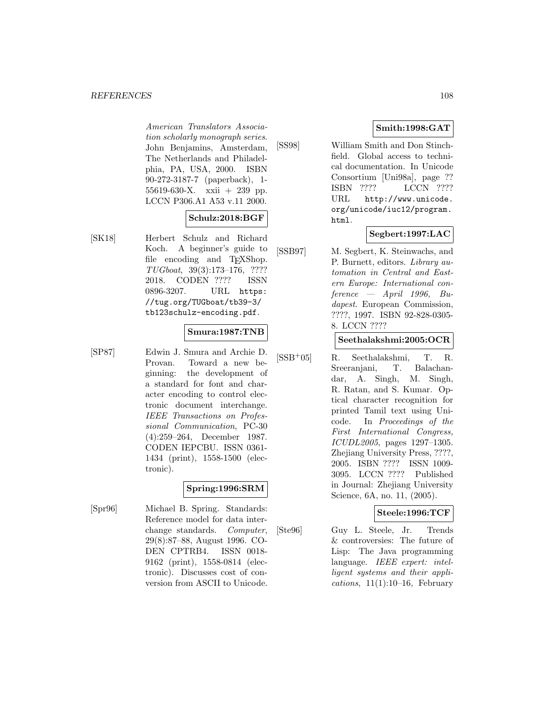#### *REFERENCES* 108

American Translators Association scholarly monograph series. John Benjamins, Amsterdam, The Netherlands and Philadelphia, PA, USA, 2000. ISBN 90-272-3187-7 (paperback), 1- 55619-630-X. xxii + 239 pp. LCCN P306.A1 A53 v.11 2000.

### **Schulz:2018:BGF**

[SK18] Herbert Schulz and Richard Koch. A beginner's guide to file encoding and T<sub>E</sub>XShop. TUGboat, 39(3):173–176, ???? 2018. CODEN ???? ISSN 0896-3207. URL https: //tug.org/TUGboat/tb39-3/ tb123schulz-encoding.pdf.

### **Smura:1987:TNB**

[SP87] Edwin J. Smura and Archie D. Provan. Toward a new beginning: the development of a standard for font and character encoding to control electronic document interchange. IEEE Transactions on Professional Communication, PC-30 (4):259–264, December 1987. CODEN IEPCBU. ISSN 0361- 1434 (print), 1558-1500 (electronic).

# **Spring:1996:SRM**

[Spr96] Michael B. Spring. Standards: Reference model for data interchange standards. Computer, 29(8):87–88, August 1996. CO-DEN CPTRB4. ISSN 0018- 9162 (print), 1558-0814 (electronic). Discusses cost of conversion from ASCII to Unicode.

### **Smith:1998:GAT**

[SS98] William Smith and Don Stinchfield. Global access to technical documentation. In Unicode Consortium [Uni98a], page ?? ISBN ???? LCCN ???? URL http://www.unicode. org/unicode/iuc12/program. html.

### **Segbert:1997:LAC**

[SSB97] M. Segbert, K. Steinwachs, and P. Burnett, editors. Library automation in Central and Eastern Europe: International con $f$ erence — April 1996, Budapest. European Commission, ????, 1997. ISBN 92-828-0305- 8. LCCN ????

#### **Seethalakshmi:2005:OCR**

[SSB<sup>+</sup>05] R. Seethalakshmi, T. R. Sreeranjani, T. Balachandar, A. Singh, M. Singh, R. Ratan, and S. Kumar. Optical character recognition for printed Tamil text using Unicode. In Proceedings of the First International Congress, ICUDL2005, pages 1297–1305. Zhejiang University Press, ????, 2005. ISBN ???? ISSN 1009- 3095. LCCN ???? Published in Journal: Zhejiang University Science, 6A, no. 11, (2005).

### **Steele:1996:TCF**

[Ste96] Guy L. Steele, Jr. Trends & controversies: The future of Lisp: The Java programming language. IEEE expert: intelligent systems and their applications,  $11(1):10-16$ , February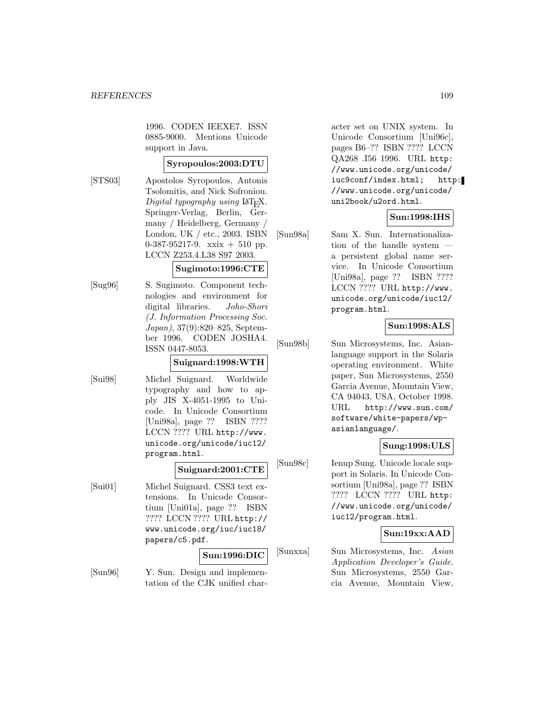1996. CODEN IEEXE7. ISSN 0885-9000. Mentions Unicode support in Java.

## **Syropoulos:2003:DTU**

[STS03] Apostolos Syropoulos, Antonis Tsolomitis, and Nick Sofroniou. Digital typography using  $\text{LAT}$ <sub>EX</sub>. Springer-Verlag, Berlin, Germany / Heidelberg, Germany / London, UK / etc., 2003. ISBN 0-387-95217-9. xxix + 510 pp. LCCN Z253.4.L38 S97 2003.

#### **Sugimoto:1996:CTE**

[Sug96] S. Sugimoto. Component technologies and environment for digital libraries. Joho-Shori (J. Information Processing Soc. Japan), 37(9):820–825, September 1996. CODEN JOSHA4. ISSN 0447-8053.

#### **Suignard:1998:WTH**

[Sui98] Michel Suignard. Worldwide typography and how to apply JIS X-4051-1995 to Unicode. In Unicode Consortium [Uni98a], page ?? ISBN ???? LCCN ???? URL http://www. unicode.org/unicode/iuc12/ program.html.

#### **Suignard:2001:CTE**

[Sui01] Michel Suignard. CSS3 text extensions. In Unicode Consortium [Uni01a], page ?? ISBN ???? LCCN ???? URL http:// www.unicode.org/iuc/iuc18/ papers/c5.pdf.

#### **Sun:1996:DIC**

[Sun96] Y. Sun. Design and implementation of the CJK unified character set on UNIX system. In Unicode Consortium [Uni96c], pages B6–?? ISBN ???? LCCN QA268 .I56 1996. URL http: //www.unicode.org/unicode/ iuc9conf/index.html; http: //www.unicode.org/unicode/ uni2book/u2ord.html.

### **Sun:1998:IHS**

[Sun98a] Sam X. Sun. Internationalization of the handle system a persistent global name service. In Unicode Consortium [Uni98a], page ?? ISBN ???? LCCN ???? URL http://www. unicode.org/unicode/iuc12/ program.html.

#### **Sun:1998:ALS**

[Sun98b] Sun Microsystems, Inc. Asianlanguage support in the Solaris operating environment. White paper, Sun Microsystems, 2550 Garcia Avenue, Mountain View, CA 94043, USA, October 1998. URL http://www.sun.com/ software/white-papers/wpasianlanguage/.

## **Sung:1998:ULS**

[Sun98c] Ienup Sung. Unicode locale support in Solaris. In Unicode Consortium [Uni98a], page ?? ISBN ???? LCCN ???? URL http: //www.unicode.org/unicode/ iuc12/program.html.

#### **Sun:19xx:AAD**

[Sunxxa] Sun Microsystems, Inc. Asian Application Developer's Guide. Sun Microsystems, 2550 Garcia Avenue, Mountain View,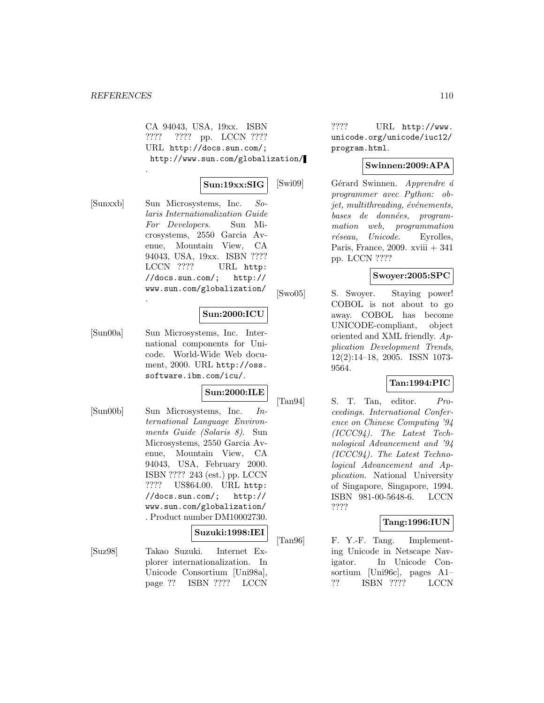.

.

CA 94043, USA, 19xx. ISBN ???? ???? pp. LCCN ???? URL http://docs.sun.com/; http://www.sun.com/globalization/

## **Sun:19xx:SIG**

[Sunxxb] Sun Microsystems, Inc. Solaris Internationalization Guide For Developers. Sun Microsystems, 2550 Garcia Avenue, Mountain View, CA 94043, USA, 19xx. ISBN ???? LCCN ???? URL http: //docs.sun.com/; http:// www.sun.com/globalization/

## **Sun:2000:ICU**

[Sun00a] Sun Microsystems, Inc. International components for Unicode. World-Wide Web document, 2000. URL http://oss. software.ibm.com/icu/.

#### **Sun:2000:ILE**

[Sun00b] Sun Microsystems, Inc. International Language Environments Guide (Solaris 8). Sun Microsystems, 2550 Garcia Avenue, Mountain View, CA 94043, USA, February 2000. ISBN ???? 243 (est.) pp. LCCN ???? US\$64.00. URL http: //docs.sun.com/; http:// www.sun.com/globalization/ . Product number DM10002730.

#### **Suzuki:1998:IEI**

[Suz98] Takao Suzuki. Internet Explorer internationalization. In Unicode Consortium [Uni98a], page ?? ISBN ???? LCCN

???? URL http://www. unicode.org/unicode/iuc12/ program.html.

## **Swinnen:2009:APA**

[Swi09] Gérard Swinnen. Apprendre á programmer avec Python: ob $jet,$  multithreading,  $év{énements}$ , bases de données, programmation web, programmation réseau, Unicode. Eyrolles, Paris, France, 2009. xviii + 341 pp. LCCN ????

## **Swoyer:2005:SPC**

[Swo05] S. Swoyer. Staying power! COBOL is not about to go away. COBOL has become UNICODE-compliant, object oriented and XML friendly. Application Development Trends, 12(2):14–18, 2005. ISSN 1073- 9564.

## **Tan:1994:PIC**

[Tan94] S. T. Tan, editor. Proceedings. International Conference on Chinese Computing '94 (ICCC94). The Latest Technological Advancement and '94 (ICCC94). The Latest Technological Advancement and Application. National University of Singapore, Singapore, 1994. ISBN 981-00-5648-6. LCCN ????

## **Tang:1996:IUN**

[Tan96] F. Y.-F. Tang. Implementing Unicode in Netscape Navigator. In Unicode Consortium [Uni96c], pages A1– ?? ISBN ???? LCCN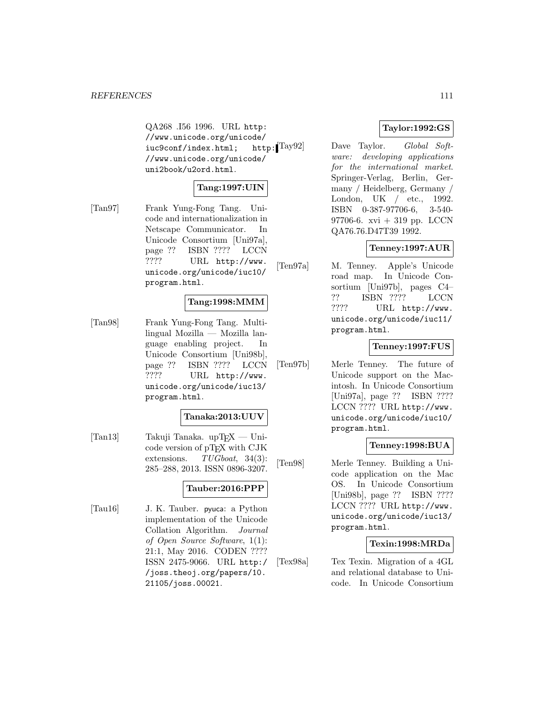QA268 .I56 1996. URL http: //www.unicode.org/unicode/<br>iuc9conf/index.html: http:1Tay92 iuc9conf/index.html; //www.unicode.org/unicode/ uni2book/u2ord.html.

## **Tang:1997:UIN**

[Tan97] Frank Yung-Fong Tang. Unicode and internationalization in Netscape Communicator. In Unicode Consortium [Uni97a], page ?? ISBN ???? LCCN ???? URL http://www. unicode.org/unicode/iuc10/ program.html.

#### **Tang:1998:MMM**

[Tan98] Frank Yung-Fong Tang. Multilingual Mozilla — Mozilla language enabling project. In Unicode Consortium [Uni98b], page ?? ISBN ???? LCCN ???? URL http://www. unicode.org/unicode/iuc13/ program.html.

#### **Tanaka:2013:UUV**

[Tan13] Takuji Tanaka. upT $FX -$ Unicode version of pTFX with CJK extensions. TUGboat, 34(3): 285–288, 2013. ISSN 0896-3207.

## **Tauber:2016:PPP**

[Tau16] J. K. Tauber. pyuca: a Python implementation of the Unicode Collation Algorithm. Journal of Open Source Software, 1(1): 21:1, May 2016. CODEN ???? ISSN 2475-9066. URL http:/ /joss.theoj.org/papers/10. 21105/joss.00021.

## **Taylor:1992:GS**

Dave Taylor. Global Software: developing applications for the international market. Springer-Verlag, Berlin, Germany / Heidelberg, Germany / London, UK / etc., 1992. ISBN 0-387-97706-6, 3-540- 97706-6. xvi + 319 pp. LCCN QA76.76.D47T39 1992.

## **Tenney:1997:AUR**

[Ten97a] M. Tenney. Apple's Unicode road map. In Unicode Consortium [Uni97b], pages C4– ?? ISBN ???? LCCN ???? URL http://www. unicode.org/unicode/iuc11/ program.html.

#### **Tenney:1997:FUS**

[Ten97b] Merle Tenney. The future of Unicode support on the Macintosh. In Unicode Consortium [Uni97a], page ?? ISBN ???? LCCN ???? URL http://www. unicode.org/unicode/iuc10/ program.html.

#### **Tenney:1998:BUA**

[Ten98] Merle Tenney. Building a Unicode application on the Mac OS. In Unicode Consortium [Uni98b], page ?? ISBN ???? LCCN ???? URL http://www. unicode.org/unicode/iuc13/ program.html.

## **Texin:1998:MRDa**

[Tex98a] Tex Texin. Migration of a 4GL and relational database to Unicode. In Unicode Consortium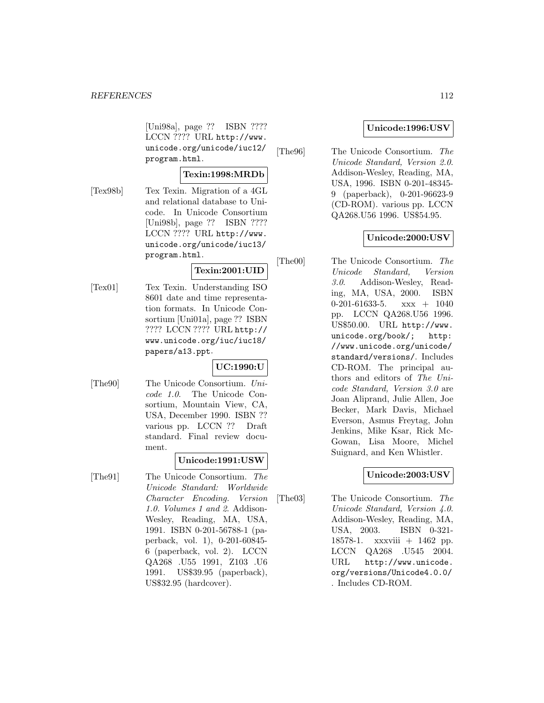[Uni98a], page ?? ISBN ???? LCCN ???? URL http://www. unicode.org/unicode/iuc12/ program.html.

## **Texin:1998:MRDb**

[Tex98b] Tex Texin. Migration of a 4GL and relational database to Unicode. In Unicode Consortium [Uni98b], page ?? ISBN ???? LCCN ???? URL http://www. unicode.org/unicode/iuc13/ program.html.

# **Texin:2001:UID**

[Tex01] Tex Texin. Understanding ISO 8601 date and time representation formats. In Unicode Consortium [Uni01a], page ?? ISBN ???? LCCN ???? URL http:// www.unicode.org/iuc/iuc18/ papers/a13.ppt.

## **UC:1990:U**

[The90] The Unicode Consortium. Unicode 1.0. The Unicode Consortium, Mountain View, CA, USA, December 1990. ISBN ?? various pp. LCCN ?? Draft standard. Final review document.

#### **Unicode:1991:USW**

[The91] The Unicode Consortium. The Unicode Standard: Worldwide Character Encoding. Version 1.0. Volumes 1 and 2. Addison-Wesley, Reading, MA, USA, 1991. ISBN 0-201-56788-1 (paperback, vol. 1), 0-201-60845- 6 (paperback, vol. 2). LCCN QA268 .U55 1991, Z103 .U6 1991. US\$39.95 (paperback), US\$32.95 (hardcover).

## **Unicode:1996:USV**

[The96] The Unicode Consortium. The Unicode Standard, Version 2.0. Addison-Wesley, Reading, MA, USA, 1996. ISBN 0-201-48345- 9 (paperback), 0-201-96623-9 (CD-ROM). various pp. LCCN QA268.U56 1996. US\$54.95.

## **Unicode:2000:USV**

[The00] The Unicode Consortium. The Unicode Standard, Version 3.0. Addison-Wesley, Reading, MA, USA, 2000. ISBN 0-201-61633-5. xxx + 1040 pp. LCCN QA268.U56 1996. US\$50.00. URL http://www. unicode.org/book/; http: //www.unicode.org/unicode/ standard/versions/. Includes CD-ROM. The principal authors and editors of The Unicode Standard, Version 3.0 are Joan Aliprand, Julie Allen, Joe Becker, Mark Davis, Michael Everson, Asmus Freytag, John Jenkins, Mike Ksar, Rick Mc-Gowan, Lisa Moore, Michel Suignard, and Ken Whistler.

## **Unicode:2003:USV**

[The03] The Unicode Consortium. The Unicode Standard, Version 4.0. Addison-Wesley, Reading, MA, USA, 2003. ISBN 0-321- 18578-1. xxxviii + 1462 pp. LCCN QA268 .U545 2004. URL http://www.unicode. org/versions/Unicode4.0.0/ . Includes CD-ROM.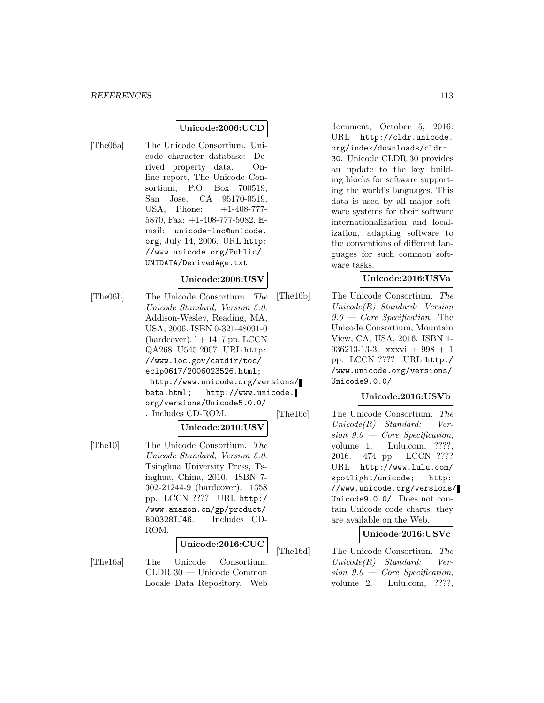## **Unicode:2006:UCD**

[The06a] The Unicode Consortium. Unicode character database: Derived property data. Online report, The Unicode Consortium, P.O. Box 700519, San Jose, CA 95170-0519, USA, Phone:  $+1-408-777-$ 5870, Fax: +1-408-777-5082, Email: unicode-inc@unicode. org, July 14, 2006. URL http: //www.unicode.org/Public/ UNIDATA/DerivedAge.txt.

### **Unicode:2006:USV**

[The06b] The Unicode Consortium. The Unicode Standard, Version 5.0. Addison-Wesley, Reading, MA, USA, 2006. ISBN 0-321-48091-0  $(hardcover)$ .  $l + 1417$  pp. LCCN QA268 .U545 2007. URL http: //www.loc.gov/catdir/toc/ ecip0617/2006023526.html; http://www.unicode.org/versions/ beta.html; http://www.unicode. org/versions/Unicode5.0.0/ . Includes CD-ROM.

## **Unicode:2010:USV**

[The10] The Unicode Consortium. The Unicode Standard, Version 5.0. Tsinghua University Press, Tsinghua, China, 2010. ISBN 7- 302-21244-9 (hardcover). 1358 pp. LCCN ???? URL http:/ /www.amazon.cn/gp/product/ B00328IJ46. Includes CD-ROM.

## **Unicode:2016:CUC**

[The16a] The Unicode Consortium. CLDR 30 — Unicode Common Locale Data Repository. Web document, October 5, 2016. URL http://cldr.unicode. org/index/downloads/cldr-30. Unicode CLDR 30 provides an update to the key building blocks for software supporting the world's languages. This data is used by all major software systems for their software internationalization and localization, adapting software to the conventions of different languages for such common software tasks.

## **Unicode:2016:USVa**

[The16b] The Unicode Consortium. The Unicode(R) Standard: Version 9.0 — Core Specification. The Unicode Consortium, Mountain View, CA, USA, 2016. ISBN 1- 936213-13-3. xxxvi + 998 + 1 pp. LCCN ???? URL http:/ /www.unicode.org/versions/ Unicode9.0.0/.

## **Unicode:2016:USVb**

[The16c] The Unicode Consortium. The Unicode(R) Standard: Version  $9.0 - \text{Core Specification}$ , volume 1. Lulu.com, ????, 2016. 474 pp. LCCN ???? URL http://www.lulu.com/ spotlight/unicode; http: //www.unicode.org/versions/ Unicode9.0.0/. Does not contain Unicode code charts; they are available on the Web.

#### **Unicode:2016:USVc**

[The16d] The Unicode Consortium. The Unicode(R) Standard: Version  $9.0 - \text{Core}$  Specification, volume 2. Lulu.com, ????,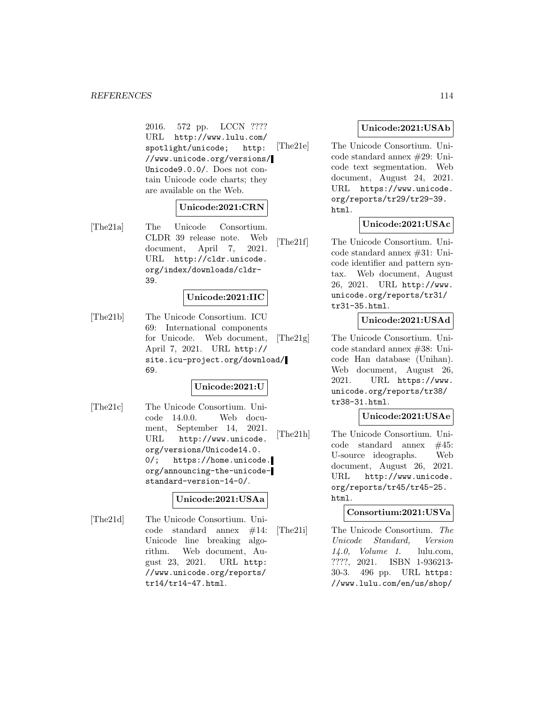#### *REFERENCES* 114

2016. 572 pp. LCCN ???? URL http://www.lulu.com/ spotlight/unicode; http: //www.unicode.org/versions/ Unicode9.0.0/. Does not contain Unicode code charts; they are available on the Web.

#### **Unicode:2021:CRN**

[The21a] The Unicode Consortium. CLDR 39 release note. Web document, April 7, 2021. URL http://cldr.unicode. org/index/downloads/cldr-39.

#### **Unicode:2021:IIC**

[The21b] The Unicode Consortium. ICU 69: International components for Unicode. Web document, April 7, 2021. URL http:// site.icu-project.org/download/ 69.

#### **Unicode:2021:U**

[The21c] The Unicode Consortium. Unicode 14.0.0. Web document, September 14, 2021. URL http://www.unicode. org/versions/Unicode14.0. 0/; https://home.unicode. org/announcing-the-unicodestandard-version-14-0/.

#### **Unicode:2021:USAa**

[The21d] The Unicode Consortium. Unicode standard annex #14: Unicode line breaking algorithm. Web document, August 23, 2021. URL http: //www.unicode.org/reports/ tr14/tr14-47.html.

## **Unicode:2021:USAb**

[The21e] The Unicode Consortium. Unicode standard annex #29: Unicode text segmentation. Web document, August 24, 2021. URL https://www.unicode. org/reports/tr29/tr29-39. html.

#### **Unicode:2021:USAc**

[The21f] The Unicode Consortium. Unicode standard annex #31: Unicode identifier and pattern syntax. Web document, August 26, 2021. URL http://www. unicode.org/reports/tr31/ tr31-35.html.

## **Unicode:2021:USAd**

[The21g] The Unicode Consortium. Unicode standard annex #38: Unicode Han database (Unihan). Web document, August 26, 2021. URL https://www. unicode.org/reports/tr38/ tr38-31.html.

#### **Unicode:2021:USAe**

[The21h] The Unicode Consortium. Unicode standard annex #45: U-source ideographs. Web document, August 26, 2021. URL http://www.unicode. org/reports/tr45/tr45-25. html.

#### **Consortium:2021:USVa**

[The21i] The Unicode Consortium. The Unicode Standard, Version 14.0, Volume 1. lulu.com, ????, 2021. ISBN 1-936213- 30-3. 496 pp. URL https: //www.lulu.com/en/us/shop/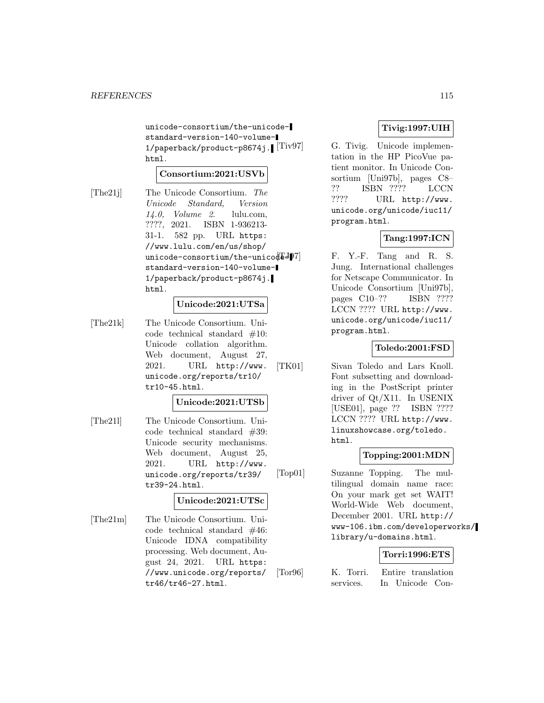unicode-consortium/the-unicodestandard-version-140-volume-1/paperback/product-p8674j. [Tiv97] html.

## **Consortium:2021:USVb**

[The21j] The Unicode Consortium. The Unicode Standard, Version 14.0, Volume 2. lulu.com, ????, 2021. ISBN 1-936213- 31-1. 582 pp. URL https: //www.lulu.com/en/us/shop/ unicode-consortium/the-unicode- $J$ standard-version-140-volume-1/paperback/product-p8674j. html.

#### **Unicode:2021:UTSa**

[The21k] The Unicode Consortium. Unicode technical standard #10: Unicode collation algorithm. Web document, August 27, 2021. URL http://www. unicode.org/reports/tr10/ tr10-45.html.

#### **Unicode:2021:UTSb**

[The21l] The Unicode Consortium. Unicode technical standard #39: Unicode security mechanisms. Web document, August 25, 2021. URL http://www. unicode.org/reports/tr39/ tr39-24.html.

#### **Unicode:2021:UTSc**

[The21m] The Unicode Consortium. Unicode technical standard #46: Unicode IDNA compatibility processing. Web document, August 24, 2021. URL https: //www.unicode.org/reports/ tr46/tr46-27.html.

## **Tivig:1997:UIH**

G. Tivig. Unicode implementation in the HP PicoVue patient monitor. In Unicode Consortium [Uni97b], pages C8– ?? ISBN ???? LCCN ???? URL http://www. unicode.org/unicode/iuc11/ program.html.

## **Tang:1997:ICN**

F. Y.-F. Tang and R. S. Jung. International challenges for Netscape Communicator. In Unicode Consortium [Uni97b], pages C10–?? ISBN ???? LCCN ???? URL http://www. unicode.org/unicode/iuc11/ program.html.

#### **Toledo:2001:FSD**

[TK01] Sivan Toledo and Lars Knoll. Font subsetting and downloading in the PostScript printer driver of Qt/X11. In USENIX [USE01], page ?? ISBN ???? LCCN ???? URL http://www. linuxshowcase.org/toledo. html.

#### **Topping:2001:MDN**

[Top01] Suzanne Topping. The multilingual domain name race: On your mark get set WAIT! World-Wide Web document, December 2001. URL http:// www-106.ibm.com/developerworks/ library/u-domains.html.

#### **Torri:1996:ETS**

[Tor96] K. Torri. Entire translation services. In Unicode Con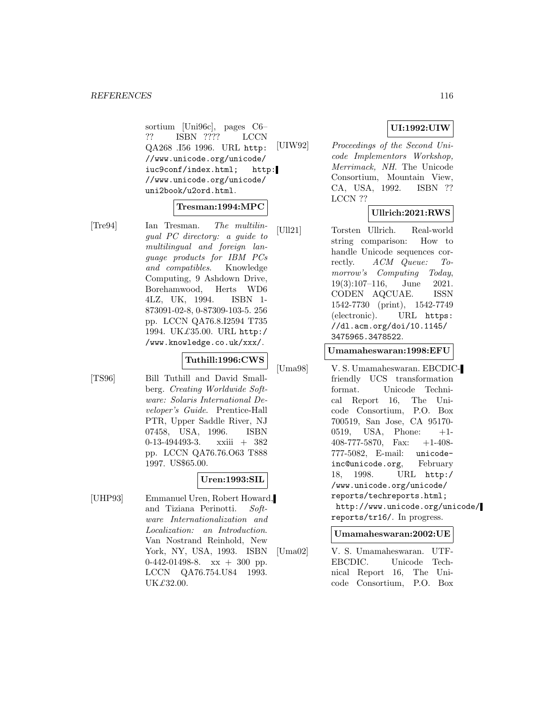sortium [Uni96c], pages C6– ?? ISBN ???? LCCN QA268 .I56 1996. URL http: //www.unicode.org/unicode/ iuc9conf/index.html; http: //www.unicode.org/unicode/ uni2book/u2ord.html.

#### **Tresman:1994:MPC**

[Tre94] Ian Tresman. The multilingual PC directory: a guide to multilingual and foreign language products for IBM PCs and compatibles. Knowledge Computing, 9 Ashdown Drive, Borehamwood, Herts WD6 4LZ, UK, 1994. ISBN 1- 873091-02-8, 0-87309-103-5. 256 pp. LCCN QA76.8.I2594 T735 1994. UK£35.00. URL http:/ /www.knowledge.co.uk/xxx/.

#### **Tuthill:1996:CWS**

[TS96] Bill Tuthill and David Smallberg. Creating Worldwide Software: Solaris International Developer's Guide. Prentice-Hall PTR, Upper Saddle River, NJ 07458, USA, 1996. ISBN 0-13-494493-3. xxiii + 382 pp. LCCN QA76.76.O63 T888 1997. US\$65.00.

#### **Uren:1993:SIL**

[UHP93] Emmanuel Uren, Robert Howard, and Tiziana Perinotti. Software Internationalization and Localization: an Introduction. Van Nostrand Reinhold, New York, NY, USA, 1993. ISBN  $0-442-01498-8$ . xx  $+300$  pp. LCCN QA76.754.U84 1993. UK£32.00.

## **UI:1992:UIW**

[UIW92] Proceedings of the Second Unicode Implementors Workshop, Merrimack, NH. The Unicode Consortium, Mountain View, CA, USA, 1992. ISBN ?? LCCN ??

## **Ullrich:2021:RWS**

[Ull21] Torsten Ullrich. Real-world string comparison: How to handle Unicode sequences correctly. ACM Queue: Tomorrow's Computing Today, 19(3):107–116, June 2021. CODEN AQCUAE. ISSN 1542-7730 (print), 1542-7749 (electronic). URL https: //dl.acm.org/doi/10.1145/ 3475965.3478522.

#### **Umamaheswaran:1998:EFU**

[Uma98] V. S. Umamaheswaran. EBCDICfriendly UCS transformation format. Unicode Technical Report 16, The Unicode Consortium, P.O. Box 700519, San Jose, CA 95170- 0519, USA, Phone: +1- 408-777-5870, Fax: +1-408- 777-5082, E-mail: unicodeinc@unicode.org, February 18, 1998. URL http:/ /www.unicode.org/unicode/ reports/techreports.html; http://www.unicode.org/unicode/ reports/tr16/. In progress.

#### **Umamaheswaran:2002:UE**

[Uma02] V. S. Umamaheswaran. UTF-EBCDIC. Unicode Technical Report 16, The Unicode Consortium, P.O. Box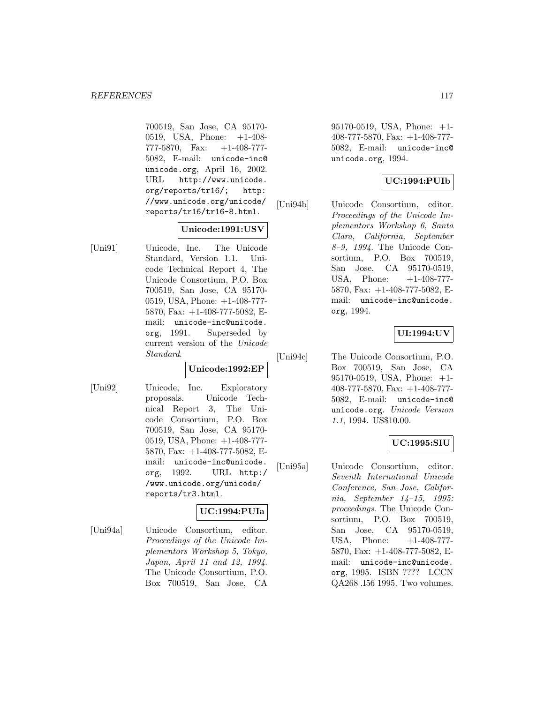700519, San Jose, CA 95170- 0519, USA, Phone: +1-408- 777-5870, Fax: +1-408-777- 5082, E-mail: unicode-inc@ unicode.org, April 16, 2002. URL http://www.unicode. org/reports/tr16/; http: //www.unicode.org/unicode/ reports/tr16/tr16-8.html.

## **Unicode:1991:USV**

[Uni91] Unicode, Inc. The Unicode Standard, Version 1.1. Unicode Technical Report 4, The Unicode Consortium, P.O. Box 700519, San Jose, CA 95170- 0519, USA, Phone: +1-408-777- 5870, Fax: +1-408-777-5082, Email: unicode-inc@unicode. org, 1991. Superseded by current version of the Unicode Standard.

## **Unicode:1992:EP**

[Uni92] Unicode, Inc. Exploratory proposals. Unicode Technical Report 3, The Unicode Consortium, P.O. Box 700519, San Jose, CA 95170- 0519, USA, Phone: +1-408-777- 5870, Fax: +1-408-777-5082, Email: unicode-inc@unicode. org, 1992. URL http:/ /www.unicode.org/unicode/ reports/tr3.html.

## **UC:1994:PUIa**

[Uni94a] Unicode Consortium, editor. Proceedings of the Unicode Implementors Workshop 5, Tokyo, Japan, April 11 and 12, 1994. The Unicode Consortium, P.O. Box 700519, San Jose, CA

95170-0519, USA, Phone: +1- 408-777-5870, Fax: +1-408-777- 5082, E-mail: unicode-inc@ unicode.org, 1994.

## **UC:1994:PUIb**

[Uni94b] Unicode Consortium, editor. Proceedings of the Unicode Implementors Workshop 6, Santa Clara, California, September 8–9, 1994. The Unicode Consortium, P.O. Box 700519, San Jose, CA 95170-0519, USA, Phone:  $+1-408-777-$ 5870, Fax: +1-408-777-5082, Email: unicode-inc@unicode. org, 1994.

## **UI:1994:UV**

[Uni94c] The Unicode Consortium, P.O. Box 700519, San Jose, CA 95170-0519, USA, Phone: +1- 408-777-5870, Fax: +1-408-777- 5082, E-mail: unicode-inc@ unicode.org. Unicode Version 1.1, 1994. US\$10.00.

## **UC:1995:SIU**

[Uni95a] Unicode Consortium, editor. Seventh International Unicode Conference, San Jose, California, September 14–15, 1995: proceedings. The Unicode Consortium, P.O. Box 700519, San Jose, CA 95170-0519, USA, Phone:  $+1-408-777-$ 5870, Fax: +1-408-777-5082, Email: unicode-inc@unicode. org, 1995. ISBN ???? LCCN QA268 .I56 1995. Two volumes.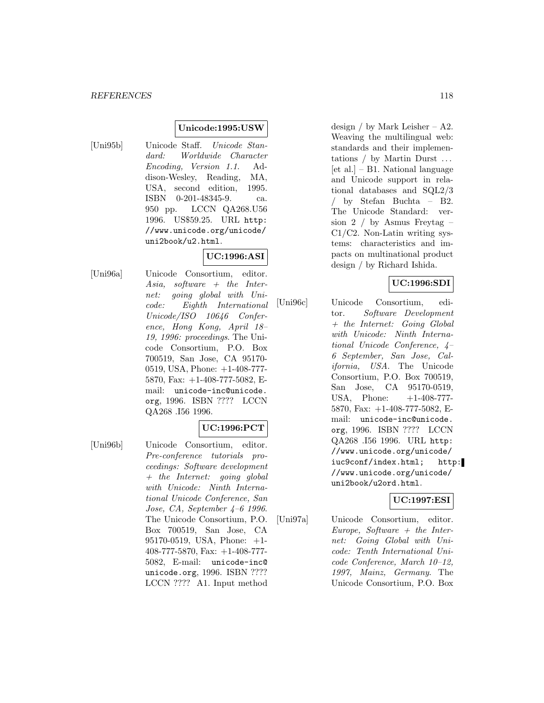### **Unicode:1995:USW**

[Uni95b] Unicode Staff. Unicode Standard: Worldwide Character Encoding, Version 1.1. Addison-Wesley, Reading, MA, USA, second edition, 1995. ISBN 0-201-48345-9. ca. 950 pp. LCCN QA268.U56 1996. US\$59.25. URL http: //www.unicode.org/unicode/ uni2book/u2.html.

## **UC:1996:ASI**

[Uni96a] Unicode Consortium, editor. Asia, software  $+$  the Internet: going global with Unicode: Eighth International Unicode/ISO 10646 Conference, Hong Kong, April 18– 19, 1996: proceedings. The Unicode Consortium, P.O. Box 700519, San Jose, CA 95170- 0519, USA, Phone: +1-408-777- 5870, Fax: +1-408-777-5082, Email: unicode-inc@unicode. org, 1996. ISBN ???? LCCN QA268 .I56 1996.

## **UC:1996:PCT**

[Uni96b] Unicode Consortium, editor. Pre-conference tutorials proceedings: Software development + the Internet: going global with Unicode: Ninth International Unicode Conference, San Jose, CA, September 4–6 1996. The Unicode Consortium, P.O. Box 700519, San Jose, CA 95170-0519, USA, Phone: +1- 408-777-5870, Fax: +1-408-777- 5082, E-mail: unicode-inc@ unicode.org, 1996. ISBN ???? LCCN ???? A1. Input method

design / by Mark Leisher – A2. Weaving the multilingual web: standards and their implementations / by Martin Durst ...  $[et al.] - B1. National language$ and Unicode support in relational databases and SQL2/3 / by Stefan Buchta – B2. The Unicode Standard: version 2 / by Asmus Freytag – C1/C2. Non-Latin writing systems: characteristics and impacts on multinational product design / by Richard Ishida.

## **UC:1996:SDI**

[Uni96c] Unicode Consortium, editor. Software Development + the Internet: Going Global with Unicode: Ninth International Unicode Conference, 4– 6 September, San Jose, California, USA. The Unicode Consortium, P.O. Box 700519, San Jose, CA 95170-0519, USA, Phone:  $+1-408-777-$ 5870, Fax: +1-408-777-5082, Email: unicode-inc@unicode. org, 1996. ISBN ???? LCCN QA268 .I56 1996. URL http: //www.unicode.org/unicode/ iuc9conf/index.html; http: //www.unicode.org/unicode/ uni2book/u2ord.html.

## **UC:1997:ESI**

[Uni97a] Unicode Consortium, editor. Europe, Software  $+$  the Internet: Going Global with Unicode: Tenth International Unicode Conference, March 10–12, 1997, Mainz, Germany. The Unicode Consortium, P.O. Box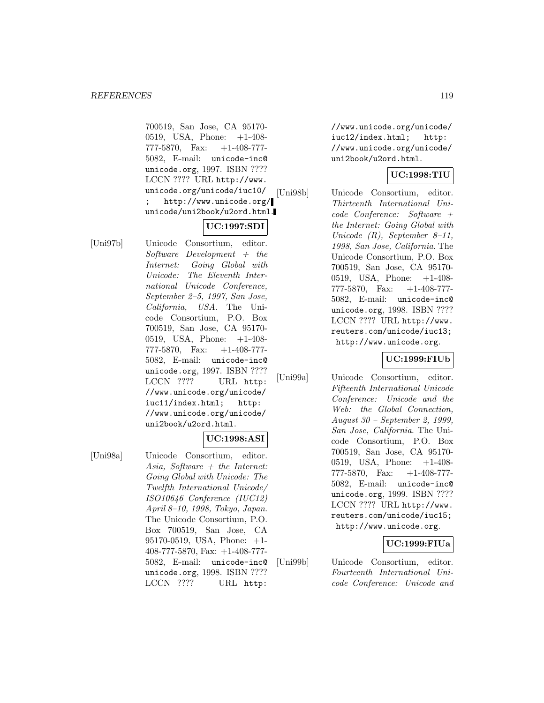700519, San Jose, CA 95170- 0519, USA, Phone: +1-408- 777-5870, Fax: +1-408-777- 5082, E-mail: unicode-inc@ unicode.org, 1997. ISBN ???? LCCN ???? URL http://www. unicode.org/unicode/iuc10/ http://www.unicode.org/ unicode/uni2book/u2ord.html.

## **UC:1997:SDI**

[Uni97b] Unicode Consortium, editor.  $Software$  Development + the Internet: Going Global with Unicode: The Eleventh International Unicode Conference, September 2–5, 1997, San Jose, California, USA. The Unicode Consortium, P.O. Box 700519, San Jose, CA 95170- 0519, USA, Phone: +1-408- 777-5870, Fax: +1-408-777- 5082, E-mail: unicode-inc@ unicode.org, 1997. ISBN ???? LCCN ???? URL http: //www.unicode.org/unicode/ iuc11/index.html; http: //www.unicode.org/unicode/ uni2book/u2ord.html.

## **UC:1998:ASI**

[Uni98a] Unicode Consortium, editor. Asia, Software  $+$  the Internet: Going Global with Unicode: The Twelfth International Unicode/ ISO10646 Conference (IUC12) April 8–10, 1998, Tokyo, Japan. The Unicode Consortium, P.O. Box 700519, San Jose, CA 95170-0519, USA, Phone: +1- 408-777-5870, Fax: +1-408-777- 5082, E-mail: unicode-inc@ unicode.org, 1998. ISBN ???? LCCN ???? URL http:

//www.unicode.org/unicode/ iuc12/index.html; http: //www.unicode.org/unicode/ uni2book/u2ord.html.

## **UC:1998:TIU**

[Uni98b] Unicode Consortium, editor. Thirteenth International Unicode Conference: Software + the Internet: Going Global with Unicode  $(R)$ , September 8-11, 1998, San Jose, California. The Unicode Consortium, P.O. Box 700519, San Jose, CA 95170- 0519, USA, Phone: +1-408- 777-5870, Fax: +1-408-777- 5082, E-mail: unicode-inc@ unicode.org, 1998. ISBN ???? LCCN ???? URL http://www. reuters.com/unicode/iuc13; http://www.unicode.org.

## **UC:1999:FIUb**

[Uni99a] Unicode Consortium, editor. Fifteenth International Unicode Conference: Unicode and the Web: the Global Connection, August 30 – September 2, 1999, San Jose, California. The Unicode Consortium, P.O. Box 700519, San Jose, CA 95170- 0519, USA, Phone: +1-408- 777-5870, Fax: +1-408-777- 5082, E-mail: unicode-inc@ unicode.org, 1999. ISBN ???? LCCN ???? URL http://www. reuters.com/unicode/iuc15; http://www.unicode.org.

## **UC:1999:FIUa**

[Uni99b] Unicode Consortium, editor. Fourteenth International Unicode Conference: Unicode and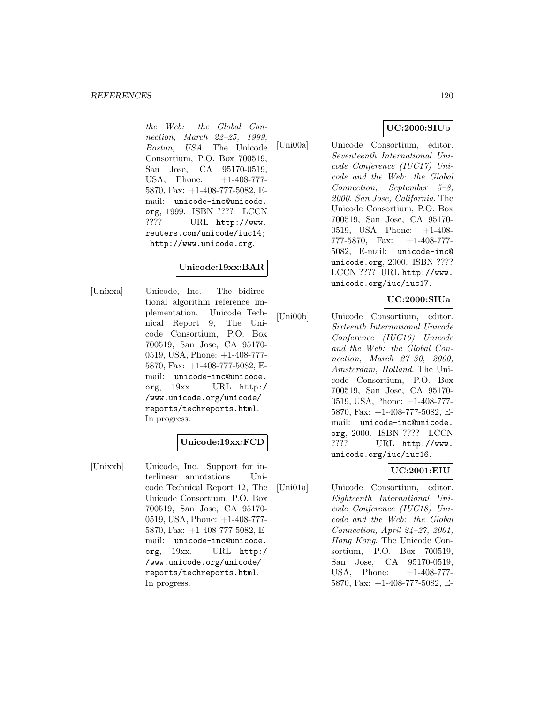#### *REFERENCES* 120

the Web: the Global Connection, March 22–25, 1999, Boston, USA. The Unicode Consortium, P.O. Box 700519, San Jose, CA 95170-0519, USA, Phone:  $+1-408-777-$ 5870, Fax: +1-408-777-5082, Email: unicode-inc@unicode. org, 1999. ISBN ???? LCCN ???? URL http://www. reuters.com/unicode/iuc14; http://www.unicode.org.

## **Unicode:19xx:BAR**

[Unixxa] Unicode, Inc. The bidirectional algorithm reference implementation. Unicode Technical Report 9, The Unicode Consortium, P.O. Box 700519, San Jose, CA 95170- 0519, USA, Phone: +1-408-777- 5870, Fax: +1-408-777-5082, Email: unicode-inc@unicode. org, 19xx. URL http:/ /www.unicode.org/unicode/ reports/techreports.html. In progress.

## **Unicode:19xx:FCD**

[Unixxb] Unicode, Inc. Support for interlinear annotations. Unicode Technical Report 12, The Unicode Consortium, P.O. Box 700519, San Jose, CA 95170- 0519, USA, Phone: +1-408-777- 5870, Fax: +1-408-777-5082, Email: unicode-inc@unicode. org, 19xx. URL http:/ /www.unicode.org/unicode/ reports/techreports.html. In progress.

## **UC:2000:SIUb**

[Uni00a] Unicode Consortium, editor. Seventeenth International Unicode Conference (IUC17) Unicode and the Web: the Global Connection, September 5–8, 2000, San Jose, California. The Unicode Consortium, P.O. Box 700519, San Jose, CA 95170- 0519, USA, Phone: +1-408- 777-5870, Fax: +1-408-777- 5082, E-mail: unicode-inc@ unicode.org, 2000. ISBN ???? LCCN ???? URL http://www. unicode.org/iuc/iuc17.

#### **UC:2000:SIUa**

[Uni00b] Unicode Consortium, editor. Sixteenth International Unicode Conference (IUC16) Unicode and the Web: the Global Connection, March 27–30, 2000, Amsterdam, Holland. The Unicode Consortium, P.O. Box 700519, San Jose, CA 95170- 0519, USA, Phone: +1-408-777- 5870, Fax: +1-408-777-5082, Email: unicode-inc@unicode. org, 2000. ISBN ???? LCCN ???? URL http://www. unicode.org/iuc/iuc16.

## **UC:2001:EIU**

[Uni01a] Unicode Consortium, editor. Eighteenth International Unicode Conference (IUC18) Unicode and the Web: the Global Connection, April 24–27, 2001, Hong Kong. The Unicode Consortium, P.O. Box 700519, San Jose, CA 95170-0519, USA, Phone:  $+1-408-777-$ 5870, Fax: +1-408-777-5082, E-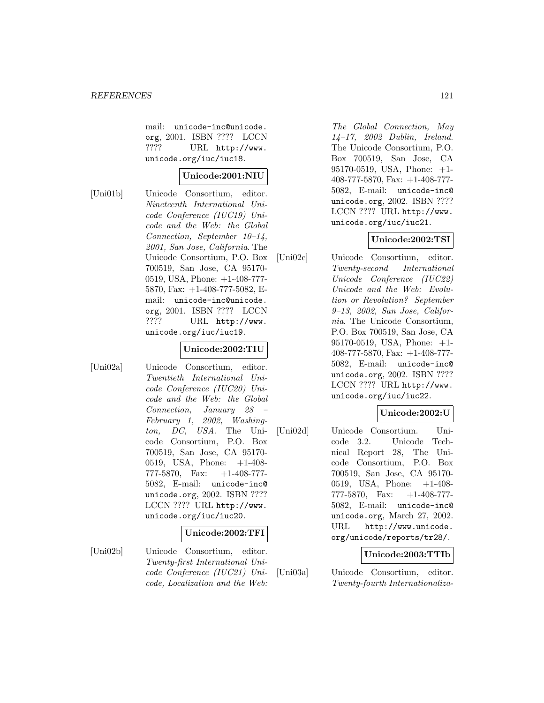mail: unicode-inc@unicode. org, 2001. ISBN ???? LCCN ???? URL http://www. unicode.org/iuc/iuc18.

#### **Unicode:2001:NIU**

[Uni01b] Unicode Consortium, editor. Nineteenth International Unicode Conference (IUC19) Unicode and the Web: the Global Connection, September 10–14, 2001, San Jose, California. The Unicode Consortium, P.O. Box 700519, San Jose, CA 95170- 0519, USA, Phone: +1-408-777- 5870, Fax: +1-408-777-5082, Email: unicode-inc@unicode. org, 2001. ISBN ???? LCCN ???? URL http://www. unicode.org/iuc/iuc19.

#### **Unicode:2002:TIU**

[Uni02a] Unicode Consortium, editor. Twentieth International Unicode Conference (IUC20) Unicode and the Web: the Global Connection, January 28 – February 1, 2002, Washington, DC, USA. The Unicode Consortium, P.O. Box 700519, San Jose, CA 95170- 0519, USA, Phone: +1-408- 777-5870, Fax: +1-408-777- 5082, E-mail: unicode-inc@ unicode.org, 2002. ISBN ???? LCCN ???? URL http://www. unicode.org/iuc/iuc20.

## **Unicode:2002:TFI**

[Uni02b] Unicode Consortium, editor. Twenty-first International Unicode Conference (IUC21) Unicode, Localization and the Web:

The Global Connection, May 14–17, 2002 Dublin, Ireland. The Unicode Consortium, P.O. Box 700519, San Jose, CA 95170-0519, USA, Phone: +1- 408-777-5870, Fax: +1-408-777- 5082, E-mail: unicode-inc@ unicode.org, 2002. ISBN ???? LCCN ???? URL http://www. unicode.org/iuc/iuc21.

## **Unicode:2002:TSI**

[Uni02c] Unicode Consortium, editor. Twenty-second International Unicode Conference (IUC22) Unicode and the Web: Evolution or Revolution? September 9–13, 2002, San Jose, California. The Unicode Consortium, P.O. Box 700519, San Jose, CA 95170-0519, USA, Phone: +1- 408-777-5870, Fax: +1-408-777- 5082, E-mail: unicode-inc@ unicode.org, 2002. ISBN ???? LCCN ???? URL http://www. unicode.org/iuc/iuc22.

## **Unicode:2002:U**

[Uni02d] Unicode Consortium. Unicode 3.2. Unicode Technical Report 28, The Unicode Consortium, P.O. Box 700519, San Jose, CA 95170- 0519, USA, Phone: +1-408- 777-5870, Fax: +1-408-777- 5082, E-mail: unicode-inc@ unicode.org, March 27, 2002. URL http://www.unicode. org/unicode/reports/tr28/.

#### **Unicode:2003:TTIb**

[Uni03a] Unicode Consortium, editor. Twenty-fourth Internationaliza-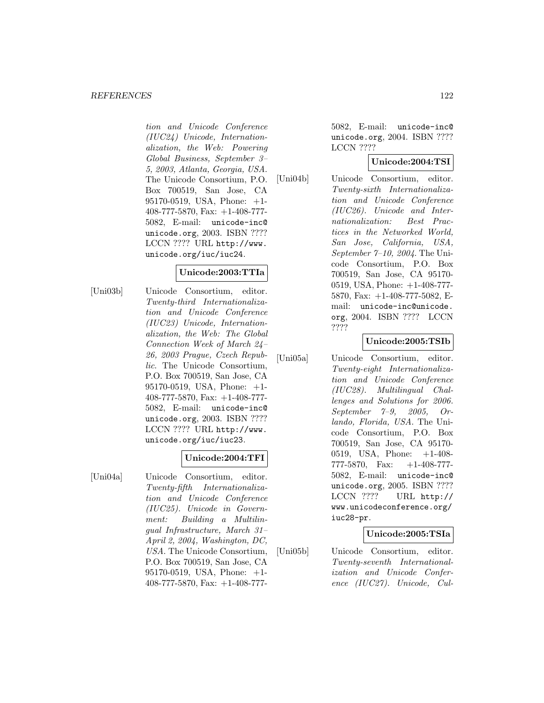#### *REFERENCES* 122

tion and Unicode Conference (IUC24) Unicode, Internationalization, the Web: Powering Global Business, September 3– 5, 2003, Atlanta, Georgia, USA. The Unicode Consortium, P.O. Box 700519, San Jose, CA 95170-0519, USA, Phone: +1- 408-777-5870, Fax: +1-408-777- 5082, E-mail: unicode-inc@ unicode.org, 2003. ISBN ???? LCCN ???? URL http://www. unicode.org/iuc/iuc24.

#### **Unicode:2003:TTIa**

[Uni03b] Unicode Consortium, editor. Twenty-third Internationalization and Unicode Conference (IUC23) Unicode, Internationalization, the Web: The Global Connection Week of March 24– 26, 2003 Prague, Czech Republic. The Unicode Consortium, P.O. Box 700519, San Jose, CA 95170-0519, USA, Phone: +1- 408-777-5870, Fax: +1-408-777- 5082, E-mail: unicode-inc@ unicode.org, 2003. ISBN ???? LCCN ???? URL http://www. unicode.org/iuc/iuc23.

#### **Unicode:2004:TFI**

[Uni04a] Unicode Consortium, editor. Twenty-fifth Internationalization and Unicode Conference (IUC25). Unicode in Government: Building a Multilingual Infrastructure, March 31– April 2, 2004, Washington, DC, USA. The Unicode Consortium, P.O. Box 700519, San Jose, CA 95170-0519, USA, Phone: +1- 408-777-5870, Fax: +1-408-7775082, E-mail: unicode-inc@ unicode.org, 2004. ISBN ???? LCCN ????

## **Unicode:2004:TSI**

[Uni04b] Unicode Consortium, editor. Twenty-sixth Internationalization and Unicode Conference (IUC26). Unicode and Internationalization: Best Practices in the Networked World, San Jose, California, USA, September 7–10, 2004. The Unicode Consortium, P.O. Box 700519, San Jose, CA 95170- 0519, USA, Phone: +1-408-777- 5870, Fax: +1-408-777-5082, Email: unicode-inc@unicode. org, 2004. ISBN ???? LCCN ????

#### **Unicode:2005:TSIb**

[Uni05a] Unicode Consortium, editor. Twenty-eight Internationalization and Unicode Conference (IUC28). Multilingual Challenges and Solutions for 2006. September 7–9, 2005, Orlando, Florida, USA. The Unicode Consortium, P.O. Box 700519, San Jose, CA 95170- 0519, USA, Phone: +1-408- 777-5870, Fax: +1-408-777- 5082, E-mail: unicode-inc@ unicode.org, 2005. ISBN ???? LCCN ???? URL http:// www.unicodeconference.org/ iuc28-pr.

#### **Unicode:2005:TSIa**

[Uni05b] Unicode Consortium, editor. Twenty-seventh Internationalization and Unicode Conference (IUC27). Unicode, Cul-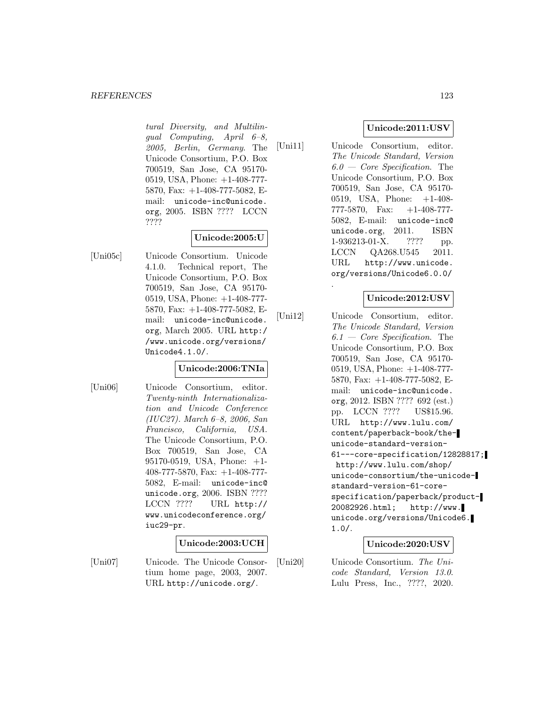#### *REFERENCES* 123

tural Diversity, and Multilingual Computing, April 6–8, 2005, Berlin, Germany. The Unicode Consortium, P.O. Box 700519, San Jose, CA 95170- 0519, USA, Phone: +1-408-777- 5870, Fax: +1-408-777-5082, Email: unicode-inc@unicode. org, 2005. ISBN ???? LCCN ????

## **Unicode:2005:U**

[Uni05c] Unicode Consortium. Unicode 4.1.0. Technical report, The Unicode Consortium, P.O. Box 700519, San Jose, CA 95170- 0519, USA, Phone: +1-408-777- 5870, Fax: +1-408-777-5082, Email: unicode-inc@unicode. org, March 2005. URL http:/ /www.unicode.org/versions/ Unicode4.1.0/.

## **Unicode:2006:TNIa**

[Uni06] Unicode Consortium, editor. Twenty-ninth Internationalization and Unicode Conference (IUC27). March 6–8, 2006, San Francisco, California, USA. The Unicode Consortium, P.O. Box 700519, San Jose, CA 95170-0519, USA, Phone: +1- 408-777-5870, Fax: +1-408-777- 5082, E-mail: unicode-inc@ unicode.org, 2006. ISBN ???? LCCN ???? URL http:// www.unicodeconference.org/ iuc29-pr.

## **Unicode:2003:UCH**

[Uni07] Unicode. The Unicode Consortium home page, 2003, 2007. URL http://unicode.org/.

## **Unicode:2011:USV**

[Uni11] Unicode Consortium, editor. The Unicode Standard, Version  $6.0 - Core\ Specification$ . The Unicode Consortium, P.O. Box 700519, San Jose, CA 95170- 0519, USA, Phone: +1-408- 777-5870, Fax: +1-408-777- 5082, E-mail: unicode-inc@ unicode.org, 2011. ISBN 1-936213-01-X. ???? pp. LCCN QA268.U545 2011. URL http://www.unicode. org/versions/Unicode6.0.0/

.

## **Unicode:2012:USV**

[Uni12] Unicode Consortium, editor. The Unicode Standard, Version  $6.1$  – Core Specification. The Unicode Consortium, P.O. Box 700519, San Jose, CA 95170- 0519, USA, Phone: +1-408-777- 5870, Fax: +1-408-777-5082, Email: unicode-inc@unicode. org, 2012. ISBN ???? 692 (est.) pp. LCCN ???? US\$15.96. URL http://www.lulu.com/ content/paperback-book/theunicode-standard-version-61---core-specification/12828817; http://www.lulu.com/shop/ unicode-consortium/the-unicodestandard-version-61-corespecification/paperback/product-20082926.html; http://www. unicode.org/versions/Unicode6. 1.0/.

## **Unicode:2020:USV**

[Uni20] Unicode Consortium. The Unicode Standard, Version 13.0. Lulu Press, Inc., ????, 2020.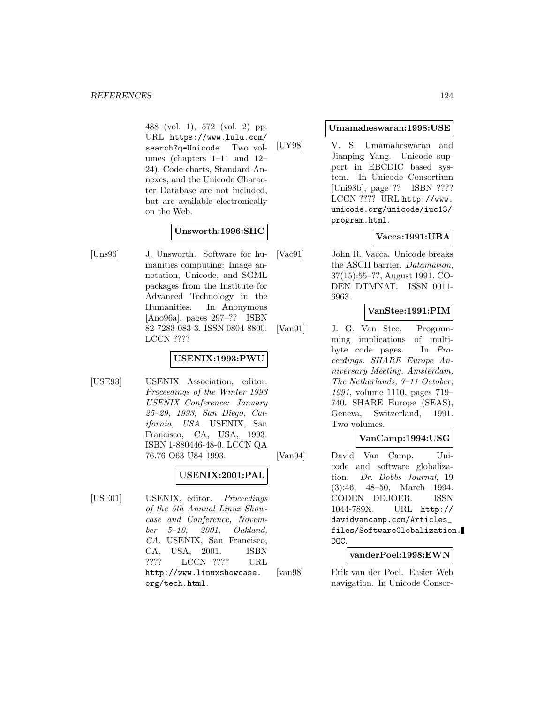488 (vol. 1), 572 (vol. 2) pp. URL https://www.lulu.com/ search?q=Unicode. Two volumes (chapters 1–11 and 12– 24). Code charts, Standard Annexes, and the Unicode Character Database are not included, but are available electronically on the Web.

## **Unsworth:1996:SHC**

[Uns96] J. Unsworth. Software for humanities computing: Image annotation, Unicode, and SGML packages from the Institute for Advanced Technology in the Humanities. In Anonymous [Ano96a], pages 297–?? ISBN 82-7283-083-3. ISSN 0804-8800. LCCN ????

## **USENIX:1993:PWU**

[USE93] USENIX Association, editor. Proceedings of the Winter 1993 USENIX Conference: January 25–29, 1993, San Diego, California, USA. USENIX, San Francisco, CA, USA, 1993. ISBN 1-880446-48-0. LCCN QA 76.76 O63 U84 1993.

## **USENIX:2001:PAL**

[USE01] USENIX, editor. *Proceedings* of the 5th Annual Linux Showcase and Conference, November 5–10, 2001, Oakland, CA. USENIX, San Francisco, CA, USA, 2001. ISBN ???? LCCN ???? URL http://www.linuxshowcase. org/tech.html.

#### **Umamaheswaran:1998:USE**

[UY98] V. S. Umamaheswaran and Jianping Yang. Unicode support in EBCDIC based system. In Unicode Consortium [Uni98b], page ?? ISBN ???? LCCN ???? URL http://www. unicode.org/unicode/iuc13/ program.html.

## **Vacca:1991:UBA**

[Vac91] John R. Vacca. Unicode breaks the ASCII barrier. Datamation, 37(15):55–??, August 1991. CO-DEN DTMNAT. ISSN 0011- 6963.

## **VanStee:1991:PIM**

[Van91] J. G. Van Stee. Programming implications of multibyte code pages. In Proceedings. SHARE Europe Anniversary Meeting. Amsterdam, The Netherlands, 7–11 October, 1991, volume 1110, pages 719– 740. SHARE Europe (SEAS), Geneva, Switzerland, 1991. Two volumes.

## **VanCamp:1994:USG**

[Van94] David Van Camp. Unicode and software globalization. Dr. Dobbs Journal, 19 (3):46, 48–50, March 1994. CODEN DDJOEB. ISSN 1044-789X. URL http:// davidvancamp.com/Articles\_ files/SoftwareGlobalization. DOC.

## **vanderPoel:1998:EWN**

[van98] Erik van der Poel. Easier Web navigation. In Unicode Consor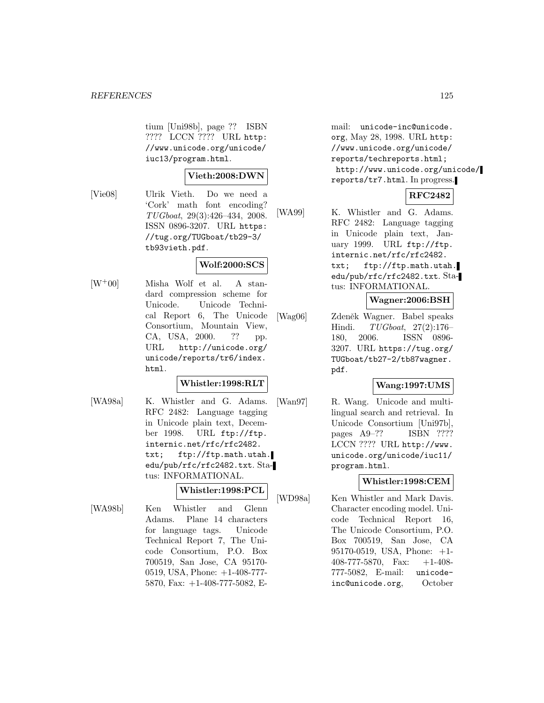tium [Uni98b], page ?? ISBN ???? LCCN ???? URL http: //www.unicode.org/unicode/ iuc13/program.html.

### **Vieth:2008:DWN**

[Vie08] Ulrik Vieth. Do we need a 'Cork' math font encoding? TUGboat, 29(3):426–434, 2008. ISSN 0896-3207. URL https: //tug.org/TUGboat/tb29-3/ tb93vieth.pdf.

## **Wolf:2000:SCS**

[W<sup>+</sup>00] Misha Wolf et al. A standard compression scheme for Unicode. Unicode Technical Report 6, The Unicode Consortium, Mountain View, CA, USA, 2000. ?? pp. URL http://unicode.org/ unicode/reports/tr6/index. html.

#### **Whistler:1998:RLT**

[WA98a] K. Whistler and G. Adams. RFC 2482: Language tagging in Unicode plain text, December 1998. URL ftp://ftp. internic.net/rfc/rfc2482. txt; ftp://ftp.math.utah. edu/pub/rfc/rfc2482.txt. Status: INFORMATIONAL.

## **Whistler:1998:PCL**

[WA98b] Ken Whistler and Glenn Adams. Plane 14 characters for language tags. Unicode Technical Report 7, The Unicode Consortium, P.O. Box 700519, San Jose, CA 95170- 0519, USA, Phone: +1-408-777- 5870, Fax: +1-408-777-5082, E-

mail: unicode-inc@unicode. org, May 28, 1998. URL http: //www.unicode.org/unicode/ reports/techreports.html; http://www.unicode.org/unicode/ reports/tr7.html. In progress.

## **RFC2482**

[WA99] K. Whistler and G. Adams. RFC 2482: Language tagging in Unicode plain text, January 1999. URL ftp://ftp. internic.net/rfc/rfc2482. txt; ftp://ftp.math.utah. edu/pub/rfc/rfc2482.txt. Status: INFORMATIONAL.

## **Wagner:2006:BSH**

[Wag06] Zdeněk Wagner. Babel speaks Hindi. TUGboat, 27(2):176– 180, 2006. ISSN 0896- 3207. URL https://tug.org/ TUGboat/tb27-2/tb87wagner. pdf.

#### **Wang:1997:UMS**

[Wan97] R. Wang. Unicode and multilingual search and retrieval. In Unicode Consortium [Uni97b], pages A9–?? ISBN ???? LCCN ???? URL http://www. unicode.org/unicode/iuc11/ program.html.

## **Whistler:1998:CEM**

[WD98a] Ken Whistler and Mark Davis. Character encoding model. Unicode Technical Report 16, The Unicode Consortium, P.O. Box 700519, San Jose, CA 95170-0519, USA, Phone: +1- 408-777-5870, Fax: +1-408- 777-5082, E-mail: unicodeinc@unicode.org, October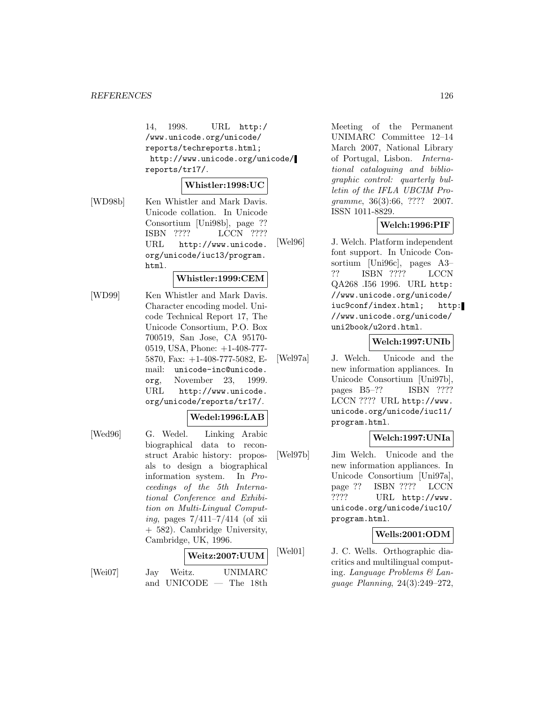14, 1998. URL http:/ /www.unicode.org/unicode/ reports/techreports.html; http://www.unicode.org/unicode/ reports/tr17/.

#### **Whistler:1998:UC**

[WD98b] Ken Whistler and Mark Davis. Unicode collation. In Unicode Consortium [Uni98b], page ?? ISBN ???? LCCN ???? URL http://www.unicode. org/unicode/iuc13/program. html.

#### **Whistler:1999:CEM**

[WD99] Ken Whistler and Mark Davis. Character encoding model. Unicode Technical Report 17, The Unicode Consortium, P.O. Box 700519, San Jose, CA 95170- 0519, USA, Phone: +1-408-777- 5870, Fax: +1-408-777-5082, Email: unicode-inc@unicode. org, November 23, 1999. URL http://www.unicode. org/unicode/reports/tr17/.

#### **Wedel:1996:LAB**

[Wed96] G. Wedel. Linking Arabic biographical data to reconstruct Arabic history: proposals to design a biographical information system. In Proceedings of the 5th International Conference and Exhibition on Multi-Lingual Computing, pages  $7/411 - 7/414$  (of xii + 582). Cambridge University, Cambridge, UK, 1996.

#### **Weitz:2007:UUM**

- 
- [Wei07] Jay Weitz. UNIMARC and UNICODE — The 18th

Meeting of the Permanent UNIMARC Committee 12–14 March 2007, National Library of Portugal, Lisbon. International cataloguing and bibliographic control: quarterly bulletin of the IFLA UBCIM Programme, 36(3):66, ???? 2007. ISSN 1011-8829.

## **Welch:1996:PIF**

[Wel96] J. Welch. Platform independent font support. In Unicode Consortium [Uni96c], pages A3– ?? ISBN ???? LCCN QA268 .I56 1996. URL http: //www.unicode.org/unicode/ iuc9conf/index.html; http: //www.unicode.org/unicode/ uni2book/u2ord.html.

#### **Welch:1997:UNIb**

[Wel97a] J. Welch. Unicode and the new information appliances. In Unicode Consortium [Uni97b], pages B5–?? ISBN ???? LCCN ???? URL http://www. unicode.org/unicode/iuc11/ program.html.

#### **Welch:1997:UNIa**

[Wel97b] Jim Welch. Unicode and the new information appliances. In Unicode Consortium [Uni97a], page ?? ISBN ???? LCCN ???? URL http://www. unicode.org/unicode/iuc10/ program.html.

#### **Wells:2001:ODM**

[Wel01] J. C. Wells. Orthographic diacritics and multilingual computing. Language Problems & Language Planning, 24(3):249–272,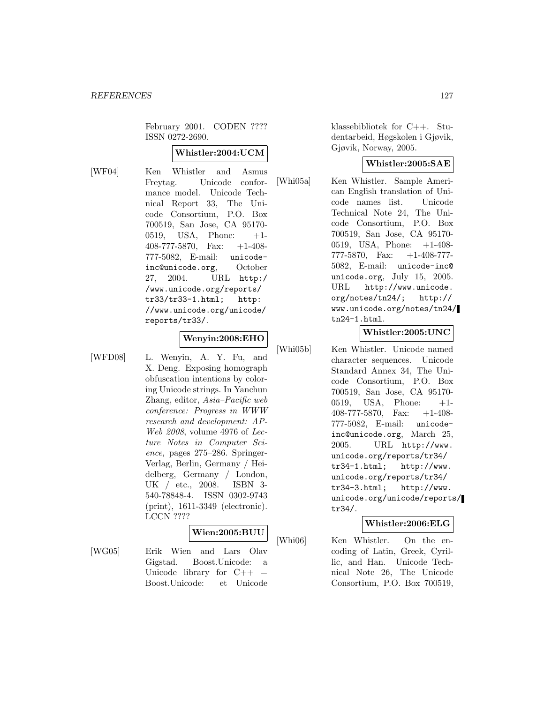February 2001. CODEN ???? ISSN 0272-2690.

#### **Whistler:2004:UCM**

[WF04] Ken Whistler and Asmus Freytag. Unicode conformance model. Unicode Technical Report 33, The Unicode Consortium, P.O. Box 700519, San Jose, CA 95170- 0519, USA, Phone: +1- 408-777-5870, Fax: +1-408- 777-5082, E-mail: unicodeinc@unicode.org, October 27, 2004. URL http:/ /www.unicode.org/reports/ tr33/tr33-1.html; http: //www.unicode.org/unicode/ reports/tr33/.

# **Wenyin:2008:EHO**

[WFD08] L. Wenyin, A. Y. Fu, and X. Deng. Exposing homograph obfuscation intentions by coloring Unicode strings. In Yanchun Zhang, editor, Asia–Pacific web conference: Progress in WWW research and development: AP-Web 2008, volume 4976 of Lecture Notes in Computer Science, pages 275–286. Springer-Verlag, Berlin, Germany / Heidelberg, Germany / London, UK / etc., 2008. ISBN 3- 540-78848-4. ISSN 0302-9743 (print), 1611-3349 (electronic). LCCN ????

#### **Wien:2005:BUU**

[WG05] Erik Wien and Lars Olav Gigstad. Boost.Unicode: a Unicode library for  $C++ =$ Boost.Unicode: et Unicode klassebibliotek for C++. Studentarbeid, Høgskolen i Gjøvik, Gjøvik, Norway, 2005.

## **Whistler:2005:SAE**

[Whi05a] Ken Whistler. Sample American English translation of Unicode names list. Unicode Technical Note 24, The Unicode Consortium, P.O. Box 700519, San Jose, CA 95170- 0519, USA, Phone: +1-408- 777-5870, Fax: +1-408-777- 5082, E-mail: unicode-inc@ unicode.org, July 15, 2005. URL http://www.unicode. org/notes/tn24/; http:// www.unicode.org/notes/tn24/ tn24-1.html.

## **Whistler:2005:UNC**

[Whi05b] Ken Whistler. Unicode named character sequences. Unicode Standard Annex 34, The Unicode Consortium, P.O. Box 700519, San Jose, CA 95170- 0519, USA, Phone: +1- 408-777-5870, Fax: +1-408- 777-5082, E-mail: unicodeinc@unicode.org, March 25, 2005. URL http://www. unicode.org/reports/tr34/ tr34-1.html; http://www. unicode.org/reports/tr34/ tr34-3.html; http://www. unicode.org/unicode/reports/ tr34/.

#### **Whistler:2006:ELG**

[Whi06] Ken Whistler. On the encoding of Latin, Greek, Cyrillic, and Han. Unicode Technical Note 26, The Unicode Consortium, P.O. Box 700519,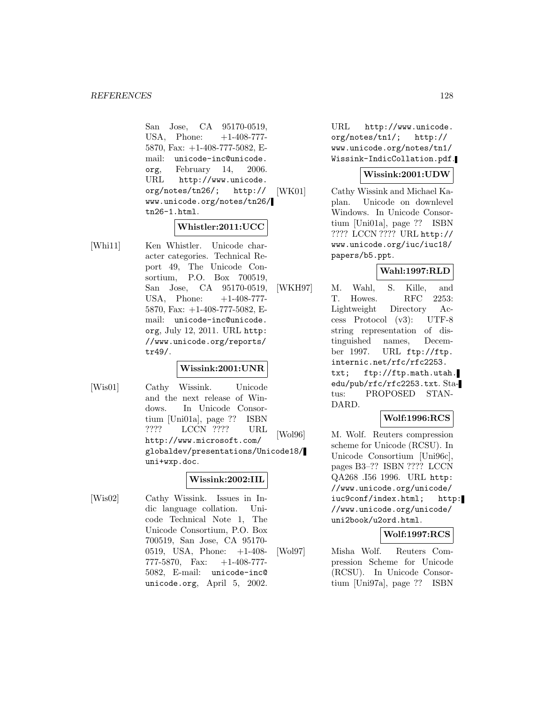San Jose, CA 95170-0519, USA, Phone:  $+1-408-777-$ 5870, Fax: +1-408-777-5082, Email: unicode-inc@unicode. org, February 14, 2006. URL http://www.unicode. org/notes/tn26/; http:// www.unicode.org/notes/tn26/ tn26-1.html.

## **Whistler:2011:UCC**

[Whi11] Ken Whistler. Unicode character categories. Technical Report 49, The Unicode Consortium, P.O. Box 700519, San Jose, CA 95170-0519, USA, Phone: +1-408-777-5870, Fax: +1-408-777-5082, Email: unicode-inc@unicode. org, July 12, 2011. URL http: //www.unicode.org/reports/ tr49/.

#### **Wissink:2001:UNR**

[Wis01] Cathy Wissink. Unicode and the next release of Windows. In Unicode Consortium [Uni01a], page ?? ISBN ???? LCCN ???? URL http://www.microsoft.com/ globaldev/presentations/Unicode18/ uni+wxp.doc.

## **Wissink:2002:IIL**

[Wis02] Cathy Wissink. Issues in Indic language collation. Unicode Technical Note 1, The Unicode Consortium, P.O. Box 700519, San Jose, CA 95170- 0519, USA, Phone: +1-408- 777-5870, Fax: +1-408-777- 5082, E-mail: unicode-inc@ unicode.org, April 5, 2002.

URL http://www.unicode. org/notes/tn1/; http:// www.unicode.org/notes/tn1/ Wissink-IndicCollation.pdf.

### **Wissink:2001:UDW**

[WK01] Cathy Wissink and Michael Kaplan. Unicode on downlevel Windows. In Unicode Consortium [Uni01a], page ?? ISBN ???? LCCN ???? URL http:// www.unicode.org/iuc/iuc18/ papers/b5.ppt.

## **Wahl:1997:RLD**

[WKH97] M. Wahl, S. Kille, and T. Howes. RFC 2253: Lightweight Directory Access Protocol (v3): UTF-8 string representation of distinguished names, December 1997. URL ftp://ftp. internic.net/rfc/rfc2253. txt; ftp://ftp.math.utah. edu/pub/rfc/rfc2253.txt. Status: PROPOSED STAN-DARD.

### **Wolf:1996:RCS**

[Wol96] M. Wolf. Reuters compression scheme for Unicode (RCSU). In Unicode Consortium [Uni96c], pages B3–?? ISBN ???? LCCN QA268 .I56 1996. URL http: //www.unicode.org/unicode/ iuc9conf/index.html; http: //www.unicode.org/unicode/ uni2book/u2ord.html.

#### **Wolf:1997:RCS**

[Wol97] Misha Wolf. Reuters Compression Scheme for Unicode (RCSU). In Unicode Consortium [Uni97a], page ?? ISBN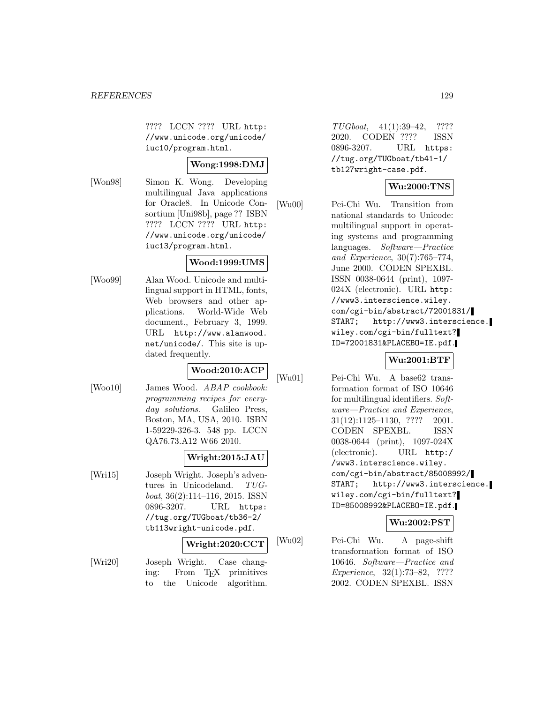???? LCCN ???? URL http: //www.unicode.org/unicode/ iuc10/program.html.

## **Wong:1998:DMJ**

[Won98] Simon K. Wong. Developing multilingual Java applications for Oracle8. In Unicode Consortium [Uni98b], page ?? ISBN ???? LCCN ???? URL http: //www.unicode.org/unicode/ iuc13/program.html.

## **Wood:1999:UMS**

[Woo99] Alan Wood. Unicode and multilingual support in HTML, fonts, Web browsers and other applications. World-Wide Web document., February 3, 1999. URL http://www.alanwood. net/unicode/. This site is updated frequently.

# **Wood:2010:ACP**

[Woo10] James Wood. ABAP cookbook: programming recipes for everyday solutions. Galileo Press, Boston, MA, USA, 2010. ISBN 1-59229-326-3. 548 pp. LCCN QA76.73.A12 W66 2010.

#### **Wright:2015:JAU**

[Wri15] Joseph Wright. Joseph's adventures in Unicodeland. TUGboat, 36(2):114–116, 2015. ISSN 0896-3207. URL https: //tug.org/TUGboat/tb36-2/ tb113wright-unicode.pdf.

## **Wright:2020:CCT**

[Wri20] Joseph Wright. Case changing: From T<sub>E</sub>X primitives<br>to the Unicode algorithm. to the Unicode algorithm.

TUGboat, 41(1):39–42, ???? 2020. CODEN ???? ISSN 0896-3207. URL https: //tug.org/TUGboat/tb41-1/ tb127wright-case.pdf.

## **Wu:2000:TNS**

[Wu00] Pei-Chi Wu. Transition from national standards to Unicode: multilingual support in operating systems and programming languages. Software—Practice and Experience, 30(7):765–774, June 2000. CODEN SPEXBL. ISSN 0038-0644 (print), 1097- 024X (electronic). URL http: //www3.interscience.wiley. com/cgi-bin/abstract/72001831/ START; http://www3.interscience. wiley.com/cgi-bin/fulltext? ID=72001831&PLACEBO=IE.pdf.

## **Wu:2001:BTF**

[Wu01] Pei-Chi Wu. A base62 transformation format of ISO 10646 for multilingual identifiers. Software—Practice and Experience, 31(12):1125–1130, ???? 2001. CODEN SPEXBL. ISSN 0038-0644 (print), 1097-024X (electronic). URL http:/ /www3.interscience.wiley. com/cgi-bin/abstract/85008992/ START; http://www3.interscience. wiley.com/cgi-bin/fulltext? ID=85008992&PLACEBO=IE.pdf.

## **Wu:2002:PST**

[Wu02] Pei-Chi Wu. A page-shift transformation format of ISO 10646. Software—Practice and Experience, 32(1):73–82, ???? 2002. CODEN SPEXBL. ISSN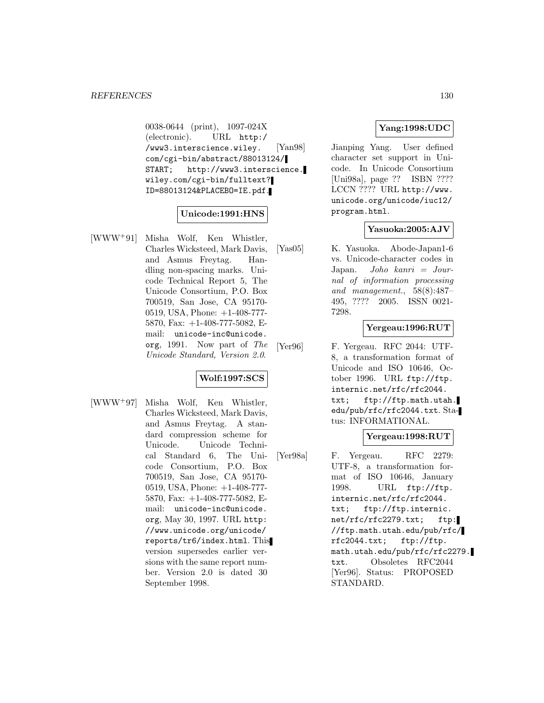0038-0644 (print), 1097-024X (electronic). URL http:/ /www3.interscience.wiley. com/cgi-bin/abstract/88013124/ START; http://www3.interscience. wiley.com/cgi-bin/fulltext? ID=88013124&PLACEBO=IE.pdf.

## **Unicode:1991:HNS**

[WWW<sup>+</sup>91] Misha Wolf, Ken Whistler, Charles Wicksteed, Mark Davis, and Asmus Freytag. Handling non-spacing marks. Unicode Technical Report 5, The Unicode Consortium, P.O. Box 700519, San Jose, CA 95170- 0519, USA, Phone: +1-408-777- 5870, Fax: +1-408-777-5082, Email: unicode-inc@unicode. org, 1991. Now part of The Unicode Standard, Version 2.0.

#### **Wolf:1997:SCS**

[WWW<sup>+</sup>97] Misha Wolf, Ken Whistler, Charles Wicksteed, Mark Davis, and Asmus Freytag. A standard compression scheme for Unicode. Unicode Technical Standard 6, The Unicode Consortium, P.O. Box 700519, San Jose, CA 95170- 0519, USA, Phone: +1-408-777- 5870, Fax: +1-408-777-5082, Email: unicode-inc@unicode. org, May 30, 1997. URL http: //www.unicode.org/unicode/ reports/tr6/index.html. This version supersedes earlier versions with the same report number. Version 2.0 is dated 30 September 1998.

## **Yang:1998:UDC**

[Yan98] Jianping Yang. User defined character set support in Unicode. In Unicode Consortium [Uni98a], page ?? ISBN ???? LCCN ???? URL http://www. unicode.org/unicode/iuc12/ program.html.

## **Yasuoka:2005:AJV**

[Yas05] K. Yasuoka. Abode-Japan1-6 vs. Unicode-character codes in Japan. *Joho kanri*  $=$  *Jour*nal of information processing and management., 58(8):487– 495, ???? 2005. ISSN 0021- 7298.

### **Yergeau:1996:RUT**

[Yer96] F. Yergeau. RFC 2044: UTF-8, a transformation format of Unicode and ISO 10646, October 1996. URL ftp://ftp. internic.net/rfc/rfc2044. txt; ftp://ftp.math.utah. edu/pub/rfc/rfc2044.txt. Status: INFORMATIONAL.

#### **Yergeau:1998:RUT**

[Yer98a] F. Yergeau. RFC 2279: UTF-8, a transformation format of ISO 10646, January 1998. URL ftp://ftp. internic.net/rfc/rfc2044. txt; ftp://ftp.internic. net/rfc/rfc2279.txt; ftp: //ftp.math.utah.edu/pub/rfc/ rfc2044.txt; ftp://ftp. math.utah.edu/pub/rfc/rfc2279. txt. Obsoletes RFC2044 [Yer96]. Status: PROPOSED STANDARD.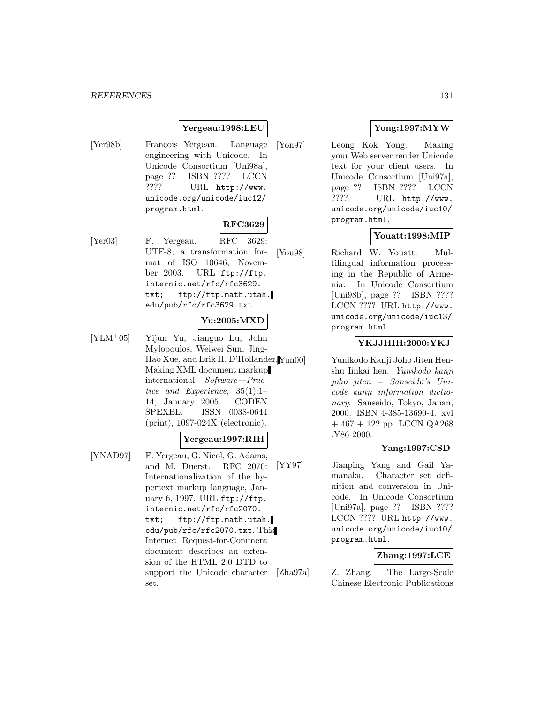## **Yergeau:1998:LEU**

[Yer98b] François Yergeau. Language engineering with Unicode. In Unicode Consortium [Uni98a], page ?? ISBN ???? LCCN ???? URL http://www. unicode.org/unicode/iuc12/ program.html.

## **RFC3629**

[Yer03] F. Yergeau. RFC 3629: UTF-8, a transformation format of ISO 10646, November 2003. URL ftp://ftp. internic.net/rfc/rfc3629. txt; ftp://ftp.math.utah. edu/pub/rfc/rfc3629.txt.

## **Yu:2005:MXD**

[YLM<sup>+</sup>05] Yijun Yu, Jianguo Lu, John Mylopoulos, Weiwei Sun, Jing-Hao Xue, and Erik H. D'Hollander. Making XML document markup international. Software—Practice and Experience, 35(1):1– 14, January 2005. CODEN SPEXBL. ISSN 0038-0644 (print), 1097-024X (electronic).

### **Yergeau:1997:RIH**

[YNAD97] F. Yergeau, G. Nicol, G. Adams, and M. Duerst. RFC 2070: Internationalization of the hypertext markup language, January 6, 1997. URL ftp://ftp. internic.net/rfc/rfc2070. txt; ftp://ftp.math.utah. edu/pub/rfc/rfc2070.txt. This Internet Request-for-Comment document describes an extension of the HTML 2.0 DTD to support the Unicode character set.

## **Yong:1997:MYW**

[Yon97] Leong Kok Yong. Making your Web server render Unicode text for your client users. In Unicode Consortium [Uni97a], page ?? ISBN ???? LCCN ???? URL http://www. unicode.org/unicode/iuc10/ program.html.

## **Youatt:1998:MIP**

[You98] Richard W. Youatt. Multilingual information processing in the Republic of Armenia. In Unicode Consortium [Uni98b], page ?? ISBN ???? LCCN ???? URL http://www. unicode.org/unicode/iuc13/ program.html.

## **YKJJHIH:2000:YKJ**

Yunikodo Kanji Joho Jiten Henshu Iinkai hen. Yunikodo kanji joho jiten = Sanseido's Unicode kanji information dictionary. Sanseido, Tokyo, Japan, 2000. ISBN 4-385-13690-4. xvi  $+467 + 122$  pp. LCCN QA268 .Y86 2000.

#### **Yang:1997:CSD**

[YY97] Jianping Yang and Gail Yamanaka. Character set definition and conversion in Unicode. In Unicode Consortium [Uni97a], page ?? ISBN ???? LCCN ???? URL http://www. unicode.org/unicode/iuc10/ program.html.

## **Zhang:1997:LCE**

[Zha97a] Z. Zhang. The Large-Scale Chinese Electronic Publications